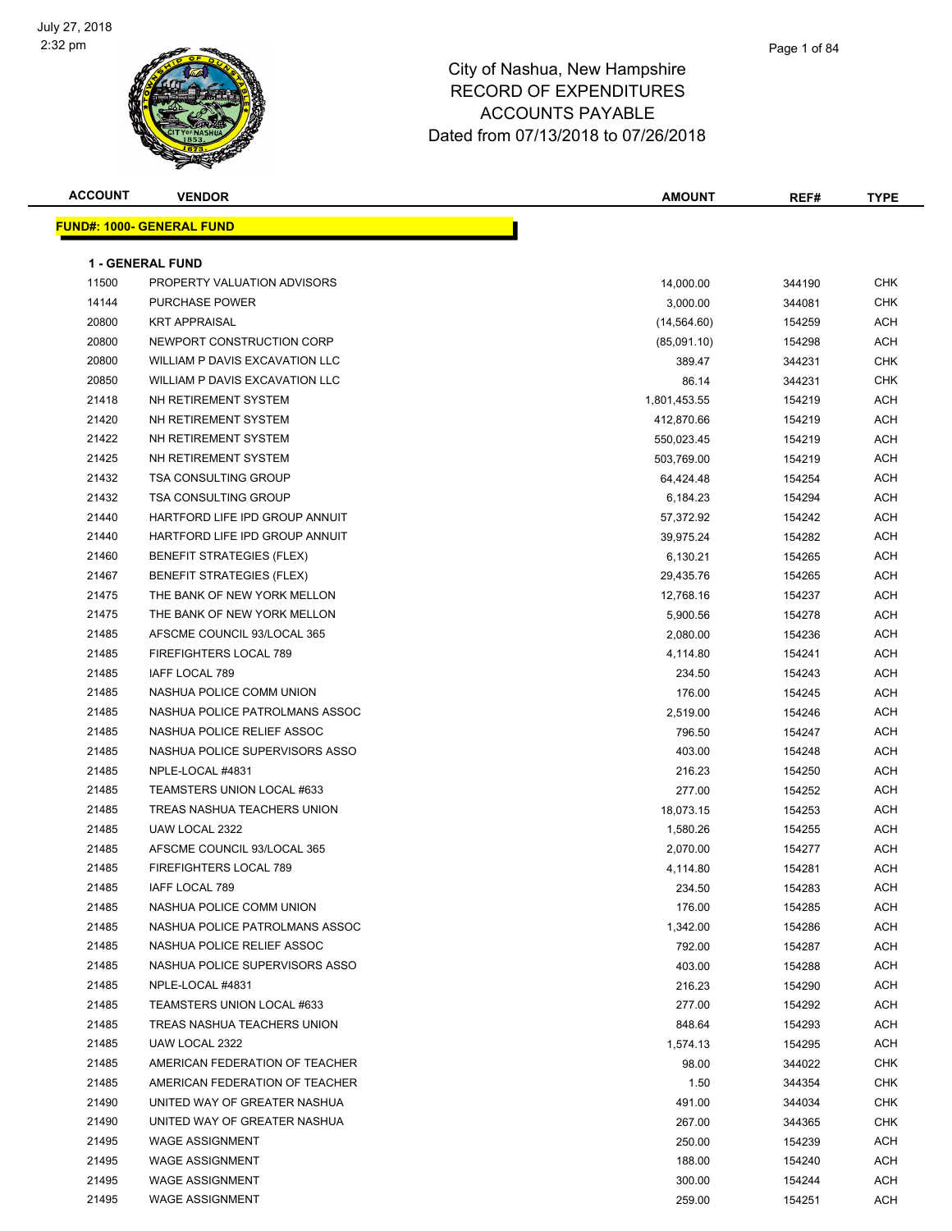

| <b>ACCOUNT</b> | <b>VENDOR</b>                    | <b>AMOUNT</b> | REF#   | <b>TYPE</b> |
|----------------|----------------------------------|---------------|--------|-------------|
|                | <b>FUND#: 1000- GENERAL FUND</b> |               |        |             |
|                |                                  |               |        |             |
|                | <b>1 - GENERAL FUND</b>          |               |        |             |
| 11500          | PROPERTY VALUATION ADVISORS      | 14,000.00     | 344190 | <b>CHK</b>  |
| 14144          | <b>PURCHASE POWER</b>            | 3,000.00      | 344081 | <b>CHK</b>  |
| 20800          | <b>KRT APPRAISAL</b>             | (14, 564.60)  | 154259 | ACH         |
| 20800          | NEWPORT CONSTRUCTION CORP        | (85,091.10)   | 154298 | ACH         |
| 20800          | WILLIAM P DAVIS EXCAVATION LLC   | 389.47        | 344231 | CHK         |
| 20850          | WILLIAM P DAVIS EXCAVATION LLC   | 86.14         | 344231 | <b>CHK</b>  |
| 21418          | NH RETIREMENT SYSTEM             | 1,801,453.55  | 154219 | ACH         |
| 21420          | NH RETIREMENT SYSTEM             | 412,870.66    | 154219 | <b>ACH</b>  |
| 21422          | NH RETIREMENT SYSTEM             | 550,023.45    | 154219 | ACH         |
| 21425          | NH RETIREMENT SYSTEM             | 503,769.00    | 154219 | ACH         |
| 21432          | <b>TSA CONSULTING GROUP</b>      | 64,424.48     | 154254 | ACH         |
| 21432          | TSA CONSULTING GROUP             | 6,184.23      | 154294 | ACH         |
| 21440          | HARTFORD LIFE IPD GROUP ANNUIT   | 57,372.92     | 154242 | <b>ACH</b>  |
| 21440          | HARTFORD LIFE IPD GROUP ANNUIT   | 39,975.24     | 154282 | ACH         |
| 21460          | <b>BENEFIT STRATEGIES (FLEX)</b> | 6,130.21      | 154265 | ACH         |
| 21467          | <b>BENEFIT STRATEGIES (FLEX)</b> | 29,435.76     | 154265 | ACH         |
| 21475          | THE BANK OF NEW YORK MELLON      | 12,768.16     | 154237 | ACH         |
| 21475          | THE BANK OF NEW YORK MELLON      | 5,900.56      | 154278 | ACH         |
| 21485          | AFSCME COUNCIL 93/LOCAL 365      | 2,080.00      | 154236 | <b>ACH</b>  |
| 21485          | FIREFIGHTERS LOCAL 789           | 4,114.80      | 154241 | ACH         |
| 21485          | IAFF LOCAL 789                   | 234.50        | 154243 | <b>ACH</b>  |
| 21485          | NASHUA POLICE COMM UNION         | 176.00        | 154245 | ACH         |
| 21485          | NASHUA POLICE PATROLMANS ASSOC   | 2,519.00      | 154246 | ACH         |
| 21485          | NASHUA POLICE RELIEF ASSOC       | 796.50        | 154247 | ACH         |
| 21485          | NASHUA POLICE SUPERVISORS ASSO   | 403.00        | 154248 | ACH         |
| 21485          | NPLE-LOCAL #4831                 | 216.23        | 154250 | ACH         |
| 21485          | TEAMSTERS UNION LOCAL #633       | 277.00        | 154252 | ACH         |
| 21485          | TREAS NASHUA TEACHERS UNION      | 18,073.15     | 154253 | ACH         |
| 21485          | UAW LOCAL 2322                   | 1,580.26      | 154255 | ACH         |
| 21485          | AFSCME COUNCIL 93/LOCAL 365      | 2,070.00      | 154277 | ACH         |
| 21485          | FIREFIGHTERS LOCAL 789           | 4,114.80      | 154281 | <b>ACH</b>  |
| 21485          | IAFF LOCAL 789                   | 234.50        | 154283 | ACH         |
| 21485          | NASHUA POLICE COMM UNION         | 176.00        | 154285 | ACH         |
| 21485          | NASHUA POLICE PATROLMANS ASSOC   | 1,342.00      | 154286 | ACH         |
| 21485          | NASHUA POLICE RELIEF ASSOC       | 792.00        | 154287 | ACH         |
| 21485          | NASHUA POLICE SUPERVISORS ASSO   | 403.00        | 154288 | <b>ACH</b>  |
| 21485          | NPLE-LOCAL #4831                 | 216.23        | 154290 | <b>ACH</b>  |
| 21485          | TEAMSTERS UNION LOCAL #633       | 277.00        | 154292 | ACH         |
| 21485          | TREAS NASHUA TEACHERS UNION      | 848.64        | 154293 | ACH         |
| 21485          | UAW LOCAL 2322                   | 1,574.13      | 154295 | ACH         |
| 21485          | AMERICAN FEDERATION OF TEACHER   | 98.00         | 344022 | <b>CHK</b>  |
| 21485          | AMERICAN FEDERATION OF TEACHER   | 1.50          | 344354 | <b>CHK</b>  |
| 21490          | UNITED WAY OF GREATER NASHUA     | 491.00        | 344034 | CHK         |
| 21490          | UNITED WAY OF GREATER NASHUA     | 267.00        | 344365 | <b>CHK</b>  |
| 21495          | <b>WAGE ASSIGNMENT</b>           | 250.00        | 154239 | ACH         |
| 21495          | <b>WAGE ASSIGNMENT</b>           | 188.00        | 154240 | ACH         |
| 21495          | <b>WAGE ASSIGNMENT</b>           | 300.00        | 154244 | ACH         |
| 21495          | <b>WAGE ASSIGNMENT</b>           | 259.00        | 154251 | ACH         |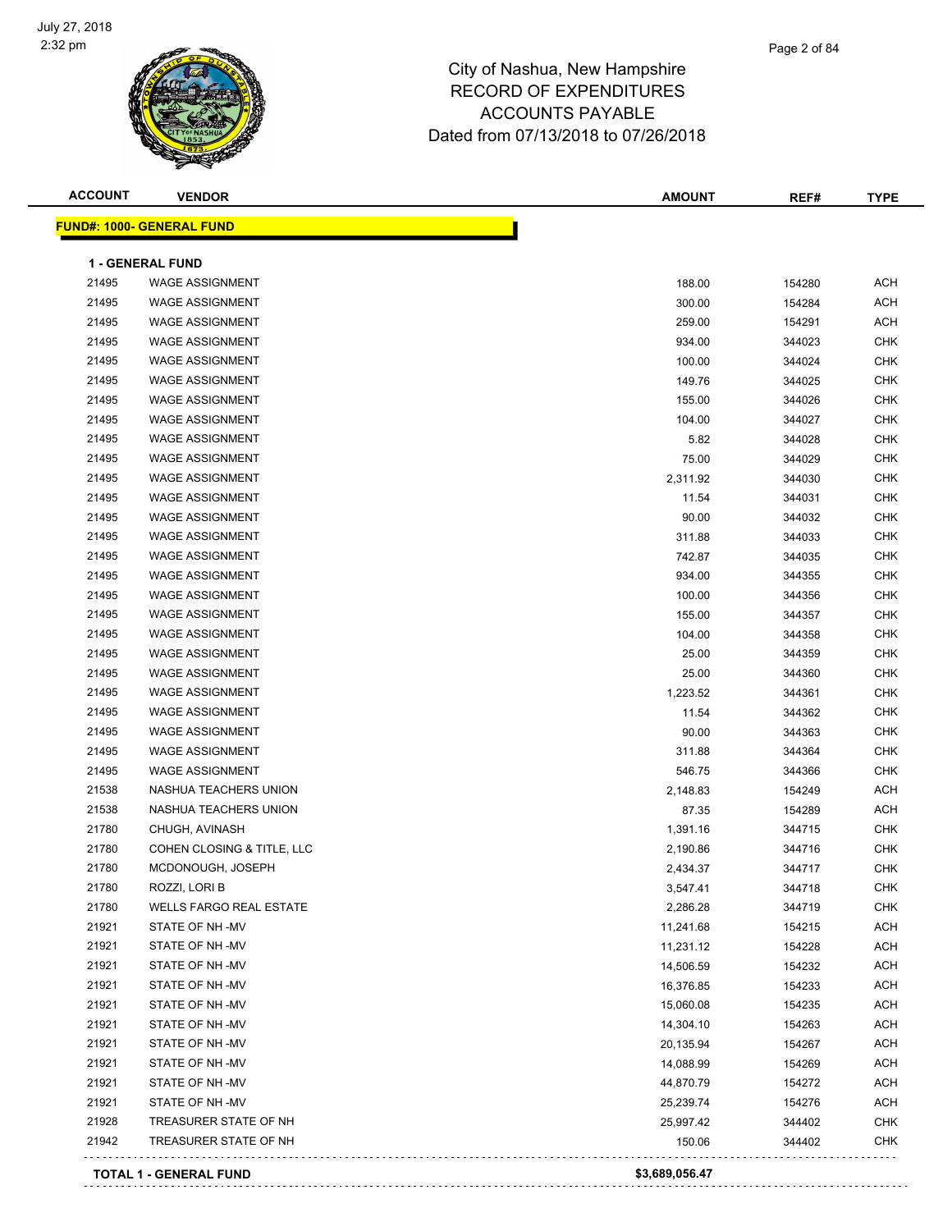

| <b>ACCOUNT</b> | <b>VENDOR</b>                    | <b>AMOUNT</b>  | REF#   | <b>TYPE</b> |
|----------------|----------------------------------|----------------|--------|-------------|
|                | <b>FUND#: 1000- GENERAL FUND</b> |                |        |             |
|                | <b>1 - GENERAL FUND</b>          |                |        |             |
| 21495          | <b>WAGE ASSIGNMENT</b>           | 188.00         | 154280 | ACH         |
| 21495          | <b>WAGE ASSIGNMENT</b>           | 300.00         | 154284 | ACH         |
| 21495          | <b>WAGE ASSIGNMENT</b>           | 259.00         | 154291 | ACH         |
| 21495          | <b>WAGE ASSIGNMENT</b>           | 934.00         | 344023 | CHK         |
| 21495          | <b>WAGE ASSIGNMENT</b>           | 100.00         | 344024 | <b>CHK</b>  |
| 21495          | <b>WAGE ASSIGNMENT</b>           | 149.76         | 344025 | <b>CHK</b>  |
| 21495          | <b>WAGE ASSIGNMENT</b>           | 155.00         | 344026 | CHK         |
| 21495          | <b>WAGE ASSIGNMENT</b>           | 104.00         | 344027 | <b>CHK</b>  |
| 21495          | <b>WAGE ASSIGNMENT</b>           | 5.82           | 344028 | <b>CHK</b>  |
| 21495          | <b>WAGE ASSIGNMENT</b>           | 75.00          | 344029 | <b>CHK</b>  |
| 21495          | <b>WAGE ASSIGNMENT</b>           | 2,311.92       | 344030 | <b>CHK</b>  |
| 21495          | <b>WAGE ASSIGNMENT</b>           | 11.54          | 344031 | CHK         |
| 21495          | <b>WAGE ASSIGNMENT</b>           | 90.00          | 344032 | CHK         |
| 21495          | <b>WAGE ASSIGNMENT</b>           | 311.88         | 344033 | <b>CHK</b>  |
| 21495          | <b>WAGE ASSIGNMENT</b>           | 742.87         | 344035 | CHK         |
| 21495          | <b>WAGE ASSIGNMENT</b>           | 934.00         | 344355 | <b>CHK</b>  |
| 21495          | <b>WAGE ASSIGNMENT</b>           | 100.00         | 344356 | <b>CHK</b>  |
| 21495          | <b>WAGE ASSIGNMENT</b>           | 155.00         | 344357 | CHK         |
| 21495          | <b>WAGE ASSIGNMENT</b>           | 104.00         | 344358 | <b>CHK</b>  |
| 21495          | <b>WAGE ASSIGNMENT</b>           | 25.00          | 344359 | CHK         |
| 21495          | <b>WAGE ASSIGNMENT</b>           | 25.00          | 344360 | CHK         |
| 21495          | <b>WAGE ASSIGNMENT</b>           | 1,223.52       | 344361 | CHK         |
| 21495          | <b>WAGE ASSIGNMENT</b>           | 11.54          | 344362 | CHK         |
| 21495          | <b>WAGE ASSIGNMENT</b>           | 90.00          | 344363 | CHK         |
| 21495          | <b>WAGE ASSIGNMENT</b>           | 311.88         | 344364 | CHK         |
| 21495          | <b>WAGE ASSIGNMENT</b>           | 546.75         | 344366 | CHK         |
| 21538          | NASHUA TEACHERS UNION            | 2,148.83       | 154249 | ACH         |
| 21538          | NASHUA TEACHERS UNION            | 87.35          | 154289 | ACH         |
| 21780          | CHUGH, AVINASH                   | 1,391.16       | 344715 | CHK         |
| 21780          | COHEN CLOSING & TITLE, LLC       | 2,190.86       | 344716 | CHK         |
| 21780          | MCDONOUGH, JOSEPH                | 2,434.37       | 344717 | <b>CHK</b>  |
| 21780          | ROZZI, LORI B                    | 3,547.41       | 344718 | <b>CHK</b>  |
| 21780          | <b>WELLS FARGO REAL ESTATE</b>   | 2,286.28       | 344719 | CHK         |
| 21921          | STATE OF NH-MV                   | 11,241.68      | 154215 | ACH         |
| 21921          | STATE OF NH-MV                   | 11,231.12      | 154228 | ACH         |
| 21921          | STATE OF NH-MV                   | 14,506.59      | 154232 | ACH         |
| 21921          | STATE OF NH -MV                  | 16,376.85      | 154233 | ACH         |
| 21921          | STATE OF NH -MV                  | 15,060.08      | 154235 | ACH         |
| 21921          | STATE OF NH -MV                  | 14,304.10      | 154263 | ACH         |
| 21921          | STATE OF NH-MV                   | 20,135.94      | 154267 | ACH         |
| 21921          | STATE OF NH-MV                   | 14,088.99      | 154269 | ACH         |
| 21921          | STATE OF NH-MV                   | 44,870.79      | 154272 | ACH         |
| 21921          | STATE OF NH-MV                   | 25,239.74      | 154276 | ACH         |
| 21928          | TREASURER STATE OF NH            | 25,997.42      | 344402 | CHK         |
| 21942          | TREASURER STATE OF NH            | 150.06         | 344402 | <b>CHK</b>  |
|                |                                  |                |        |             |
|                | <b>TOTAL 1 - GENERAL FUND</b>    | \$3,689,056.47 |        |             |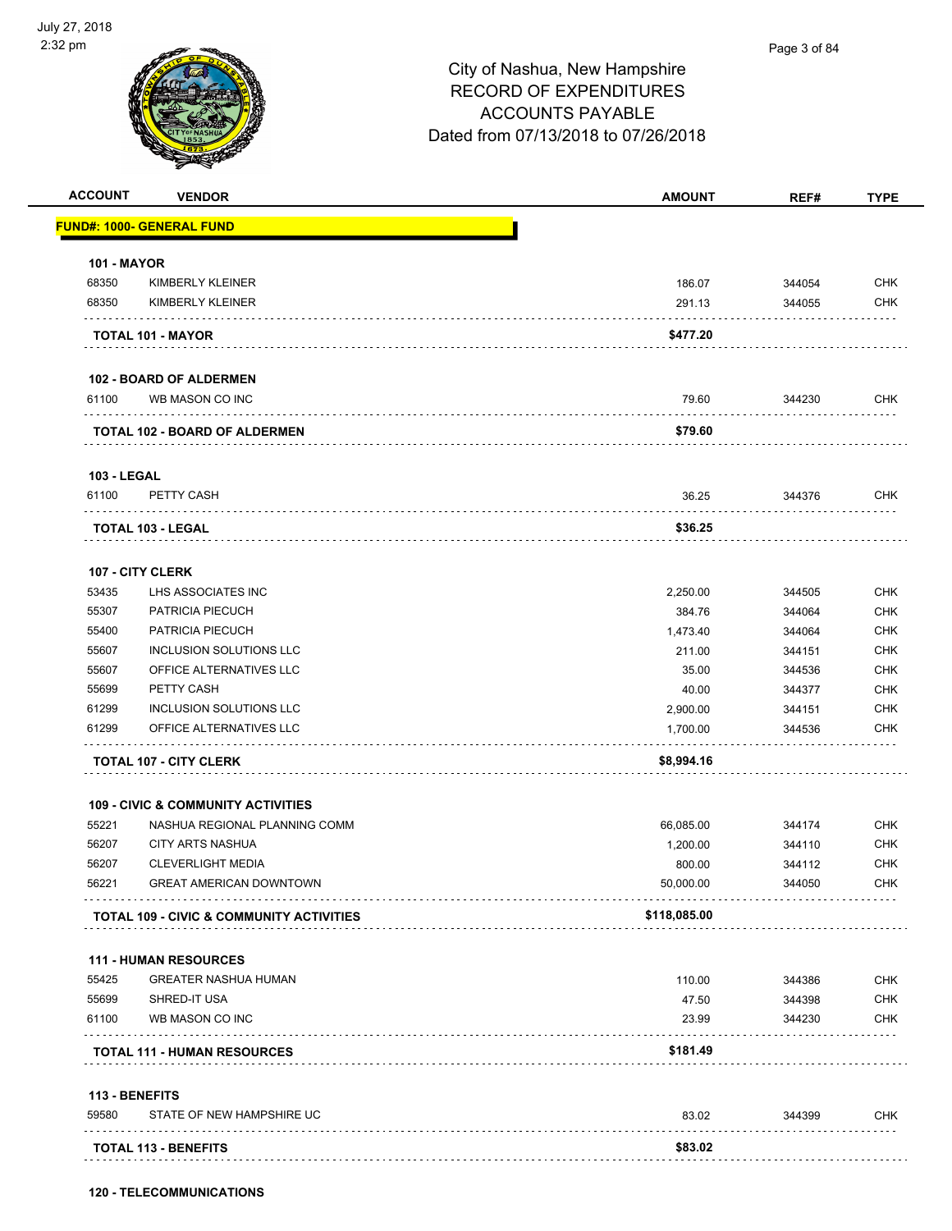

Page 3 of 84

| <b>ACCOUNT</b>     | <b>VENDOR</b>                                       | <b>AMOUNT</b> | REF#   | <b>TYPE</b> |
|--------------------|-----------------------------------------------------|---------------|--------|-------------|
|                    | <b>FUND#: 1000- GENERAL FUND</b>                    |               |        |             |
| <b>101 - MAYOR</b> |                                                     |               |        |             |
| 68350              | <b>KIMBERLY KLEINER</b>                             | 186.07        | 344054 | <b>CHK</b>  |
| 68350              | KIMBERLY KLEINER                                    | 291.13        | 344055 | <b>CHK</b>  |
|                    | TOTAL 101 - MAYOR                                   | \$477.20      |        |             |
|                    | <b>102 - BOARD OF ALDERMEN</b>                      |               |        |             |
| 61100              | WB MASON CO INC                                     | 79.60         | 344230 | <b>CHK</b>  |
|                    | <b>TOTAL 102 - BOARD OF ALDERMEN</b>                | \$79.60       |        |             |
| <b>103 - LEGAL</b> |                                                     |               |        |             |
| 61100              | PETTY CASH                                          | 36.25         | 344376 | <b>CHK</b>  |
|                    | <b>TOTAL 103 - LEGAL</b>                            | \$36.25       |        |             |
|                    | <b>107 - CITY CLERK</b>                             |               |        |             |
| 53435              | LHS ASSOCIATES INC                                  | 2,250.00      | 344505 | <b>CHK</b>  |
| 55307              | PATRICIA PIECUCH                                    | 384.76        | 344064 | <b>CHK</b>  |
| 55400              | PATRICIA PIECUCH                                    | 1,473.40      | 344064 | <b>CHK</b>  |
| 55607              | INCLUSION SOLUTIONS LLC                             | 211.00        | 344151 | <b>CHK</b>  |
| 55607              | OFFICE ALTERNATIVES LLC                             | 35.00         | 344536 | <b>CHK</b>  |
| 55699              | PETTY CASH                                          | 40.00         | 344377 | <b>CHK</b>  |
| 61299              | INCLUSION SOLUTIONS LLC                             | 2,900.00      | 344151 | <b>CHK</b>  |
| 61299              | OFFICE ALTERNATIVES LLC                             | 1,700.00      | 344536 | <b>CHK</b>  |
|                    | <b>TOTAL 107 - CITY CLERK</b>                       | \$8,994.16    |        |             |
|                    | <b>109 - CIVIC &amp; COMMUNITY ACTIVITIES</b>       |               |        |             |
| 55221              | NASHUA REGIONAL PLANNING COMM                       | 66,085.00     | 344174 | <b>CHK</b>  |
| 56207              | <b>CITY ARTS NASHUA</b>                             | 1,200.00      | 344110 | <b>CHK</b>  |
| 56207              | <b>CLEVERLIGHT MEDIA</b>                            | 800.00        | 344112 | <b>CHK</b>  |
| 56221              | <b>GREAT AMERICAN DOWNTOWN</b>                      | 50,000.00     | 344050 | <b>CHK</b>  |
|                    | <b>TOTAL 109 - CIVIC &amp; COMMUNITY ACTIVITIES</b> | \$118,085.00  |        |             |
|                    | <b>111 - HUMAN RESOURCES</b>                        |               |        |             |
| 55425              | <b>GREATER NASHUA HUMAN</b>                         | 110.00        | 344386 | <b>CHK</b>  |
| 55699              | SHRED-IT USA                                        | 47.50         | 344398 | <b>CHK</b>  |
| 61100              | WB MASON CO INC                                     | 23.99         | 344230 | <b>CHK</b>  |
|                    | <b>TOTAL 111 - HUMAN RESOURCES</b>                  | \$181.49      |        |             |
| 113 - BENEFITS     |                                                     |               |        |             |
| 59580              | STATE OF NEW HAMPSHIRE UC                           | 83.02         | 344399 | <b>CHK</b>  |
|                    | <b>TOTAL 113 - BENEFITS</b>                         | \$83.02       |        |             |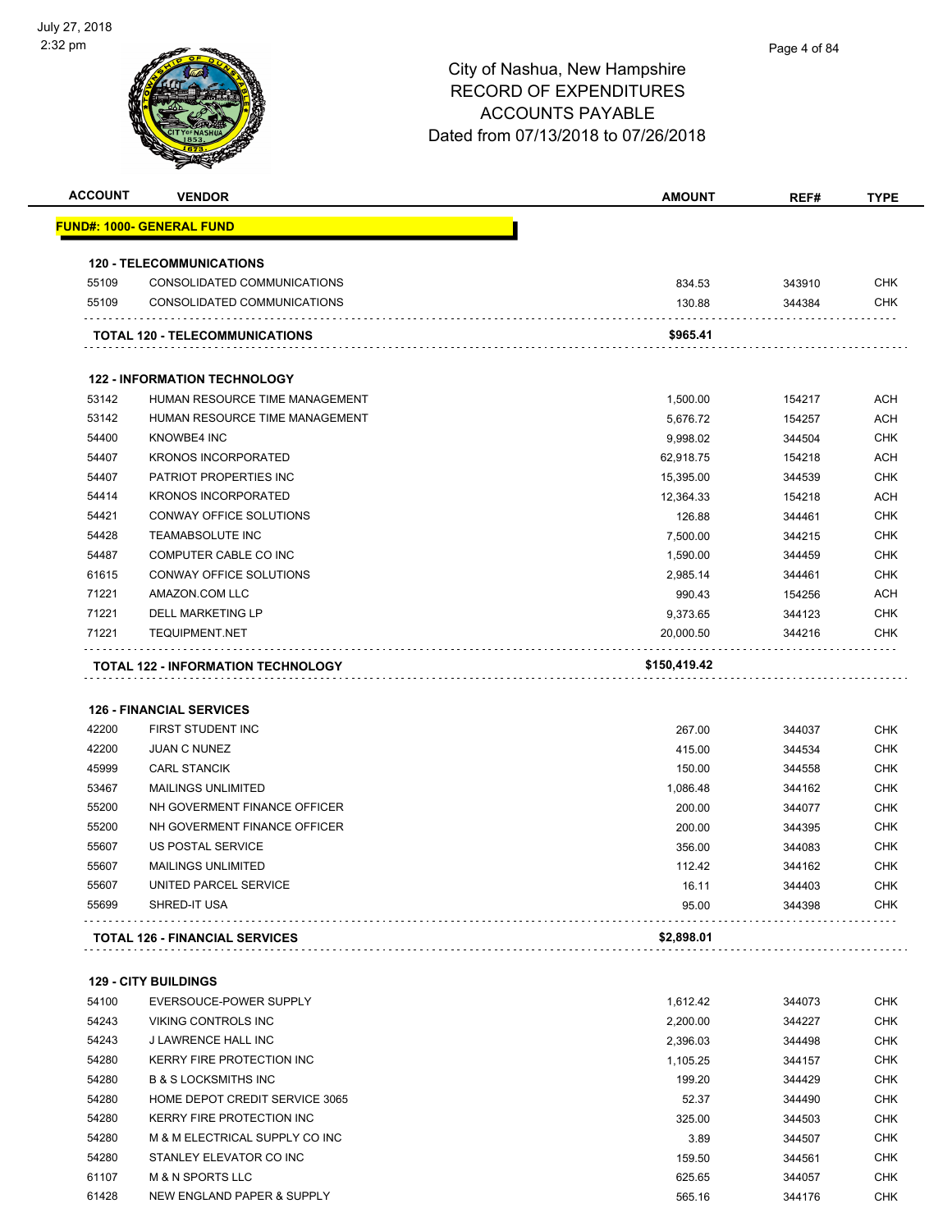|                |                                                              | <b>AMOUNT</b>      | REF#             | TYPE                     |
|----------------|--------------------------------------------------------------|--------------------|------------------|--------------------------|
|                | <u> FUND#: 1000- GENERAL FUND</u>                            |                    |                  |                          |
|                | <b>120 - TELECOMMUNICATIONS</b>                              |                    |                  |                          |
| 55109          | CONSOLIDATED COMMUNICATIONS                                  | 834.53             | 343910           | <b>CHK</b>               |
| 55109          | CONSOLIDATED COMMUNICATIONS                                  | 130.88             | 344384           | <b>CHK</b>               |
|                |                                                              |                    |                  |                          |
|                | TOTAL 120 - TELECOMMUNICATIONS                               | \$965.41           |                  |                          |
|                | <b>122 - INFORMATION TECHNOLOGY</b>                          |                    |                  |                          |
| 53142          | HUMAN RESOURCE TIME MANAGEMENT                               | 1,500.00           | 154217           | <b>ACH</b>               |
| 53142          | HUMAN RESOURCE TIME MANAGEMENT                               | 5,676.72           | 154257           | <b>ACH</b>               |
| 54400          | <b>KNOWBE4 INC</b>                                           | 9,998.02           | 344504           | <b>CHK</b>               |
| 54407          | <b>KRONOS INCORPORATED</b>                                   | 62,918.75          | 154218           | <b>ACH</b>               |
| 54407          | PATRIOT PROPERTIES INC                                       | 15,395.00          | 344539           | <b>CHK</b>               |
| 54414          | <b>KRONOS INCORPORATED</b>                                   | 12,364.33          | 154218           | <b>ACH</b>               |
| 54421          | CONWAY OFFICE SOLUTIONS                                      | 126.88             | 344461           | <b>CHK</b>               |
| 54428          | <b>TEAMABSOLUTE INC</b>                                      | 7,500.00           | 344215           | <b>CHK</b>               |
| 54487          | COMPUTER CABLE CO INC                                        | 1,590.00           | 344459           | <b>CHK</b>               |
| 61615          | CONWAY OFFICE SOLUTIONS                                      | 2,985.14           | 344461           | <b>CHK</b>               |
| 71221          | AMAZON.COM LLC                                               | 990.43             | 154256           | ACH                      |
| 71221          | <b>DELL MARKETING LP</b>                                     | 9,373.65           | 344123           | <b>CHK</b>               |
| 71221          | <b>TEQUIPMENT.NET</b>                                        | 20,000.50          | 344216           | <b>CHK</b>               |
|                | TOTAL 122 - INFORMATION TECHNOLOGY                           | \$150,419.42       |                  |                          |
|                |                                                              |                    |                  |                          |
|                |                                                              |                    |                  |                          |
|                |                                                              |                    |                  |                          |
|                | <b>126 - FINANCIAL SERVICES</b>                              |                    |                  |                          |
| 42200          | FIRST STUDENT INC                                            | 267.00             | 344037           | <b>CHK</b>               |
| 42200          | <b>JUAN C NUNEZ</b>                                          | 415.00             | 344534           | <b>CHK</b>               |
| 45999          | <b>CARL STANCIK</b>                                          | 150.00             | 344558           | <b>CHK</b>               |
| 53467          | <b>MAILINGS UNLIMITED</b>                                    | 1,086.48           | 344162           | <b>CHK</b>               |
| 55200          | NH GOVERMENT FINANCE OFFICER                                 | 200.00             | 344077           | <b>CHK</b>               |
| 55200          | NH GOVERMENT FINANCE OFFICER                                 | 200.00             | 344395           | <b>CHK</b>               |
| 55607          | US POSTAL SERVICE                                            | 356.00             | 344083           | <b>CHK</b>               |
| 55607          | <b>MAILINGS UNLIMITED</b>                                    | 112.42             | 344162           | <b>CHK</b>               |
| 55607          | UNITED PARCEL SERVICE                                        | 16.11              | 344403           | CHK.                     |
| 55699          | SHRED-IT USA                                                 | 95.00              | 344398           | CHK                      |
|                | <b>TOTAL 126 - FINANCIAL SERVICES</b>                        | \$2,898.01         |                  |                          |
|                | <b>129 - CITY BUILDINGS</b>                                  |                    |                  |                          |
| 54100          | EVERSOUCE-POWER SUPPLY                                       | 1,612.42           | 344073           | <b>CHK</b>               |
| 54243          | VIKING CONTROLS INC                                          | 2,200.00           | 344227           | <b>CHK</b>               |
|                |                                                              |                    |                  |                          |
| 54243          | J LAWRENCE HALL INC                                          | 2,396.03           | 344498           | <b>CHK</b>               |
| 54280<br>54280 | KERRY FIRE PROTECTION INC<br><b>B &amp; S LOCKSMITHS INC</b> | 1,105.25<br>199.20 | 344157           | <b>CHK</b><br><b>CHK</b> |
|                | HOME DEPOT CREDIT SERVICE 3065                               |                    | 344429           |                          |
| 54280          |                                                              | 52.37              | 344490           | <b>CHK</b>               |
| 54280          | KERRY FIRE PROTECTION INC                                    | 325.00             | 344503           | <b>CHK</b>               |
| 54280          | M & M ELECTRICAL SUPPLY CO INC                               | 3.89               | 344507           | <b>CHK</b>               |
| 54280          | STANLEY ELEVATOR CO INC                                      | 159.50             | 344561           | <b>CHK</b>               |
| 61107<br>61428 | <b>M &amp; N SPORTS LLC</b><br>NEW ENGLAND PAPER & SUPPLY    | 625.65<br>565.16   | 344057<br>344176 | <b>CHK</b><br><b>CHK</b> |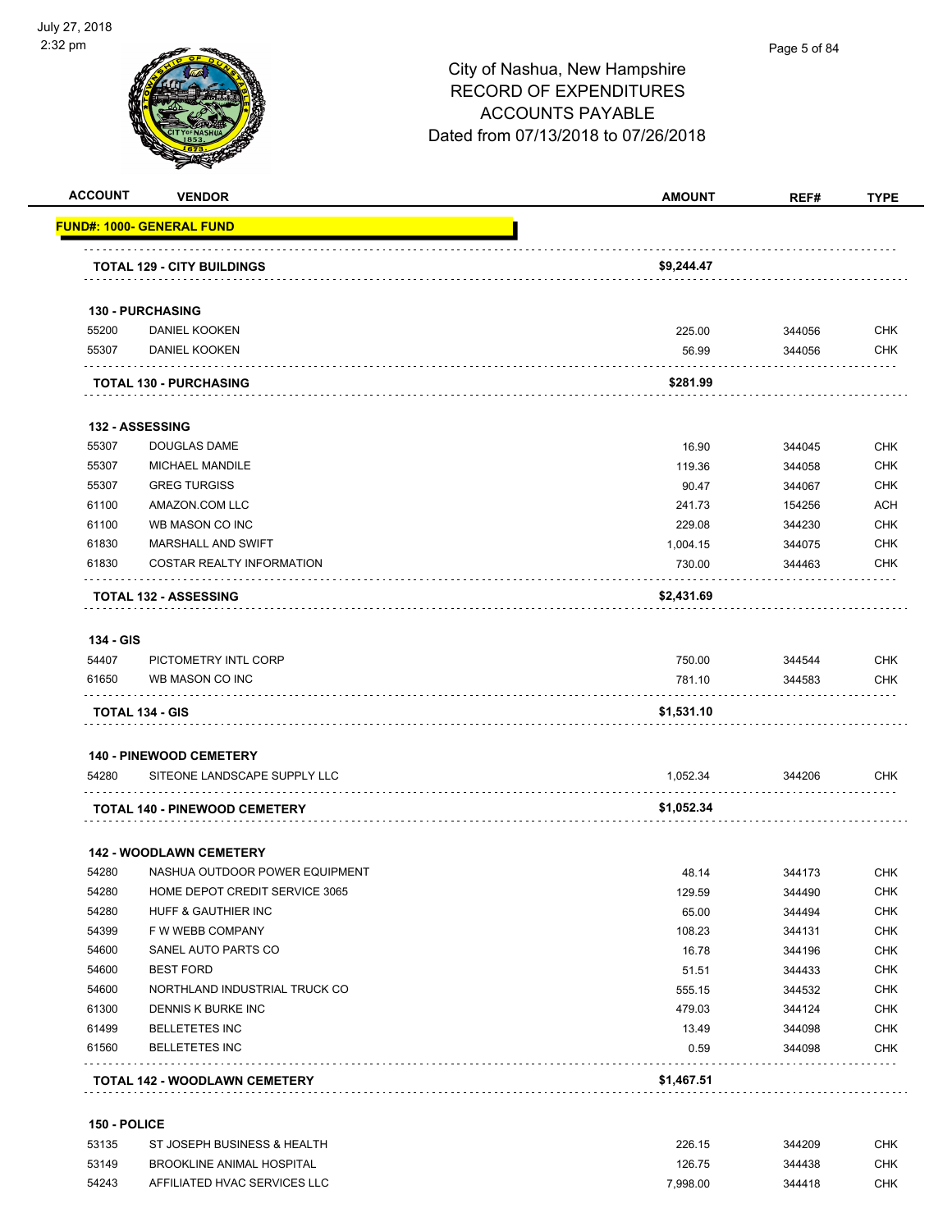

| <b>ACCOUNT</b>     | <b>VENDOR</b>                        | <b>AMOUNT</b> | REF#   | TYPE       |
|--------------------|--------------------------------------|---------------|--------|------------|
|                    | <u> FUND#: 1000- GENERAL FUND</u>    |               |        |            |
|                    |                                      |               |        |            |
|                    | <b>TOTAL 129 - CITY BUILDINGS</b>    | \$9,244.47    |        |            |
|                    | 130 - PURCHASING                     |               |        |            |
| 55200              | DANIEL KOOKEN                        | 225.00        | 344056 | <b>CHK</b> |
| 55307              | DANIEL KOOKEN                        | 56.99         | 344056 | <b>CHK</b> |
|                    | <b>TOTAL 130 - PURCHASING</b>        | \$281.99      |        |            |
|                    | 132 - ASSESSING                      |               |        |            |
| 55307              | DOUGLAS DAME                         | 16.90         | 344045 | <b>CHK</b> |
| 55307              | MICHAEL MANDILE                      | 119.36        | 344058 | <b>CHK</b> |
| 55307              | <b>GREG TURGISS</b>                  | 90.47         | 344067 | <b>CHK</b> |
| 61100              | AMAZON.COM LLC                       | 241.73        | 154256 | <b>ACH</b> |
| 61100              | WB MASON CO INC                      | 229.08        | 344230 | <b>CHK</b> |
| 61830              | MARSHALL AND SWIFT                   | 1,004.15      | 344075 | <b>CHK</b> |
| 61830              | COSTAR REALTY INFORMATION            | 730.00        | 344463 | <b>CHK</b> |
|                    | <b>TOTAL 132 - ASSESSING</b>         | \$2,431.69    |        |            |
|                    |                                      |               |        |            |
| 134 - GIS<br>54407 | PICTOMETRY INTL CORP                 | 750.00        | 344544 | <b>CHK</b> |
| 61650              | WB MASON CO INC                      | 781.10        | 344583 | <b>CHK</b> |
|                    | TOTAL 134 - GIS                      | \$1,531.10    |        |            |
|                    | <b>140 - PINEWOOD CEMETERY</b>       |               |        |            |
| 54280              | SITEONE LANDSCAPE SUPPLY LLC         | 1,052.34      | 344206 | <b>CHK</b> |
|                    | <b>TOTAL 140 - PINEWOOD CEMETERY</b> | \$1,052.34    |        |            |
|                    | <b>142 - WOODLAWN CEMETERY</b>       |               |        |            |
| 54280              | NASHUA OUTDOOR POWER EQUIPMENT       | 48.14         | 344173 | <b>CHK</b> |
| 54280              | HOME DEPOT CREDIT SERVICE 3065       | 129.59        | 344490 | <b>CHK</b> |
| 54280              | HUFF & GAUTHIER INC                  | 65.00         | 344494 | <b>CHK</b> |
| 54399              | F W WEBB COMPANY                     | 108.23        | 344131 | <b>CHK</b> |
| 54600              | SANEL AUTO PARTS CO                  | 16.78         | 344196 | <b>CHK</b> |
| 54600              | <b>BEST FORD</b>                     | 51.51         | 344433 | <b>CHK</b> |
| 54600              | NORTHLAND INDUSTRIAL TRUCK CO        | 555.15        | 344532 | <b>CHK</b> |
| 61300              | DENNIS K BURKE INC                   | 479.03        | 344124 | <b>CHK</b> |
| 61499              | <b>BELLETETES INC</b>                | 13.49         | 344098 | <b>CHK</b> |
| 61560              | <b>BELLETETES INC</b>                | 0.59          | 344098 | <b>CHK</b> |
|                    | <b>TOTAL 142 - WOODLAWN CEMETERY</b> | \$1,467.51    |        |            |
|                    |                                      |               |        |            |

### **150 - POLICE**

| 53135 | ST JOSEPH BUSINESS & HEALTH  | 226.15   | 344209 | СНК |
|-------|------------------------------|----------|--------|-----|
| 53149 | BROOKLINE ANIMAL HOSPITAL    | 126.75   | 344438 | СНК |
| 54243 | AFFILIATED HVAC SERVICES LLC | 7.998.00 | 344418 | СНК |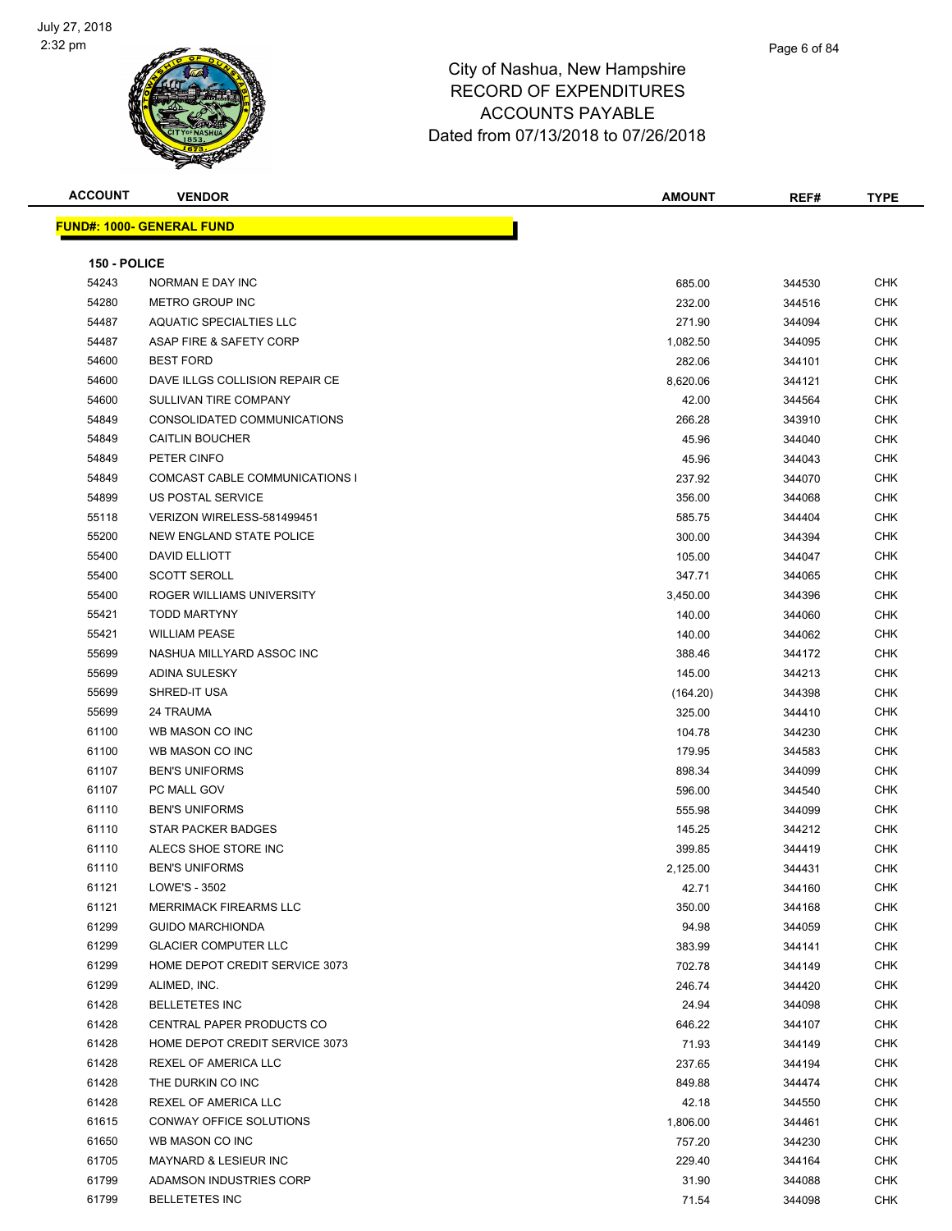

| <b>ACCOUNT</b> | <b>VENDOR</b>                    | <b>AMOUNT</b> | REF#   | <b>TYPE</b> |
|----------------|----------------------------------|---------------|--------|-------------|
|                | <b>FUND#: 1000- GENERAL FUND</b> |               |        |             |
|                |                                  |               |        |             |
| 150 - POLICE   |                                  |               |        |             |
| 54243          | NORMAN E DAY INC                 | 685.00        | 344530 | <b>CHK</b>  |
| 54280          | <b>METRO GROUP INC</b>           | 232.00        | 344516 | CHK         |
| 54487          | <b>AQUATIC SPECIALTIES LLC</b>   | 271.90        | 344094 | CHK         |
| 54487          | ASAP FIRE & SAFETY CORP          | 1,082.50      | 344095 | CHK         |
| 54600          | <b>BEST FORD</b>                 | 282.06        | 344101 | CHK         |
| 54600          | DAVE ILLGS COLLISION REPAIR CE   | 8,620.06      | 344121 | <b>CHK</b>  |
| 54600          | SULLIVAN TIRE COMPANY            | 42.00         | 344564 | CHK         |
| 54849          | CONSOLIDATED COMMUNICATIONS      | 266.28        | 343910 | CHK         |
| 54849          | <b>CAITLIN BOUCHER</b>           | 45.96         | 344040 | <b>CHK</b>  |
| 54849          | PETER CINFO                      | 45.96         | 344043 | <b>CHK</b>  |
| 54849          | COMCAST CABLE COMMUNICATIONS I   | 237.92        | 344070 | <b>CHK</b>  |
| 54899          | US POSTAL SERVICE                | 356.00        | 344068 | <b>CHK</b>  |
| 55118          | VERIZON WIRELESS-581499451       | 585.75        | 344404 | CHK         |
| 55200          | NEW ENGLAND STATE POLICE         | 300.00        | 344394 | CHK         |
| 55400          | <b>DAVID ELLIOTT</b>             | 105.00        | 344047 | CHK         |
| 55400          | <b>SCOTT SEROLL</b>              | 347.71        | 344065 | CHK         |
| 55400          | ROGER WILLIAMS UNIVERSITY        | 3,450.00      | 344396 | CHK         |
| 55421          | <b>TODD MARTYNY</b>              | 140.00        | 344060 | CHK         |
| 55421          | <b>WILLIAM PEASE</b>             | 140.00        | 344062 | CHK         |
| 55699          | NASHUA MILLYARD ASSOC INC        | 388.46        | 344172 | <b>CHK</b>  |
| 55699          | <b>ADINA SULESKY</b>             | 145.00        | 344213 | CHK         |
| 55699          | SHRED-IT USA                     | (164.20)      | 344398 | <b>CHK</b>  |
| 55699          | 24 TRAUMA                        | 325.00        | 344410 | <b>CHK</b>  |
| 61100          | WB MASON CO INC                  | 104.78        | 344230 | CHK         |
| 61100          | WB MASON CO INC                  | 179.95        | 344583 | <b>CHK</b>  |
| 61107          | <b>BEN'S UNIFORMS</b>            | 898.34        | 344099 | <b>CHK</b>  |
| 61107          | PC MALL GOV                      | 596.00        | 344540 | CHK         |
| 61110          | <b>BEN'S UNIFORMS</b>            | 555.98        | 344099 | CHK         |
| 61110          | <b>STAR PACKER BADGES</b>        | 145.25        | 344212 | CHK         |
| 61110          | ALECS SHOE STORE INC             | 399.85        | 344419 | CHK         |
| 61110          | <b>BEN'S UNIFORMS</b>            | 2,125.00      | 344431 | CHK         |
| 61121          | LOWE'S - 3502                    | 42.71         | 344160 | <b>CHK</b>  |
| 61121          | <b>MERRIMACK FIREARMS LLC</b>    | 350.00        | 344168 | CHK         |
| 61299          | <b>GUIDO MARCHIONDA</b>          | 94.98         | 344059 | CHK         |
| 61299          | <b>GLACIER COMPUTER LLC</b>      | 383.99        | 344141 | <b>CHK</b>  |
| 61299          | HOME DEPOT CREDIT SERVICE 3073   | 702.78        | 344149 | CHK         |
| 61299          | ALIMED, INC.                     | 246.74        | 344420 | CHK         |
| 61428          | <b>BELLETETES INC</b>            | 24.94         | 344098 | CHK         |
| 61428          | CENTRAL PAPER PRODUCTS CO        | 646.22        | 344107 | CHK         |
| 61428          | HOME DEPOT CREDIT SERVICE 3073   | 71.93         | 344149 | <b>CHK</b>  |
| 61428          | REXEL OF AMERICA LLC             | 237.65        | 344194 | <b>CHK</b>  |
| 61428          | THE DURKIN CO INC                | 849.88        | 344474 | CHK         |
| 61428          | REXEL OF AMERICA LLC             | 42.18         | 344550 | CHK         |
| 61615          | CONWAY OFFICE SOLUTIONS          | 1,806.00      | 344461 | CHK         |
| 61650          | WB MASON CO INC                  | 757.20        | 344230 | CHK         |
| 61705          | <b>MAYNARD &amp; LESIEUR INC</b> | 229.40        | 344164 | <b>CHK</b>  |
| 61799          | ADAMSON INDUSTRIES CORP          | 31.90         | 344088 | <b>CHK</b>  |
| 61799          | <b>BELLETETES INC</b>            | 71.54         | 344098 | <b>CHK</b>  |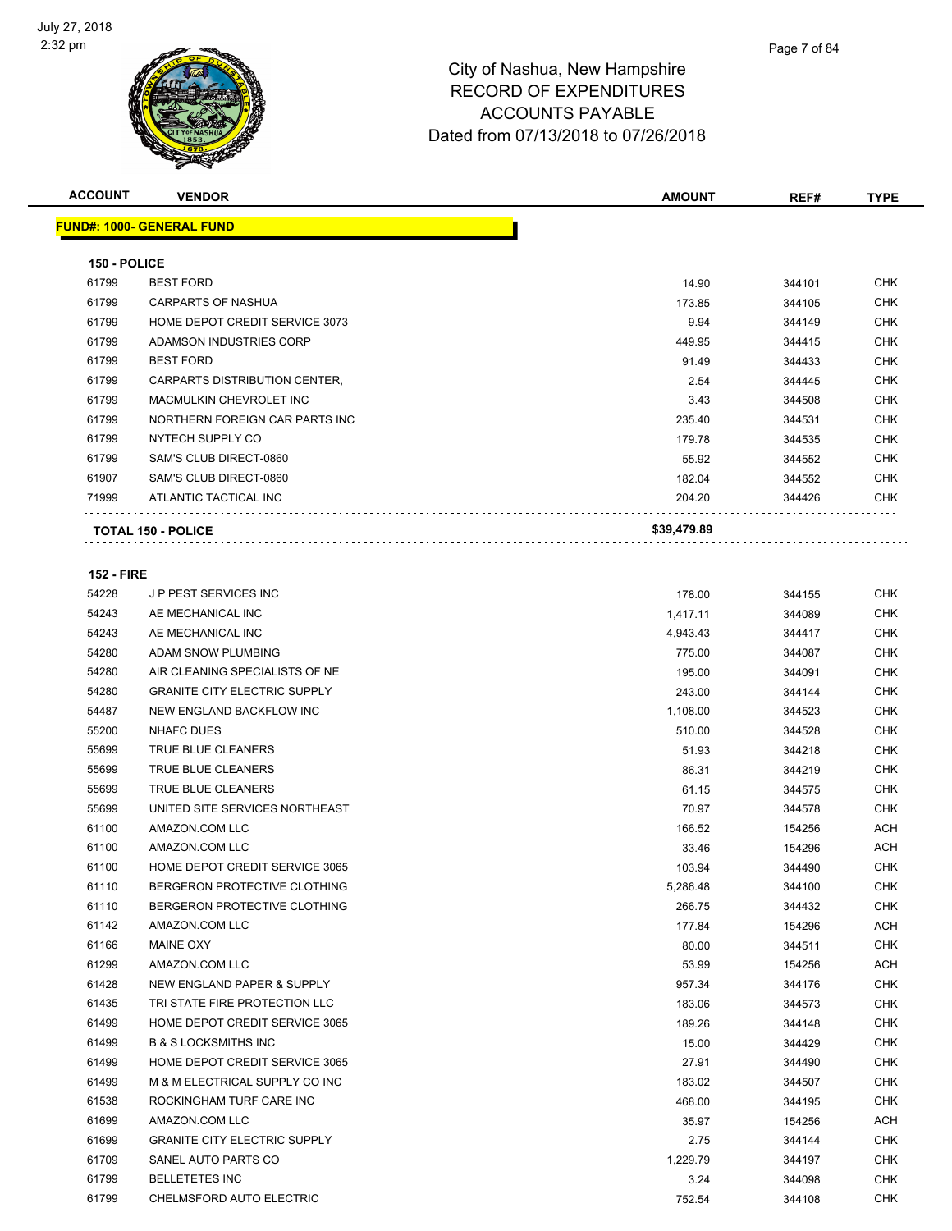

| <b>ACCOUNT</b>    | <b>VENDOR</b>                          | <b>AMOUNT</b> | REF#   | TYPE       |
|-------------------|----------------------------------------|---------------|--------|------------|
|                   | <u> FUND#: 1000- GENERAL FUND</u>      |               |        |            |
|                   |                                        |               |        |            |
| 150 - POLICE      |                                        |               |        |            |
| 61799             | <b>BEST FORD</b>                       | 14.90         | 344101 | CHK        |
| 61799             | CARPARTS OF NASHUA                     | 173.85        | 344105 | <b>CHK</b> |
| 61799             | HOME DEPOT CREDIT SERVICE 3073         | 9.94          | 344149 | CHK        |
| 61799             | ADAMSON INDUSTRIES CORP                | 449.95        | 344415 | CHK        |
| 61799             | <b>BEST FORD</b>                       | 91.49         | 344433 | <b>CHK</b> |
| 61799             | CARPARTS DISTRIBUTION CENTER,          | 2.54          | 344445 | <b>CHK</b> |
| 61799             | MACMULKIN CHEVROLET INC                | 3.43          | 344508 | CHK        |
| 61799             | NORTHERN FOREIGN CAR PARTS INC         | 235.40        | 344531 | <b>CHK</b> |
| 61799             | NYTECH SUPPLY CO                       | 179.78        | 344535 | <b>CHK</b> |
| 61799             | SAM'S CLUB DIRECT-0860                 | 55.92         | 344552 | <b>CHK</b> |
| 61907             | SAM'S CLUB DIRECT-0860                 | 182.04        | 344552 | <b>CHK</b> |
| 71999             | ATLANTIC TACTICAL INC                  | 204.20        | 344426 | CHK        |
|                   | <b>TOTAL 150 - POLICE</b>              | \$39,479.89   |        |            |
|                   |                                        |               |        |            |
| <b>152 - FIRE</b> |                                        |               |        |            |
| 54228             | <b>JP PEST SERVICES INC</b>            | 178.00        | 344155 | CHK        |
| 54243             | AE MECHANICAL INC<br>AE MECHANICAL INC | 1,417.11      | 344089 | <b>CHK</b> |
| 54243             |                                        | 4,943.43      | 344417 | CHK        |
| 54280             | ADAM SNOW PLUMBING                     | 775.00        | 344087 | <b>CHK</b> |
| 54280             | AIR CLEANING SPECIALISTS OF NE         | 195.00        | 344091 | <b>CHK</b> |
| 54280             | <b>GRANITE CITY ELECTRIC SUPPLY</b>    | 243.00        | 344144 | <b>CHK</b> |
| 54487             | NEW ENGLAND BACKFLOW INC               | 1,108.00      | 344523 | <b>CHK</b> |
| 55200             | NHAFC DUES                             | 510.00        | 344528 | CHK        |
| 55699             | TRUE BLUE CLEANERS                     | 51.93         | 344218 | <b>CHK</b> |
| 55699             | TRUE BLUE CLEANERS                     | 86.31         | 344219 | <b>CHK</b> |
| 55699             | TRUE BLUE CLEANERS                     | 61.15         | 344575 | <b>CHK</b> |
| 55699             | UNITED SITE SERVICES NORTHEAST         | 70.97         | 344578 | <b>CHK</b> |
| 61100             | AMAZON.COM LLC                         | 166.52        | 154256 | ACH        |
| 61100             | AMAZON.COM LLC                         | 33.46         | 154296 | ACH        |
| 61100             | HOME DEPOT CREDIT SERVICE 3065         | 103.94        | 344490 | <b>CHK</b> |
| 61110             | BERGERON PROTECTIVE CLOTHING           | 5,286.48      | 344100 | <b>CHK</b> |
| 61110             | BERGERON PROTECTIVE CLOTHING           | 266.75        | 344432 | CHK        |
| 61142             | AMAZON.COM LLC                         | 177.84        | 154296 | <b>ACH</b> |
| 61166             | MAINE OXY                              | 80.00         | 344511 | CHK        |
| 61299             | AMAZON.COM LLC                         | 53.99         | 154256 | <b>ACH</b> |
| 61428             | NEW ENGLAND PAPER & SUPPLY             | 957.34        | 344176 | <b>CHK</b> |
| 61435             | TRI STATE FIRE PROTECTION LLC          | 183.06        | 344573 | CHK        |
| 61499             | HOME DEPOT CREDIT SERVICE 3065         | 189.26        | 344148 | CHK        |
| 61499             | <b>B &amp; S LOCKSMITHS INC</b>        | 15.00         | 344429 | <b>CHK</b> |
| 61499             | HOME DEPOT CREDIT SERVICE 3065         | 27.91         | 344490 | CHK        |
| 61499             | M & M ELECTRICAL SUPPLY CO INC         | 183.02        | 344507 | <b>CHK</b> |
| 61538             | ROCKINGHAM TURF CARE INC               | 468.00        | 344195 | <b>CHK</b> |
| 61699             | AMAZON.COM LLC                         | 35.97         | 154256 | <b>ACH</b> |
| 61699             | <b>GRANITE CITY ELECTRIC SUPPLY</b>    | 2.75          | 344144 | CHK        |
| 61709             | SANEL AUTO PARTS CO                    | 1,229.79      | 344197 | CHK        |
| 61799             | <b>BELLETETES INC</b>                  | 3.24          | 344098 | CHK        |
| 61799             | CHELMSFORD AUTO ELECTRIC               | 752.54        | 344108 | <b>CHK</b> |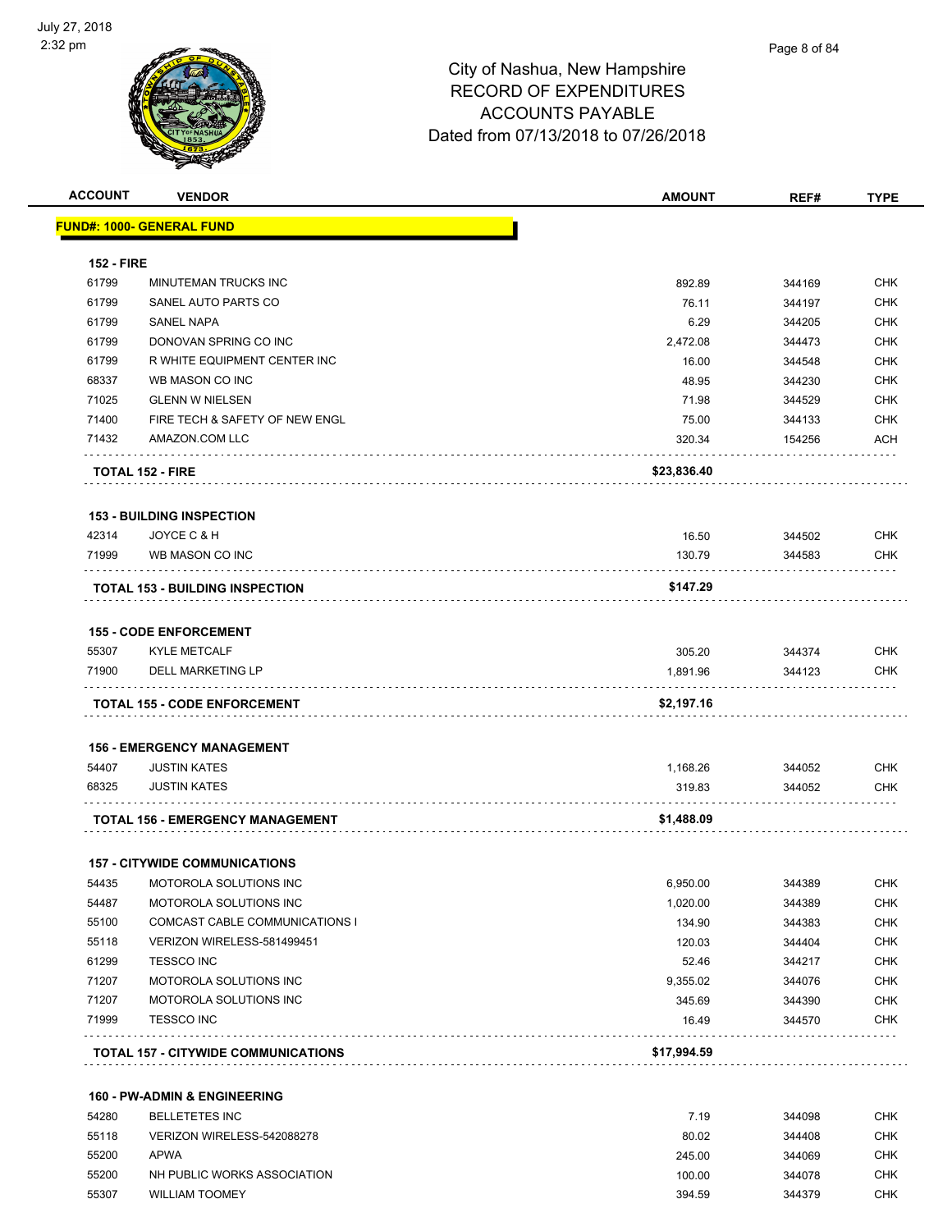

| <b>ACCOUNT</b>    | <b>VENDOR</b>                              | <b>AMOUNT</b> | REF#   | <b>TYPE</b> |
|-------------------|--------------------------------------------|---------------|--------|-------------|
|                   | <u> FUND#: 1000- GENERAL FUND</u>          |               |        |             |
| <b>152 - FIRE</b> |                                            |               |        |             |
| 61799             | MINUTEMAN TRUCKS INC                       | 892.89        | 344169 | <b>CHK</b>  |
| 61799             | SANEL AUTO PARTS CO                        | 76.11         | 344197 | <b>CHK</b>  |
| 61799             | <b>SANEL NAPA</b>                          | 6.29          | 344205 | <b>CHK</b>  |
| 61799             | DONOVAN SPRING CO INC                      | 2,472.08      | 344473 | <b>CHK</b>  |
| 61799             | R WHITE EQUIPMENT CENTER INC               | 16.00         | 344548 | <b>CHK</b>  |
| 68337             | WB MASON CO INC                            | 48.95         | 344230 | <b>CHK</b>  |
| 71025             | <b>GLENN W NIELSEN</b>                     | 71.98         | 344529 | <b>CHK</b>  |
| 71400             | FIRE TECH & SAFETY OF NEW ENGL             | 75.00         | 344133 | <b>CHK</b>  |
| 71432             | AMAZON.COM LLC                             | 320.34        | 154256 | ACH         |
|                   | <b>TOTAL 152 - FIRE</b>                    | \$23,836.40   |        |             |
|                   |                                            |               |        |             |
|                   | <b>153 - BUILDING INSPECTION</b>           |               |        |             |
| 42314             | JOYCE C & H                                | 16.50         | 344502 | <b>CHK</b>  |
| 71999             | WB MASON CO INC                            | 130.79        | 344583 | <b>CHK</b>  |
|                   | <b>TOTAL 153 - BUILDING INSPECTION</b>     | \$147.29      |        |             |
|                   | <b>155 - CODE ENFORCEMENT</b>              |               |        |             |
| 55307             | <b>KYLE METCALF</b>                        | 305.20        | 344374 | <b>CHK</b>  |
| 71900             | DELL MARKETING LP                          | 1,891.96      | 344123 | <b>CHK</b>  |
|                   | <b>TOTAL 155 - CODE ENFORCEMENT</b>        | \$2,197.16    |        |             |
|                   |                                            |               |        |             |
|                   | <b>156 - EMERGENCY MANAGEMENT</b>          |               |        |             |
| 54407             | <b>JUSTIN KATES</b>                        | 1,168.26      | 344052 | <b>CHK</b>  |
| 68325             | <b>JUSTIN KATES</b>                        | 319.83        | 344052 | <b>CHK</b>  |
|                   | TOTAL 156 - EMERGENCY MANAGEMENT           | \$1,488.09    |        |             |
|                   | <b>157 - CITYWIDE COMMUNICATIONS</b>       |               |        |             |
| 54435             | MOTOROLA SOLUTIONS INC                     | 6,950.00      | 344389 | <b>CHK</b>  |
| 54487             | MOTOROLA SOLUTIONS INC                     | 1,020.00      | 344389 | <b>CHK</b>  |
| 55100             | COMCAST CABLE COMMUNICATIONS I             | 134.90        | 344383 | <b>CHK</b>  |
| 55118             | VERIZON WIRELESS-581499451                 | 120.03        | 344404 | <b>CHK</b>  |
| 61299             | <b>TESSCO INC</b>                          | 52.46         | 344217 | <b>CHK</b>  |
| 71207             | MOTOROLA SOLUTIONS INC                     | 9,355.02      | 344076 | <b>CHK</b>  |
| 71207             | MOTOROLA SOLUTIONS INC                     | 345.69        | 344390 | <b>CHK</b>  |
| 71999             | <b>TESSCO INC</b>                          | 16.49         | 344570 | <b>CHK</b>  |
|                   | <b>TOTAL 157 - CITYWIDE COMMUNICATIONS</b> | \$17,994.59   |        |             |
|                   |                                            |               |        |             |
|                   | <b>160 - PW-ADMIN &amp; ENGINEERING</b>    |               |        |             |
| 54280             | <b>BELLETETES INC</b>                      | 7.19          | 344098 | <b>CHK</b>  |
| 55118             | VERIZON WIRELESS-542088278                 | 80.02         | 344408 | <b>CHK</b>  |
| 55200             | <b>APWA</b>                                | 245.00        | 344069 | <b>CHK</b>  |
| 55200             | NH PUBLIC WORKS ASSOCIATION                | 100.00        | 344078 | <b>CHK</b>  |

55307 WILLIAM TOOMEY 394.59 344379 CHK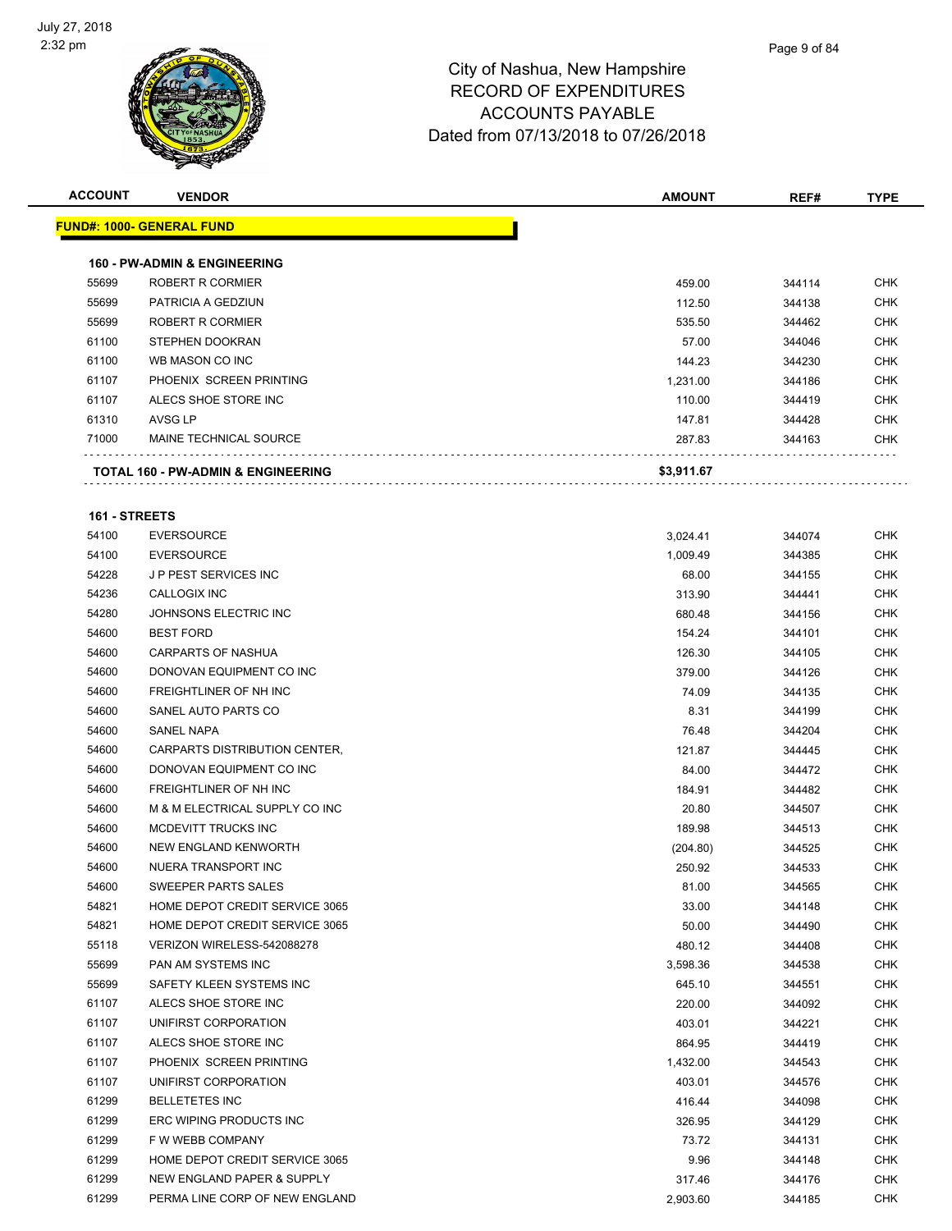

| <b>ACCOUNT</b> | <b>VENDOR</b>                                               | <b>AMOUNT</b> | REF#   | TYPE       |
|----------------|-------------------------------------------------------------|---------------|--------|------------|
|                | <b>FUND#: 1000- GENERAL FUND</b>                            |               |        |            |
|                |                                                             |               |        |            |
| 55699          | <b>160 - PW-ADMIN &amp; ENGINEERING</b><br>ROBERT R CORMIER |               | 344114 | <b>CHK</b> |
| 55699          | PATRICIA A GEDZIUN                                          | 459.00        |        | <b>CHK</b> |
|                | ROBERT R CORMIER                                            | 112.50        | 344138 |            |
| 55699          |                                                             | 535.50        | 344462 | <b>CHK</b> |
| 61100          | STEPHEN DOOKRAN                                             | 57.00         | 344046 | <b>CHK</b> |
| 61100          | WB MASON CO INC                                             | 144.23        | 344230 | <b>CHK</b> |
| 61107          | PHOENIX SCREEN PRINTING                                     | 1,231.00      | 344186 | <b>CHK</b> |
| 61107          | ALECS SHOE STORE INC                                        | 110.00        | 344419 | CHK        |
| 61310          | AVSG LP                                                     | 147.81        | 344428 | <b>CHK</b> |
| 71000          | MAINE TECHNICAL SOURCE                                      | 287.83        | 344163 | CHK        |
|                | <b>TOTAL 160 - PW-ADMIN &amp; ENGINEERING</b>               | \$3,911.67    |        |            |
| 161 - STREETS  |                                                             |               |        |            |
| 54100          | <b>EVERSOURCE</b>                                           | 3,024.41      | 344074 | CHK        |
| 54100          | <b>EVERSOURCE</b>                                           | 1,009.49      | 344385 | <b>CHK</b> |
| 54228          | <b>JP PEST SERVICES INC</b>                                 | 68.00         | 344155 | <b>CHK</b> |
| 54236          | <b>CALLOGIX INC</b>                                         | 313.90        | 344441 | <b>CHK</b> |
| 54280          | JOHNSONS ELECTRIC INC                                       | 680.48        | 344156 | <b>CHK</b> |
| 54600          | <b>BEST FORD</b>                                            | 154.24        | 344101 | <b>CHK</b> |
| 54600          | <b>CARPARTS OF NASHUA</b>                                   | 126.30        | 344105 | CHK        |
| 54600          | DONOVAN EQUIPMENT CO INC                                    | 379.00        | 344126 | <b>CHK</b> |
| 54600          | FREIGHTLINER OF NH INC                                      | 74.09         | 344135 | <b>CHK</b> |
| 54600          | SANEL AUTO PARTS CO                                         | 8.31          | 344199 | CHK        |
| 54600          | SANEL NAPA                                                  | 76.48         | 344204 | <b>CHK</b> |
| 54600          | CARPARTS DISTRIBUTION CENTER,                               | 121.87        | 344445 | CHK        |
| 54600          | DONOVAN EQUIPMENT CO INC                                    | 84.00         | 344472 | <b>CHK</b> |
| 54600          | FREIGHTLINER OF NH INC                                      | 184.91        | 344482 | CHK        |
| 54600          | M & M ELECTRICAL SUPPLY CO INC                              | 20.80         | 344507 | CHK        |
| 54600          | MCDEVITT TRUCKS INC                                         | 189.98        | 344513 | CHK        |
| 54600          | NEW ENGLAND KENWORTH                                        | (204.80)      | 344525 | <b>CHK</b> |
| 54600          | NUERA TRANSPORT INC                                         | 250.92        | 344533 | CHK        |
| 54600          | SWEEPER PARTS SALES                                         | 81.00         | 344565 | <b>CHK</b> |
| 54821          | HOME DEPOT CREDIT SERVICE 3065                              | 33.00         | 344148 | <b>CHK</b> |
| 54821          | HOME DEPOT CREDIT SERVICE 3065                              | 50.00         | 344490 | <b>CHK</b> |
| 55118          | VERIZON WIRELESS-542088278                                  | 480.12        | 344408 | <b>CHK</b> |
| 55699          | PAN AM SYSTEMS INC                                          | 3,598.36      | 344538 | <b>CHK</b> |
| 55699          | SAFETY KLEEN SYSTEMS INC                                    | 645.10        |        | <b>CHK</b> |
| 61107          | ALECS SHOE STORE INC                                        |               | 344551 | <b>CHK</b> |
|                |                                                             | 220.00        | 344092 |            |
| 61107          | UNIFIRST CORPORATION                                        | 403.01        | 344221 | <b>CHK</b> |
| 61107          | ALECS SHOE STORE INC                                        | 864.95        | 344419 | <b>CHK</b> |
| 61107          | PHOENIX SCREEN PRINTING                                     | 1,432.00      | 344543 | <b>CHK</b> |
| 61107          | UNIFIRST CORPORATION                                        | 403.01        | 344576 | <b>CHK</b> |
| 61299          | <b>BELLETETES INC</b>                                       | 416.44        | 344098 | <b>CHK</b> |
| 61299          | ERC WIPING PRODUCTS INC                                     | 326.95        | 344129 | <b>CHK</b> |
| 61299          | F W WEBB COMPANY                                            | 73.72         | 344131 | <b>CHK</b> |
| 61299          | HOME DEPOT CREDIT SERVICE 3065                              | 9.96          | 344148 | <b>CHK</b> |
| 61299          | NEW ENGLAND PAPER & SUPPLY                                  | 317.46        | 344176 | <b>CHK</b> |
| 61299          | PERMA LINE CORP OF NEW ENGLAND                              | 2,903.60      | 344185 | <b>CHK</b> |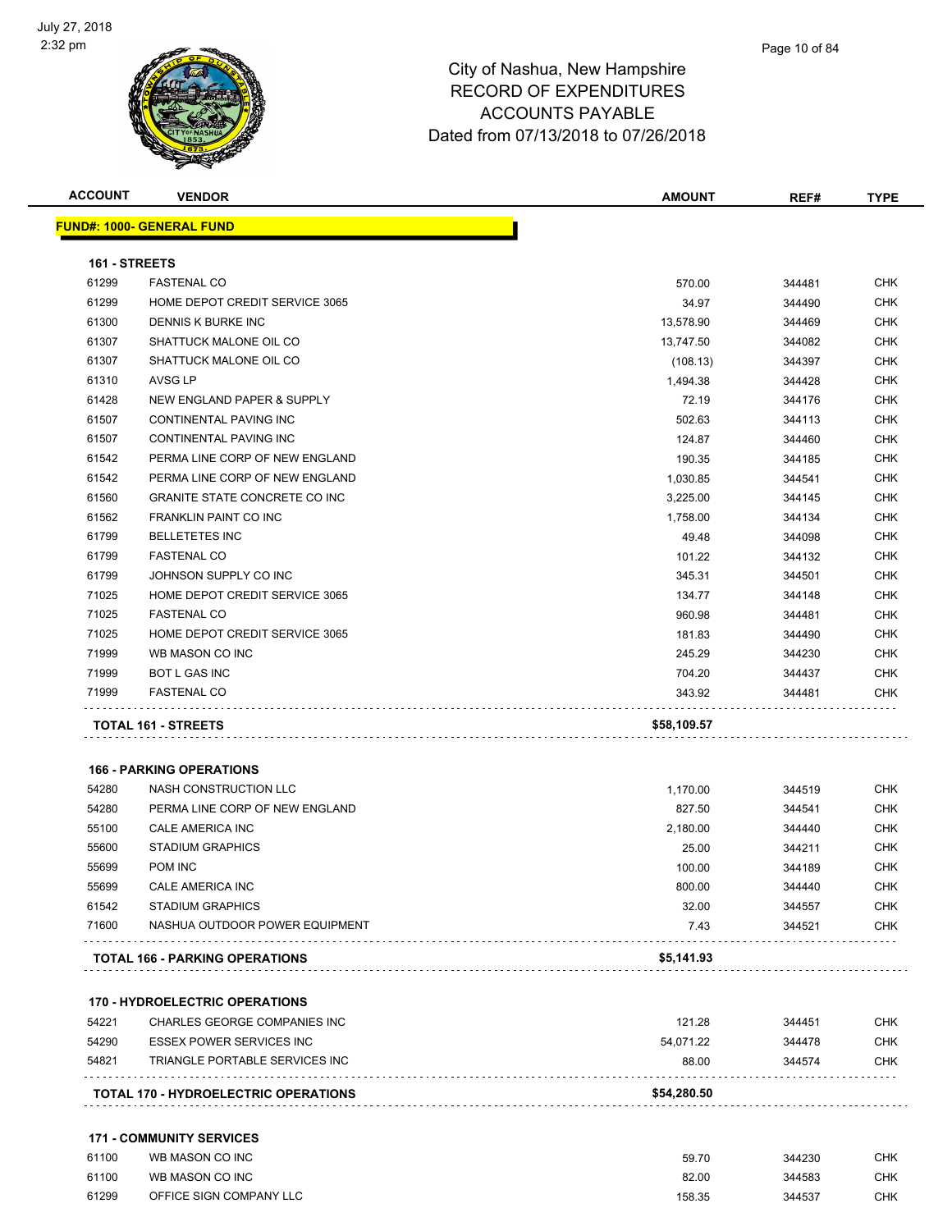

| <b>ACCOUNT</b> | <b>VENDOR</b>                         | <b>AMOUNT</b> | REF#   | <b>TYPE</b> |
|----------------|---------------------------------------|---------------|--------|-------------|
|                | <b>FUND#: 1000- GENERAL FUND</b>      |               |        |             |
| 161 - STREETS  |                                       |               |        |             |
| 61299          | <b>FASTENAL CO</b>                    | 570.00        | 344481 | CHK         |
| 61299          | HOME DEPOT CREDIT SERVICE 3065        | 34.97         | 344490 | <b>CHK</b>  |
| 61300          | DENNIS K BURKE INC                    | 13,578.90     | 344469 | <b>CHK</b>  |
| 61307          | SHATTUCK MALONE OIL CO                | 13,747.50     | 344082 | <b>CHK</b>  |
| 61307          | SHATTUCK MALONE OIL CO                | (108.13)      | 344397 | CHK         |
| 61310          | <b>AVSG LP</b>                        | 1,494.38      | 344428 | CHK         |
| 61428          | NEW ENGLAND PAPER & SUPPLY            | 72.19         | 344176 | <b>CHK</b>  |
| 61507          | CONTINENTAL PAVING INC                | 502.63        | 344113 | <b>CHK</b>  |
| 61507          | CONTINENTAL PAVING INC                | 124.87        | 344460 | <b>CHK</b>  |
| 61542          | PERMA LINE CORP OF NEW ENGLAND        | 190.35        | 344185 | <b>CHK</b>  |
| 61542          | PERMA LINE CORP OF NEW ENGLAND        | 1,030.85      | 344541 | <b>CHK</b>  |
| 61560          | <b>GRANITE STATE CONCRETE CO INC</b>  | 3,225.00      | 344145 | CHK         |
| 61562          | FRANKLIN PAINT CO INC                 | 1,758.00      | 344134 | CHK         |
| 61799          | <b>BELLETETES INC</b>                 | 49.48         | 344098 | <b>CHK</b>  |
| 61799          | <b>FASTENAL CO</b>                    | 101.22        | 344132 | <b>CHK</b>  |
| 61799          | JOHNSON SUPPLY CO INC                 | 345.31        | 344501 | <b>CHK</b>  |
| 71025          | HOME DEPOT CREDIT SERVICE 3065        | 134.77        | 344148 | CHK         |
| 71025          | <b>FASTENAL CO</b>                    | 960.98        | 344481 | <b>CHK</b>  |
| 71025          | HOME DEPOT CREDIT SERVICE 3065        | 181.83        | 344490 | <b>CHK</b>  |
| 71999          | WB MASON CO INC                       | 245.29        | 344230 | <b>CHK</b>  |
| 71999          | <b>BOT L GAS INC</b>                  | 704.20        | 344437 | <b>CHK</b>  |
| 71999          | <b>FASTENAL CO</b>                    | 343.92        | 344481 | CHK         |
|                | TOTAL 161 - STREETS                   | \$58,109.57   |        |             |
|                |                                       |               |        |             |
|                | <b>166 - PARKING OPERATIONS</b>       |               |        |             |
| 54280          | NASH CONSTRUCTION LLC                 | 1,170.00      | 344519 | CHK         |
| 54280          | PERMA LINE CORP OF NEW ENGLAND        | 827.50        | 344541 | CHK         |
| 55100          | CALE AMERICA INC                      | 2,180.00      | 344440 | CHK         |
| 55600          | <b>STADIUM GRAPHICS</b>               | 25.00         | 344211 | CHK         |
| 55699          | POM INC                               | 100.00        | 344189 | CHK         |
| 55699          | CALE AMERICA INC                      | 800.00        | 344440 | <b>CHK</b>  |
| 61542          | <b>STADIUM GRAPHICS</b>               | 32.00         | 344557 | <b>CHK</b>  |
| 71600          | NASHUA OUTDOOR POWER EQUIPMENT        | 7.43          | 344521 | CHK         |
|                | TOTAL 166 - PARKING OPERATIONS        | \$5,141.93    |        |             |
|                | <b>170 - HYDROELECTRIC OPERATIONS</b> |               |        |             |
| 54221          | CHARLES GEORGE COMPANIES INC          | 121.28        | 344451 | <b>CHK</b>  |
| 54290          | <b>ESSEX POWER SERVICES INC</b>       | 54,071.22     | 344478 | <b>CHK</b>  |
| 54821          | TRIANGLE PORTABLE SERVICES INC        | 88.00         | 344574 | <b>CHK</b>  |
|                | TOTAL 170 - HYDROELECTRIC OPERATIONS  | \$54,280.50   |        |             |
|                |                                       |               |        |             |

### **171 - COMMUNITY SERVICES**

| 61100 | WB MASON CO INC         | 59.70  | 344230 | СНК |
|-------|-------------------------|--------|--------|-----|
| 61100 | WB MASON CO INC         | 82.00  | 344583 | СНК |
| 61299 | OFFICE SIGN COMPANY LLC | 158.35 | 344537 | CHK |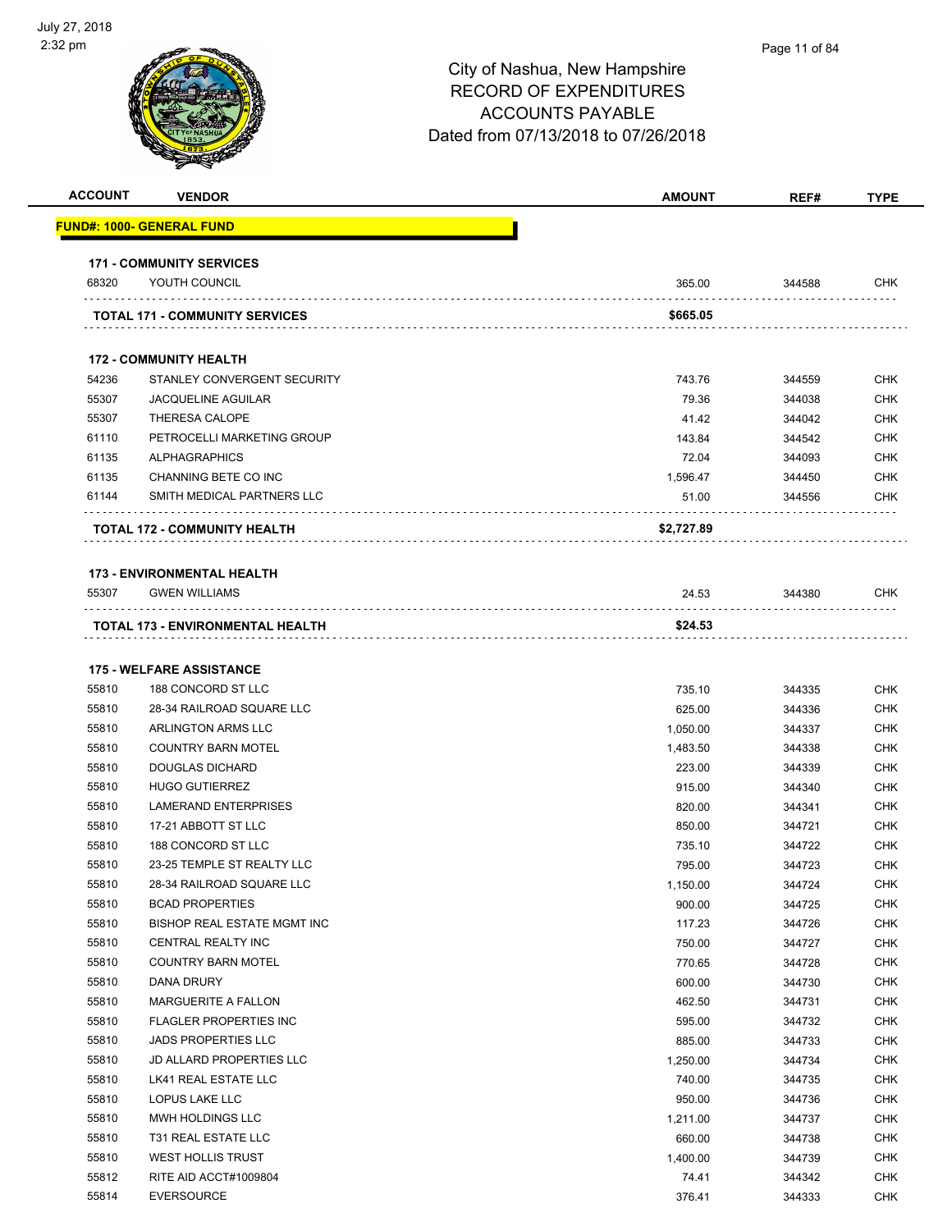

| <b>ACCOUNT</b> | <b>VENDOR</b>                                    | <b>AMOUNT</b>    | REF#             | <b>TYPE</b>              |
|----------------|--------------------------------------------------|------------------|------------------|--------------------------|
|                | <u> FUND#: 1000- GENERAL FUND</u>                |                  |                  |                          |
|                | <b>171 - COMMUNITY SERVICES</b>                  |                  |                  |                          |
| 68320          | YOUTH COUNCIL                                    | 365.00           | 344588           | <b>CHK</b>               |
|                | <b>TOTAL 171 - COMMUNITY SERVICES</b>            | \$665.05         |                  |                          |
|                |                                                  |                  |                  |                          |
|                | <b>172 - COMMUNITY HEALTH</b>                    |                  |                  |                          |
| 54236          | STANLEY CONVERGENT SECURITY                      | 743.76           | 344559           | <b>CHK</b>               |
| 55307          | <b>JACQUELINE AGUILAR</b>                        | 79.36            | 344038           | <b>CHK</b>               |
| 55307          | <b>THERESA CALOPE</b>                            | 41.42            | 344042           | <b>CHK</b>               |
| 61110          | PETROCELLI MARKETING GROUP                       | 143.84           | 344542           | <b>CHK</b>               |
| 61135          | <b>ALPHAGRAPHICS</b>                             | 72.04            | 344093           | <b>CHK</b>               |
| 61135          | CHANNING BETE CO INC                             | 1,596.47         | 344450           | <b>CHK</b>               |
| 61144          | SMITH MEDICAL PARTNERS LLC                       | 51.00            | 344556           | <b>CHK</b>               |
|                | TOTAL 172 - COMMUNITY HEALTH                     | \$2,727.89       |                  |                          |
|                | <b>173 - ENVIRONMENTAL HEALTH</b>                |                  |                  |                          |
| 55307          | <b>GWEN WILLIAMS</b>                             | 24.53            | 344380           | CHK                      |
|                | TOTAL 173 - ENVIRONMENTAL HEALTH                 | \$24.53          |                  |                          |
|                |                                                  |                  |                  |                          |
|                | <b>175 - WELFARE ASSISTANCE</b>                  |                  |                  |                          |
| 55810          | 188 CONCORD ST LLC                               | 735.10           | 344335           | <b>CHK</b>               |
| 55810          | 28-34 RAILROAD SQUARE LLC                        | 625.00           | 344336           | CHK                      |
| 55810          | ARLINGTON ARMS LLC                               | 1,050.00         | 344337           | <b>CHK</b>               |
| 55810          | <b>COUNTRY BARN MOTEL</b>                        | 1,483.50         | 344338           | <b>CHK</b>               |
| 55810          | <b>DOUGLAS DICHARD</b>                           | 223.00           | 344339           | CHK                      |
| 55810          | <b>HUGO GUTIERREZ</b>                            | 915.00           | 344340           | <b>CHK</b>               |
| 55810          | <b>LAMERAND ENTERPRISES</b>                      | 820.00           | 344341           | <b>CHK</b>               |
| 55810          | 17-21 ABBOTT ST LLC                              | 850.00           | 344721           | CHK                      |
| 55810          | 188 CONCORD ST LLC                               | 735.10           | 344722           | <b>CHK</b>               |
| 55810          | 23-25 TEMPLE ST REALTY LLC                       | 795.00           | 344723           | CHK                      |
| 55810          | 28-34 RAILROAD SQUARE LLC                        | 1,150.00         | 344724           | <b>CHK</b>               |
| 55810          | <b>BCAD PROPERTIES</b>                           | 900.00           | 344725           | <b>CHK</b>               |
| 55810          | BISHOP REAL ESTATE MGMT INC                      | 117.23           | 344726           | <b>CHK</b>               |
| 55810          | CENTRAL REALTY INC                               | 750.00           | 344727           | <b>CHK</b>               |
| 55810          | <b>COUNTRY BARN MOTEL</b>                        | 770.65           | 344728           | <b>CHK</b>               |
| 55810          | DANA DRURY                                       | 600.00           | 344730           | <b>CHK</b>               |
| 55810          | MARGUERITE A FALLON                              | 462.50           | 344731           | <b>CHK</b>               |
| 55810          | FLAGLER PROPERTIES INC                           | 595.00           | 344732           | <b>CHK</b>               |
| 55810          | <b>JADS PROPERTIES LLC</b>                       | 885.00           | 344733           | <b>CHK</b>               |
| 55810<br>55810 | JD ALLARD PROPERTIES LLC<br>LK41 REAL ESTATE LLC | 1,250.00         | 344734           | <b>CHK</b><br><b>CHK</b> |
| 55810          | LOPUS LAKE LLC                                   | 740.00<br>950.00 | 344735<br>344736 | <b>CHK</b>               |
| 55810          | MWH HOLDINGS LLC                                 | 1,211.00         | 344737           | <b>CHK</b>               |
| 55810          | T31 REAL ESTATE LLC                              | 660.00           | 344738           | <b>CHK</b>               |
| 55810          | <b>WEST HOLLIS TRUST</b>                         | 1,400.00         | 344739           | <b>CHK</b>               |
| 55812          | RITE AID ACCT#1009804                            | 74.41            | 344342           | <b>CHK</b>               |
| 55814          | <b>EVERSOURCE</b>                                | 376.41           | 344333           | <b>CHK</b>               |
|                |                                                  |                  |                  |                          |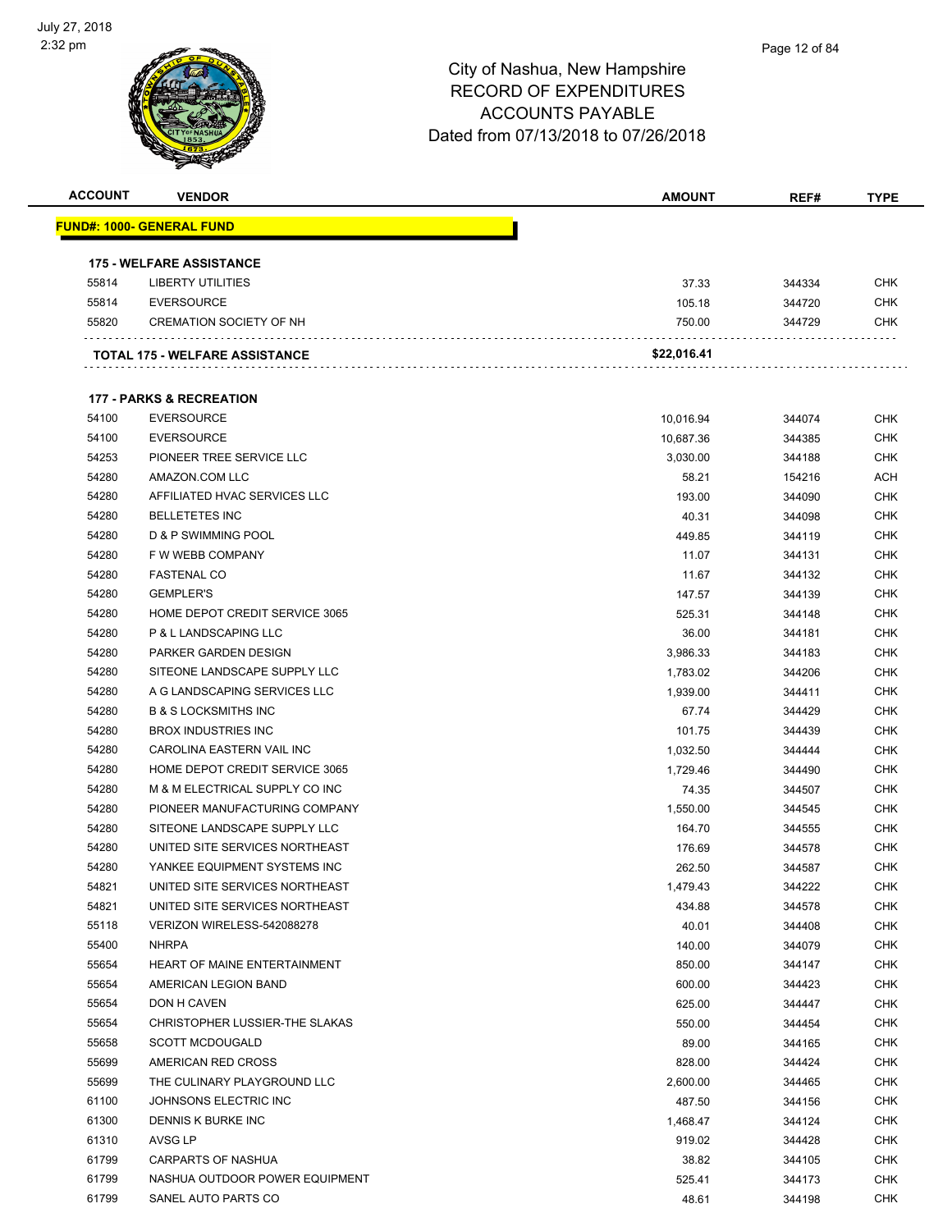

| <b>ACCOUNT</b> | <b>VENDOR</b>                         | <b>AMOUNT</b> | REF#   | <b>TYPE</b> |
|----------------|---------------------------------------|---------------|--------|-------------|
|                | <u> FUND#: 1000- GENERAL FUND</u>     |               |        |             |
|                | <b>175 - WELFARE ASSISTANCE</b>       |               |        |             |
| 55814          | <b>LIBERTY UTILITIES</b>              | 37.33         | 344334 | <b>CHK</b>  |
| 55814          | <b>EVERSOURCE</b>                     | 105.18        | 344720 | <b>CHK</b>  |
| 55820          | <b>CREMATION SOCIETY OF NH</b>        | 750.00        | 344729 | <b>CHK</b>  |
|                |                                       |               |        |             |
|                | <b>TOTAL 175 - WELFARE ASSISTANCE</b> | \$22,016.41   |        |             |
|                | <b>177 - PARKS &amp; RECREATION</b>   |               |        |             |
| 54100          | <b>EVERSOURCE</b>                     | 10,016.94     | 344074 | <b>CHK</b>  |
| 54100          | <b>EVERSOURCE</b>                     | 10,687.36     | 344385 | <b>CHK</b>  |
| 54253          | PIONEER TREE SERVICE LLC              | 3,030.00      | 344188 | <b>CHK</b>  |
| 54280          | AMAZON.COM LLC                        | 58.21         | 154216 | <b>ACH</b>  |
| 54280          | AFFILIATED HVAC SERVICES LLC          | 193.00        | 344090 | <b>CHK</b>  |
| 54280          | <b>BELLETETES INC</b>                 | 40.31         | 344098 | <b>CHK</b>  |
| 54280          | D & P SWIMMING POOL                   | 449.85        | 344119 | <b>CHK</b>  |
| 54280          | F W WEBB COMPANY                      | 11.07         | 344131 | <b>CHK</b>  |
| 54280          | <b>FASTENAL CO</b>                    | 11.67         | 344132 | <b>CHK</b>  |
| 54280          | <b>GEMPLER'S</b>                      | 147.57        | 344139 | <b>CHK</b>  |
| 54280          | HOME DEPOT CREDIT SERVICE 3065        | 525.31        | 344148 | <b>CHK</b>  |
| 54280          | P & L LANDSCAPING LLC                 | 36.00         | 344181 | <b>CHK</b>  |
| 54280          | PARKER GARDEN DESIGN                  | 3,986.33      | 344183 | <b>CHK</b>  |
| 54280          | SITEONE LANDSCAPE SUPPLY LLC          | 1,783.02      | 344206 | <b>CHK</b>  |
| 54280          | A G LANDSCAPING SERVICES LLC          | 1,939.00      | 344411 | <b>CHK</b>  |
| 54280          | <b>B &amp; S LOCKSMITHS INC</b>       | 67.74         | 344429 | <b>CHK</b>  |
| 54280          | <b>BROX INDUSTRIES INC</b>            | 101.75        | 344439 | <b>CHK</b>  |
| 54280          | CAROLINA EASTERN VAIL INC             | 1,032.50      | 344444 | <b>CHK</b>  |
| 54280          | HOME DEPOT CREDIT SERVICE 3065        | 1,729.46      | 344490 | <b>CHK</b>  |
| 54280          | M & M ELECTRICAL SUPPLY CO INC        | 74.35         | 344507 | <b>CHK</b>  |
| 54280          | PIONEER MANUFACTURING COMPANY         | 1,550.00      | 344545 | <b>CHK</b>  |
| 54280          | SITEONE LANDSCAPE SUPPLY LLC          | 164.70        | 344555 | <b>CHK</b>  |
| 54280          | UNITED SITE SERVICES NORTHEAST        | 176.69        | 344578 | CHK         |
| 54280          | YANKEE EQUIPMENT SYSTEMS INC          | 262.50        | 344587 | <b>CHK</b>  |
| 54821          | UNITED SITE SERVICES NORTHEAST        | 1,479.43      | 344222 | <b>CHK</b>  |
| 54821          | UNITED SITE SERVICES NORTHEAST        | 434.88        | 344578 | <b>CHK</b>  |
| 55118          | VERIZON WIRELESS-542088278            | 40.01         | 344408 | <b>CHK</b>  |
| 55400          | <b>NHRPA</b>                          | 140.00        | 344079 | <b>CHK</b>  |
| 55654          | HEART OF MAINE ENTERTAINMENT          | 850.00        | 344147 | CHK         |
| 55654          | AMERICAN LEGION BAND                  | 600.00        | 344423 | <b>CHK</b>  |
| 55654          | DON H CAVEN                           | 625.00        | 344447 | <b>CHK</b>  |
| 55654          | CHRISTOPHER LUSSIER-THE SLAKAS        | 550.00        | 344454 | <b>CHK</b>  |
| 55658          | <b>SCOTT MCDOUGALD</b>                | 89.00         | 344165 | <b>CHK</b>  |
| 55699          | AMERICAN RED CROSS                    | 828.00        | 344424 | <b>CHK</b>  |
| 55699          | THE CULINARY PLAYGROUND LLC           | 2,600.00      | 344465 | <b>CHK</b>  |
| 61100          | JOHNSONS ELECTRIC INC                 | 487.50        | 344156 | <b>CHK</b>  |
| 61300          | DENNIS K BURKE INC                    | 1,468.47      | 344124 | <b>CHK</b>  |
| 61310          | AVSG LP                               | 919.02        | 344428 | <b>CHK</b>  |
| 61799          | <b>CARPARTS OF NASHUA</b>             | 38.82         | 344105 | <b>CHK</b>  |
| 61799          | NASHUA OUTDOOR POWER EQUIPMENT        | 525.41        | 344173 | <b>CHK</b>  |
| 61799          | SANEL AUTO PARTS CO                   | 48.61         | 344198 | <b>CHK</b>  |
|                |                                       |               |        |             |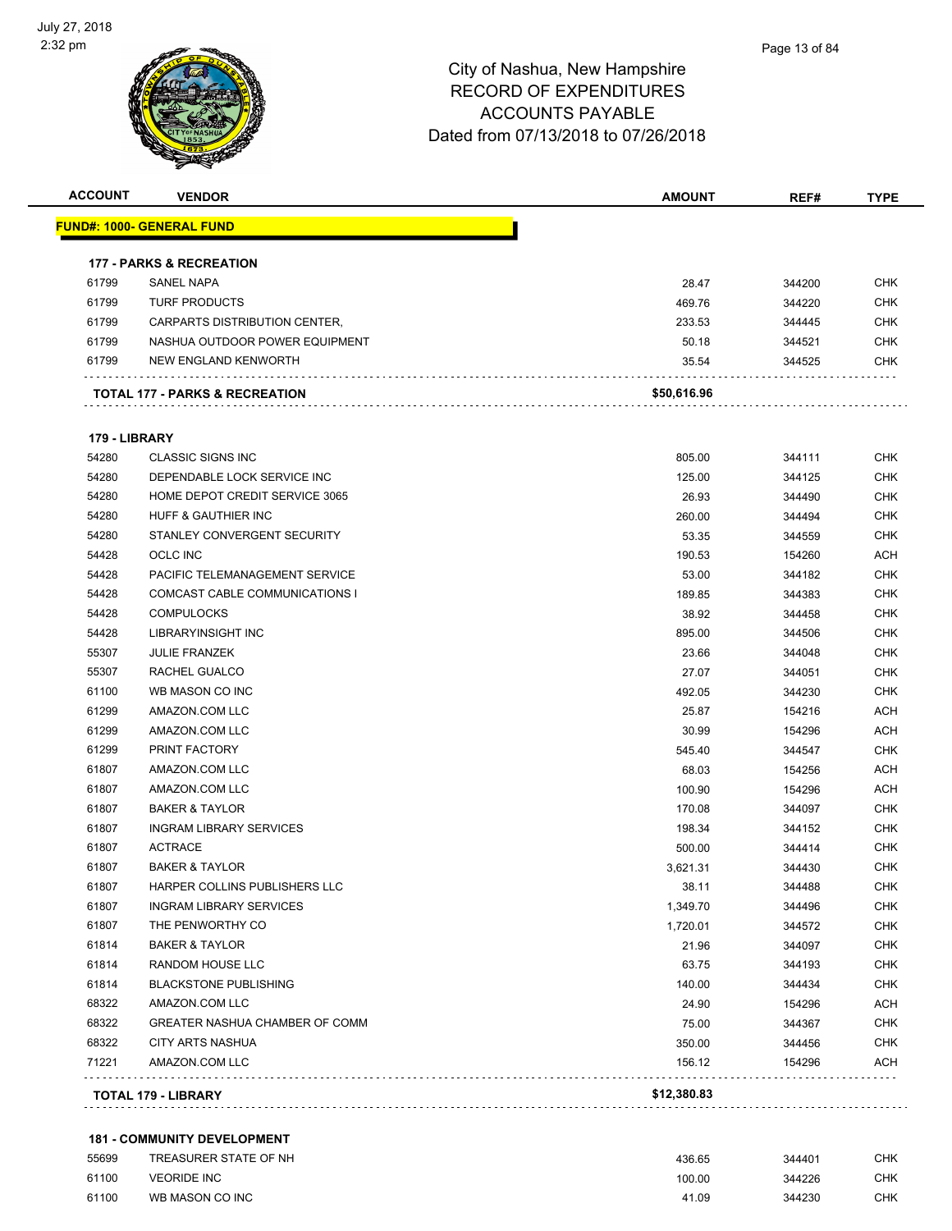

| <b>ACCOUNT</b> | <b>VENDOR</b>                             | <b>AMOUNT</b> | REF#   | <b>TYPE</b> |
|----------------|-------------------------------------------|---------------|--------|-------------|
|                | <u> FUND#: 1000- GENERAL FUND</u>         |               |        |             |
|                | <b>177 - PARKS &amp; RECREATION</b>       |               |        |             |
| 61799          | <b>SANEL NAPA</b>                         | 28.47         | 344200 | <b>CHK</b>  |
| 61799          | <b>TURF PRODUCTS</b>                      | 469.76        | 344220 | CHK         |
| 61799          | CARPARTS DISTRIBUTION CENTER,             | 233.53        | 344445 | <b>CHK</b>  |
| 61799          | NASHUA OUTDOOR POWER EQUIPMENT            | 50.18         | 344521 | CHK         |
| 61799          | NEW ENGLAND KENWORTH                      | 35.54         | 344525 | CHK         |
|                | <b>TOTAL 177 - PARKS &amp; RECREATION</b> | \$50,616.96   |        |             |
| 179 - LIBRARY  |                                           |               |        |             |
| 54280          | <b>CLASSIC SIGNS INC</b>                  | 805.00        | 344111 | <b>CHK</b>  |
| 54280          | DEPENDABLE LOCK SERVICE INC               | 125.00        | 344125 | CHK         |
| 54280          | HOME DEPOT CREDIT SERVICE 3065            | 26.93         | 344490 | <b>CHK</b>  |
| 54280          | HUFF & GAUTHIER INC                       | 260.00        | 344494 | <b>CHK</b>  |
| 54280          | STANLEY CONVERGENT SECURITY               | 53.35         | 344559 | CHK         |
| 54428          | <b>OCLC INC</b>                           | 190.53        | 154260 | <b>ACH</b>  |
| 54428          | PACIFIC TELEMANAGEMENT SERVICE            | 53.00         | 344182 | <b>CHK</b>  |
| 54428          | COMCAST CABLE COMMUNICATIONS I            | 189.85        | 344383 | CHK         |
| 54428          | <b>COMPULOCKS</b>                         | 38.92         | 344458 | <b>CHK</b>  |
| 54428          | LIBRARYINSIGHT INC                        | 895.00        | 344506 | <b>CHK</b>  |
| 55307          | <b>JULIE FRANZEK</b>                      | 23.66         | 344048 | <b>CHK</b>  |
| 55307          | RACHEL GUALCO                             | 27.07         | 344051 | <b>CHK</b>  |
| 61100          | WB MASON CO INC                           | 492.05        | 344230 | CHK         |
| 61299          | AMAZON.COM LLC                            | 25.87         | 154216 | ACH         |
| 61299          | AMAZON.COM LLC                            | 30.99         | 154296 | ACH         |
| 61299          | PRINT FACTORY                             | 545.40        | 344547 | CHK         |
| 61807          | AMAZON.COM LLC                            | 68.03         | 154256 | <b>ACH</b>  |
| 61807          | AMAZON.COM LLC                            | 100.90        | 154296 | ACH         |
| 61807          | <b>BAKER &amp; TAYLOR</b>                 | 170.08        | 344097 | <b>CHK</b>  |
| 61807          | <b>INGRAM LIBRARY SERVICES</b>            | 198.34        | 344152 | <b>CHK</b>  |
| 61807          | <b>ACTRACE</b>                            | 500.00        | 344414 | <b>CHK</b>  |
| 61807          | <b>BAKER &amp; TAYLOR</b>                 | 3,621.31      | 344430 | <b>CHK</b>  |
| 61807          | HARPER COLLINS PUBLISHERS LLC             | 38.11         | 344488 | <b>CHK</b>  |
| 61807          | <b>INGRAM LIBRARY SERVICES</b>            | 1,349.70      | 344496 | CHK         |
| 61807          | THE PENWORTHY CO                          | 1,720.01      | 344572 | <b>CHK</b>  |
| 61814          | <b>BAKER &amp; TAYLOR</b>                 | 21.96         | 344097 | <b>CHK</b>  |
| 61814          | RANDOM HOUSE LLC                          | 63.75         | 344193 | CHK         |
| 61814          | <b>BLACKSTONE PUBLISHING</b>              | 140.00        | 344434 | <b>CHK</b>  |
| 68322          | AMAZON.COM LLC                            | 24.90         | 154296 | ACH         |
| 68322          | GREATER NASHUA CHAMBER OF COMM            | 75.00         | 344367 | <b>CHK</b>  |
| 68322          | <b>CITY ARTS NASHUA</b>                   | 350.00        | 344456 | <b>CHK</b>  |
| 71221          | AMAZON.COM LLC                            | 156.12        | 154296 | ACH         |
|                | TOTAL 179 - LIBRARY                       | \$12,380.83   |        |             |
|                |                                           |               |        |             |

### **181 - COMMUNITY DEVELOPMENT**

| 55699 | TREASURER STATE OF NH | 436.65 | 344401 | <b>CHK</b> |
|-------|-----------------------|--------|--------|------------|
| 61100 | <b>VEORIDE INC</b>    | 100.00 | 344226 | <b>CHK</b> |
| 61100 | WB MASON CO INC       | 41.09  | 344230 | <b>CHK</b> |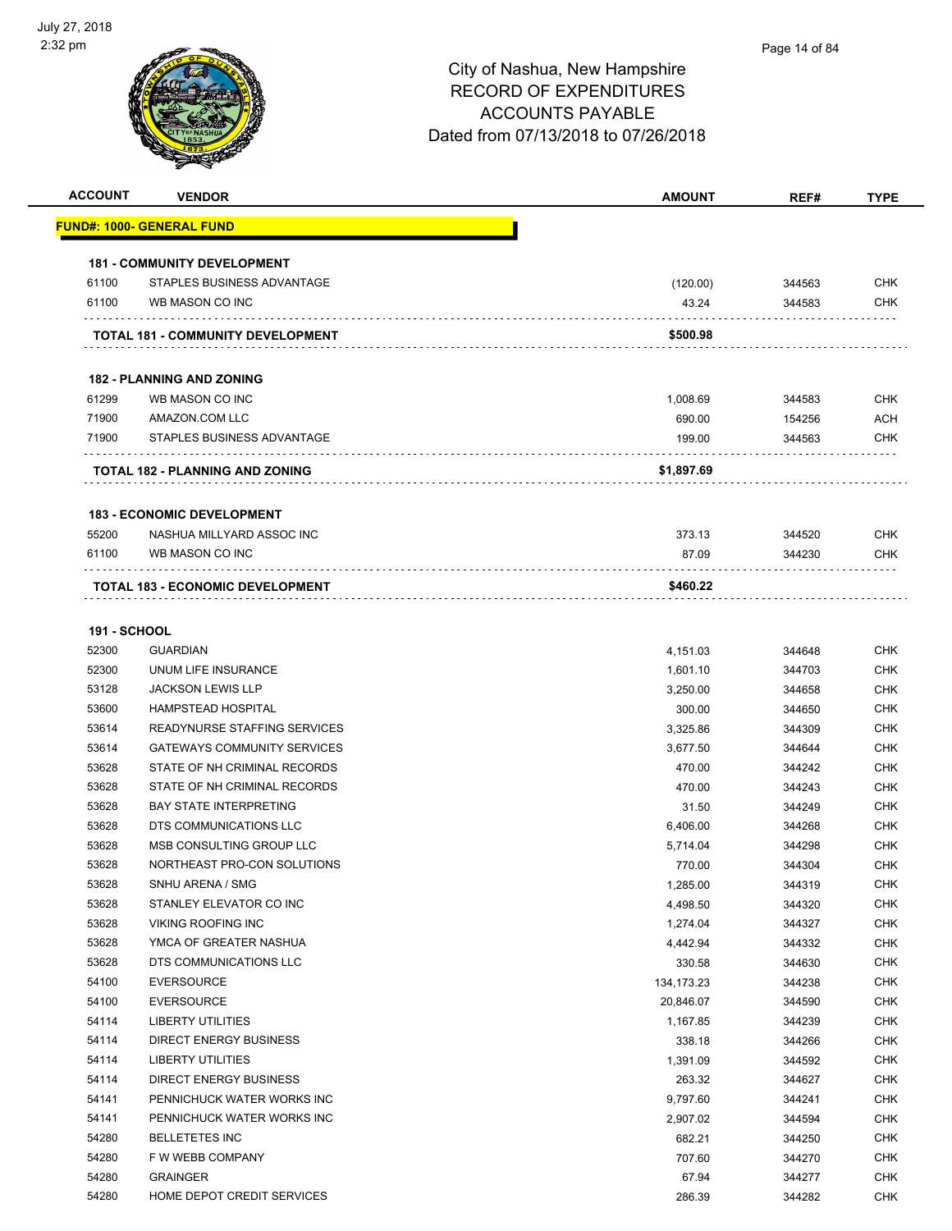| <b>ACCOUNT</b>      | <b>VENDOR</b>                                | <b>AMOUNT</b> | REF#   | <b>TYPE</b> |
|---------------------|----------------------------------------------|---------------|--------|-------------|
|                     | <u> FUND#: 1000- GENERAL FUND</u>            |               |        |             |
|                     |                                              |               |        |             |
|                     | <b>181 - COMMUNITY DEVELOPMENT</b>           |               |        |             |
| 61100               | STAPLES BUSINESS ADVANTAGE                   | (120.00)      | 344563 | <b>CHK</b>  |
| 61100               | WB MASON CO INC                              | 43.24         | 344583 | <b>CHK</b>  |
|                     | TOTAL 181 - COMMUNITY DEVELOPMENT            | \$500.98      |        |             |
|                     | <b>182 - PLANNING AND ZONING</b>             |               |        |             |
| 61299               | WB MASON CO INC                              | 1,008.69      | 344583 | <b>CHK</b>  |
| 71900               | AMAZON.COM LLC                               | 690.00        | 154256 | <b>ACH</b>  |
| 71900               | STAPLES BUSINESS ADVANTAGE                   | 199.00        | 344563 | <b>CHK</b>  |
|                     | TOTAL 182 - PLANNING AND ZONING              | \$1,897.69    |        |             |
|                     | <b>183 - ECONOMIC DEVELOPMENT</b>            |               |        |             |
| 55200               | NASHUA MILLYARD ASSOC INC                    | 373.13        | 344520 | <b>CHK</b>  |
| 61100               | WB MASON CO INC                              | 87.09         | 344230 | CHK         |
|                     | .<br><b>TOTAL 183 - ECONOMIC DEVELOPMENT</b> | \$460.22      |        |             |
| <b>191 - SCHOOL</b> |                                              |               |        |             |
| 52300               | <b>GUARDIAN</b>                              | 4,151.03      | 344648 | <b>CHK</b>  |
| 52300               | UNUM LIFE INSURANCE                          | 1,601.10      | 344703 | <b>CHK</b>  |
| 53128               | <b>JACKSON LEWIS LLP</b>                     | 3,250.00      | 344658 | <b>CHK</b>  |
| 53600               | <b>HAMPSTEAD HOSPITAL</b>                    | 300.00        | 344650 | <b>CHK</b>  |
| 53614               | READYNURSE STAFFING SERVICES                 | 3,325.86      | 344309 | <b>CHK</b>  |
| 53614               | <b>GATEWAYS COMMUNITY SERVICES</b>           | 3,677.50      | 344644 | <b>CHK</b>  |
| 53628               | STATE OF NH CRIMINAL RECORDS                 | 470.00        | 344242 | <b>CHK</b>  |
| 53628               | STATE OF NH CRIMINAL RECORDS                 | 470.00        | 344243 | <b>CHK</b>  |
| 53628               | <b>BAY STATE INTERPRETING</b>                | 31.50         | 344249 | <b>CHK</b>  |
| 53628               | DTS COMMUNICATIONS LLC                       | 6,406.00      | 344268 | <b>CHK</b>  |
| 53628               | MSB CONSULTING GROUP LLC                     | 5,714.04      | 344298 | <b>CHK</b>  |
| 53628               | NORTHEAST PRO-CON SOLUTIONS                  | 770.00        | 344304 | <b>CHK</b>  |
| 53628               | SNHU ARENA / SMG                             | 1,285.00      | 344319 | <b>CHK</b>  |
| 53628               | STANLEY ELEVATOR CO INC                      | 4,498.50      | 344320 | <b>CHK</b>  |
| 53628               | VIKING ROOFING INC                           | 1,274.04      | 344327 | <b>CHK</b>  |
| 53628               | YMCA OF GREATER NASHUA                       | 4,442.94      | 344332 | <b>CHK</b>  |
| 53628               | DTS COMMUNICATIONS LLC                       | 330.58        | 344630 | <b>CHK</b>  |
| 54100               | <b>EVERSOURCE</b>                            | 134, 173. 23  | 344238 | <b>CHK</b>  |
| 54100               | <b>EVERSOURCE</b>                            | 20,846.07     | 344590 | <b>CHK</b>  |
| 54114               | <b>LIBERTY UTILITIES</b>                     | 1,167.85      | 344239 | <b>CHK</b>  |
| 54114               | <b>DIRECT ENERGY BUSINESS</b>                | 338.18        | 344266 | <b>CHK</b>  |
| 54114               | <b>LIBERTY UTILITIES</b>                     | 1,391.09      | 344592 | <b>CHK</b>  |
| 54114               | <b>DIRECT ENERGY BUSINESS</b>                | 263.32        | 344627 | <b>CHK</b>  |
| 54141               | PENNICHUCK WATER WORKS INC                   | 9,797.60      | 344241 | <b>CHK</b>  |
| 54141               | PENNICHUCK WATER WORKS INC                   | 2,907.02      | 344594 | <b>CHK</b>  |
| 54280               | <b>BELLETETES INC</b>                        | 682.21        | 344250 | <b>CHK</b>  |
| 54280               | F W WEBB COMPANY                             | 707.60        | 344270 | <b>CHK</b>  |
| 54280               | <b>GRAINGER</b>                              | 67.94         | 344277 | <b>CHK</b>  |
| 54280               | HOME DEPOT CREDIT SERVICES                   | 286.39        | 344282 | <b>CHK</b>  |
|                     |                                              |               |        |             |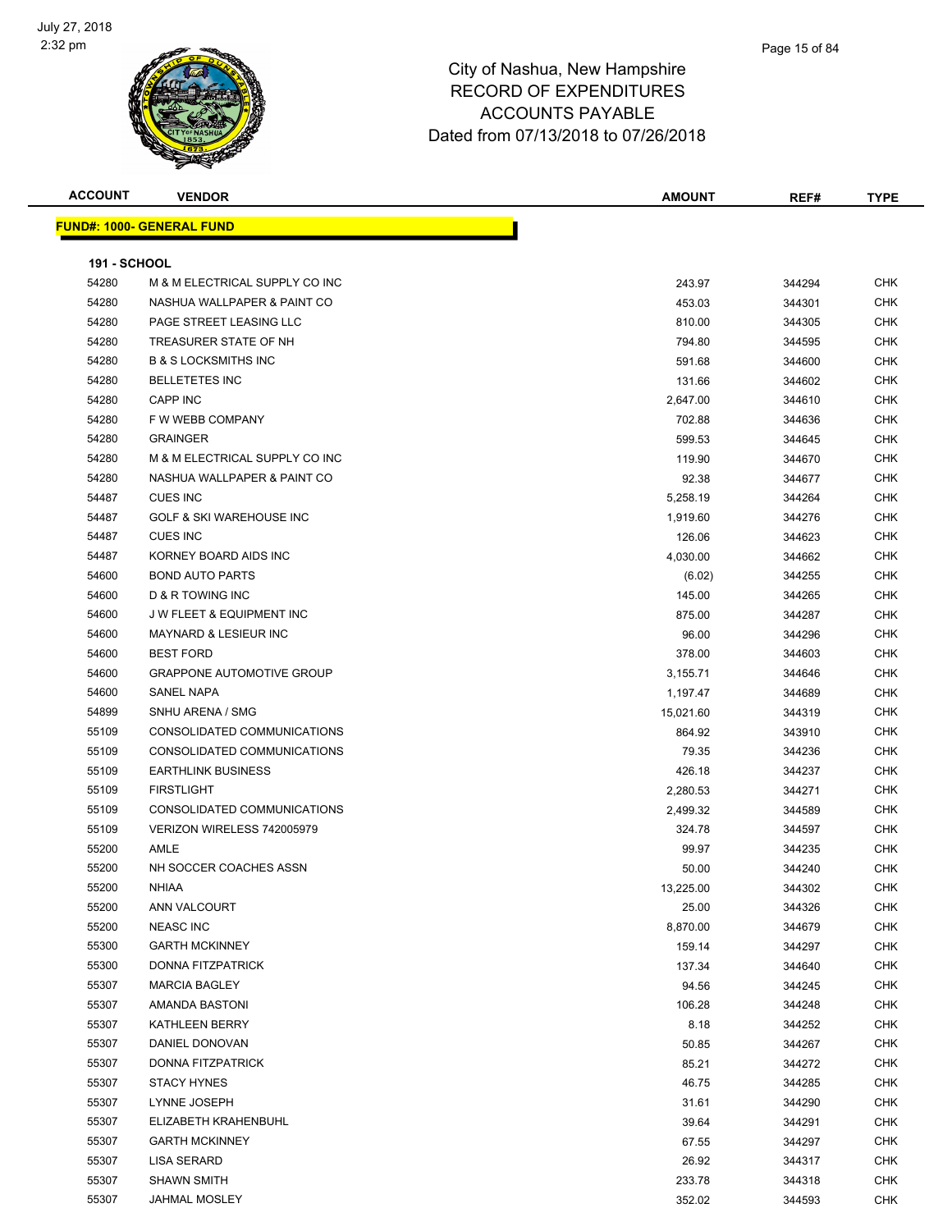

| <b>ACCOUNT</b>      | <b>VENDOR</b>                       | <b>AMOUNT</b> | REF#   | TYPE       |
|---------------------|-------------------------------------|---------------|--------|------------|
|                     | <b>FUND#: 1000- GENERAL FUND</b>    |               |        |            |
|                     |                                     |               |        |            |
| <b>191 - SCHOOL</b> |                                     |               |        |            |
| 54280               | M & M ELECTRICAL SUPPLY CO INC      | 243.97        | 344294 | <b>CHK</b> |
| 54280               | NASHUA WALLPAPER & PAINT CO         | 453.03        | 344301 | <b>CHK</b> |
| 54280               | PAGE STREET LEASING LLC             | 810.00        | 344305 | <b>CHK</b> |
| 54280               | TREASURER STATE OF NH               | 794.80        | 344595 | <b>CHK</b> |
| 54280               | <b>B &amp; S LOCKSMITHS INC</b>     | 591.68        | 344600 | <b>CHK</b> |
| 54280               | <b>BELLETETES INC</b>               | 131.66        | 344602 | <b>CHK</b> |
| 54280               | CAPP INC                            | 2,647.00      | 344610 | <b>CHK</b> |
| 54280               | F W WEBB COMPANY                    | 702.88        | 344636 | <b>CHK</b> |
| 54280               | <b>GRAINGER</b>                     | 599.53        | 344645 | CHK        |
| 54280               | M & M ELECTRICAL SUPPLY CO INC      | 119.90        | 344670 | <b>CHK</b> |
| 54280               | NASHUA WALLPAPER & PAINT CO         | 92.38         | 344677 | <b>CHK</b> |
| 54487               | <b>CUES INC</b>                     | 5,258.19      | 344264 | <b>CHK</b> |
| 54487               | <b>GOLF &amp; SKI WAREHOUSE INC</b> | 1,919.60      | 344276 | <b>CHK</b> |
| 54487               | <b>CUES INC</b>                     | 126.06        | 344623 | <b>CHK</b> |
| 54487               | KORNEY BOARD AIDS INC               | 4,030.00      | 344662 | <b>CHK</b> |
| 54600               | <b>BOND AUTO PARTS</b>              | (6.02)        | 344255 | <b>CHK</b> |
| 54600               | D & R TOWING INC                    | 145.00        | 344265 | <b>CHK</b> |
| 54600               | <b>JW FLEET &amp; EQUIPMENT INC</b> | 875.00        | 344287 | <b>CHK</b> |
| 54600               | <b>MAYNARD &amp; LESIEUR INC</b>    | 96.00         | 344296 | <b>CHK</b> |
| 54600               | <b>BEST FORD</b>                    | 378.00        | 344603 | <b>CHK</b> |
| 54600               | <b>GRAPPONE AUTOMOTIVE GROUP</b>    | 3,155.71      | 344646 | <b>CHK</b> |
| 54600               | <b>SANEL NAPA</b>                   | 1,197.47      | 344689 | <b>CHK</b> |
| 54899               | SNHU ARENA / SMG                    | 15,021.60     | 344319 | <b>CHK</b> |
| 55109               | CONSOLIDATED COMMUNICATIONS         | 864.92        | 343910 | <b>CHK</b> |
| 55109               | CONSOLIDATED COMMUNICATIONS         | 79.35         | 344236 | <b>CHK</b> |
| 55109               | <b>EARTHLINK BUSINESS</b>           | 426.18        | 344237 | <b>CHK</b> |
| 55109               | <b>FIRSTLIGHT</b>                   | 2,280.53      | 344271 | <b>CHK</b> |
| 55109               | CONSOLIDATED COMMUNICATIONS         | 2,499.32      | 344589 | <b>CHK</b> |
| 55109               | VERIZON WIRELESS 742005979          | 324.78        | 344597 | <b>CHK</b> |
| 55200               | AMLE                                | 99.97         | 344235 | <b>CHK</b> |
| 55200               | NH SOCCER COACHES ASSN              | 50.00         | 344240 | <b>CHK</b> |
| 55200               | <b>NHIAA</b>                        | 13,225.00     | 344302 | <b>CHK</b> |
| 55200               | ANN VALCOURT                        | 25.00         | 344326 | <b>CHK</b> |
| 55200               | <b>NEASC INC</b>                    | 8,870.00      | 344679 | <b>CHK</b> |
| 55300               | <b>GARTH MCKINNEY</b>               | 159.14        | 344297 | <b>CHK</b> |
| 55300               | DONNA FITZPATRICK                   | 137.34        | 344640 | <b>CHK</b> |
| 55307               | <b>MARCIA BAGLEY</b>                | 94.56         | 344245 | <b>CHK</b> |
| 55307               | AMANDA BASTONI                      | 106.28        | 344248 | <b>CHK</b> |
| 55307               | KATHLEEN BERRY                      | 8.18          | 344252 | <b>CHK</b> |
| 55307               | DANIEL DONOVAN                      | 50.85         | 344267 | <b>CHK</b> |
| 55307               | DONNA FITZPATRICK                   | 85.21         | 344272 | <b>CHK</b> |
| 55307               | <b>STACY HYNES</b>                  | 46.75         | 344285 | CHK        |
| 55307               | LYNNE JOSEPH                        | 31.61         | 344290 | <b>CHK</b> |
| 55307               | ELIZABETH KRAHENBUHL                | 39.64         | 344291 | <b>CHK</b> |
| 55307               | <b>GARTH MCKINNEY</b>               | 67.55         | 344297 | <b>CHK</b> |
| 55307               | LISA SERARD                         | 26.92         | 344317 | <b>CHK</b> |
| 55307               | <b>SHAWN SMITH</b>                  | 233.78        | 344318 | <b>CHK</b> |
| 55307               | <b>JAHMAL MOSLEY</b>                | 352.02        | 344593 | <b>CHK</b> |
|                     |                                     |               |        |            |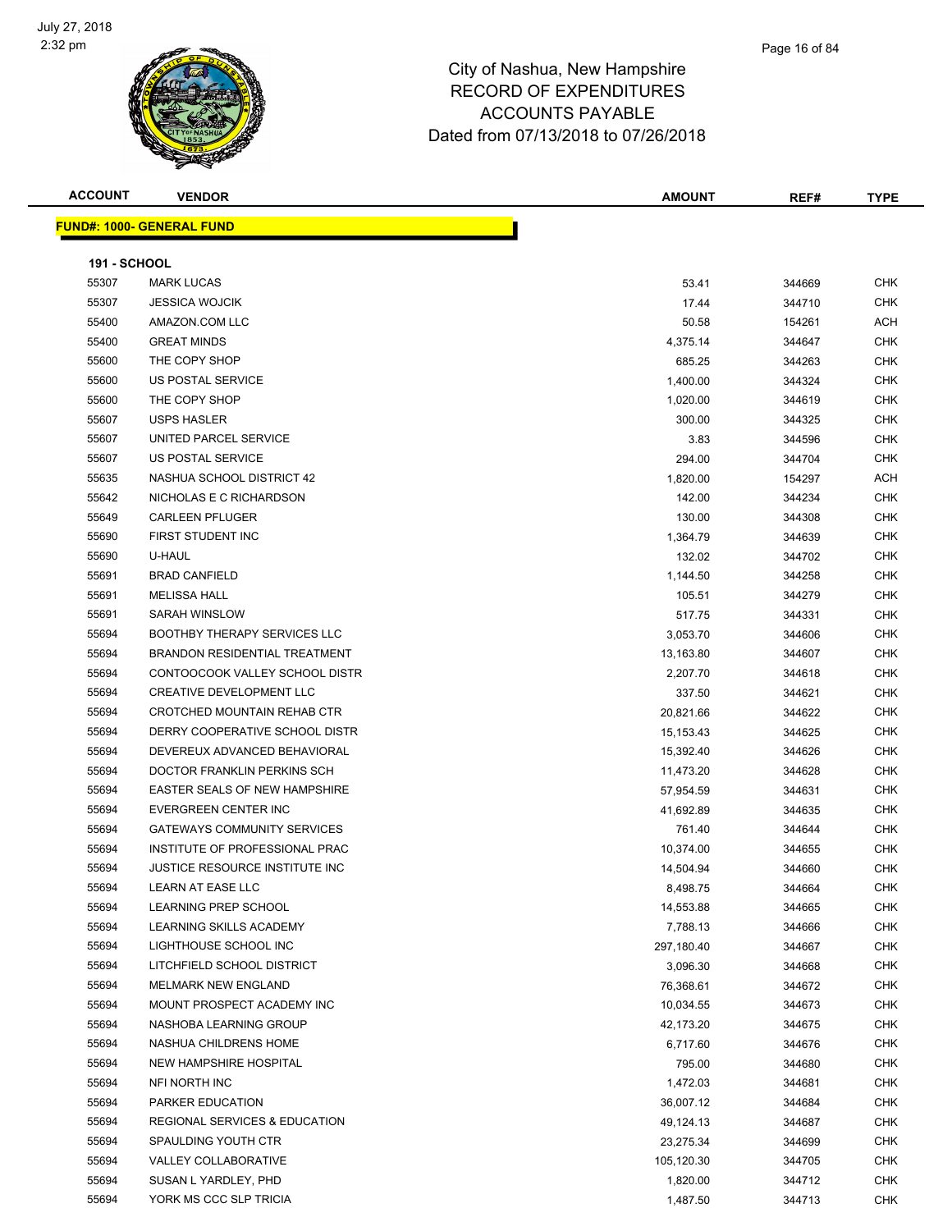

### Page 16 of 84

### City of Nashua, New Hampshire RECORD OF EXPENDITURES ACCOUNTS PAYABLE Dated from 07/13/2018 to 07/26/2018

**FUND#: 1000- GENERAL FUND**

| <b>ACCOUNT</b>      | <b>VENDOR</b>                         | <b>AMOUNT</b>        | REF#       | <b>TYPE</b>   |
|---------------------|---------------------------------------|----------------------|------------|---------------|
|                     | <u>  IND#: 1000- GENERAL FUND</u>     |                      |            |               |
|                     |                                       |                      |            |               |
| <b>191 - SCHOOL</b> |                                       |                      |            |               |
| 55307               | <b>MARK LUCAS</b>                     | 53.41                | 344669     | <b>CHK</b>    |
| 55307               | <b>JESSICA WOJCIK</b>                 | 17.44                | 344710     | <b>CHK</b>    |
| 55400               | AMAZON.COM LLC                        | 50.58                | 154261     | <b>ACH</b>    |
| 55400               | <b>GREAT MINDS</b>                    | 4,375.14             | 344647     | <b>CHK</b>    |
| 55600               | THE COPY SHOP                         | 685.25               | 344263     | <b>CHK</b>    |
| 55600               | US POSTAL SERVICE                     | 1,400.00             | 344324     | <b>CHK</b>    |
| 55600               | THE COPY SHOP                         | 1,020.00             | 344619     | <b>CHK</b>    |
| 55607               | <b>USPS HASLER</b>                    | 300.00               | 344325     | <b>CHK</b>    |
| 55607               | UNITED PARCEL SERVICE                 | 3.83                 | 344596     | <b>CHK</b>    |
| 55607               | US POSTAL SERVICE                     | 294.00               | 344704     | <b>CHK</b>    |
| 55635               | NASHUA SCHOOL DISTRICT 42             | 1,820.00             | 154297     | <b>ACH</b>    |
| 55642               | NICHOLAS E C RICHARDSON               | 142.00               | 344234     | <b>CHK</b>    |
| 55649               | <b>CARLEEN PFLUGER</b>                | 130.00               | 344308     | <b>CHK</b>    |
| 55690               | FIRST STUDENT INC                     | 1,364.79             | 344639     | <b>CHK</b>    |
| 55690               | U-HAUL                                | 132.02               | 344702     | <b>CHK</b>    |
| 55691               | <b>BRAD CANFIELD</b>                  | 1,144.50             | 344258     | <b>CHK</b>    |
| 55691               | <b>MELISSA HALL</b>                   | 105.51               | 344279     | <b>CHK</b>    |
| 55691               | SARAH WINSLOW                         | 517.75               | 344331     | <b>CHK</b>    |
| 55694               | <b>BOOTHBY THERAPY SERVICES LLC</b>   | 3,053.70             | 344606     | <b>CHK</b>    |
| FFAA                | <b>DOALIDOU DEOIDEUTIAL TOEATMENT</b> | $\sim$ $\sim$ $\sim$ | $0.1100 -$ | $\sim$ $\sim$ |

| <u>JJJV1</u> | ง∟บบเบ∩ พง∪บบเเ                          | . <del>. .</del> | טו ו <del>ויו</del> ט | ᇬ          |
|--------------|------------------------------------------|------------------|-----------------------|------------|
| 55400        | AMAZON.COM LLC                           | 50.58            | 154261                | <b>ACH</b> |
| 55400        | <b>GREAT MINDS</b>                       | 4,375.14         | 344647                | <b>CHK</b> |
| 55600        | THE COPY SHOP                            | 685.25           | 344263                | <b>CHK</b> |
| 55600        | US POSTAL SERVICE                        | 1,400.00         | 344324                | <b>CHK</b> |
| 55600        | THE COPY SHOP                            | 1,020.00         | 344619                | <b>CHK</b> |
| 55607        | <b>USPS HASLER</b>                       | 300.00           | 344325                | <b>CHK</b> |
| 55607        | UNITED PARCEL SERVICE                    | 3.83             | 344596                | <b>CHK</b> |
| 55607        | US POSTAL SERVICE                        | 294.00           | 344704                | <b>CHK</b> |
| 55635        | NASHUA SCHOOL DISTRICT 42                | 1,820.00         | 154297                | <b>ACH</b> |
| 55642        | NICHOLAS E C RICHARDSON                  | 142.00           | 344234                | <b>CHK</b> |
| 55649        | <b>CARLEEN PFLUGER</b>                   | 130.00           | 344308                | <b>CHK</b> |
| 55690        | FIRST STUDENT INC                        | 1,364.79         | 344639                | <b>CHK</b> |
| 55690        | U-HAUL                                   | 132.02           | 344702                | <b>CHK</b> |
| 55691        | <b>BRAD CANFIELD</b>                     | 1,144.50         | 344258                | <b>CHK</b> |
| 55691        | <b>MELISSA HALL</b>                      | 105.51           | 344279                | <b>CHK</b> |
| 55691        | SARAH WINSLOW                            | 517.75           | 344331                | <b>CHK</b> |
| 55694        | <b>BOOTHBY THERAPY SERVICES LLC</b>      | 3,053.70         | 344606                | <b>CHK</b> |
| 55694        | <b>BRANDON RESIDENTIAL TREATMENT</b>     | 13,163.80        | 344607                | <b>CHK</b> |
| 55694        | CONTOOCOOK VALLEY SCHOOL DISTR           | 2,207.70         | 344618                | <b>CHK</b> |
| 55694        | <b>CREATIVE DEVELOPMENT LLC</b>          | 337.50           | 344621                | <b>CHK</b> |
| 55694        | CROTCHED MOUNTAIN REHAB CTR              | 20,821.66        | 344622                | <b>CHK</b> |
| 55694        | DERRY COOPERATIVE SCHOOL DISTR           | 15,153.43        | 344625                | <b>CHK</b> |
| 55694        | DEVEREUX ADVANCED BEHAVIORAL             | 15,392.40        | 344626                | <b>CHK</b> |
| 55694        | DOCTOR FRANKLIN PERKINS SCH              | 11,473.20        | 344628                | <b>CHK</b> |
| 55694        | <b>EASTER SEALS OF NEW HAMPSHIRE</b>     | 57,954.59        | 344631                | <b>CHK</b> |
| 55694        | EVERGREEN CENTER INC                     | 41,692.89        | 344635                | <b>CHK</b> |
| 55694        | <b>GATEWAYS COMMUNITY SERVICES</b>       | 761.40           | 344644                | <b>CHK</b> |
| 55694        | INSTITUTE OF PROFESSIONAL PRAC           | 10,374.00        | 344655                | <b>CHK</b> |
| 55694        | JUSTICE RESOURCE INSTITUTE INC           | 14,504.94        | 344660                | <b>CHK</b> |
| 55694        | <b>LEARN AT EASE LLC</b>                 | 8,498.75         | 344664                | <b>CHK</b> |
| 55694        | <b>LEARNING PREP SCHOOL</b>              | 14,553.88        | 344665                | <b>CHK</b> |
| 55694        | LEARNING SKILLS ACADEMY                  | 7,788.13         | 344666                | <b>CHK</b> |
| 55694        | LIGHTHOUSE SCHOOL INC                    | 297,180.40       | 344667                | <b>CHK</b> |
| 55694        | LITCHFIELD SCHOOL DISTRICT               | 3,096.30         | 344668                | <b>CHK</b> |
| 55694        | <b>MELMARK NEW ENGLAND</b>               | 76,368.61        | 344672                | <b>CHK</b> |
| 55694        | MOUNT PROSPECT ACADEMY INC               | 10,034.55        | 344673                | CHK        |
| 55694        | NASHOBA LEARNING GROUP                   | 42,173.20        | 344675                | <b>CHK</b> |
| 55694        | NASHUA CHILDRENS HOME                    | 6,717.60         | 344676                | <b>CHK</b> |
| 55694        | NEW HAMPSHIRE HOSPITAL                   | 795.00           | 344680                | <b>CHK</b> |
| 55694        | NFI NORTH INC                            | 1,472.03         | 344681                | <b>CHK</b> |
| 55694        | PARKER EDUCATION                         | 36,007.12        | 344684                | <b>CHK</b> |
| 55694        | <b>REGIONAL SERVICES &amp; EDUCATION</b> | 49,124.13        | 344687                | <b>CHK</b> |
| 55694        | SPAULDING YOUTH CTR                      | 23,275.34        | 344699                | <b>CHK</b> |

 VALLEY COLLABORATIVE 105,120.30 344705 CHK SUSAN L YARDLEY, PHD 1,820.00 344712 CHK YORK MS CCC SLP TRICIA 1,487.50 344713 CHK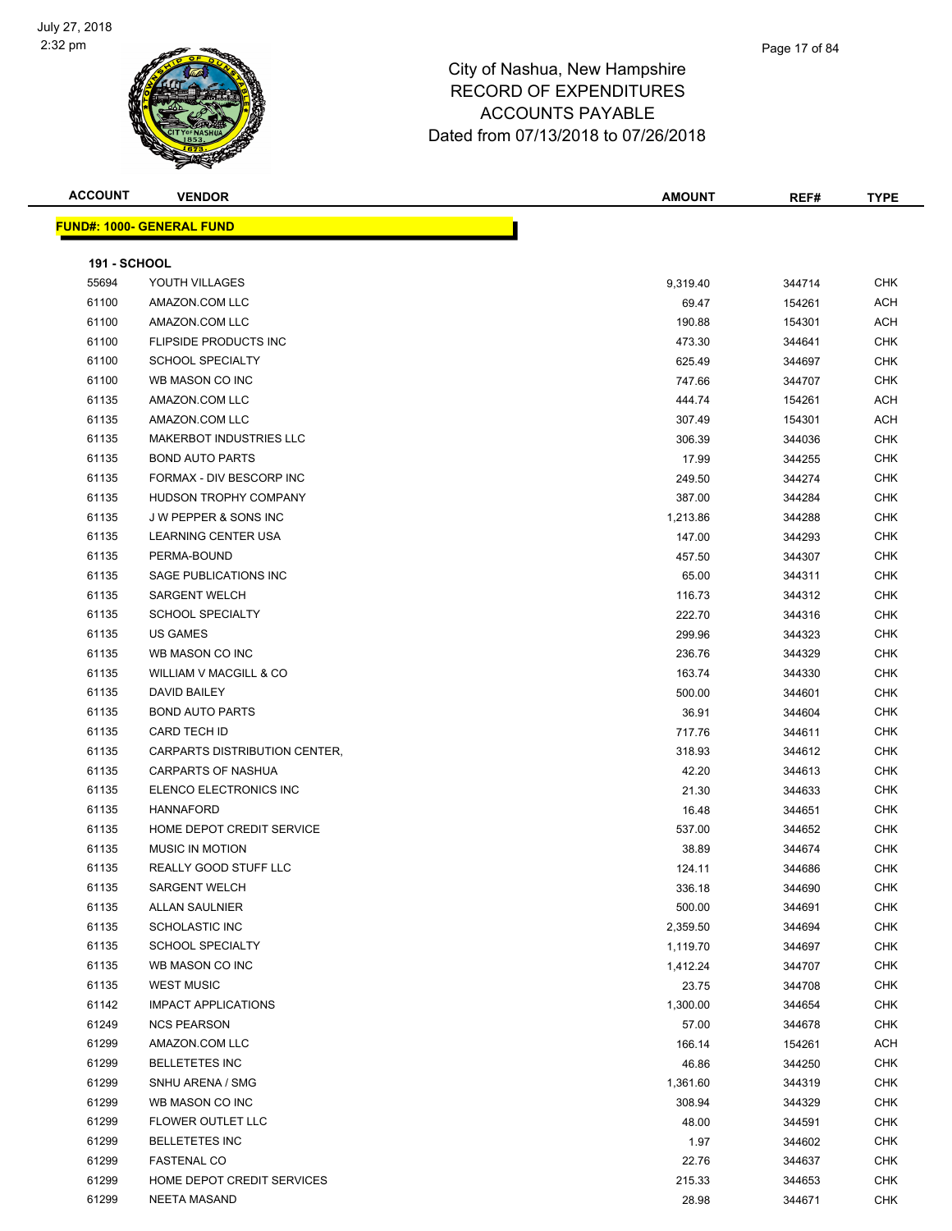

| <b>ACCOUNT</b>      | <b>VENDOR</b>                     | <b>AMOUNT</b> | REF#   | TYPE       |
|---------------------|-----------------------------------|---------------|--------|------------|
|                     | <u> FUND#: 1000- GENERAL FUND</u> |               |        |            |
|                     |                                   |               |        |            |
| <b>191 - SCHOOL</b> |                                   |               |        |            |
| 55694               | YOUTH VILLAGES                    | 9,319.40      | 344714 | <b>CHK</b> |
| 61100               | AMAZON.COM LLC                    | 69.47         | 154261 | ACH        |
| 61100               | AMAZON.COM LLC                    | 190.88        | 154301 | <b>ACH</b> |
| 61100               | FLIPSIDE PRODUCTS INC             | 473.30        | 344641 | <b>CHK</b> |
| 61100               | <b>SCHOOL SPECIALTY</b>           | 625.49        | 344697 | <b>CHK</b> |
| 61100               | WB MASON CO INC                   | 747.66        | 344707 | <b>CHK</b> |
| 61135               | AMAZON.COM LLC                    | 444.74        | 154261 | <b>ACH</b> |
| 61135               | AMAZON.COM LLC                    | 307.49        | 154301 | <b>ACH</b> |
| 61135               | <b>MAKERBOT INDUSTRIES LLC</b>    | 306.39        | 344036 | <b>CHK</b> |
| 61135               | <b>BOND AUTO PARTS</b>            | 17.99         | 344255 | <b>CHK</b> |
| 61135               | FORMAX - DIV BESCORP INC          | 249.50        | 344274 | <b>CHK</b> |
| 61135               | HUDSON TROPHY COMPANY             | 387.00        | 344284 | <b>CHK</b> |
| 61135               | J W PEPPER & SONS INC             | 1,213.86      | 344288 | CHK        |
| 61135               | LEARNING CENTER USA               | 147.00        | 344293 | <b>CHK</b> |
| 61135               | PERMA-BOUND                       | 457.50        | 344307 | <b>CHK</b> |
| 61135               | SAGE PUBLICATIONS INC             | 65.00         | 344311 | <b>CHK</b> |
| 61135               | <b>SARGENT WELCH</b>              | 116.73        | 344312 | <b>CHK</b> |
| 61135               | <b>SCHOOL SPECIALTY</b>           | 222.70        | 344316 | CHK        |
| 61135               | <b>US GAMES</b>                   | 299.96        | 344323 | <b>CHK</b> |
| 61135               | WB MASON CO INC                   | 236.76        | 344329 | <b>CHK</b> |
| 61135               | WILLIAM V MACGILL & CO            | 163.74        | 344330 | <b>CHK</b> |
| 61135               | DAVID BAILEY                      | 500.00        | 344601 | <b>CHK</b> |
| 61135               | <b>BOND AUTO PARTS</b>            | 36.91         | 344604 | <b>CHK</b> |
| 61135               | CARD TECH ID                      | 717.76        | 344611 | <b>CHK</b> |
| 61135               | CARPARTS DISTRIBUTION CENTER,     | 318.93        | 344612 | <b>CHK</b> |
| 61135               | <b>CARPARTS OF NASHUA</b>         | 42.20         | 344613 | <b>CHK</b> |
| 61135               | ELENCO ELECTRONICS INC            | 21.30         | 344633 | <b>CHK</b> |
| 61135               | <b>HANNAFORD</b>                  | 16.48         | 344651 | <b>CHK</b> |
| 61135               | HOME DEPOT CREDIT SERVICE         | 537.00        | 344652 | CHK        |
| 61135               | <b>MUSIC IN MOTION</b>            | 38.89         | 344674 | <b>CHK</b> |
| 61135               | REALLY GOOD STUFF LLC             | 124.11        | 344686 | <b>CHK</b> |
| 61135               | SARGENT WELCH                     | 336.18        | 344690 | <b>CHK</b> |
| 61135               | <b>ALLAN SAULNIER</b>             | 500.00        | 344691 | CHK        |
| 61135               | <b>SCHOLASTIC INC</b>             | 2,359.50      | 344694 | CHK        |
| 61135               | <b>SCHOOL SPECIALTY</b>           | 1,119.70      | 344697 | <b>CHK</b> |
| 61135               | WB MASON CO INC                   | 1,412.24      | 344707 | <b>CHK</b> |
| 61135               | <b>WEST MUSIC</b>                 | 23.75         | 344708 | <b>CHK</b> |
| 61142               | <b>IMPACT APPLICATIONS</b>        | 1,300.00      | 344654 | <b>CHK</b> |
| 61249               | <b>NCS PEARSON</b>                | 57.00         | 344678 | <b>CHK</b> |
| 61299               | AMAZON.COM LLC                    | 166.14        | 154261 | <b>ACH</b> |
| 61299               | <b>BELLETETES INC</b>             | 46.86         | 344250 | <b>CHK</b> |
| 61299               | SNHU ARENA / SMG                  | 1,361.60      | 344319 | <b>CHK</b> |
| 61299               | WB MASON CO INC                   | 308.94        | 344329 | <b>CHK</b> |
| 61299               | FLOWER OUTLET LLC                 | 48.00         | 344591 | <b>CHK</b> |
| 61299               | <b>BELLETETES INC</b>             | 1.97          | 344602 | <b>CHK</b> |
| 61299               | <b>FASTENAL CO</b>                | 22.76         | 344637 | <b>CHK</b> |
| 61299               | HOME DEPOT CREDIT SERVICES        | 215.33        | 344653 | <b>CHK</b> |
| 61299               | <b>NEETA MASAND</b>               | 28.98         | 344671 | <b>CHK</b> |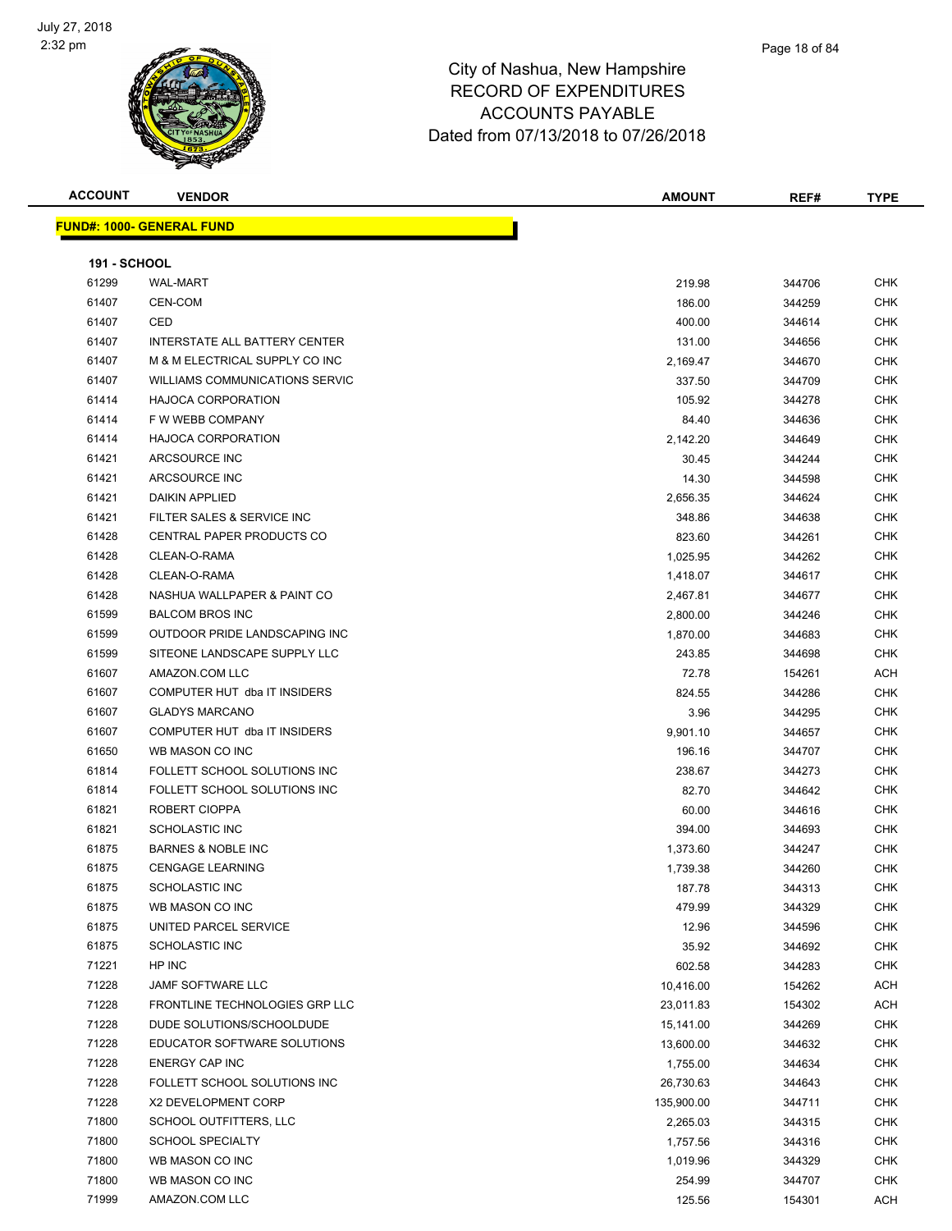

| <b>ACCOUNT</b>      | <b>VENDOR</b>                         | <b>AMOUNT</b> | REF#   | <b>TYPE</b> |
|---------------------|---------------------------------------|---------------|--------|-------------|
|                     | <b>FUND#: 1000- GENERAL FUND</b>      |               |        |             |
|                     |                                       |               |        |             |
| <b>191 - SCHOOL</b> |                                       |               |        |             |
| 61299               | <b>WAL-MART</b>                       | 219.98        | 344706 | CHK         |
| 61407               | CEN-COM                               | 186.00        | 344259 | CHK         |
| 61407               | CED                                   | 400.00        | 344614 | CHK         |
| 61407               | INTERSTATE ALL BATTERY CENTER         | 131.00        | 344656 | CHK         |
| 61407               | M & M ELECTRICAL SUPPLY CO INC        | 2,169.47      | 344670 | CHK         |
| 61407               | <b>WILLIAMS COMMUNICATIONS SERVIC</b> | 337.50        | 344709 | <b>CHK</b>  |
| 61414               | <b>HAJOCA CORPORATION</b>             | 105.92        | 344278 | CHK         |
| 61414               | F W WEBB COMPANY                      | 84.40         | 344636 | <b>CHK</b>  |
| 61414               | <b>HAJOCA CORPORATION</b>             | 2,142.20      | 344649 | CHK         |
| 61421               | ARCSOURCE INC                         | 30.45         | 344244 | CHK         |
| 61421               | ARCSOURCE INC                         | 14.30         | 344598 | CHK         |
| 61421               | <b>DAIKIN APPLIED</b>                 | 2,656.35      | 344624 | CHK         |
| 61421               | FILTER SALES & SERVICE INC            | 348.86        | 344638 | CHK         |
| 61428               | CENTRAL PAPER PRODUCTS CO             | 823.60        | 344261 | CHK         |
| 61428               | CLEAN-O-RAMA                          | 1,025.95      | 344262 | CHK         |
| 61428               | CLEAN-O-RAMA                          | 1,418.07      | 344617 | CHK         |
| 61428               | NASHUA WALLPAPER & PAINT CO           | 2,467.81      | 344677 | <b>CHK</b>  |
| 61599               | <b>BALCOM BROS INC</b>                | 2,800.00      | 344246 | <b>CHK</b>  |
| 61599               | OUTDOOR PRIDE LANDSCAPING INC         | 1,870.00      | 344683 | <b>CHK</b>  |
| 61599               | SITEONE LANDSCAPE SUPPLY LLC          | 243.85        | 344698 | CHK         |
| 61607               | AMAZON.COM LLC                        | 72.78         | 154261 | ACH         |
| 61607               | COMPUTER HUT dba IT INSIDERS          | 824.55        | 344286 | CHK         |
| 61607               | <b>GLADYS MARCANO</b>                 | 3.96          | 344295 | CHK         |
| 61607               | COMPUTER HUT dba IT INSIDERS          | 9,901.10      | 344657 | <b>CHK</b>  |
| 61650               | WB MASON CO INC                       | 196.16        | 344707 | <b>CHK</b>  |
| 61814               | FOLLETT SCHOOL SOLUTIONS INC          | 238.67        | 344273 | CHK         |
| 61814               | FOLLETT SCHOOL SOLUTIONS INC          | 82.70         | 344642 | CHK         |
| 61821               | ROBERT CIOPPA                         | 60.00         | 344616 | <b>CHK</b>  |
| 61821               | <b>SCHOLASTIC INC</b>                 | 394.00        | 344693 | CHK         |
| 61875               | <b>BARNES &amp; NOBLE INC</b>         | 1,373.60      | 344247 | <b>CHK</b>  |
| 61875               | <b>CENGAGE LEARNING</b>               | 1,739.38      | 344260 | <b>CHK</b>  |
| 61875               | SCHOLASTIC INC                        | 187.78        | 344313 | <b>CHK</b>  |
| 61875               | WB MASON CO INC                       | 479.99        | 344329 | CHK         |
| 61875               | UNITED PARCEL SERVICE                 | 12.96         | 344596 | <b>CHK</b>  |
| 61875               | <b>SCHOLASTIC INC</b>                 | 35.92         | 344692 | <b>CHK</b>  |
| 71221               | HP INC                                | 602.58        | 344283 | <b>CHK</b>  |
| 71228               | JAMF SOFTWARE LLC                     | 10,416.00     | 154262 | ACH         |
| 71228               | FRONTLINE TECHNOLOGIES GRP LLC        | 23,011.83     | 154302 | ACH         |
| 71228               | DUDE SOLUTIONS/SCHOOLDUDE             | 15,141.00     | 344269 | <b>CHK</b>  |
| 71228               | EDUCATOR SOFTWARE SOLUTIONS           | 13,600.00     | 344632 | <b>CHK</b>  |
| 71228               | ENERGY CAP INC                        | 1,755.00      | 344634 | CHK         |
| 71228               | FOLLETT SCHOOL SOLUTIONS INC          | 26,730.63     | 344643 | <b>CHK</b>  |
| 71228               | X2 DEVELOPMENT CORP                   | 135,900.00    | 344711 | <b>CHK</b>  |
| 71800               | SCHOOL OUTFITTERS, LLC                | 2,265.03      | 344315 | CHK         |
| 71800               | <b>SCHOOL SPECIALTY</b>               | 1,757.56      | 344316 | CHK         |
| 71800               | WB MASON CO INC                       | 1,019.96      | 344329 | CHK         |
| 71800               | WB MASON CO INC                       | 254.99        | 344707 | CHK         |
| 71999               | AMAZON.COM LLC                        | 125.56        | 154301 | ACH         |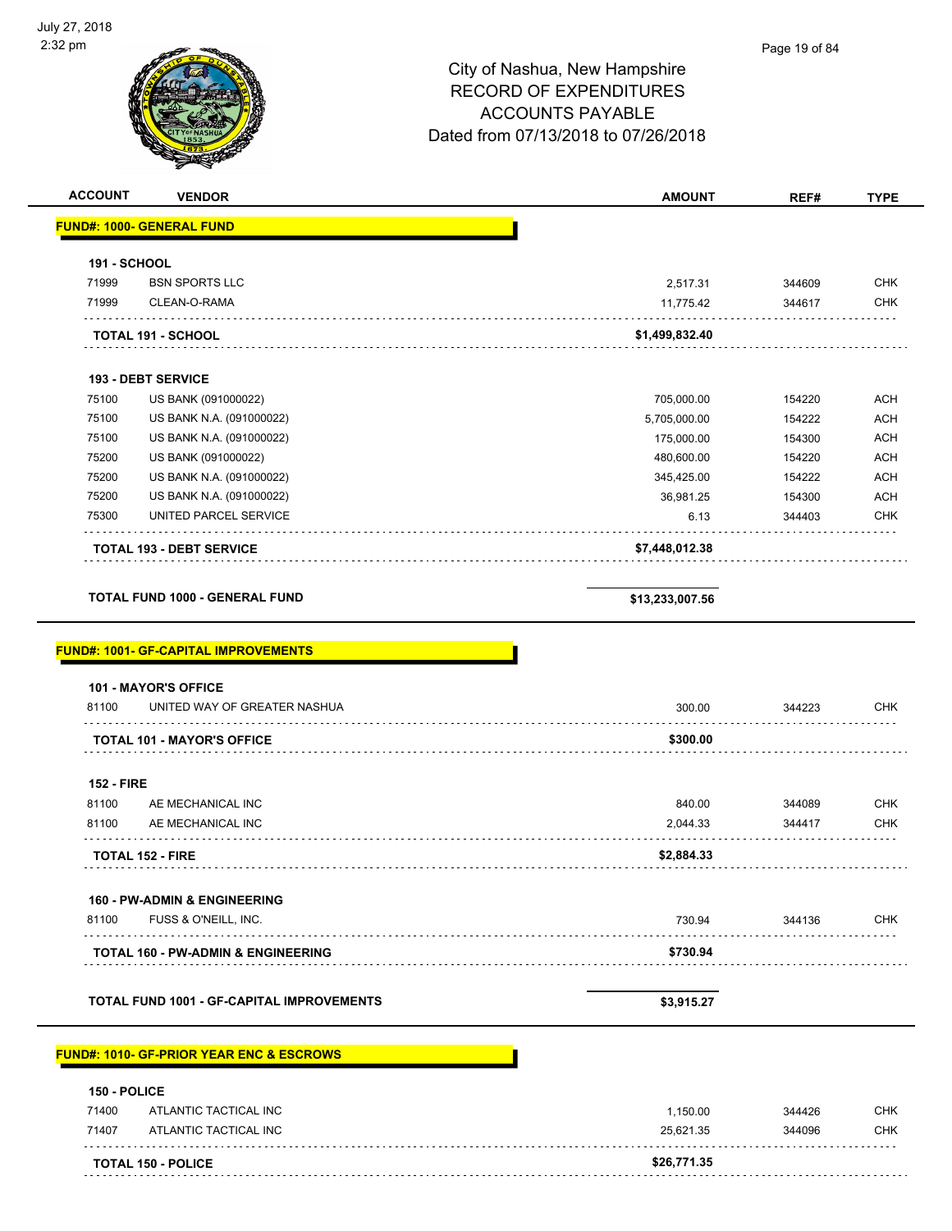| <b>ACCOUNT</b>      | <b>VENDOR</b>                                               | <b>AMOUNT</b>   | REF#   | <b>TYPE</b> |
|---------------------|-------------------------------------------------------------|-----------------|--------|-------------|
|                     | <b>FUND#: 1000- GENERAL FUND</b>                            |                 |        |             |
| <b>191 - SCHOOL</b> |                                                             |                 |        |             |
| 71999               | <b>BSN SPORTS LLC</b>                                       | 2,517.31        | 344609 | <b>CHK</b>  |
| 71999               | CLEAN-O-RAMA                                                | 11,775.42       | 344617 | <b>CHK</b>  |
|                     | TOTAL 191 - SCHOOL                                          | \$1,499,832.40  |        |             |
|                     | <b>193 - DEBT SERVICE</b>                                   |                 |        |             |
| 75100               | US BANK (091000022)                                         | 705,000.00      | 154220 | <b>ACH</b>  |
| 75100               | US BANK N.A. (091000022)                                    | 5,705,000.00    | 154222 | <b>ACH</b>  |
| 75100               | US BANK N.A. (091000022)                                    | 175,000.00      | 154300 | <b>ACH</b>  |
| 75200               | US BANK (091000022)                                         | 480,600.00      | 154220 | <b>ACH</b>  |
| 75200               | US BANK N.A. (091000022)                                    | 345,425.00      | 154222 | <b>ACH</b>  |
| 75200               | US BANK N.A. (091000022)                                    | 36,981.25       | 154300 | <b>ACH</b>  |
| 75300               | UNITED PARCEL SERVICE                                       | 6.13            | 344403 | <b>CHK</b>  |
|                     | <b>TOTAL 193 - DEBT SERVICE</b>                             | \$7,448,012.38  |        |             |
|                     | <b>TOTAL FUND 1000 - GENERAL FUND</b>                       | \$13,233,007.56 |        |             |
|                     |                                                             |                 |        |             |
| 81100               | <b>101 - MAYOR'S OFFICE</b><br>UNITED WAY OF GREATER NASHUA | 300.00          | 344223 | <b>CHK</b>  |
|                     | <b>TOTAL 101 - MAYOR'S OFFICE</b>                           | \$300.00        |        |             |
| <b>152 - FIRE</b>   |                                                             |                 |        |             |
| 81100               | AE MECHANICAL INC                                           | 840.00          | 344089 | <b>CHK</b>  |
| 81100               | AE MECHANICAL INC                                           | 2,044.33        | 344417 | <b>CHK</b>  |
|                     | TOTAL 152 - FIRE                                            | \$2,884.33      |        |             |
|                     | 160 - PW-ADMIN & ENGINEERING                                |                 |        |             |
| 81100               | FUSS & O'NEILL, INC.                                        | 730.94          | 344136 | <b>CHK</b>  |
|                     | <b>TOTAL 160 - PW-ADMIN &amp; ENGINEERING</b>               | \$730.94        |        |             |
|                     | <b>TOTAL FUND 1001 - GF-CAPITAL IMPROVEMENTS</b>            | \$3,915.27      |        |             |
|                     |                                                             |                 |        |             |
|                     | <b>FUND#: 1010- GF-PRIOR YEAR ENC &amp; ESCROWS</b>         |                 |        |             |
| 150 - POLICE        |                                                             |                 |        |             |
| 71400               | ATLANTIC TACTICAL INC                                       | 1,150.00        | 344426 | <b>CHK</b>  |
| 71407               | ATLANTIC TACTICAL INC                                       | 25,621.35       | 344096 | <b>CHK</b>  |
|                     | <b>TOTAL 150 - POLICE</b>                                   | \$26,771.35     |        |             |
|                     |                                                             |                 |        |             |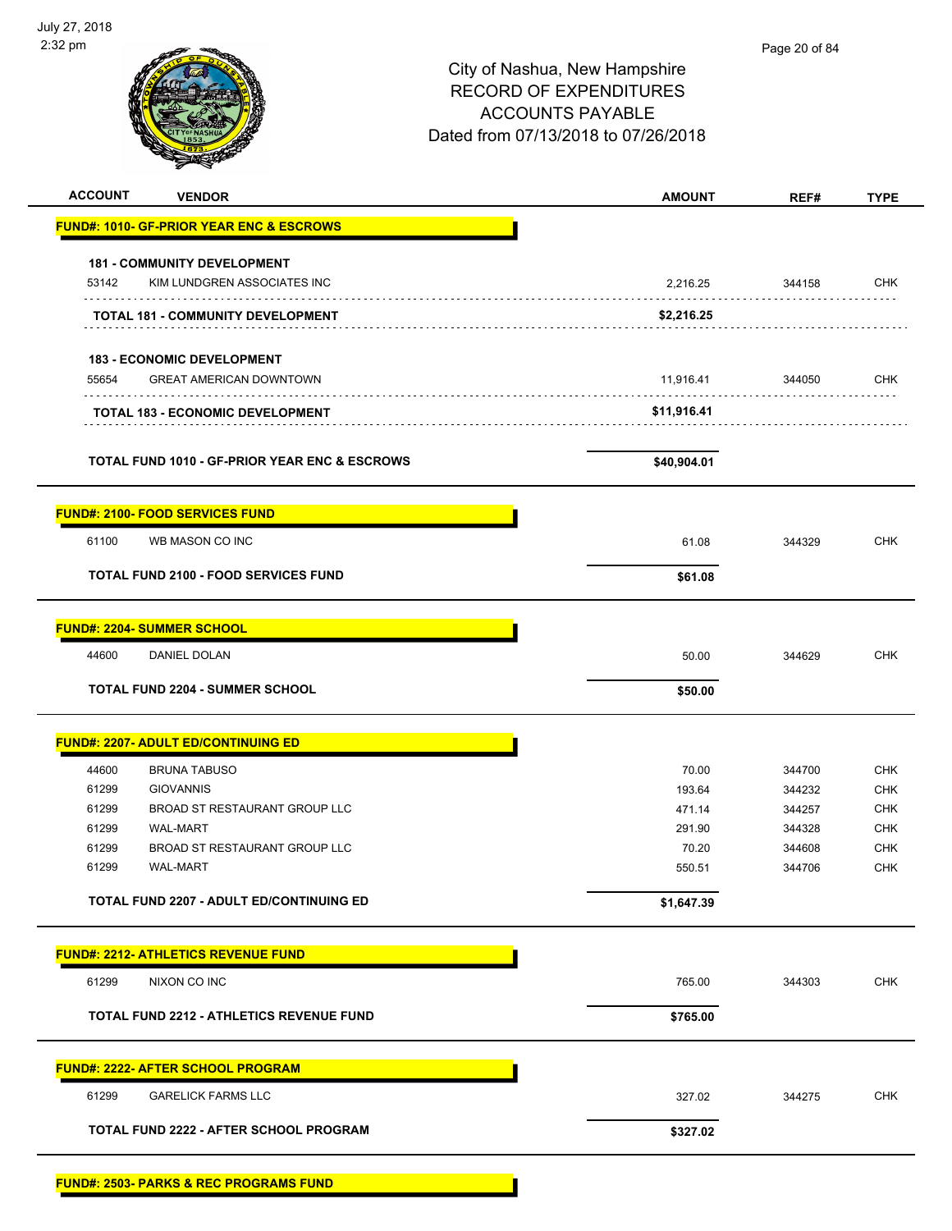| <b>ACCOUNT</b><br><b>VENDOR</b>                                              | <b>AMOUNT</b> | REF#   | <b>TYPE</b> |
|------------------------------------------------------------------------------|---------------|--------|-------------|
| <b>FUND#: 1010- GF-PRIOR YEAR ENC &amp; ESCROWS</b>                          |               |        |             |
|                                                                              |               |        |             |
| <b>181 - COMMUNITY DEVELOPMENT</b><br>53142<br>KIM LUNDGREN ASSOCIATES INC   | 2,216.25      | 344158 | <b>CHK</b>  |
| TOTAL 181 - COMMUNITY DEVELOPMENT                                            | \$2,216.25    |        |             |
|                                                                              |               |        |             |
| <b>183 - ECONOMIC DEVELOPMENT</b><br><b>GREAT AMERICAN DOWNTOWN</b><br>55654 | 11,916.41     | 344050 | <b>CHK</b>  |
| <b>TOTAL 183 - ECONOMIC DEVELOPMENT</b>                                      | \$11,916.41   |        |             |
|                                                                              |               |        |             |
| <b>TOTAL FUND 1010 - GF-PRIOR YEAR ENC &amp; ESCROWS</b>                     | \$40,904.01   |        |             |
| <b>FUND#: 2100- FOOD SERVICES FUND</b>                                       |               |        |             |
| 61100<br>WB MASON CO INC                                                     | 61.08         | 344329 | <b>CHK</b>  |
| <b>TOTAL FUND 2100 - FOOD SERVICES FUND</b>                                  | \$61.08       |        |             |
| <b>FUND#: 2204- SUMMER SCHOOL</b>                                            |               |        |             |
| 44600                                                                        |               |        | <b>CHK</b>  |
| DANIEL DOLAN                                                                 | 50.00         | 344629 |             |
| <b>TOTAL FUND 2204 - SUMMER SCHOOL</b>                                       | \$50.00       |        |             |
| <b>FUND#: 2207- ADULT ED/CONTINUING ED</b>                                   |               |        |             |
| 44600<br><b>BRUNA TABUSO</b>                                                 | 70.00         | 344700 | <b>CHK</b>  |
| 61299<br><b>GIOVANNIS</b>                                                    | 193.64        | 344232 | <b>CHK</b>  |
| 61299<br>BROAD ST RESTAURANT GROUP LLC                                       | 471.14        | 344257 | <b>CHK</b>  |
| 61299<br><b>WAL-MART</b>                                                     | 291.90        | 344328 | <b>CHK</b>  |
| 61299<br>BROAD ST RESTAURANT GROUP LLC                                       | 70.20         | 344608 | <b>CHK</b>  |
| 61299<br><b>WAL-MART</b>                                                     | 550.51        | 344706 | <b>CHK</b>  |
| <b>TOTAL FUND 2207 - ADULT ED/CONTINUING ED</b>                              | \$1,647.39    |        |             |
| <b>FUND#: 2212- ATHLETICS REVENUE FUND</b>                                   |               |        |             |
| 61299<br>NIXON CO INC                                                        | 765.00        | 344303 | <b>CHK</b>  |
| <b>TOTAL FUND 2212 - ATHLETICS REVENUE FUND</b>                              | \$765.00      |        |             |
|                                                                              |               |        |             |
| <b>FUND#: 2222- AFTER SCHOOL PROGRAM</b>                                     |               |        |             |
| 61299<br><b>GARELICK FARMS LLC</b>                                           | 327.02        | 344275 | <b>CHK</b>  |
| TOTAL FUND 2222 - AFTER SCHOOL PROGRAM                                       | \$327.02      |        |             |
| <b>FUND#: 2503- PARKS &amp; REC PROGRAMS FUND</b>                            |               |        |             |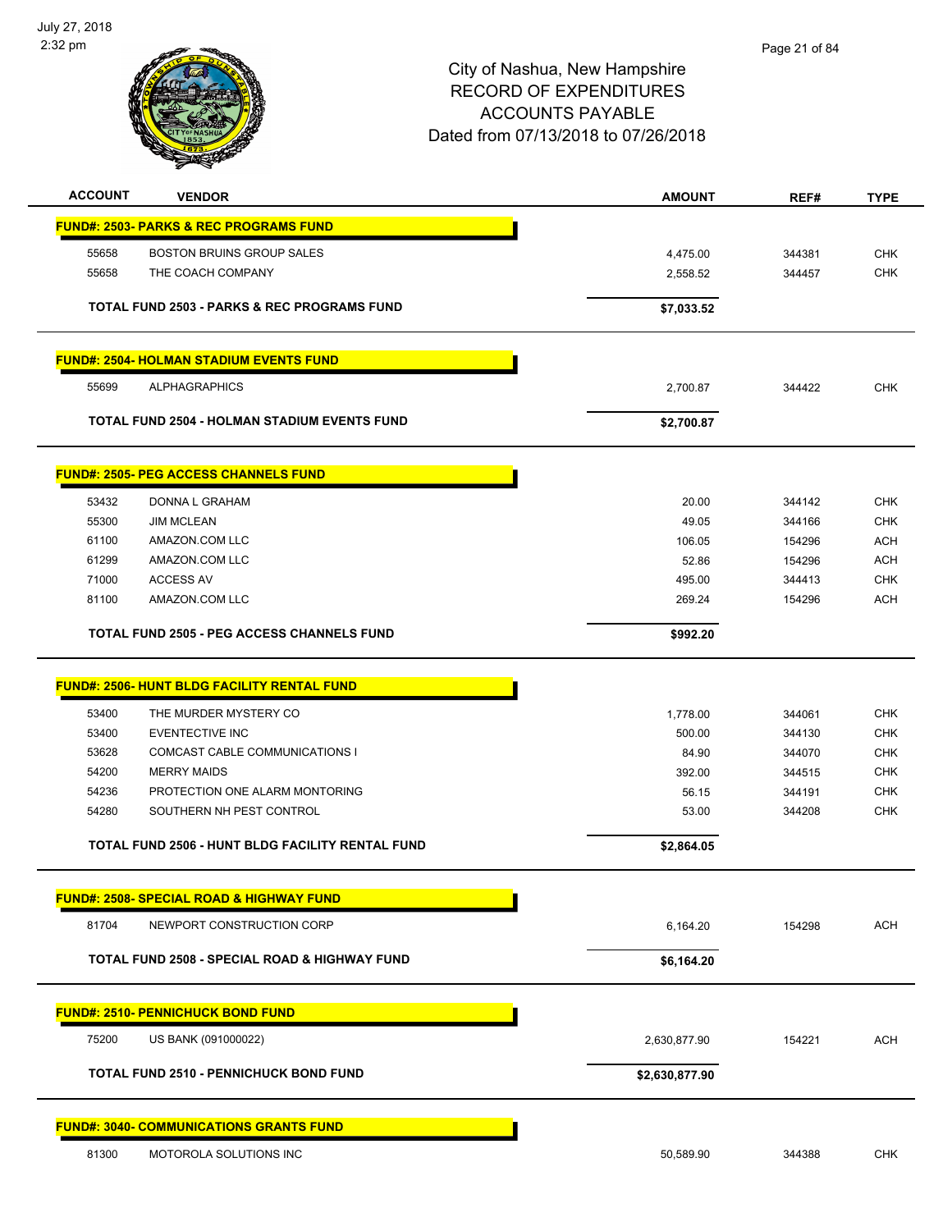

| <b>ACCOUNT</b> | <b>VENDOR</b>                                          | <b>AMOUNT</b>      | REF#             | <b>TYPE</b>              |
|----------------|--------------------------------------------------------|--------------------|------------------|--------------------------|
|                | <b>FUND#: 2503- PARKS &amp; REC PROGRAMS FUND</b>      |                    |                  |                          |
| 55658          | <b>BOSTON BRUINS GROUP SALES</b>                       | 4,475.00           | 344381           | <b>CHK</b>               |
| 55658          | THE COACH COMPANY                                      | 2,558.52           | 344457           | <b>CHK</b>               |
|                |                                                        |                    |                  |                          |
|                | <b>TOTAL FUND 2503 - PARKS &amp; REC PROGRAMS FUND</b> | \$7,033.52         |                  |                          |
|                | <b>FUND#: 2504- HOLMAN STADIUM EVENTS FUND</b>         |                    |                  |                          |
| 55699          | <b>ALPHAGRAPHICS</b>                                   | 2,700.87           | 344422           | <b>CHK</b>               |
|                | <b>TOTAL FUND 2504 - HOLMAN STADIUM EVENTS FUND</b>    | \$2,700.87         |                  |                          |
|                | <b>FUND#: 2505- PEG ACCESS CHANNELS FUND</b>           |                    |                  |                          |
| 53432          | DONNA L GRAHAM                                         | 20.00              | 344142           | <b>CHK</b>               |
| 55300          | <b>JIM MCLEAN</b>                                      | 49.05              | 344166           | <b>CHK</b>               |
| 61100          | AMAZON.COM LLC                                         | 106.05             | 154296           | <b>ACH</b>               |
| 61299          | AMAZON.COM LLC                                         | 52.86              | 154296           | <b>ACH</b>               |
| 71000          | <b>ACCESS AV</b>                                       | 495.00             | 344413           | <b>CHK</b>               |
| 81100          | AMAZON.COM LLC                                         | 269.24             | 154296           | <b>ACH</b>               |
|                | TOTAL FUND 2505 - PEG ACCESS CHANNELS FUND             | \$992.20           |                  |                          |
|                | <b>FUND#: 2506- HUNT BLDG FACILITY RENTAL FUND</b>     |                    |                  |                          |
|                |                                                        |                    |                  |                          |
| 53400<br>53400 | THE MURDER MYSTERY CO<br><b>EVENTECTIVE INC</b>        | 1,778.00<br>500.00 | 344061<br>344130 | <b>CHK</b><br><b>CHK</b> |
| 53628          | COMCAST CABLE COMMUNICATIONS I                         | 84.90              | 344070           | <b>CHK</b>               |
| 54200          | <b>MERRY MAIDS</b>                                     | 392.00             | 344515           | <b>CHK</b>               |
| 54236          | PROTECTION ONE ALARM MONTORING                         | 56.15              | 344191           | <b>CHK</b>               |
| 54280          | SOUTHERN NH PEST CONTROL                               | 53.00              | 344208           | <b>CHK</b>               |
|                | TOTAL FUND 2506 - HUNT BLDG FACILITY RENTAL FUND       | \$2,864.05         |                  |                          |
|                |                                                        |                    |                  |                          |
|                | <b>FUND#: 2508- SPECIAL ROAD &amp; HIGHWAY FUND</b>    |                    |                  |                          |
| 81704          | NEWPORT CONSTRUCTION CORP                              | 6,164.20           | 154298           | <b>ACH</b>               |
|                | TOTAL FUND 2508 - SPECIAL ROAD & HIGHWAY FUND          | \$6,164.20         |                  |                          |
|                | <b>FUND#: 2510- PENNICHUCK BOND FUND</b>               |                    |                  |                          |
| 75200          | US BANK (091000022)                                    | 2,630,877.90       | 154221           | <b>ACH</b>               |
|                | <b>TOTAL FUND 2510 - PENNICHUCK BOND FUND</b>          | \$2,630,877.90     |                  |                          |
|                | <b>FUND#: 3040- COMMUNICATIONS GRANTS FUND</b>         |                    |                  |                          |
| 81300          | MOTOROLA SOLUTIONS INC                                 | 50,589.90          | 344388           | <b>CHK</b>               |
|                |                                                        |                    |                  |                          |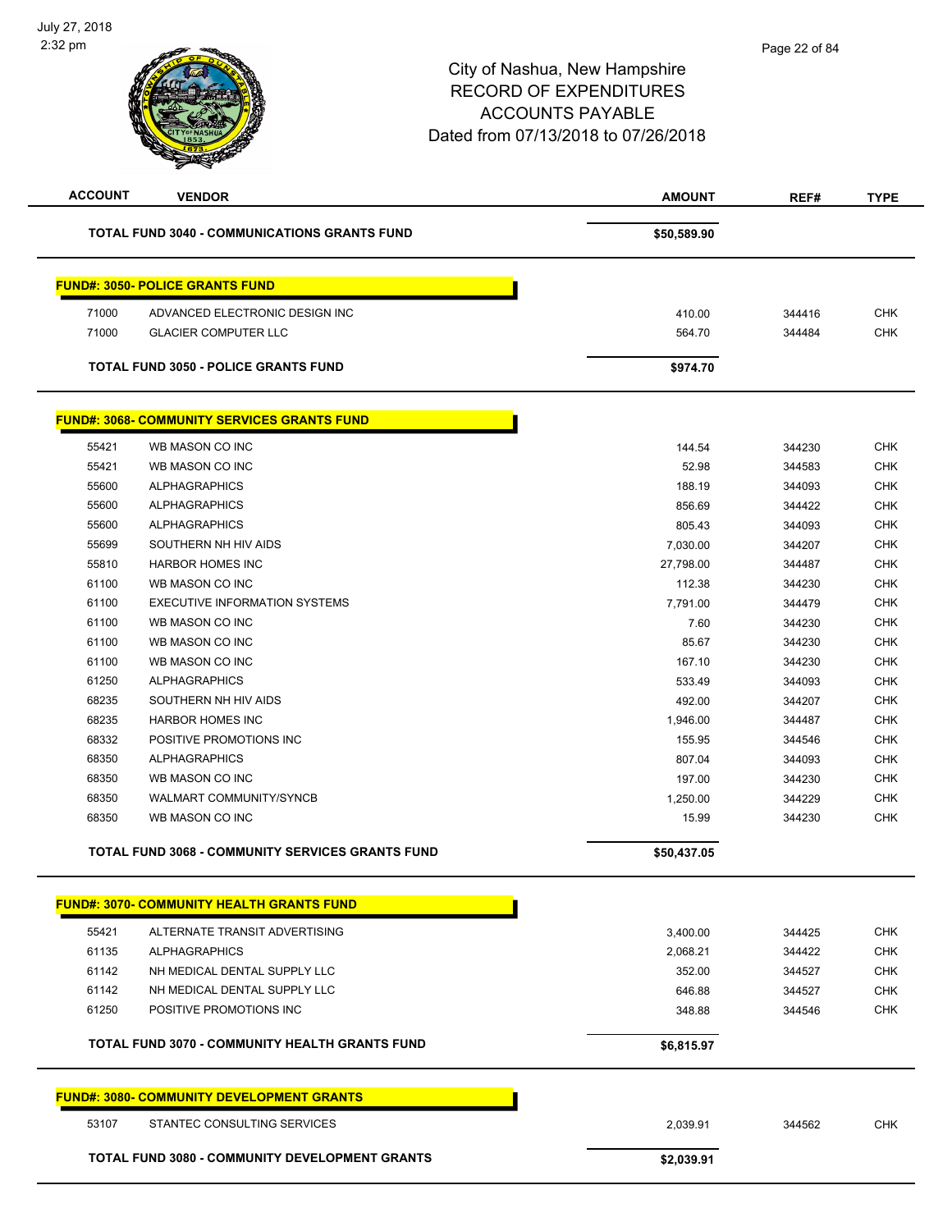| <b>ACCOUNT</b> | <b>VENDOR</b>                                                | <b>AMOUNT</b> | REF#   | <b>TYPE</b> |
|----------------|--------------------------------------------------------------|---------------|--------|-------------|
|                | <b>TOTAL FUND 3040 - COMMUNICATIONS GRANTS FUND</b>          | \$50,589.90   |        |             |
|                | <b>FUND#: 3050- POLICE GRANTS FUND</b>                       |               |        |             |
| 71000          | ADVANCED ELECTRONIC DESIGN INC                               | 410.00        | 344416 | <b>CHK</b>  |
| 71000          | <b>GLACIER COMPUTER LLC</b>                                  | 564.70        | 344484 | <b>CHK</b>  |
|                |                                                              |               |        |             |
|                | <b>TOTAL FUND 3050 - POLICE GRANTS FUND</b>                  | \$974.70      |        |             |
|                | <b>FUND#: 3068- COMMUNITY SERVICES GRANTS FUND</b>           |               |        |             |
| 55421          | WB MASON CO INC                                              | 144.54        | 344230 | <b>CHK</b>  |
| 55421          | WB MASON CO INC                                              | 52.98         | 344583 | <b>CHK</b>  |
| 55600          | <b>ALPHAGRAPHICS</b>                                         | 188.19        | 344093 | <b>CHK</b>  |
| 55600          | <b>ALPHAGRAPHICS</b>                                         | 856.69        | 344422 | <b>CHK</b>  |
| 55600          | <b>ALPHAGRAPHICS</b>                                         | 805.43        | 344093 | <b>CHK</b>  |
| 55699          | SOUTHERN NH HIV AIDS                                         | 7,030.00      | 344207 | <b>CHK</b>  |
| 55810          | <b>HARBOR HOMES INC</b>                                      | 27,798.00     | 344487 | CHK         |
| 61100          | WB MASON CO INC                                              | 112.38        | 344230 | <b>CHK</b>  |
| 61100          | <b>EXECUTIVE INFORMATION SYSTEMS</b>                         | 7,791.00      | 344479 | <b>CHK</b>  |
| 61100          | WB MASON CO INC                                              | 7.60          | 344230 | <b>CHK</b>  |
| 61100          | WB MASON CO INC                                              | 85.67         | 344230 | <b>CHK</b>  |
| 61100          | WB MASON CO INC                                              | 167.10        | 344230 | <b>CHK</b>  |
| 61250          | <b>ALPHAGRAPHICS</b>                                         | 533.49        | 344093 | <b>CHK</b>  |
| 68235          | SOUTHERN NH HIV AIDS                                         | 492.00        | 344207 | <b>CHK</b>  |
| 68235          | <b>HARBOR HOMES INC</b>                                      | 1,946.00      | 344487 | <b>CHK</b>  |
| 68332          | POSITIVE PROMOTIONS INC                                      | 155.95        | 344546 | <b>CHK</b>  |
| 68350          | <b>ALPHAGRAPHICS</b>                                         | 807.04        | 344093 | <b>CHK</b>  |
| 68350          | WB MASON CO INC                                              | 197.00        | 344230 | <b>CHK</b>  |
| 68350          | WALMART COMMUNITY/SYNCB                                      | 1,250.00      | 344229 | <b>CHK</b>  |
| 68350          | WB MASON CO INC                                              | 15.99         | 344230 | <b>CHK</b>  |
|                | <b>TOTAL FUND 3068 - COMMUNITY SERVICES GRANTS FUND</b>      | \$50,437.05   |        |             |
|                | <b>FUND#: 3070- COMMUNITY HEALTH GRANTS FUND</b>             |               |        |             |
| 55421          | ALTERNATE TRANSIT ADVERTISING                                |               |        | <b>CHK</b>  |
|                |                                                              | 3,400.00      | 344425 |             |
| 61135          | <b>ALPHAGRAPHICS</b>                                         | 2,068.21      | 344422 | <b>CHK</b>  |
| 61142<br>61142 | NH MEDICAL DENTAL SUPPLY LLC<br>NH MEDICAL DENTAL SUPPLY LLC | 352.00        | 344527 | <b>CHK</b>  |
|                |                                                              | 646.88        | 344527 | <b>CHK</b>  |
| 61250          | POSITIVE PROMOTIONS INC                                      | 348.88        | 344546 | <b>CHK</b>  |
|                | TOTAL FUND 3070 - COMMUNITY HEALTH GRANTS FUND               | \$6,815.97    |        |             |
|                | <b>FUND#: 3080- COMMUNITY DEVELOPMENT GRANTS</b>             |               |        |             |
| 53107          | STANTEC CONSULTING SERVICES                                  | 2,039.91      | 344562 | <b>CHK</b>  |
|                | TOTAL FUND 3080 - COMMUNITY DEVELOPMENT GRANTS               | \$2,039.91    |        |             |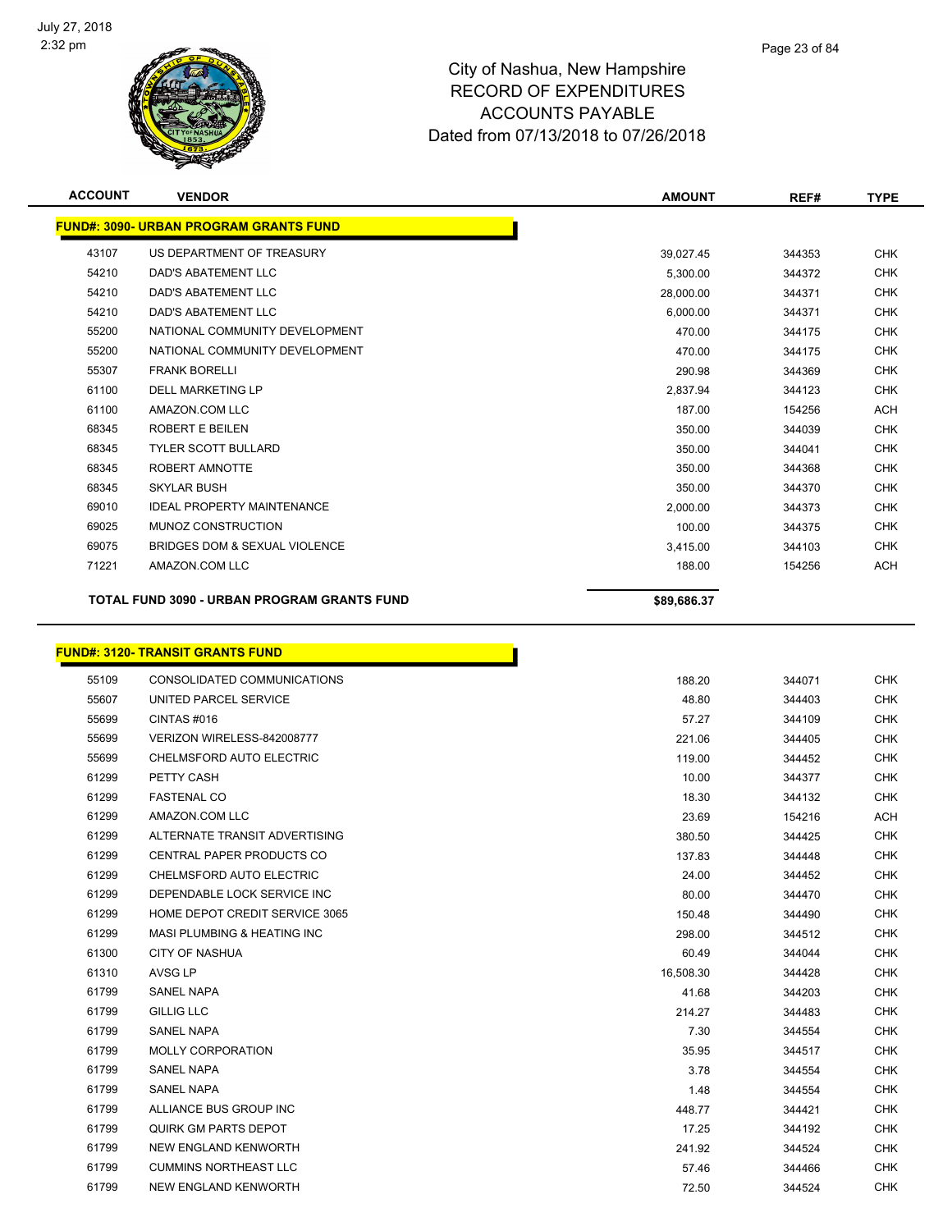

| <b>ACCOUNT</b> | <b>VENDOR</b>                                 | <b>AMOUNT</b> | REF#   | <b>TYPE</b> |
|----------------|-----------------------------------------------|---------------|--------|-------------|
|                | <b>FUND#: 3090- URBAN PROGRAM GRANTS FUND</b> |               |        |             |
| 43107          | US DEPARTMENT OF TREASURY                     | 39,027.45     | 344353 | <b>CHK</b>  |
| 54210          | DAD'S ABATEMENT LLC                           | 5,300.00      | 344372 | <b>CHK</b>  |
| 54210          | <b>DAD'S ABATEMENT LLC</b>                    | 28,000.00     | 344371 | <b>CHK</b>  |
| 54210          | <b>DAD'S ABATEMENT LLC</b>                    | 6,000.00      | 344371 | <b>CHK</b>  |
| 55200          | NATIONAL COMMUNITY DEVELOPMENT                | 470.00        | 344175 | <b>CHK</b>  |
| 55200          | NATIONAL COMMUNITY DEVELOPMENT                | 470.00        | 344175 | <b>CHK</b>  |
| 55307          | <b>FRANK BORELLI</b>                          | 290.98        | 344369 | <b>CHK</b>  |
| 61100          | <b>DELL MARKETING LP</b>                      | 2,837.94      | 344123 | <b>CHK</b>  |
| 61100          | AMAZON.COM LLC                                | 187.00        | 154256 | <b>ACH</b>  |
| 68345          | <b>ROBERT E BEILEN</b>                        | 350.00        | 344039 | <b>CHK</b>  |
| 68345          | <b>TYLER SCOTT BULLARD</b>                    | 350.00        | 344041 | <b>CHK</b>  |
| 68345          | ROBERT AMNOTTE                                | 350.00        | 344368 | <b>CHK</b>  |
| 68345          | <b>SKYLAR BUSH</b>                            | 350.00        | 344370 | <b>CHK</b>  |
| 69010          | <b>IDEAL PROPERTY MAINTENANCE</b>             | 2.000.00      | 344373 | <b>CHK</b>  |
| 69025          | MUNOZ CONSTRUCTION                            | 100.00        | 344375 | <b>CHK</b>  |
| 69075          | <b>BRIDGES DOM &amp; SEXUAL VIOLENCE</b>      | 3,415.00      | 344103 | <b>CHK</b>  |
| 71221          | AMAZON.COM LLC                                | 188.00        | 154256 | ACH         |
|                | TOTAL FUND 3090 - URBAN PROGRAM GRANTS FUND   | \$89,686.37   |        |             |

r

# **FUND#: 3120- TRANSIT GRANTS FUND**

| 55109 | CONSOLIDATED COMMUNICATIONS            | 188.20    | 344071 | <b>CHK</b> |
|-------|----------------------------------------|-----------|--------|------------|
| 55607 | UNITED PARCEL SERVICE                  | 48.80     | 344403 | <b>CHK</b> |
| 55699 | CINTAS#016                             | 57.27     | 344109 | <b>CHK</b> |
| 55699 | VERIZON WIRELESS-842008777             | 221.06    | 344405 | <b>CHK</b> |
| 55699 | CHELMSFORD AUTO ELECTRIC               | 119.00    | 344452 | <b>CHK</b> |
| 61299 | PETTY CASH                             | 10.00     | 344377 | <b>CHK</b> |
| 61299 | <b>FASTENAL CO</b>                     | 18.30     | 344132 | <b>CHK</b> |
| 61299 | AMAZON.COM LLC                         | 23.69     | 154216 | <b>ACH</b> |
| 61299 | ALTERNATE TRANSIT ADVERTISING          | 380.50    | 344425 | <b>CHK</b> |
| 61299 | <b>CENTRAL PAPER PRODUCTS CO</b>       | 137.83    | 344448 | <b>CHK</b> |
| 61299 | CHELMSFORD AUTO ELECTRIC               | 24.00     | 344452 | <b>CHK</b> |
| 61299 | DEPENDABLE LOCK SERVICE INC            | 80.00     | 344470 | <b>CHK</b> |
| 61299 | HOME DEPOT CREDIT SERVICE 3065         | 150.48    | 344490 | <b>CHK</b> |
| 61299 | <b>MASI PLUMBING &amp; HEATING INC</b> | 298.00    | 344512 | <b>CHK</b> |
| 61300 | <b>CITY OF NASHUA</b>                  | 60.49     | 344044 | <b>CHK</b> |
| 61310 | AVSG LP                                | 16,508.30 | 344428 | <b>CHK</b> |
| 61799 | <b>SANEL NAPA</b>                      | 41.68     | 344203 | <b>CHK</b> |
| 61799 | <b>GILLIG LLC</b>                      | 214.27    | 344483 | <b>CHK</b> |
| 61799 | <b>SANEL NAPA</b>                      | 7.30      | 344554 | <b>CHK</b> |
| 61799 | <b>MOLLY CORPORATION</b>               | 35.95     | 344517 | <b>CHK</b> |
| 61799 | <b>SANEL NAPA</b>                      | 3.78      | 344554 | <b>CHK</b> |
| 61799 | <b>SANEL NAPA</b>                      | 1.48      | 344554 | <b>CHK</b> |
| 61799 | ALLIANCE BUS GROUP INC                 | 448.77    | 344421 | <b>CHK</b> |
| 61799 | QUIRK GM PARTS DEPOT                   | 17.25     | 344192 | <b>CHK</b> |
| 61799 | NEW ENGLAND KENWORTH                   | 241.92    | 344524 | <b>CHK</b> |
| 61799 | <b>CUMMINS NORTHEAST LLC</b>           | 57.46     | 344466 | <b>CHK</b> |
| 61799 | <b>NEW ENGLAND KENWORTH</b>            | 72.50     | 344524 | <b>CHK</b> |
|       |                                        |           |        |            |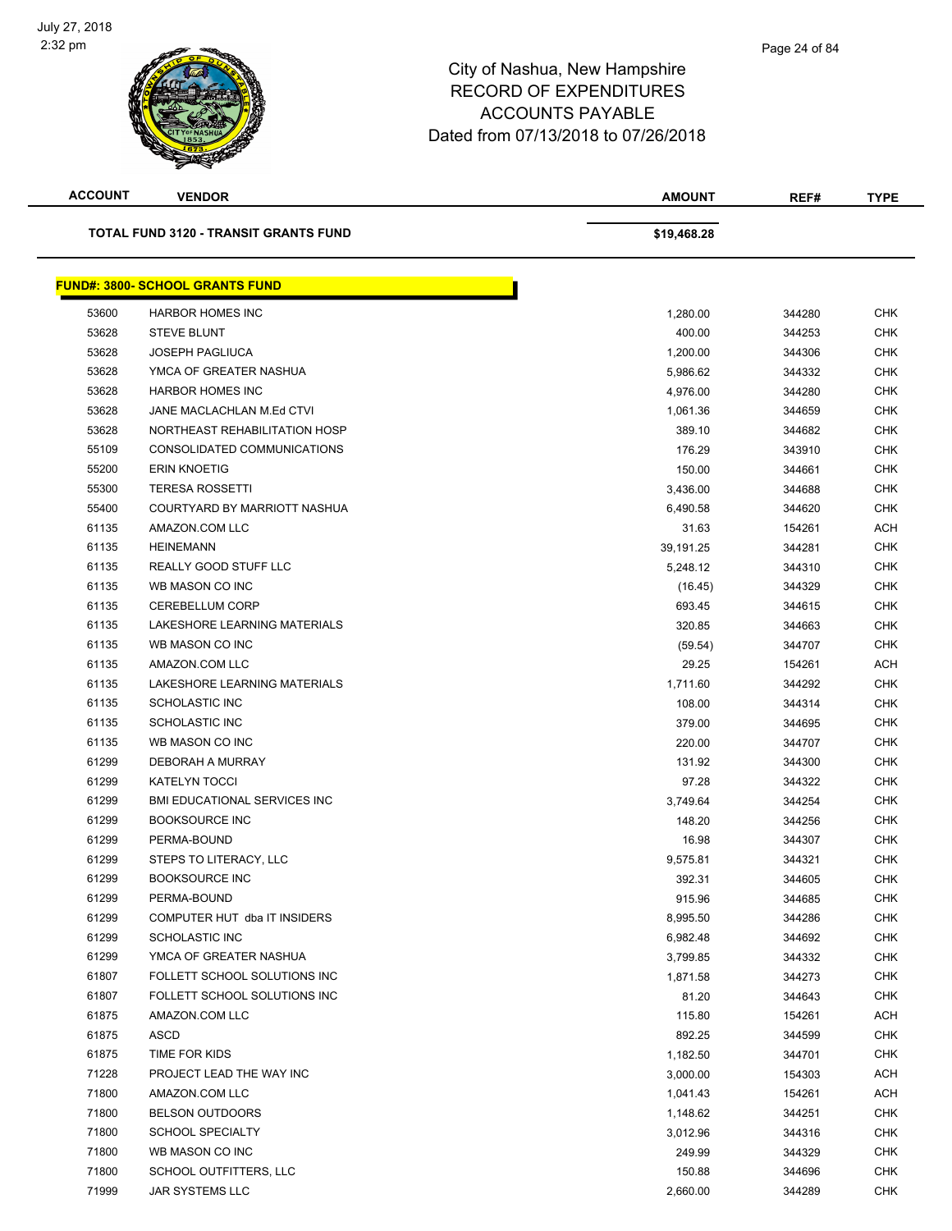| <b>ACCOUNT</b> | <b>VENDOR</b>                                | <b>AMOUNT</b> | REF#   | <b>TYPE</b> |
|----------------|----------------------------------------------|---------------|--------|-------------|
|                | <b>TOTAL FUND 3120 - TRANSIT GRANTS FUND</b> | \$19,468.28   |        |             |
|                | <b>FUND#: 3800- SCHOOL GRANTS FUND</b>       |               |        |             |
| 53600          | <b>HARBOR HOMES INC</b>                      | 1,280.00      | 344280 | <b>CHK</b>  |
| 53628          | <b>STEVE BLUNT</b>                           | 400.00        | 344253 | <b>CHK</b>  |
| 53628          | <b>JOSEPH PAGLIUCA</b>                       | 1,200.00      | 344306 | <b>CHK</b>  |
| 53628          | YMCA OF GREATER NASHUA                       | 5,986.62      | 344332 | <b>CHK</b>  |
| 53628          | <b>HARBOR HOMES INC</b>                      | 4,976.00      | 344280 | <b>CHK</b>  |
| 53628          | JANE MACLACHLAN M.Ed CTVI                    | 1,061.36      | 344659 | <b>CHK</b>  |
| 53628          | NORTHEAST REHABILITATION HOSP                | 389.10        | 344682 | <b>CHK</b>  |
| 55109          | CONSOLIDATED COMMUNICATIONS                  | 176.29        | 343910 | <b>CHK</b>  |
| 55200          | <b>ERIN KNOETIG</b>                          | 150.00        | 344661 | <b>CHK</b>  |
| 55300          | <b>TERESA ROSSETTI</b>                       | 3,436.00      | 344688 | <b>CHK</b>  |
| 55400          | COURTYARD BY MARRIOTT NASHUA                 | 6,490.58      | 344620 | <b>CHK</b>  |
| 61135          | AMAZON.COM LLC                               | 31.63         | 154261 | ACH         |
| 61135          | <b>HEINEMANN</b>                             | 39,191.25     | 344281 | <b>CHK</b>  |
| 61135          | REALLY GOOD STUFF LLC                        | 5,248.12      | 344310 | <b>CHK</b>  |
| 61135          | WB MASON CO INC                              | (16.45)       | 344329 | <b>CHK</b>  |
| 61135          | <b>CEREBELLUM CORP</b>                       | 693.45        | 344615 | <b>CHK</b>  |
| 61135          | LAKESHORE LEARNING MATERIALS                 | 320.85        | 344663 | <b>CHK</b>  |
| 61135          | WB MASON CO INC                              | (59.54)       | 344707 | <b>CHK</b>  |
| 61135          | AMAZON.COM LLC                               | 29.25         | 154261 | ACH         |
| 61135          | LAKESHORE LEARNING MATERIALS                 | 1,711.60      | 344292 | <b>CHK</b>  |
| 61135          | <b>SCHOLASTIC INC</b>                        | 108.00        | 344314 | <b>CHK</b>  |
| 61135          | <b>SCHOLASTIC INC</b>                        | 379.00        | 344695 | <b>CHK</b>  |
| 61135          | WB MASON CO INC                              | 220.00        | 344707 | <b>CHK</b>  |
| 61299          | DEBORAH A MURRAY                             | 131.92        | 344300 | <b>CHK</b>  |
| 61299          | <b>KATELYN TOCCI</b>                         | 97.28         | 344322 | <b>CHK</b>  |
| 61299          | <b>BMI EDUCATIONAL SERVICES INC</b>          | 3,749.64      | 344254 | <b>CHK</b>  |
| 61299          | <b>BOOKSOURCE INC</b>                        | 148.20        | 344256 | <b>CHK</b>  |
| 61299          | PERMA-BOUND                                  | 16.98         | 344307 | CHK         |
| 61299          | STEPS TO LITERACY, LLC                       | 9,575.81      | 344321 | <b>CHK</b>  |
| 61299          | <b>BOOKSOURCE INC</b>                        | 392.31        | 344605 | <b>CHK</b>  |
| 61299          | PERMA-BOUND                                  | 915.96        | 344685 | <b>CHK</b>  |
| 61299          | COMPUTER HUT dba IT INSIDERS                 | 8,995.50      | 344286 | <b>CHK</b>  |
| 61299          | SCHOLASTIC INC                               | 6,982.48      | 344692 | <b>CHK</b>  |
| 61299          | YMCA OF GREATER NASHUA                       | 3,799.85      | 344332 | <b>CHK</b>  |
| 61807          | FOLLETT SCHOOL SOLUTIONS INC                 | 1,871.58      | 344273 | <b>CHK</b>  |
| 61807          | FOLLETT SCHOOL SOLUTIONS INC                 | 81.20         | 344643 | <b>CHK</b>  |
| 61875          | AMAZON.COM LLC                               | 115.80        | 154261 | ACH         |
| 61875          | ASCD                                         | 892.25        | 344599 | <b>CHK</b>  |
| 61875          | TIME FOR KIDS                                | 1,182.50      | 344701 | <b>CHK</b>  |
| 71228          | PROJECT LEAD THE WAY INC                     | 3,000.00      | 154303 | ACH         |
| 71800          | AMAZON.COM LLC                               | 1,041.43      | 154261 | ACH         |
| 71800          | <b>BELSON OUTDOORS</b>                       | 1,148.62      | 344251 | CHK         |
| 71800          | <b>SCHOOL SPECIALTY</b>                      | 3,012.96      | 344316 | <b>CHK</b>  |
| 71800          | WB MASON CO INC                              | 249.99        | 344329 | <b>CHK</b>  |
| 71800          | SCHOOL OUTFITTERS, LLC                       | 150.88        | 344696 | <b>CHK</b>  |
| 71999          | JAR SYSTEMS LLC                              | 2,660.00      | 344289 | <b>CHK</b>  |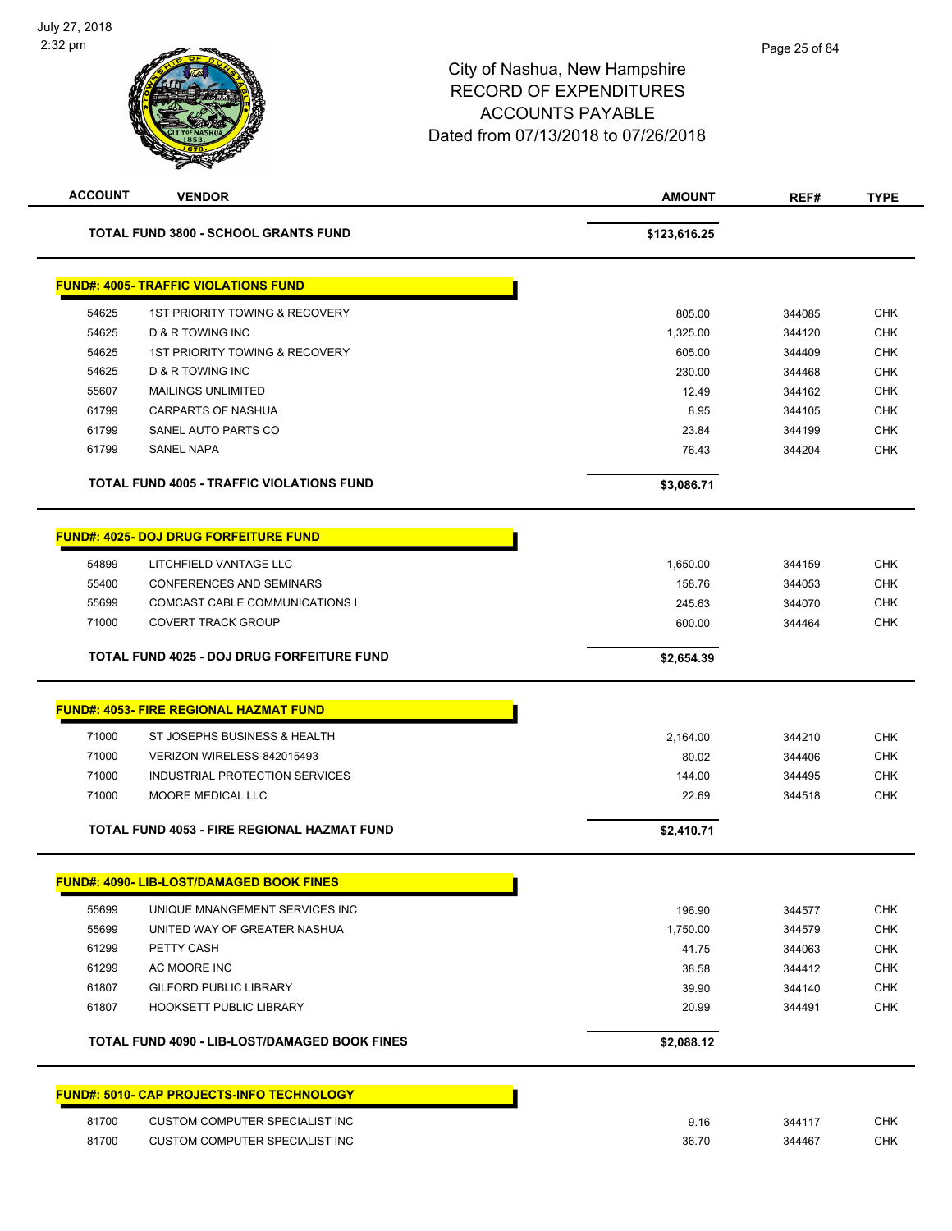| <b>ACCOUNT</b> | <b>VENDOR</b>                                    | <b>AMOUNT</b> | REF#   | <b>TYPE</b> |
|----------------|--------------------------------------------------|---------------|--------|-------------|
|                | <b>TOTAL FUND 3800 - SCHOOL GRANTS FUND</b>      | \$123,616.25  |        |             |
|                | <b>FUND#: 4005- TRAFFIC VIOLATIONS FUND</b>      |               |        |             |
| 54625          | <b>1ST PRIORITY TOWING &amp; RECOVERY</b>        | 805.00        | 344085 | <b>CHK</b>  |
| 54625          | D & R TOWING INC                                 | 1,325.00      | 344120 | <b>CHK</b>  |
| 54625          | <b>1ST PRIORITY TOWING &amp; RECOVERY</b>        | 605.00        | 344409 | <b>CHK</b>  |
| 54625          | D & R TOWING INC                                 | 230.00        | 344468 | <b>CHK</b>  |
| 55607          | <b>MAILINGS UNLIMITED</b>                        | 12.49         | 344162 | <b>CHK</b>  |
| 61799          | <b>CARPARTS OF NASHUA</b>                        | 8.95          | 344105 | <b>CHK</b>  |
| 61799          | SANEL AUTO PARTS CO                              | 23.84         | 344199 | CHK         |
| 61799          | <b>SANEL NAPA</b>                                | 76.43         | 344204 | <b>CHK</b>  |
|                | <b>TOTAL FUND 4005 - TRAFFIC VIOLATIONS FUND</b> | \$3,086.71    |        |             |
|                | <b>FUND#: 4025- DOJ DRUG FORFEITURE FUND</b>     |               |        |             |
| 54899          | LITCHFIELD VANTAGE LLC                           | 1,650.00      | 344159 | <b>CHK</b>  |
| 55400          | <b>CONFERENCES AND SEMINARS</b>                  | 158.76        | 344053 | <b>CHK</b>  |
| 55699          | COMCAST CABLE COMMUNICATIONS I                   | 245.63        | 344070 | <b>CHK</b>  |
| 71000          | <b>COVERT TRACK GROUP</b>                        | 600.00        | 344464 | <b>CHK</b>  |
|                | TOTAL FUND 4025 - DOJ DRUG FORFEITURE FUND       | \$2,654.39    |        |             |
|                | <b>FUND#: 4053- FIRE REGIONAL HAZMAT FUND</b>    |               |        |             |
| 71000          | ST JOSEPHS BUSINESS & HEALTH                     | 2,164.00      | 344210 | <b>CHK</b>  |
| 71000          | VERIZON WIRELESS-842015493                       | 80.02         | 344406 | <b>CHK</b>  |
| 71000          | INDUSTRIAL PROTECTION SERVICES                   | 144.00        | 344495 | <b>CHK</b>  |
| 71000          | MOORE MEDICAL LLC                                | 22.69         | 344518 | <b>CHK</b>  |
|                |                                                  |               |        |             |
|                | TOTAL FUND 4053 - FIRE REGIONAL HAZMAT FUND      | \$2,410.71    |        |             |
|                | FUND#: 4090- LIB-LOST/DAMAGED BOOK FINES         |               |        |             |
| 55699          | UNIQUE MNANGEMENT SERVICES INC                   | 196.90        | 344577 | <b>CHK</b>  |
| 55699          | UNITED WAY OF GREATER NASHUA                     | 1,750.00      | 344579 | <b>CHK</b>  |
| 61299          | PETTY CASH                                       | 41.75         | 344063 | <b>CHK</b>  |
| 61299          | AC MOORE INC                                     | 38.58         | 344412 | <b>CHK</b>  |
| 61807          | <b>GILFORD PUBLIC LIBRARY</b>                    | 39.90         | 344140 | <b>CHK</b>  |
| 61807          | HOOKSETT PUBLIC LIBRARY                          | 20.99         | 344491 | <b>CHK</b>  |
|                | TOTAL FUND 4090 - LIB-LOST/DAMAGED BOOK FINES    | \$2,088.12    |        |             |
|                | <b>FUND#: 5010- CAP PROJECTS-INFO TECHNOLOGY</b> |               |        |             |
| 81700          | <b>CUSTOM COMPUTER SPECIALIST INC</b>            | 9.16          | 344117 | <b>CHK</b>  |
| 81700          | <b>CUSTOM COMPUTER SPECIALIST INC</b>            | 36.70         | 344467 | <b>CHK</b>  |
|                |                                                  |               |        |             |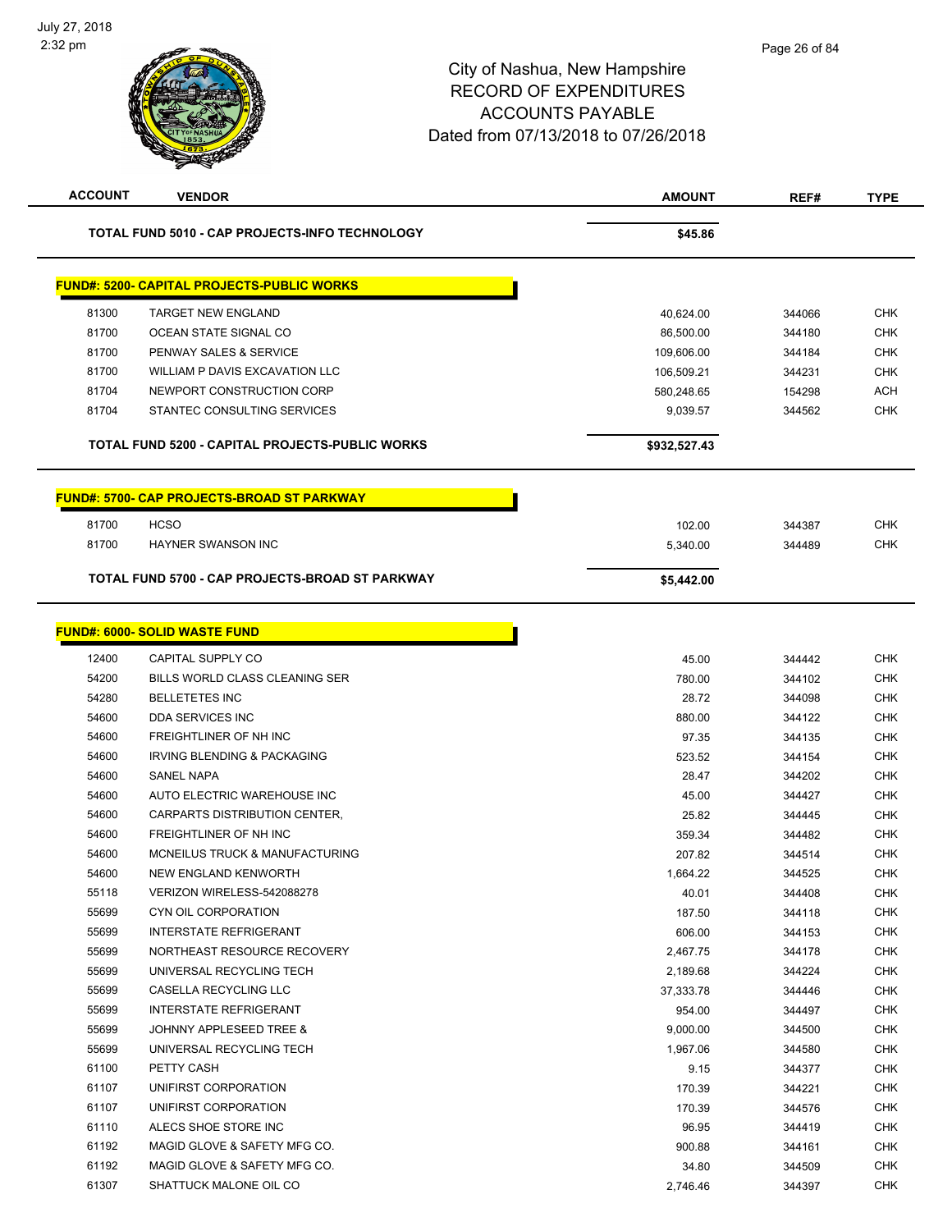| <b>ACCOUNT</b> | <b>VENDOR</b>                                     | <b>AMOUNT</b> | REF#   | <b>TYPE</b> |
|----------------|---------------------------------------------------|---------------|--------|-------------|
|                | TOTAL FUND 5010 - CAP PROJECTS-INFO TECHNOLOGY    | \$45.86       |        |             |
|                | <b>FUND#: 5200- CAPITAL PROJECTS-PUBLIC WORKS</b> |               |        |             |
| 81300          | <b>TARGET NEW ENGLAND</b>                         | 40,624.00     | 344066 | <b>CHK</b>  |
| 81700          | OCEAN STATE SIGNAL CO                             | 86,500.00     | 344180 | <b>CHK</b>  |
| 81700          | PENWAY SALES & SERVICE                            | 109,606.00    | 344184 | <b>CHK</b>  |
| 81700          | WILLIAM P DAVIS EXCAVATION LLC                    | 106,509.21    | 344231 | <b>CHK</b>  |
| 81704          | NEWPORT CONSTRUCTION CORP                         | 580,248.65    | 154298 | <b>ACH</b>  |
| 81704          | STANTEC CONSULTING SERVICES                       | 9,039.57      | 344562 | <b>CHK</b>  |
|                | TOTAL FUND 5200 - CAPITAL PROJECTS-PUBLIC WORKS   | \$932,527.43  |        |             |
|                |                                                   |               |        |             |
|                | <b>FUND#: 5700- CAP PROJECTS-BROAD ST PARKWAY</b> |               |        |             |
| 81700          | <b>HCSO</b>                                       | 102.00        | 344387 | <b>CHK</b>  |
| 81700          | <b>HAYNER SWANSON INC</b>                         | 5,340.00      | 344489 | <b>CHK</b>  |
|                | TOTAL FUND 5700 - CAP PROJECTS-BROAD ST PARKWAY   | \$5,442.00    |        |             |
|                |                                                   |               |        |             |
|                | <b>FUND#: 6000- SOLID WASTE FUND</b>              |               |        |             |
| 12400          | CAPITAL SUPPLY CO                                 | 45.00         | 344442 | <b>CHK</b>  |
| 54200          | BILLS WORLD CLASS CLEANING SER                    | 780.00        | 344102 | <b>CHK</b>  |
| 54280          | <b>BELLETETES INC</b>                             | 28.72         | 344098 | <b>CHK</b>  |
| 54600          | DDA SERVICES INC                                  | 880.00        | 344122 | <b>CHK</b>  |
| 54600          | FREIGHTLINER OF NH INC                            | 97.35         | 344135 | <b>CHK</b>  |
| 54600          | IRVING BLENDING & PACKAGING                       | 523.52        | 344154 | <b>CHK</b>  |
| 54600          | <b>SANEL NAPA</b>                                 | 28.47         | 344202 | <b>CHK</b>  |
| 54600          | AUTO ELECTRIC WAREHOUSE INC                       | 45.00         | 344427 | <b>CHK</b>  |
| 54600          | CARPARTS DISTRIBUTION CENTER,                     | 25.82         | 344445 | <b>CHK</b>  |
| 54600          | FREIGHTLINER OF NH INC                            | 359.34        | 344482 | <b>CHK</b>  |
| 54600          | <b>MCNEILUS TRUCK &amp; MANUFACTURING</b>         | 207.82        | 344514 | <b>CHK</b>  |
| 54600          | NEW ENGLAND KENWORTH                              | 1,664.22      | 344525 | <b>CHK</b>  |
| 55118          | VERIZON WIRELESS-542088278                        | 40.01         | 344408 | <b>CHK</b>  |
| 55699          | <b>CYN OIL CORPORATION</b>                        | 187.50        | 344118 | <b>CHK</b>  |
| 55699          | <b>INTERSTATE REFRIGERANT</b>                     | 606.00        | 344153 | <b>CHK</b>  |
| 55699          | NORTHEAST RESOURCE RECOVERY                       | 2,467.75      | 344178 | <b>CHK</b>  |
| 55699          | UNIVERSAL RECYCLING TECH                          | 2,189.68      | 344224 | <b>CHK</b>  |
| 55699          | CASELLA RECYCLING LLC                             | 37,333.78     | 344446 | <b>CHK</b>  |
| 55699          | <b>INTERSTATE REFRIGERANT</b>                     | 954.00        | 344497 | <b>CHK</b>  |
| 55699          | JOHNNY APPLESEED TREE &                           | 9,000.00      | 344500 | <b>CHK</b>  |
| 55699          | UNIVERSAL RECYCLING TECH                          | 1,967.06      | 344580 | <b>CHK</b>  |
| 61100          | PETTY CASH                                        | 9.15          | 344377 | <b>CHK</b>  |
| 61107          | UNIFIRST CORPORATION                              | 170.39        | 344221 | <b>CHK</b>  |
| 61107          | UNIFIRST CORPORATION                              | 170.39        | 344576 | <b>CHK</b>  |
| 61110          | ALECS SHOE STORE INC                              | 96.95         | 344419 | <b>CHK</b>  |
| 61192          | MAGID GLOVE & SAFETY MFG CO.                      | 900.88        | 344161 | <b>CHK</b>  |
| 61192          | MAGID GLOVE & SAFETY MFG CO.                      | 34.80         | 344509 | <b>CHK</b>  |
| 61307          | SHATTUCK MALONE OIL CO                            | 2,746.46      | 344397 | <b>CHK</b>  |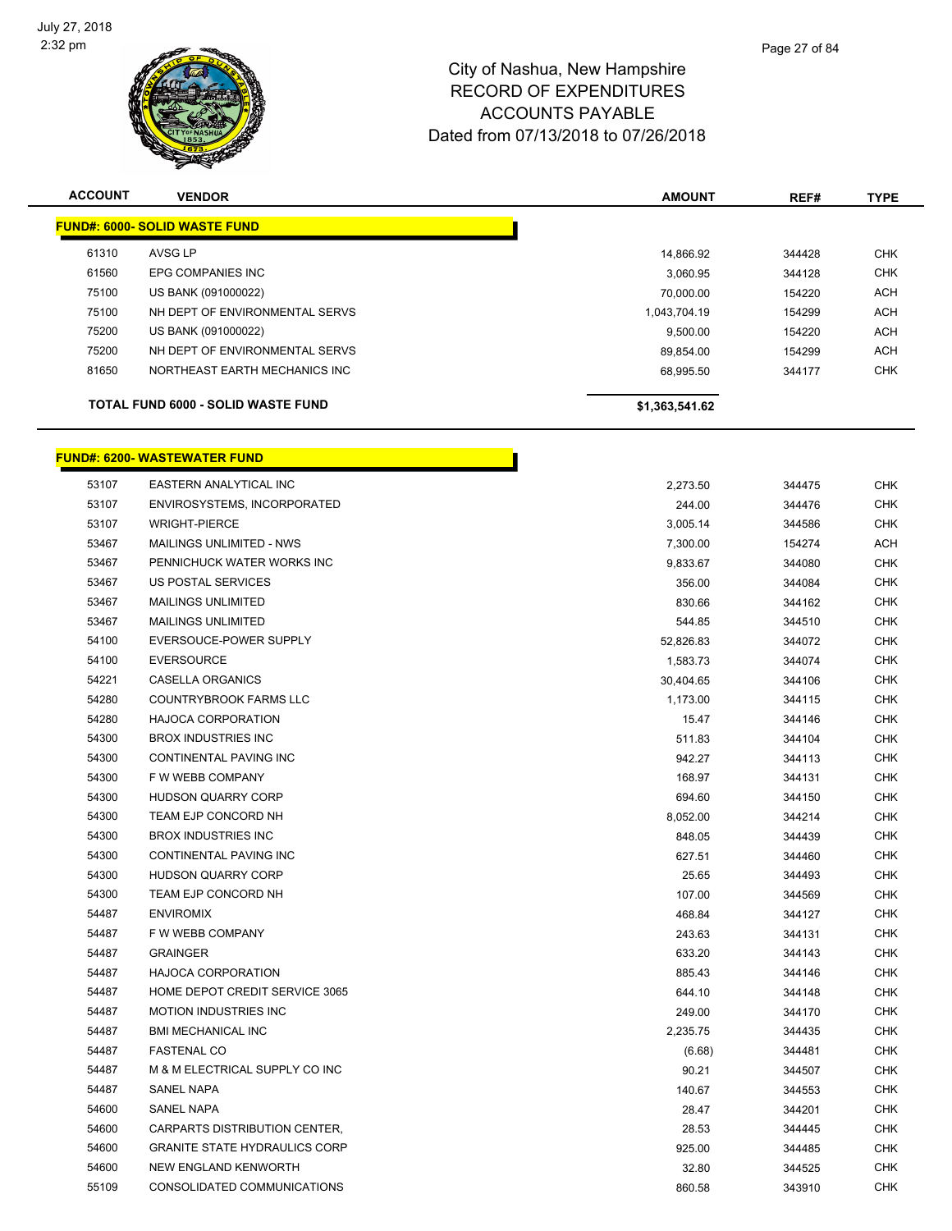

| <b>ACCOUNT</b> | <b>VENDOR</b>                             | <b>AMOUNT</b>  | REF#   | <b>TYPE</b> |
|----------------|-------------------------------------------|----------------|--------|-------------|
|                | <b>FUND#: 6000- SOLID WASTE FUND</b>      |                |        |             |
| 61310          | AVSG LP                                   | 14,866.92      | 344428 | <b>CHK</b>  |
| 61560          | <b>EPG COMPANIES INC</b>                  | 3,060.95       | 344128 | <b>CHK</b>  |
| 75100          | US BANK (091000022)                       | 70,000.00      | 154220 | <b>ACH</b>  |
| 75100          | NH DEPT OF ENVIRONMENTAL SERVS            | 1,043,704.19   | 154299 | <b>ACH</b>  |
| 75200          | US BANK (091000022)                       | 9,500.00       | 154220 | <b>ACH</b>  |
| 75200          | NH DEPT OF ENVIRONMENTAL SERVS            | 89,854.00      | 154299 | <b>ACH</b>  |
| 81650          | NORTHEAST EARTH MECHANICS INC             | 68,995.50      | 344177 | <b>CHK</b>  |
|                | <b>TOTAL FUND 6000 - SOLID WASTE FUND</b> | \$1,363,541.62 |        |             |
|                | <b>FUND#: 6200- WASTEWATER FUND</b>       |                |        |             |
| 53107          | EASTERN ANALYTICAL INC                    | 2,273.50       | 344475 | <b>CHK</b>  |
| 53107          | ENVIROSYSTEMS. INCORPORATED               | 244.00         | 344476 | <b>CHK</b>  |

|       |                                      | 4, 4, 0.00 |        | ----       |
|-------|--------------------------------------|------------|--------|------------|
| 53107 | ENVIROSYSTEMS, INCORPORATED          | 244.00     | 344476 | CHK        |
| 53107 | <b>WRIGHT-PIERCE</b>                 | 3,005.14   | 344586 | <b>CHK</b> |
| 53467 | MAILINGS UNLIMITED - NWS             | 7,300.00   | 154274 | ACH        |
| 53467 | PENNICHUCK WATER WORKS INC           | 9,833.67   | 344080 | CHK        |
| 53467 | US POSTAL SERVICES                   | 356.00     | 344084 | CHK        |
| 53467 | <b>MAILINGS UNLIMITED</b>            | 830.66     | 344162 | CHK        |
| 53467 | <b>MAILINGS UNLIMITED</b>            | 544.85     | 344510 | <b>CHK</b> |
| 54100 | EVERSOUCE-POWER SUPPLY               | 52,826.83  | 344072 | CHK        |
| 54100 | EVERSOURCE                           | 1,583.73   | 344074 | <b>CHK</b> |
| 54221 | CASELLA ORGANICS                     | 30,404.65  | 344106 | <b>CHK</b> |
| 54280 | COUNTRYBROOK FARMS LLC               | 1,173.00   | 344115 | <b>CHK</b> |
| 54280 | <b>HAJOCA CORPORATION</b>            | 15.47      | 344146 | <b>CHK</b> |
| 54300 | <b>BROX INDUSTRIES INC</b>           | 511.83     | 344104 | <b>CHK</b> |
| 54300 | CONTINENTAL PAVING INC               | 942.27     | 344113 | <b>CHK</b> |
| 54300 | F W WEBB COMPANY                     | 168.97     | 344131 | CHK        |
| 54300 | <b>HUDSON QUARRY CORP</b>            | 694.60     | 344150 | <b>CHK</b> |
| 54300 | TEAM EJP CONCORD NH                  | 8,052.00   | 344214 | <b>CHK</b> |
| 54300 | <b>BROX INDUSTRIES INC</b>           | 848.05     | 344439 | <b>CHK</b> |
| 54300 | CONTINENTAL PAVING INC               | 627.51     | 344460 | <b>CHK</b> |
| 54300 | HUDSON QUARRY CORP                   | 25.65      | 344493 | <b>CHK</b> |
| 54300 | TEAM EJP CONCORD NH                  | 107.00     | 344569 | <b>CHK</b> |
| 54487 | <b>ENVIROMIX</b>                     | 468.84     | 344127 | <b>CHK</b> |
| 54487 | F W WEBB COMPANY                     | 243.63     | 344131 | <b>CHK</b> |
| 54487 | <b>GRAINGER</b>                      | 633.20     | 344143 | <b>CHK</b> |
| 54487 | <b>HAJOCA CORPORATION</b>            | 885.43     | 344146 | <b>CHK</b> |
| 54487 | HOME DEPOT CREDIT SERVICE 3065       | 644.10     | 344148 | CHK        |
| 54487 | <b>MOTION INDUSTRIES INC</b>         | 249.00     | 344170 | <b>CHK</b> |
| 54487 | <b>BMI MECHANICAL INC</b>            | 2,235.75   | 344435 | CHK        |
| 54487 | <b>FASTENAL CO</b>                   | (6.68)     | 344481 | <b>CHK</b> |
| 54487 | M & M ELECTRICAL SUPPLY CO INC       | 90.21      | 344507 | <b>CHK</b> |
| 54487 | SANEL NAPA                           | 140.67     | 344553 | <b>CHK</b> |
| 54600 | <b>SANEL NAPA</b>                    | 28.47      | 344201 | CHK        |
| 54600 | CARPARTS DISTRIBUTION CENTER,        | 28.53      | 344445 | <b>CHK</b> |
| 54600 | <b>GRANITE STATE HYDRAULICS CORP</b> | 925.00     | 344485 | <b>CHK</b> |
| 54600 | NEW ENGLAND KENWORTH                 | 32.80      | 344525 | CHK        |
| 55109 | CONSOLIDATED COMMUNICATIONS          | 860.58     | 343910 | <b>CHK</b> |
|       |                                      |            |        |            |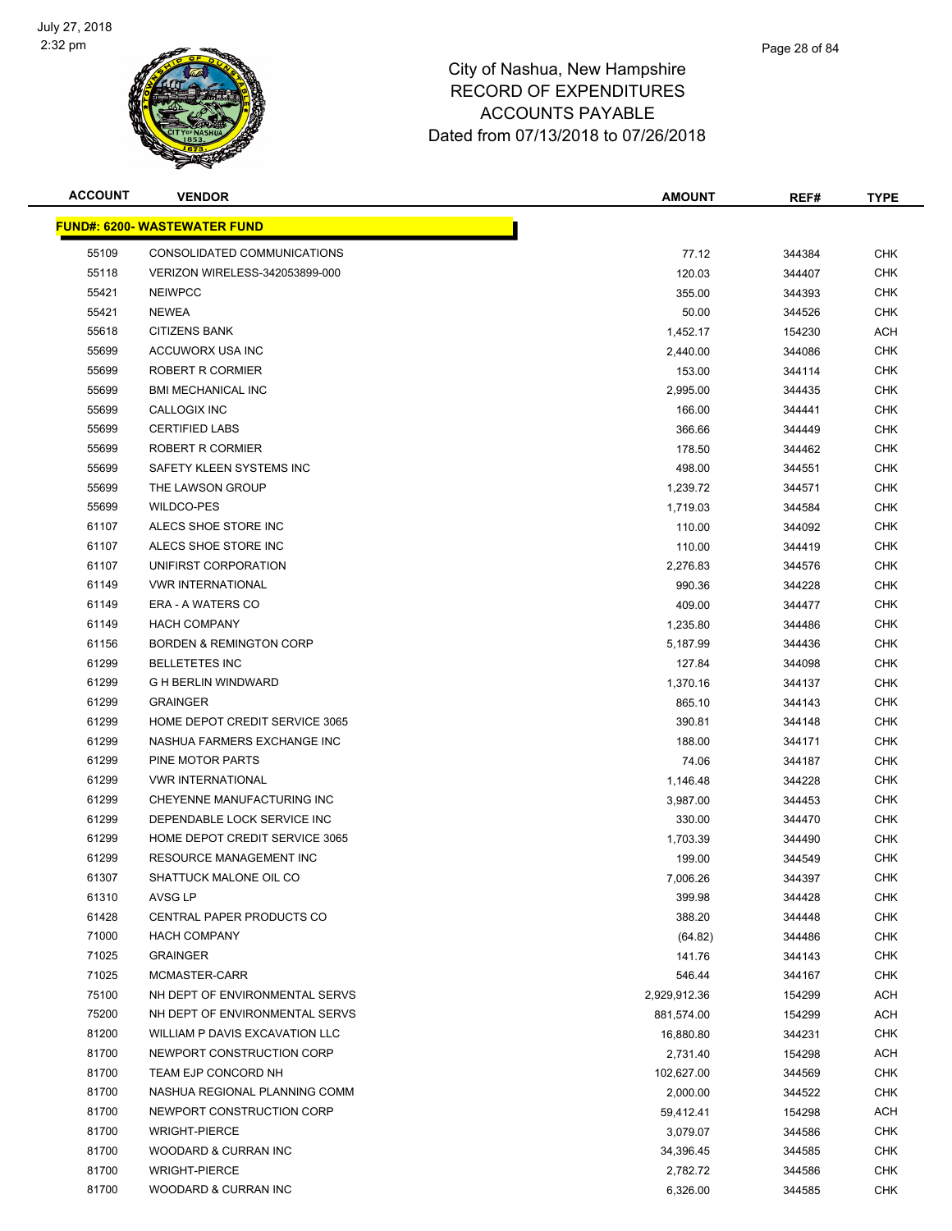

| <b>ACCOUNT</b> | <b>VENDOR</b>                       | <b>AMOUNT</b> | REF#   | <b>TYPE</b> |
|----------------|-------------------------------------|---------------|--------|-------------|
|                | <b>FUND#: 6200- WASTEWATER FUND</b> |               |        |             |
| 55109          | CONSOLIDATED COMMUNICATIONS         | 77.12         | 344384 | <b>CHK</b>  |
| 55118          | VERIZON WIRELESS-342053899-000      | 120.03        | 344407 | <b>CHK</b>  |
| 55421          | <b>NEIWPCC</b>                      | 355.00        | 344393 | <b>CHK</b>  |
| 55421          | <b>NEWEA</b>                        | 50.00         | 344526 | <b>CHK</b>  |
| 55618          | <b>CITIZENS BANK</b>                | 1,452.17      | 154230 | ACH         |
| 55699          | ACCUWORX USA INC                    | 2,440.00      | 344086 | <b>CHK</b>  |
| 55699          | ROBERT R CORMIER                    | 153.00        | 344114 | <b>CHK</b>  |
| 55699          | <b>BMI MECHANICAL INC</b>           | 2,995.00      | 344435 | <b>CHK</b>  |
| 55699          | CALLOGIX INC                        | 166.00        | 344441 | CHK         |
| 55699          | <b>CERTIFIED LABS</b>               | 366.66        | 344449 | <b>CHK</b>  |
| 55699          | ROBERT R CORMIER                    | 178.50        | 344462 | <b>CHK</b>  |
| 55699          | SAFETY KLEEN SYSTEMS INC            | 498.00        | 344551 | <b>CHK</b>  |
| 55699          | THE LAWSON GROUP                    | 1,239.72      | 344571 | CHK         |
| 55699          | WILDCO-PES                          | 1,719.03      | 344584 | <b>CHK</b>  |
| 61107          | ALECS SHOE STORE INC                | 110.00        | 344092 | CHK         |
| 61107          | ALECS SHOE STORE INC                | 110.00        | 344419 | <b>CHK</b>  |
| 61107          | UNIFIRST CORPORATION                | 2,276.83      | 344576 | <b>CHK</b>  |
| 61149          | <b>VWR INTERNATIONAL</b>            | 990.36        | 344228 | <b>CHK</b>  |
| 61149          | <b>ERA - A WATERS CO</b>            | 409.00        | 344477 | <b>CHK</b>  |
| 61149          | <b>HACH COMPANY</b>                 | 1,235.80      | 344486 | <b>CHK</b>  |
| 61156          | <b>BORDEN &amp; REMINGTON CORP</b>  | 5,187.99      | 344436 | <b>CHK</b>  |
| 61299          | <b>BELLETETES INC</b>               | 127.84        | 344098 | <b>CHK</b>  |
| 61299          | <b>G H BERLIN WINDWARD</b>          | 1,370.16      | 344137 | <b>CHK</b>  |
| 61299          | <b>GRAINGER</b>                     | 865.10        | 344143 | <b>CHK</b>  |
| 61299          | HOME DEPOT CREDIT SERVICE 3065      | 390.81        | 344148 | <b>CHK</b>  |
| 61299          | NASHUA FARMERS EXCHANGE INC         | 188.00        | 344171 | <b>CHK</b>  |
| 61299          | PINE MOTOR PARTS                    | 74.06         | 344187 | <b>CHK</b>  |
| 61299          | <b>VWR INTERNATIONAL</b>            | 1,146.48      | 344228 | <b>CHK</b>  |
| 61299          | CHEYENNE MANUFACTURING INC          | 3,987.00      | 344453 | <b>CHK</b>  |
| 61299          | DEPENDABLE LOCK SERVICE INC         | 330.00        | 344470 | <b>CHK</b>  |
| 61299          | HOME DEPOT CREDIT SERVICE 3065      | 1,703.39      | 344490 | <b>CHK</b>  |
| 61299          | RESOURCE MANAGEMENT INC             | 199.00        | 344549 | <b>CHK</b>  |
| 61307          | SHATTUCK MALONE OIL CO              | 7,006.26      | 344397 | <b>CHK</b>  |
| 61310          | AVSG LP                             | 399.98        | 344428 | <b>CHK</b>  |
| 61428          | <b>CENTRAL PAPER PRODUCTS CO</b>    | 388.20        | 344448 | <b>CHK</b>  |
| 71000          | <b>HACH COMPANY</b>                 | (64.82)       | 344486 | <b>CHK</b>  |
| 71025          | <b>GRAINGER</b>                     | 141.76        | 344143 | <b>CHK</b>  |
| 71025          | MCMASTER-CARR                       | 546.44        | 344167 | <b>CHK</b>  |
| 75100          | NH DEPT OF ENVIRONMENTAL SERVS      | 2,929,912.36  | 154299 | ACH         |
| 75200          | NH DEPT OF ENVIRONMENTAL SERVS      | 881,574.00    | 154299 | <b>ACH</b>  |
| 81200          | WILLIAM P DAVIS EXCAVATION LLC      | 16,880.80     | 344231 | <b>CHK</b>  |
| 81700          | NEWPORT CONSTRUCTION CORP           | 2,731.40      | 154298 | ACH         |
| 81700          | TEAM EJP CONCORD NH                 | 102,627.00    | 344569 | <b>CHK</b>  |
| 81700          | NASHUA REGIONAL PLANNING COMM       | 2,000.00      | 344522 | <b>CHK</b>  |
| 81700          | NEWPORT CONSTRUCTION CORP           | 59,412.41     | 154298 | ACH         |
| 81700          | <b>WRIGHT-PIERCE</b>                | 3,079.07      | 344586 | <b>CHK</b>  |
| 81700          | WOODARD & CURRAN INC                | 34,396.45     | 344585 | <b>CHK</b>  |
| 81700          | <b>WRIGHT-PIERCE</b>                | 2,782.72      | 344586 | <b>CHK</b>  |
| 81700          | WOODARD & CURRAN INC                | 6,326.00      | 344585 | <b>CHK</b>  |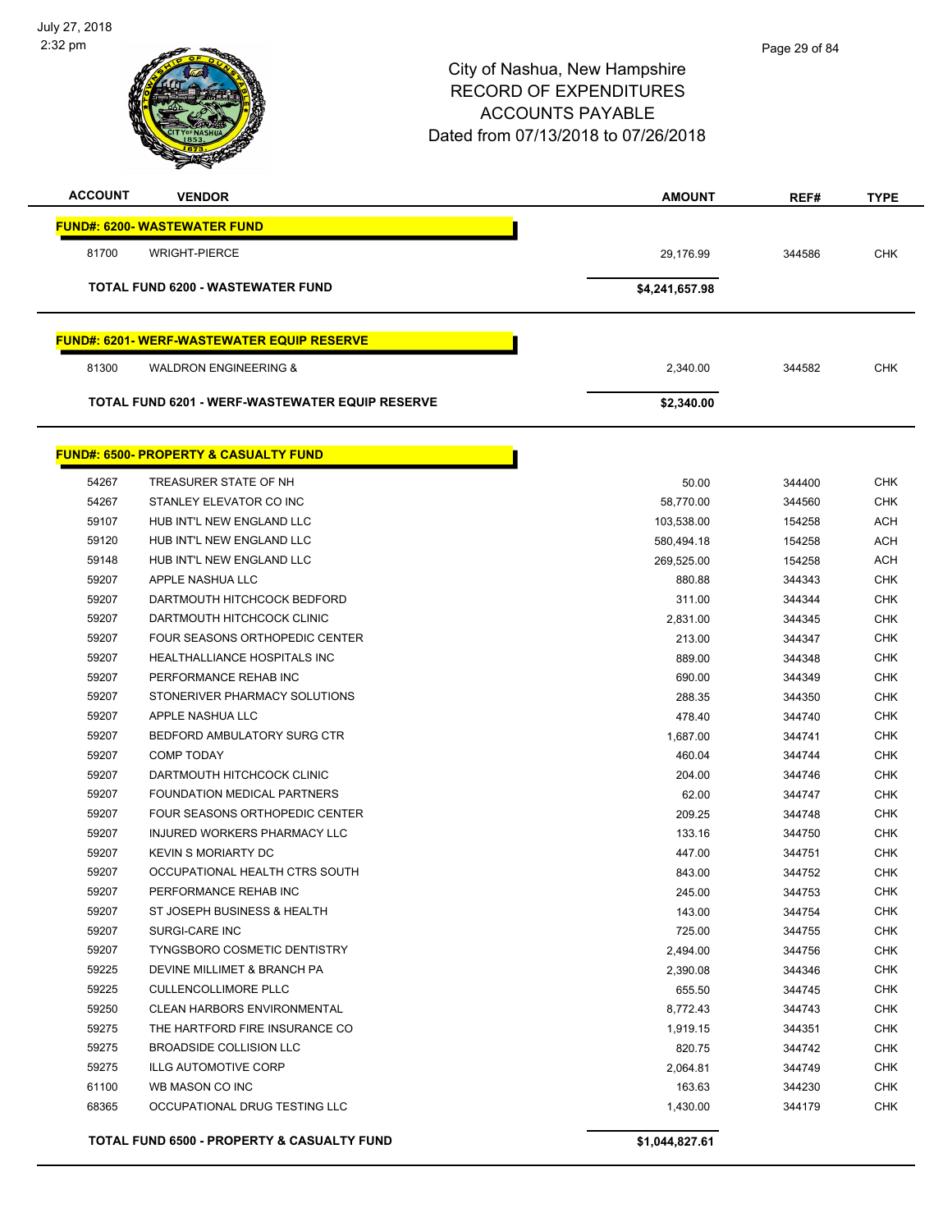

| <b>ACCOUNT</b> | <b>VENDOR</b>                                    | <b>AMOUNT</b>  | REF#   | <b>TYPE</b> |
|----------------|--------------------------------------------------|----------------|--------|-------------|
|                | <b>FUND#: 6200- WASTEWATER FUND</b>              |                |        |             |
| 81700          | <b>WRIGHT-PIERCE</b>                             | 29,176.99      | 344586 | <b>CHK</b>  |
|                | <b>TOTAL FUND 6200 - WASTEWATER FUND</b>         | \$4,241,657.98 |        |             |
|                | <b>FUND#: 6201-WERF-WASTEWATER EQUIP RESERVE</b> |                |        |             |
| 81300          | <b>WALDRON ENGINEERING &amp;</b>                 | 2.340.00       | 344582 | <b>CHK</b>  |
|                | TOTAL FUND 6201 - WERF-WASTEWATER EQUIP RESERVE  | \$2,340.00     |        |             |

|       | <u> FUND#: 6500- PROPERTY &amp; CASUALTY FUND</u>     |                |        |            |
|-------|-------------------------------------------------------|----------------|--------|------------|
| 54267 | TREASURER STATE OF NH                                 | 50.00          | 344400 | <b>CHK</b> |
| 54267 | STANLEY ELEVATOR CO INC                               | 58,770.00      | 344560 | <b>CHK</b> |
| 59107 | HUB INT'L NEW ENGLAND LLC                             | 103,538.00     | 154258 | <b>ACH</b> |
| 59120 | HUB INT'L NEW ENGLAND LLC                             | 580,494.18     | 154258 | <b>ACH</b> |
| 59148 | HUB INT'L NEW ENGLAND LLC                             | 269,525.00     | 154258 | <b>ACH</b> |
| 59207 | APPLE NASHUA LLC                                      | 880.88         | 344343 | <b>CHK</b> |
| 59207 | DARTMOUTH HITCHCOCK BEDFORD                           | 311.00         | 344344 | <b>CHK</b> |
| 59207 | DARTMOUTH HITCHCOCK CLINIC                            | 2,831.00       | 344345 | <b>CHK</b> |
| 59207 | FOUR SEASONS ORTHOPEDIC CENTER                        | 213.00         | 344347 | <b>CHK</b> |
| 59207 | HEALTHALLIANCE HOSPITALS INC                          | 889.00         | 344348 | <b>CHK</b> |
| 59207 | PERFORMANCE REHAB INC                                 | 690.00         | 344349 | <b>CHK</b> |
| 59207 | STONERIVER PHARMACY SOLUTIONS                         | 288.35         | 344350 | <b>CHK</b> |
| 59207 | APPLE NASHUA LLC                                      | 478.40         | 344740 | <b>CHK</b> |
| 59207 | BEDFORD AMBULATORY SURG CTR                           | 1,687.00       | 344741 | <b>CHK</b> |
| 59207 | <b>COMP TODAY</b>                                     | 460.04         | 344744 | <b>CHK</b> |
| 59207 | DARTMOUTH HITCHCOCK CLINIC                            | 204.00         | 344746 | <b>CHK</b> |
| 59207 | FOUNDATION MEDICAL PARTNERS                           | 62.00          | 344747 | CHK        |
| 59207 | <b>FOUR SEASONS ORTHOPEDIC CENTER</b>                 | 209.25         | 344748 | <b>CHK</b> |
| 59207 | <b>INJURED WORKERS PHARMACY LLC</b>                   | 133.16         | 344750 | <b>CHK</b> |
| 59207 | <b>KEVIN S MORIARTY DC</b>                            | 447.00         | 344751 | <b>CHK</b> |
| 59207 | OCCUPATIONAL HEALTH CTRS SOUTH                        | 843.00         | 344752 | <b>CHK</b> |
| 59207 | PERFORMANCE REHAB INC                                 | 245.00         | 344753 | <b>CHK</b> |
| 59207 | ST JOSEPH BUSINESS & HEALTH                           | 143.00         | 344754 | <b>CHK</b> |
| 59207 | <b>SURGI-CARE INC</b>                                 | 725.00         | 344755 | <b>CHK</b> |
| 59207 | <b>TYNGSBORO COSMETIC DENTISTRY</b>                   | 2,494.00       | 344756 | CHK        |
| 59225 | DEVINE MILLIMET & BRANCH PA                           | 2,390.08       | 344346 | <b>CHK</b> |
| 59225 | <b>CULLENCOLLIMORE PLLC</b>                           | 655.50         | 344745 | <b>CHK</b> |
| 59250 | <b>CLEAN HARBORS ENVIRONMENTAL</b>                    | 8,772.43       | 344743 | CHK        |
| 59275 | THE HARTFORD FIRE INSURANCE CO                        | 1,919.15       | 344351 | <b>CHK</b> |
| 59275 | <b>BROADSIDE COLLISION LLC</b>                        | 820.75         | 344742 | <b>CHK</b> |
| 59275 | <b>ILLG AUTOMOTIVE CORP</b>                           | 2,064.81       | 344749 | <b>CHK</b> |
| 61100 | WB MASON CO INC                                       | 163.63         | 344230 | <b>CHK</b> |
| 68365 | OCCUPATIONAL DRUG TESTING LLC                         | 1,430.00       | 344179 | <b>CHK</b> |
|       | <b>TOTAL FUND 6500 - PROPERTY &amp; CASUALTY FUND</b> | \$1,044,827.61 |        |            |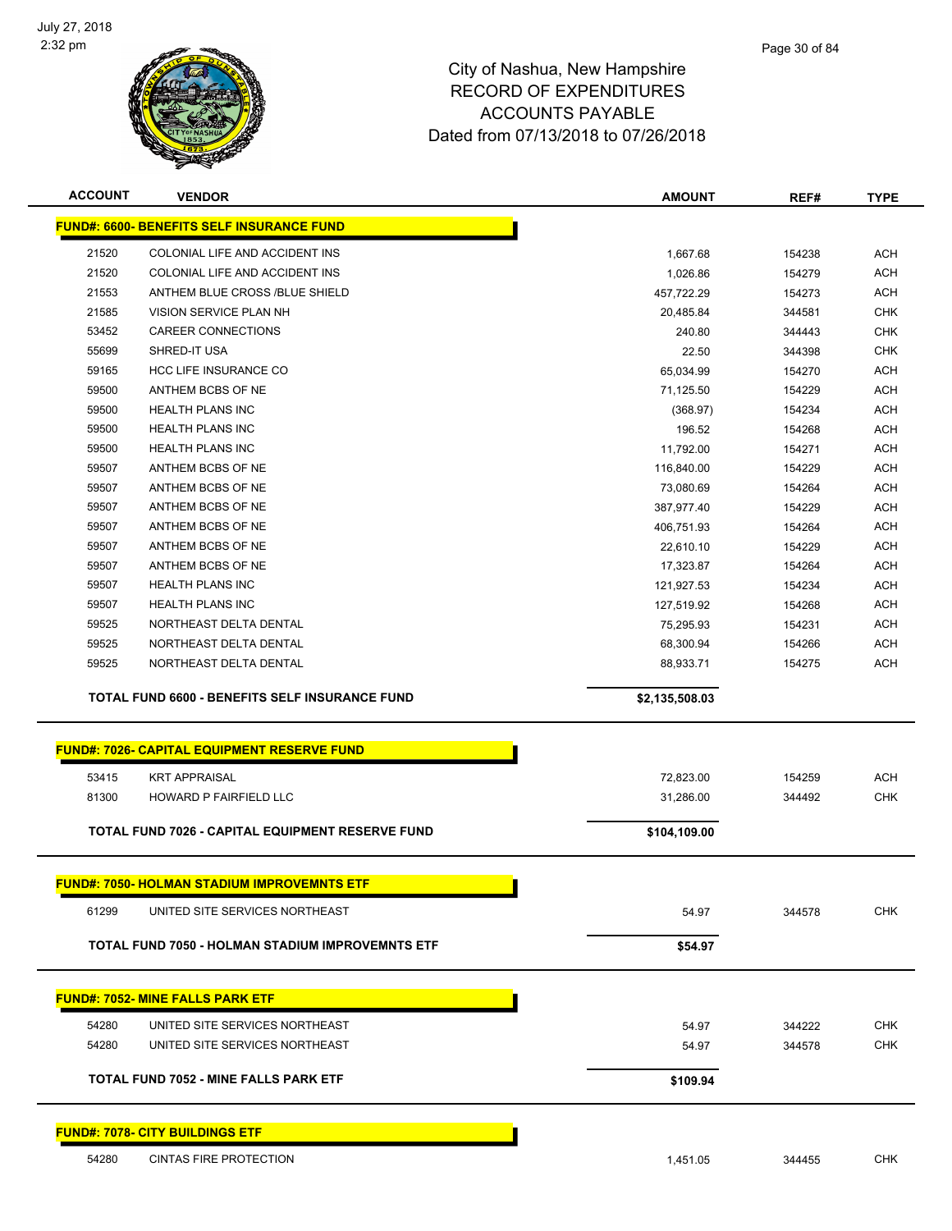

|       | <b>VENDOR</b>                                                           | <b>AMOUNT</b>  | REF#   | <b>TYPE</b> |
|-------|-------------------------------------------------------------------------|----------------|--------|-------------|
|       | <b>FUND#: 6600- BENEFITS SELF INSURANCE FUND</b>                        |                |        |             |
| 21520 | COLONIAL LIFE AND ACCIDENT INS                                          | 1,667.68       | 154238 | <b>ACH</b>  |
| 21520 | COLONIAL LIFE AND ACCIDENT INS                                          | 1,026.86       | 154279 | <b>ACH</b>  |
| 21553 | ANTHEM BLUE CROSS /BLUE SHIELD                                          | 457,722.29     | 154273 | <b>ACH</b>  |
| 21585 | VISION SERVICE PLAN NH                                                  | 20,485.84      | 344581 | <b>CHK</b>  |
| 53452 | <b>CAREER CONNECTIONS</b>                                               | 240.80         | 344443 | <b>CHK</b>  |
| 55699 | SHRED-IT USA                                                            | 22.50          | 344398 | <b>CHK</b>  |
| 59165 | <b>HCC LIFE INSURANCE CO</b>                                            | 65,034.99      | 154270 | <b>ACH</b>  |
| 59500 | ANTHEM BCBS OF NE                                                       | 71,125.50      | 154229 | <b>ACH</b>  |
| 59500 | <b>HEALTH PLANS INC</b>                                                 | (368.97)       | 154234 | <b>ACH</b>  |
| 59500 | <b>HEALTH PLANS INC</b>                                                 | 196.52         | 154268 | <b>ACH</b>  |
| 59500 | HEALTH PLANS INC                                                        | 11,792.00      | 154271 | <b>ACH</b>  |
| 59507 | ANTHEM BCBS OF NE                                                       | 116,840.00     | 154229 | <b>ACH</b>  |
| 59507 | ANTHEM BCBS OF NE                                                       | 73,080.69      | 154264 | <b>ACH</b>  |
| 59507 | ANTHEM BCBS OF NE                                                       | 387,977.40     | 154229 | <b>ACH</b>  |
| 59507 | ANTHEM BCBS OF NE                                                       | 406,751.93     | 154264 | <b>ACH</b>  |
| 59507 | ANTHEM BCBS OF NE                                                       | 22,610.10      | 154229 | <b>ACH</b>  |
| 59507 | ANTHEM BCBS OF NE                                                       | 17,323.87      | 154264 | <b>ACH</b>  |
| 59507 | <b>HEALTH PLANS INC</b>                                                 | 121,927.53     | 154234 | <b>ACH</b>  |
| 59507 | <b>HEALTH PLANS INC</b>                                                 | 127,519.92     | 154268 | <b>ACH</b>  |
| 59525 | NORTHEAST DELTA DENTAL                                                  | 75,295.93      | 154231 | <b>ACH</b>  |
| 59525 | NORTHEAST DELTA DENTAL                                                  | 68,300.94      | 154266 | <b>ACH</b>  |
| 59525 | NORTHEAST DELTA DENTAL                                                  | 88,933.71      | 154275 | <b>ACH</b>  |
|       | <b>TOTAL FUND 6600 - BENEFITS SELF INSURANCE FUND</b>                   | \$2,135,508.03 |        |             |
|       |                                                                         |                |        |             |
|       | <b>FUND#: 7026- CAPITAL EQUIPMENT RESERVE FUND</b>                      |                |        |             |
|       |                                                                         |                |        |             |
|       |                                                                         |                |        |             |
| 53415 | <b>KRT APPRAISAL</b>                                                    | 72,823.00      | 154259 | <b>ACH</b>  |
| 81300 | HOWARD P FAIRFIELD LLC                                                  | 31,286.00      | 344492 | <b>CHK</b>  |
|       | TOTAL FUND 7026 - CAPITAL EQUIPMENT RESERVE FUND                        | \$104,109.00   |        |             |
|       |                                                                         |                |        |             |
|       | <u>FUND#: 7050- HOLMAN STADIUM IMPROVEMNTS ETF</u>                      |                |        |             |
| 61299 | UNITED SITE SERVICES NORTHEAST                                          | 54.97          | 344578 | <b>CHK</b>  |
|       | <b>TOTAL FUND 7050 - HOLMAN STADIUM IMPROVEMNTS ETF</b>                 | \$54.97        |        |             |
|       |                                                                         |                |        |             |
|       | <b>FUND#: 7052- MINE FALLS PARK ETF</b>                                 |                |        |             |
| 54280 | UNITED SITE SERVICES NORTHEAST                                          | 54.97          | 344222 | <b>CHK</b>  |
| 54280 | UNITED SITE SERVICES NORTHEAST                                          | 54.97          | 344578 | <b>CHK</b>  |
|       |                                                                         |                |        |             |
|       | <b>TOTAL FUND 7052 - MINE FALLS PARK ETF</b>                            | \$109.94       |        |             |
|       |                                                                         |                |        |             |
| 54280 | <b>FUND#: 7078- CITY BUILDINGS ETF</b><br><b>CINTAS FIRE PROTECTION</b> | 1,451.05       | 344455 | <b>CHK</b>  |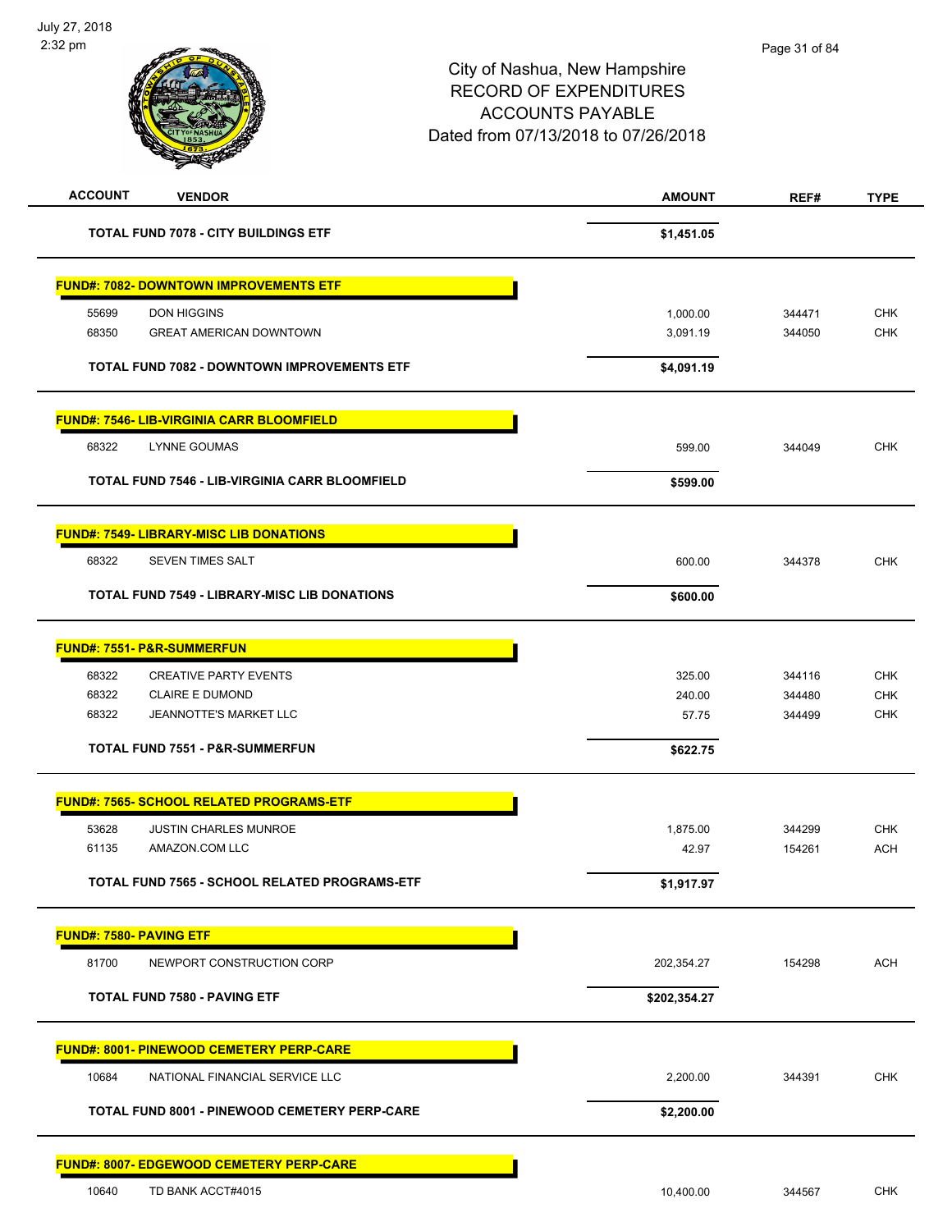| <b>ACCOUNT</b>          | <b>VENDOR</b>                                         | <b>AMOUNT</b> | REF#   | <b>TYPE</b> |
|-------------------------|-------------------------------------------------------|---------------|--------|-------------|
|                         | <b>TOTAL FUND 7078 - CITY BUILDINGS ETF</b>           | \$1,451.05    |        |             |
|                         | <b>FUND#: 7082- DOWNTOWN IMPROVEMENTS ETF</b>         |               |        |             |
| 55699                   | <b>DON HIGGINS</b>                                    | 1,000.00      | 344471 | <b>CHK</b>  |
| 68350                   | <b>GREAT AMERICAN DOWNTOWN</b>                        | 3,091.19      | 344050 | <b>CHK</b>  |
|                         | <b>TOTAL FUND 7082 - DOWNTOWN IMPROVEMENTS ETF</b>    | \$4,091.19    |        |             |
|                         | <b>FUND#: 7546- LIB-VIRGINIA CARR BLOOMFIELD</b>      |               |        |             |
| 68322                   | <b>LYNNE GOUMAS</b>                                   | 599.00        | 344049 | <b>CHK</b>  |
|                         | <b>TOTAL FUND 7546 - LIB-VIRGINIA CARR BLOOMFIELD</b> | \$599.00      |        |             |
|                         | <b>FUND#: 7549- LIBRARY-MISC LIB DONATIONS</b>        |               |        |             |
| 68322                   | <b>SEVEN TIMES SALT</b>                               | 600.00        | 344378 | <b>CHK</b>  |
|                         | <b>TOTAL FUND 7549 - LIBRARY-MISC LIB DONATIONS</b>   | \$600.00      |        |             |
|                         | <b>FUND#: 7551- P&amp;R-SUMMERFUN</b>                 |               |        |             |
| 68322                   | <b>CREATIVE PARTY EVENTS</b>                          | 325.00        | 344116 | <b>CHK</b>  |
| 68322                   | <b>CLAIRE E DUMOND</b>                                | 240.00        | 344480 | CHK         |
| 68322                   | JEANNOTTE'S MARKET LLC                                | 57.75         | 344499 | <b>CHK</b>  |
|                         | <b>TOTAL FUND 7551 - P&amp;R-SUMMERFUN</b>            | \$622.75      |        |             |
|                         | <b>FUND#: 7565- SCHOOL RELATED PROGRAMS-ETF</b>       |               |        |             |
| 53628                   | <b>JUSTIN CHARLES MUNROE</b>                          | 1,875.00      | 344299 | <b>CHK</b>  |
| 61135                   | AMAZON.COM LLC                                        | 42.97         | 154261 | <b>ACH</b>  |
|                         | <b>TOTAL FUND 7565 - SCHOOL RELATED PROGRAMS-ETF</b>  | \$1,917.97    |        |             |
| FUND#: 7580- PAVING ETF |                                                       |               |        |             |
| 81700                   | NEWPORT CONSTRUCTION CORP                             | 202,354.27    | 154298 | <b>ACH</b>  |
|                         | <b>TOTAL FUND 7580 - PAVING ETF</b>                   | \$202,354.27  |        |             |
|                         | <b>FUND#: 8001- PINEWOOD CEMETERY PERP-CARE</b>       |               |        |             |
| 10684                   | NATIONAL FINANCIAL SERVICE LLC                        | 2,200.00      | 344391 | CHK         |
|                         | TOTAL FUND 8001 - PINEWOOD CEMETERY PERP-CARE         | \$2,200.00    |        |             |
|                         | FUND#: 8007- EDGEWOOD CEMETERY PERP-CARE              |               |        |             |
| 10640                   | TD BANK ACCT#4015                                     | 10,400.00     | 344567 | CHK         |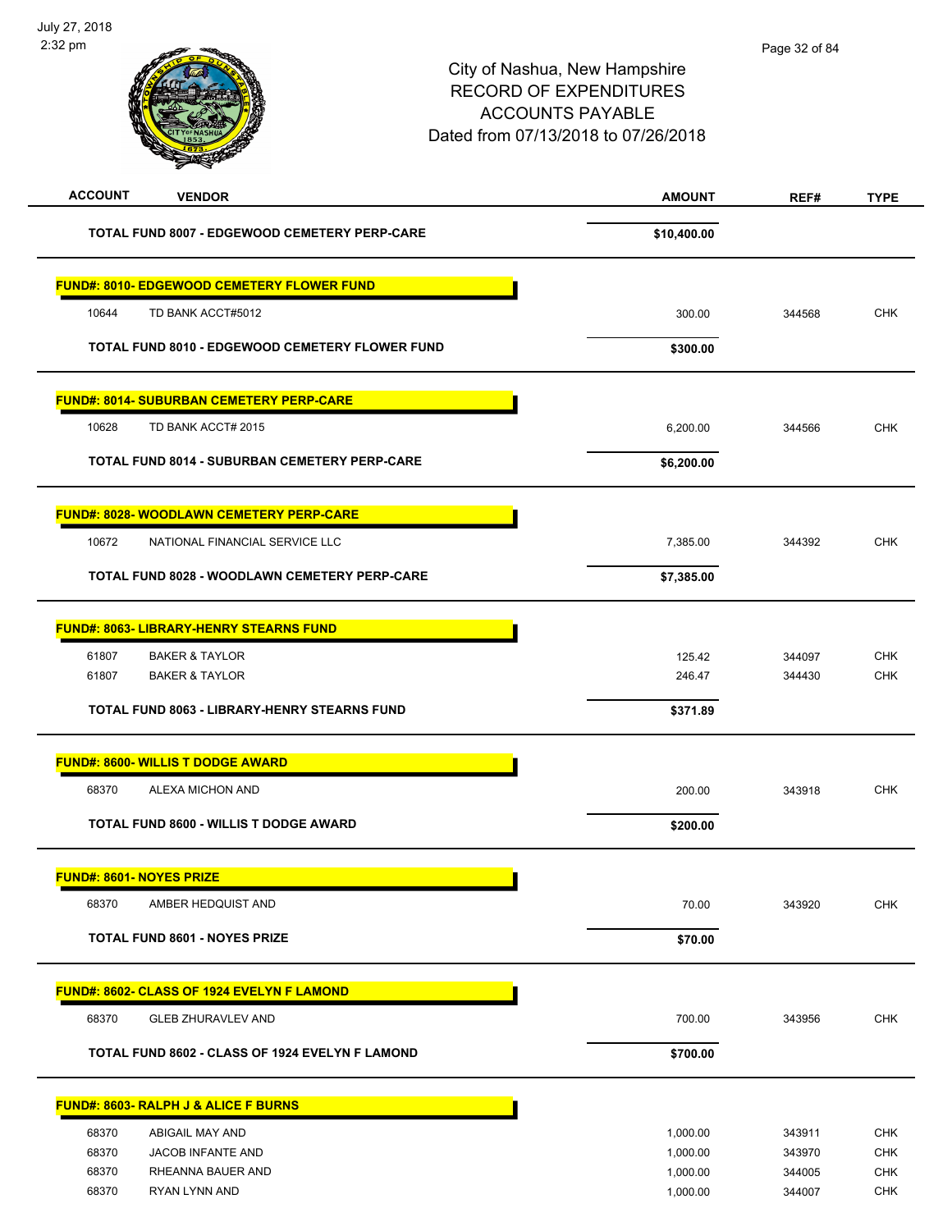| <b>ACCOUNT</b><br><b>VENDOR</b>                        | <b>AMOUNT</b> | REF#   | <b>TYPE</b> |
|--------------------------------------------------------|---------------|--------|-------------|
| TOTAL FUND 8007 - EDGEWOOD CEMETERY PERP-CARE          | \$10,400.00   |        |             |
| <b>FUND#: 8010- EDGEWOOD CEMETERY FLOWER FUND</b>      |               |        |             |
| 10644<br>TD BANK ACCT#5012                             | 300.00        | 344568 | <b>CHK</b>  |
| <b>TOTAL FUND 8010 - EDGEWOOD CEMETERY FLOWER FUND</b> | \$300.00      |        |             |
| <b>FUND#: 8014- SUBURBAN CEMETERY PERP-CARE</b>        |               |        |             |
| 10628<br>TD BANK ACCT# 2015                            | 6,200.00      | 344566 | <b>CHK</b>  |
| TOTAL FUND 8014 - SUBURBAN CEMETERY PERP-CARE          | \$6,200.00    |        |             |
| <b>FUND#: 8028- WOODLAWN CEMETERY PERP-CARE</b>        |               |        |             |
| 10672<br>NATIONAL FINANCIAL SERVICE LLC                | 7,385.00      | 344392 | <b>CHK</b>  |
| <b>TOTAL FUND 8028 - WOODLAWN CEMETERY PERP-CARE</b>   | \$7,385.00    |        |             |
| FUND#: 8063- LIBRARY-HENRY STEARNS FUND                |               |        |             |
| 61807<br><b>BAKER &amp; TAYLOR</b>                     | 125.42        | 344097 | <b>CHK</b>  |
| 61807<br><b>BAKER &amp; TAYLOR</b>                     | 246.47        | 344430 | <b>CHK</b>  |
| TOTAL FUND 8063 - LIBRARY-HENRY STEARNS FUND           | \$371.89      |        |             |
| <b>FUND#: 8600- WILLIS T DODGE AWARD</b>               |               |        |             |
| 68370<br>ALEXA MICHON AND                              | 200.00        | 343918 | <b>CHK</b>  |
| <b>TOTAL FUND 8600 - WILLIS T DODGE AWARD</b>          | \$200.00      |        |             |
| <b>FUND#: 8601- NOYES PRIZE</b>                        |               |        |             |
| 68370<br>AMBER HEDQUIST AND                            | 70.00         | 343920 | <b>CHK</b>  |
| <b>TOTAL FUND 8601 - NOYES PRIZE</b>                   | \$70.00       |        |             |
| FUND#: 8602- CLASS OF 1924 EVELYN F LAMOND             |               |        |             |
| 68370<br><b>GLEB ZHURAVLEV AND</b>                     | 700.00        | 343956 | <b>CHK</b>  |
| TOTAL FUND 8602 - CLASS OF 1924 EVELYN F LAMOND        | \$700.00      |        |             |
| FUND#: 8603- RALPH J & ALICE F BURNS                   |               |        |             |
| ABIGAIL MAY AND<br>68370                               | 1,000.00      | 343911 | <b>CHK</b>  |
| 68370<br>JACOB INFANTE AND                             | 1,000.00      | 343970 | <b>CHK</b>  |
| 68370<br>RHEANNA BAUER AND                             | 1,000.00      | 344005 | <b>CHK</b>  |
| 68370<br>RYAN LYNN AND                                 | 1,000.00      | 344007 | <b>CHK</b>  |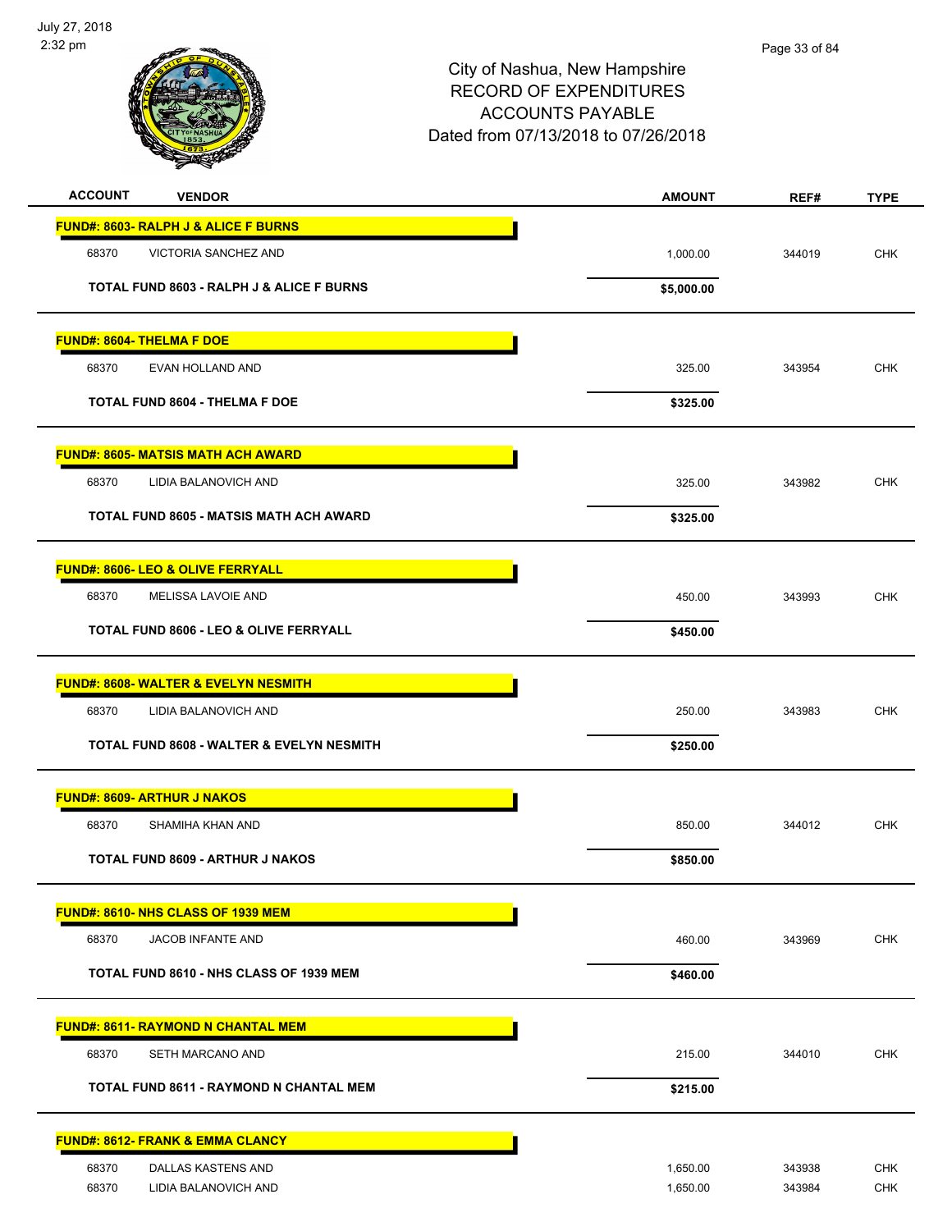

| <b>ACCOUNT</b><br><b>VENDOR</b>                      | <b>AMOUNT</b> | REF#   | <b>TYPE</b> |
|------------------------------------------------------|---------------|--------|-------------|
| FUND#: 8603- RALPH J & ALICE F BURNS                 |               |        |             |
| 68370<br>VICTORIA SANCHEZ AND                        | 1,000.00      | 344019 | <b>CHK</b>  |
| <b>TOTAL FUND 8603 - RALPH J &amp; ALICE F BURNS</b> | \$5,000.00    |        |             |
| <b>FUND#: 8604- THELMA F DOE</b>                     |               |        |             |
| 68370<br>EVAN HOLLAND AND                            | 325.00        | 343954 | <b>CHK</b>  |
| <b>TOTAL FUND 8604 - THELMA F DOE</b>                | \$325.00      |        |             |
| <b>FUND#: 8605- MATSIS MATH ACH AWARD</b>            |               |        |             |
| 68370<br>LIDIA BALANOVICH AND                        | 325.00        | 343982 | <b>CHK</b>  |
| TOTAL FUND 8605 - MATSIS MATH ACH AWARD              | \$325.00      |        |             |
| <b>FUND#: 8606- LEO &amp; OLIVE FERRYALL</b>         |               |        |             |
| 68370<br>MELISSA LAVOIE AND                          | 450.00        | 343993 | <b>CHK</b>  |
| <b>TOTAL FUND 8606 - LEO &amp; OLIVE FERRYALL</b>    | \$450.00      |        |             |
| <b>FUND#: 8608- WALTER &amp; EVELYN NESMITH</b>      |               |        |             |
| 68370<br>LIDIA BALANOVICH AND                        | 250.00        | 343983 | CHK         |
| TOTAL FUND 8608 - WALTER & EVELYN NESMITH            | \$250.00      |        |             |
| <b>FUND#: 8609- ARTHUR J NAKOS</b>                   |               |        |             |
| 68370<br>SHAMIHA KHAN AND                            | 850.00        | 344012 | <b>CHK</b>  |
| <b>TOTAL FUND 8609 - ARTHUR J NAKOS</b>              | \$850.00      |        |             |
| <b>FUND#: 8610- NHS CLASS OF 1939 MEM</b>            |               |        |             |
| 68370<br>JACOB INFANTE AND                           | 460.00        | 343969 | <b>CHK</b>  |
| TOTAL FUND 8610 - NHS CLASS OF 1939 MEM              | \$460.00      |        |             |
| <b>FUND#: 8611- RAYMOND N CHANTAL MEM</b>            |               |        |             |
| 68370<br>SETH MARCANO AND                            | 215.00        | 344010 | <b>CHK</b>  |
| TOTAL FUND 8611 - RAYMOND N CHANTAL MEM              | \$215.00      |        |             |
| <b>FUND#: 8612- FRANK &amp; EMMA CLANCY</b>          |               |        |             |
| 68370<br>DALLAS KASTENS AND                          | 1,650.00      | 343938 | <b>CHK</b>  |
| 68370<br>LIDIA BALANOVICH AND                        | 1,650.00      | 343984 | <b>CHK</b>  |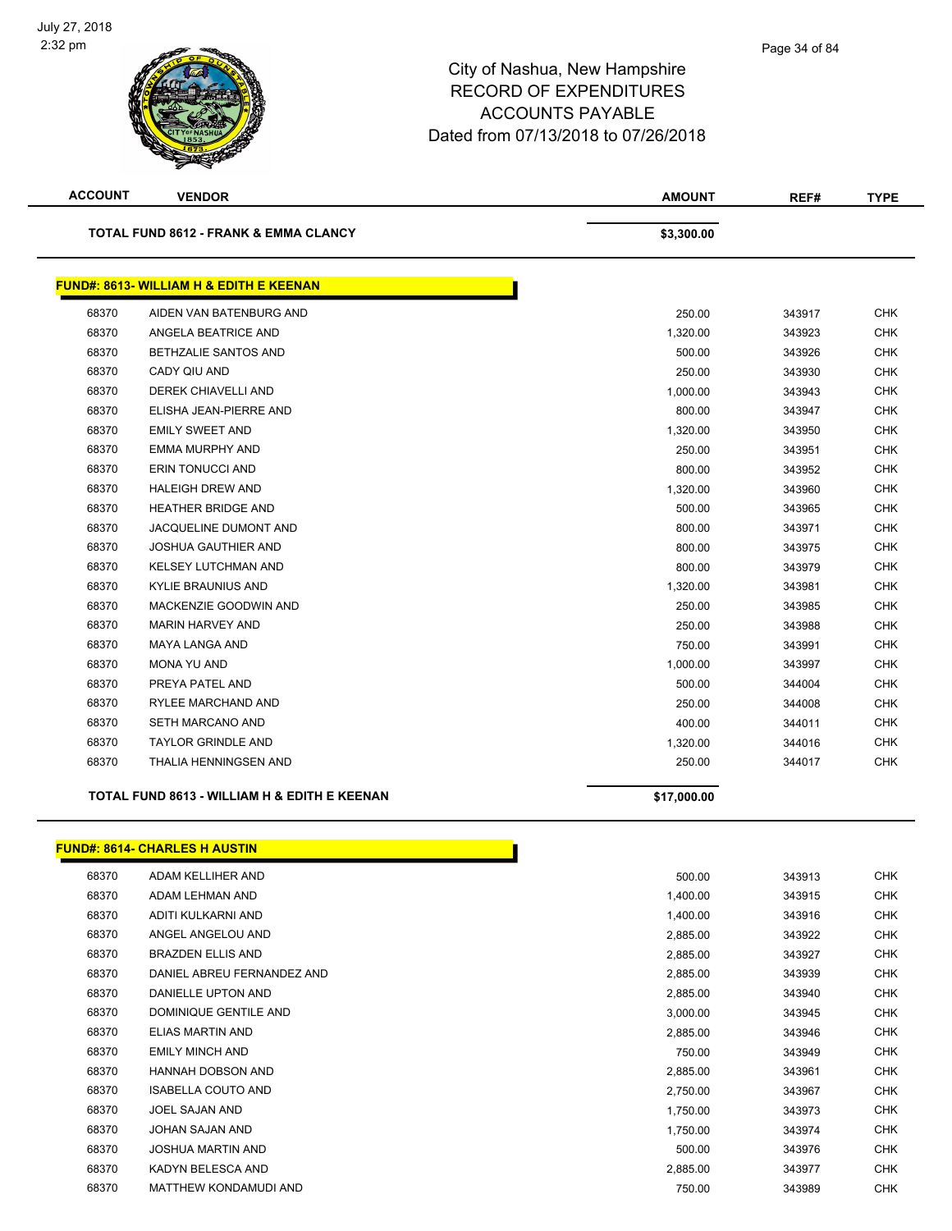

| <b>ACCOUNT</b> | <b>VENDOR</b>                                      | AMOUNT      | REF#   | <b>TYPE</b> |
|----------------|----------------------------------------------------|-------------|--------|-------------|
|                | <b>TOTAL FUND 8612 - FRANK &amp; EMMA CLANCY</b>   | \$3,300.00  |        |             |
|                | <b>FUND#: 8613- WILLIAM H &amp; EDITH E KEENAN</b> |             |        |             |
| 68370          | AIDEN VAN BATENBURG AND                            | 250.00      | 343917 | <b>CHK</b>  |
| 68370          | ANGELA BEATRICE AND                                | 1,320.00    | 343923 | <b>CHK</b>  |
| 68370          | <b>BETHZALIE SANTOS AND</b>                        | 500.00      | 343926 | <b>CHK</b>  |
| 68370          | CADY QIU AND                                       | 250.00      | 343930 | <b>CHK</b>  |
| 68370          | <b>DEREK CHIAVELLI AND</b>                         | 1,000.00    | 343943 | <b>CHK</b>  |
| 68370          | ELISHA JEAN-PIERRE AND                             | 800.00      | 343947 | <b>CHK</b>  |
| 68370          | <b>EMILY SWEET AND</b>                             | 1,320.00    | 343950 | CHK         |
| 68370          | EMMA MURPHY AND                                    | 250.00      | 343951 | <b>CHK</b>  |
| 68370          | ERIN TONUCCI AND                                   | 800.00      | 343952 | <b>CHK</b>  |
| 68370          | <b>HALEIGH DREW AND</b>                            | 1,320.00    | 343960 | <b>CHK</b>  |
| 68370          | <b>HEATHER BRIDGE AND</b>                          | 500.00      | 343965 | <b>CHK</b>  |
| 68370          | JACQUELINE DUMONT AND                              | 800.00      | 343971 | <b>CHK</b>  |
| 68370          | <b>JOSHUA GAUTHIER AND</b>                         | 800.00      | 343975 | <b>CHK</b>  |
| 68370          | <b>KELSEY LUTCHMAN AND</b>                         | 800.00      | 343979 | <b>CHK</b>  |
| 68370          | KYLIE BRAUNIUS AND                                 | 1,320.00    | 343981 | <b>CHK</b>  |
| 68370          | MACKENZIE GOODWIN AND                              | 250.00      | 343985 | <b>CHK</b>  |
| 68370          | <b>MARIN HARVEY AND</b>                            | 250.00      | 343988 | <b>CHK</b>  |
| 68370          | MAYA LANGA AND                                     | 750.00      | 343991 | CHK         |
| 68370          | MONA YU AND                                        | 1,000.00    | 343997 | <b>CHK</b>  |
| 68370          | PREYA PATEL AND                                    | 500.00      | 344004 | <b>CHK</b>  |
| 68370          | RYLEE MARCHAND AND                                 | 250.00      | 344008 | <b>CHK</b>  |
| 68370          | SETH MARCANO AND                                   | 400.00      | 344011 | <b>CHK</b>  |
| 68370          | <b>TAYLOR GRINDLE AND</b>                          | 1,320.00    | 344016 | <b>CHK</b>  |
| 68370          | THALIA HENNINGSEN AND                              | 250.00      | 344017 | <b>CHK</b>  |
|                | TOTAL FUND 8613 - WILLIAM H & EDITH E KEENAN       | \$17,000.00 |        |             |
|                | <b>FUND#: 8614- CHARLES H AUSTIN</b>               |             |        |             |
| 68370          | ADAM KELLIHER AND                                  | 500.00      | 343913 | <b>CHK</b>  |
| 68370          | ADAM LEHMAN AND                                    | 1,400.00    | 343915 | <b>CHK</b>  |
| 68370          | ADITI KULKARNI AND                                 | 1,400.00    | 343916 | <b>CHK</b>  |
| 68370          | ANGEL ANGELOU AND                                  | 2,885.00    | 343922 | <b>CHK</b>  |
| 68370          | <b>BRAZDEN ELLIS AND</b>                           | 2,885.00    | 343927 | <b>CHK</b>  |
| 68370          | DANIEL ABREU FERNANDEZ AND                         | 2,885.00    | 343939 | <b>CHK</b>  |
| 68370          | DANIELLE UPTON AND                                 | 2,885.00    | 343940 | <b>CHK</b>  |
| 68370          | DOMINIQUE GENTILE AND                              | 3,000.00    | 343945 | <b>CHK</b>  |
| 68370          | ELIAS MARTIN AND                                   | 2,885.00    | 343946 | <b>CHK</b>  |

 EMILY MINCH AND 750.00 343949 CHK HANNAH DOBSON AND 2,885.00 343961 CHK ISABELLA COUTO AND 2,750.00 343967 CHK JOEL SAJAN AND 1,750.00 343973 CHK JOHAN SAJAN AND 1,750.00 343974 CHK JOSHUA MARTIN AND 500.00 343976 CHK KADYN BELESCA AND 2,885.00 343977 CHK MATTHEW KONDAMUDI AND 750.00 343989 CHK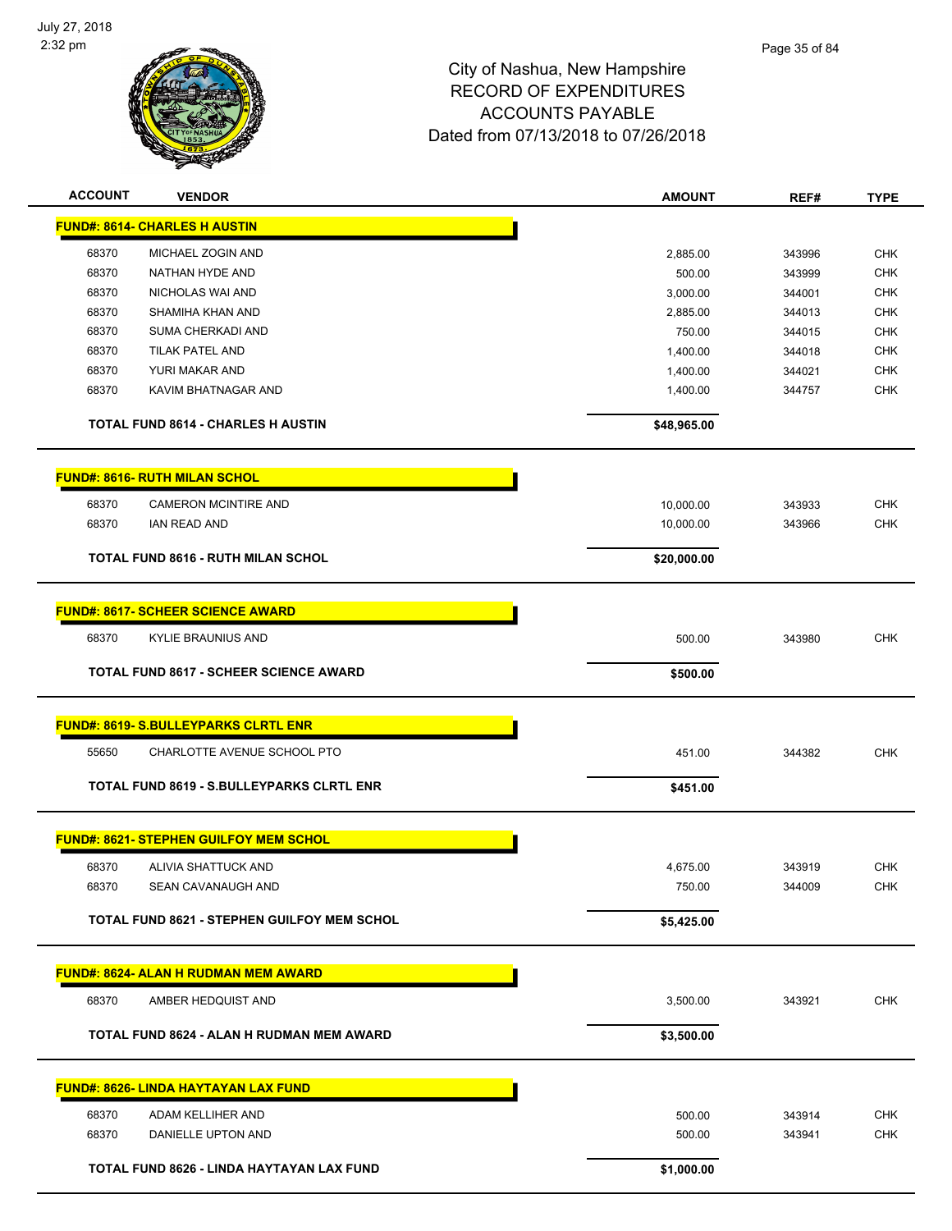

| <b>ACCOUNT</b> | <b>VENDOR</b>                                      | <b>AMOUNT</b> | REF#   | <b>TYPE</b> |
|----------------|----------------------------------------------------|---------------|--------|-------------|
|                | <b>FUND#: 8614- CHARLES H AUSTIN</b>               |               |        |             |
| 68370          | MICHAEL ZOGIN AND                                  | 2,885.00      | 343996 | <b>CHK</b>  |
| 68370          | NATHAN HYDE AND                                    | 500.00        | 343999 | <b>CHK</b>  |
| 68370          | NICHOLAS WAI AND                                   | 3,000.00      | 344001 | <b>CHK</b>  |
| 68370          | SHAMIHA KHAN AND                                   | 2,885.00      | 344013 | <b>CHK</b>  |
| 68370          | SUMA CHERKADI AND                                  | 750.00        | 344015 | <b>CHK</b>  |
| 68370          | <b>TILAK PATEL AND</b>                             | 1,400.00      | 344018 | <b>CHK</b>  |
| 68370          | YURI MAKAR AND                                     | 1,400.00      | 344021 | <b>CHK</b>  |
| 68370          | KAVIM BHATNAGAR AND                                | 1,400.00      | 344757 | <b>CHK</b>  |
|                | <b>TOTAL FUND 8614 - CHARLES H AUSTIN</b>          | \$48,965.00   |        |             |
|                | <b>FUND#: 8616- RUTH MILAN SCHOL</b>               |               |        |             |
| 68370          | <b>CAMERON MCINTIRE AND</b>                        | 10,000.00     | 343933 | <b>CHK</b>  |
| 68370          | <b>IAN READ AND</b>                                | 10,000.00     | 343966 | <b>CHK</b>  |
|                | TOTAL FUND 8616 - RUTH MILAN SCHOL                 | \$20,000.00   |        |             |
|                |                                                    |               |        |             |
|                | <b>FUND#: 8617- SCHEER SCIENCE AWARD</b>           |               |        |             |
| 68370          | KYLIE BRAUNIUS AND                                 | 500.00        | 343980 | <b>CHK</b>  |
|                | <b>TOTAL FUND 8617 - SCHEER SCIENCE AWARD</b>      | \$500.00      |        |             |
|                | <b>FUND#: 8619- S.BULLEYPARKS CLRTL ENR</b>        |               |        |             |
| 55650          | CHARLOTTE AVENUE SCHOOL PTO                        | 451.00        | 344382 | <b>CHK</b>  |
|                | <b>TOTAL FUND 8619 - S.BULLEYPARKS CLRTL ENR</b>   | \$451.00      |        |             |
|                |                                                    |               |        |             |
|                | <b>FUND#: 8621- STEPHEN GUILFOY MEM SCHOL</b>      |               |        |             |
| 68370          | ALIVIA SHATTUCK AND                                | 4,675.00      | 343919 | <b>CHK</b>  |
| 68370          | SEAN CAVANAUGH AND                                 | 750.00        | 344009 | CHK         |
|                | <b>TOTAL FUND 8621 - STEPHEN GUILFOY MEM SCHOL</b> | \$5,425.00    |        |             |
|                | <u>FUND#: 8624- ALAN H RUDMAN MEM AWARD</u>        |               |        |             |
| 68370          | AMBER HEDQUIST AND                                 | 3,500.00      | 343921 | CHK         |
|                |                                                    |               |        |             |
|                | TOTAL FUND 8624 - ALAN H RUDMAN MEM AWARD          | \$3,500.00    |        |             |
|                | <b>FUND#: 8626- LINDA HAYTAYAN LAX FUND</b>        |               |        |             |
| 68370          | ADAM KELLIHER AND                                  | 500.00        | 343914 | <b>CHK</b>  |
| 68370          | DANIELLE UPTON AND                                 | 500.00        | 343941 | <b>CHK</b>  |
|                | TOTAL FUND 8626 - LINDA HAYTAYAN LAX FUND          | \$1,000.00    |        |             |
|                |                                                    |               |        |             |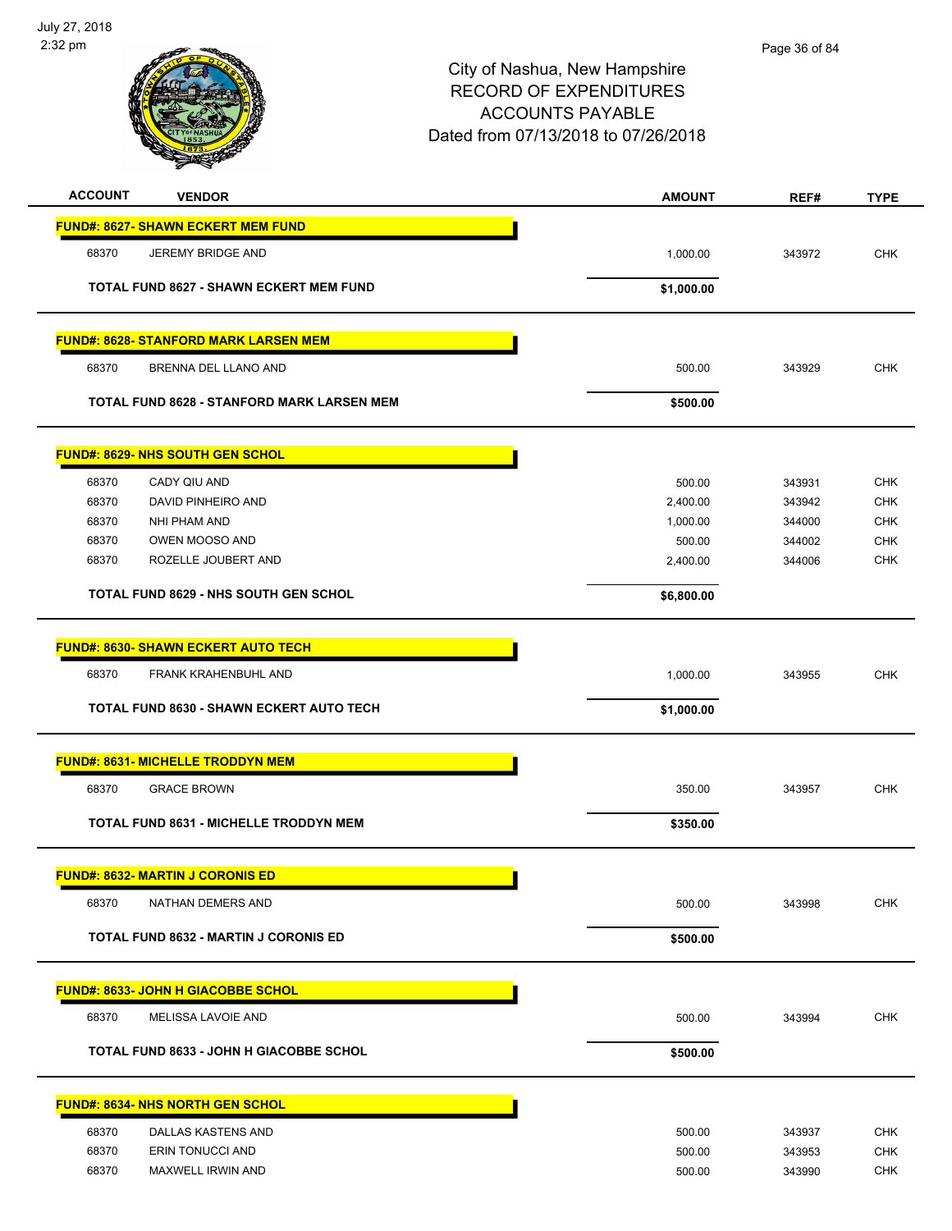

| <b>ACCOUNT</b> | <b>VENDOR</b>                                     | <b>AMOUNT</b> | REF#   | <b>TYPE</b> |
|----------------|---------------------------------------------------|---------------|--------|-------------|
|                | <b>FUND#: 8627- SHAWN ECKERT MEM FUND</b>         |               |        |             |
| 68370          | JEREMY BRIDGE AND                                 | 1,000.00      | 343972 | <b>CHK</b>  |
|                | <b>TOTAL FUND 8627 - SHAWN ECKERT MEM FUND</b>    | \$1,000.00    |        |             |
|                | <b>FUND#: 8628- STANFORD MARK LARSEN MEM</b>      |               |        |             |
| 68370          | BRENNA DEL LLANO AND                              | 500.00        | 343929 | <b>CHK</b>  |
|                | <b>TOTAL FUND 8628 - STANFORD MARK LARSEN MEM</b> | \$500.00      |        |             |
|                | <b>FUND#: 8629- NHS SOUTH GEN SCHOL</b>           |               |        |             |
| 68370          | CADY QIU AND                                      | 500.00        | 343931 | <b>CHK</b>  |
| 68370          | DAVID PINHEIRO AND                                | 2,400.00      | 343942 | <b>CHK</b>  |
| 68370          | NHI PHAM AND                                      | 1,000.00      | 344000 | <b>CHK</b>  |
| 68370          | OWEN MOOSO AND                                    | 500.00        | 344002 | CHK         |
| 68370          | ROZELLE JOUBERT AND                               | 2,400.00      | 344006 | <b>CHK</b>  |
|                | <b>TOTAL FUND 8629 - NHS SOUTH GEN SCHOL</b>      | \$6,800.00    |        |             |
|                | <b>FUND#: 8630- SHAWN ECKERT AUTO TECH</b>        |               |        |             |
| 68370          | FRANK KRAHENBUHL AND                              | 1,000.00      | 343955 | <b>CHK</b>  |
|                | <b>TOTAL FUND 8630 - SHAWN ECKERT AUTO TECH</b>   | \$1,000.00    |        |             |
|                | <b>FUND#: 8631- MICHELLE TRODDYN MEM</b>          |               |        |             |
| 68370          | <b>GRACE BROWN</b>                                | 350.00        | 343957 | <b>CHK</b>  |
|                | <b>TOTAL FUND 8631 - MICHELLE TRODDYN MEM</b>     | \$350.00      |        |             |
|                | <b>FUND#: 8632- MARTIN J CORONIS ED</b>           |               |        |             |
| 68370          | NATHAN DEMERS AND                                 | 500.00        | 343998 | <b>CHK</b>  |
|                | <b>TOTAL FUND 8632 - MARTIN J CORONIS ED</b>      | \$500.00      |        |             |
|                | FUND#: 8633- JOHN H GIACOBBE SCHOL                |               |        |             |
| 68370          | MELISSA LAVOIE AND                                | 500.00        | 343994 | <b>CHK</b>  |
|                | <b>TOTAL FUND 8633 - JOHN H GIACOBBE SCHOL</b>    | \$500.00      |        |             |
|                | <b>FUND#: 8634- NHS NORTH GEN SCHOL</b>           |               |        |             |
| 68370          | DALLAS KASTENS AND                                | 500.00        | 343937 | <b>CHK</b>  |
| 68370          | ERIN TONUCCI AND                                  | 500.00        | 343953 | CHK         |
| 68370          | MAXWELL IRWIN AND                                 | 500.00        | 343990 | <b>CHK</b>  |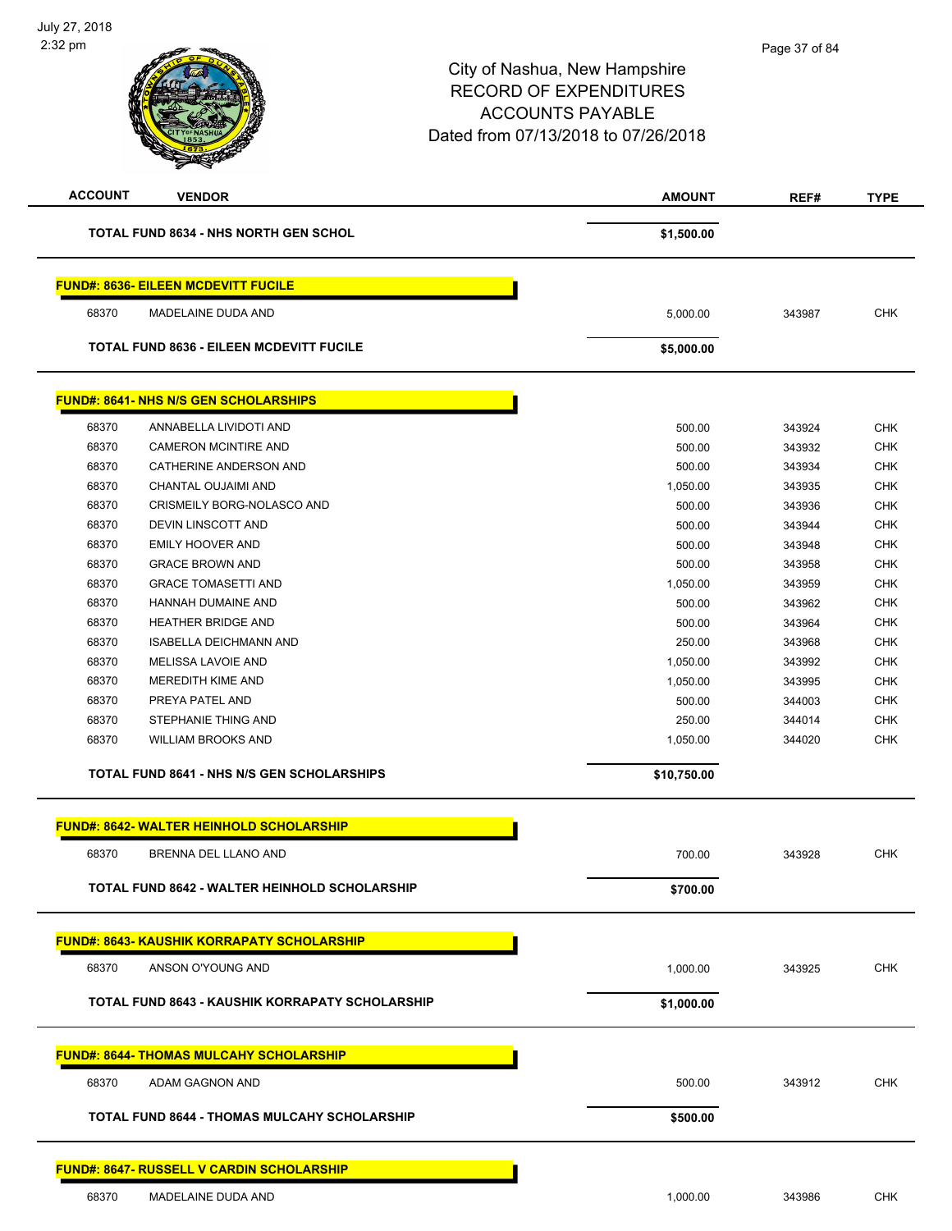| <b>ACCOUNT</b> | <b>VENDOR</b>                                     | <b>AMOUNT</b> | REF#   | <b>TYPE</b> |
|----------------|---------------------------------------------------|---------------|--------|-------------|
|                | <b>TOTAL FUND 8634 - NHS NORTH GEN SCHOL</b>      | \$1,500.00    |        |             |
|                | <b>FUND#: 8636- EILEEN MCDEVITT FUCILE</b>        |               |        |             |
| 68370          | MADELAINE DUDA AND                                | 5,000.00      | 343987 | <b>CHK</b>  |
|                | <b>TOTAL FUND 8636 - EILEEN MCDEVITT FUCILE</b>   | \$5,000.00    |        |             |
|                | <b>FUND#: 8641- NHS N/S GEN SCHOLARSHIPS</b>      |               |        |             |
| 68370          | ANNABELLA LIVIDOTI AND                            | 500.00        | 343924 | <b>CHK</b>  |
| 68370          | <b>CAMERON MCINTIRE AND</b>                       | 500.00        | 343932 | <b>CHK</b>  |
| 68370          | CATHERINE ANDERSON AND                            | 500.00        | 343934 | <b>CHK</b>  |
| 68370          | CHANTAL OUJAIMI AND                               | 1,050.00      | 343935 | <b>CHK</b>  |
| 68370          | CRISMEILY BORG-NOLASCO AND                        | 500.00        | 343936 | <b>CHK</b>  |
| 68370          | DEVIN LINSCOTT AND                                | 500.00        | 343944 | <b>CHK</b>  |
| 68370          | <b>EMILY HOOVER AND</b>                           | 500.00        | 343948 | <b>CHK</b>  |
| 68370          | <b>GRACE BROWN AND</b>                            | 500.00        | 343958 | <b>CHK</b>  |
| 68370          | <b>GRACE TOMASETTI AND</b>                        | 1,050.00      | 343959 | <b>CHK</b>  |
|                |                                                   | 500.00        | 343962 | <b>CHK</b>  |
| 68370          | HANNAH DUMAINE AND<br>HEATHER BRIDGE AND          |               |        |             |
| 68370          |                                                   | 500.00        | 343964 | <b>CHK</b>  |
| 68370          | <b>ISABELLA DEICHMANN AND</b>                     | 250.00        | 343968 | <b>CHK</b>  |
| 68370          | MELISSA LAVOIE AND                                | 1,050.00      | 343992 | <b>CHK</b>  |
| 68370          | MEREDITH KIME AND                                 | 1,050.00      | 343995 | <b>CHK</b>  |
| 68370          | PREYA PATEL AND                                   | 500.00        | 344003 | <b>CHK</b>  |
| 68370          | STEPHANIE THING AND                               | 250.00        | 344014 | <b>CHK</b>  |
| 68370          | <b>WILLIAM BROOKS AND</b>                         | 1,050.00      | 344020 | <b>CHK</b>  |
|                | <b>TOTAL FUND 8641 - NHS N/S GEN SCHOLARSHIPS</b> | \$10,750.00   |        |             |
|                | <b>FUND#: 8642- WALTER HEINHOLD SCHOLARSHIP</b>   |               |        |             |
| 68370          | BRENNA DEL LLANO AND                              | 700.00        | 343928 | <b>CHK</b>  |
|                | TOTAL FUND 8642 - WALTER HEINHOLD SCHOLARSHIP     | \$700.00      |        |             |
|                |                                                   |               |        |             |
|                | <b>FUND#: 8643- KAUSHIK KORRAPATY SCHOLARSHIP</b> |               |        |             |
| 68370          | ANSON O'YOUNG AND                                 | 1,000.00      | 343925 | <b>CHK</b>  |
|                | TOTAL FUND 8643 - KAUSHIK KORRAPATY SCHOLARSHIP   | \$1,000.00    |        |             |
|                | <b>FUND#: 8644- THOMAS MULCAHY SCHOLARSHIP</b>    |               |        |             |
| 68370          | ADAM GAGNON AND                                   | 500.00        | 343912 | <b>CHK</b>  |
|                | TOTAL FUND 8644 - THOMAS MULCAHY SCHOLARSHIP      | \$500.00      |        |             |
|                |                                                   |               |        |             |
|                | <b>FUND#: 8647- RUSSELL V CARDIN SCHOLARSHIP</b>  |               |        |             |
| 68370          | MADELAINE DUDA AND                                | 1,000.00      | 343986 | <b>CHK</b>  |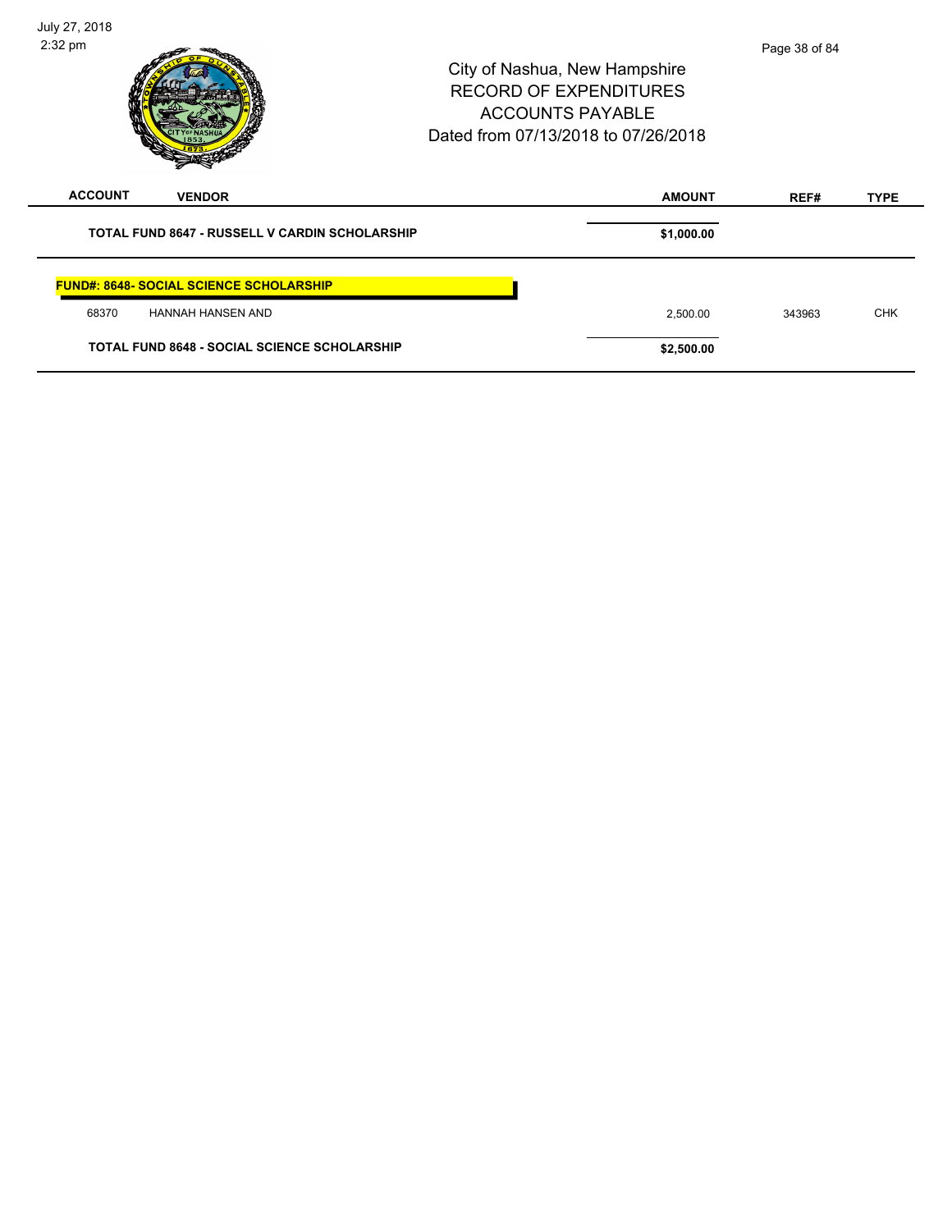| July 27, 2018<br>$2:32$ pm                            | City of Nashua, New Hampshire<br><b>RECORD OF EXPENDITURES</b><br><b>ACCOUNTS PAYABLE</b><br>Dated from 07/13/2018 to 07/26/2018 | Page 38 of 84 |             |
|-------------------------------------------------------|----------------------------------------------------------------------------------------------------------------------------------|---------------|-------------|
| <b>ACCOUNT</b><br><b>VENDOR</b>                       | <b>AMOUNT</b>                                                                                                                    | REF#          | <b>TYPE</b> |
| <b>TOTAL FUND 8647 - RUSSELL V CARDIN SCHOLARSHIP</b> | \$1,000.00                                                                                                                       |               |             |
| <b>FUND#: 8648- SOCIAL SCIENCE SCHOLARSHIP</b>        |                                                                                                                                  |               |             |
| 68370<br><b>HANNAH HANSEN AND</b>                     | 2,500.00                                                                                                                         | 343963        | <b>CHK</b>  |
| <b>TOTAL FUND 8648 - SOCIAL SCIENCE SCHOLARSHIP</b>   | \$2,500.00                                                                                                                       |               |             |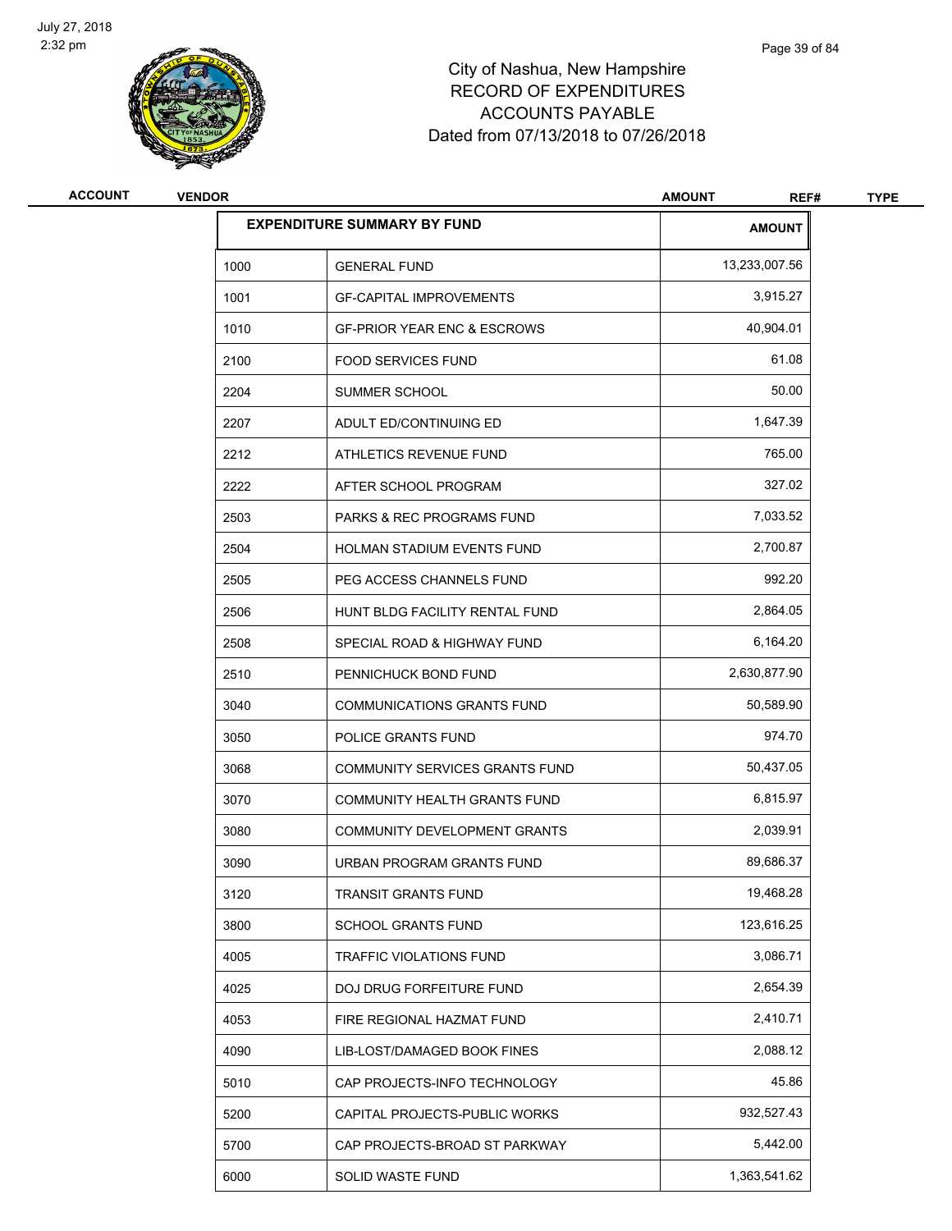

| <b>ACCOUNT</b> | <b>VENDOR</b> |                                        | <b>AMOUNT</b><br>REF# | <b>TYPE</b> |
|----------------|---------------|----------------------------------------|-----------------------|-------------|
|                |               | <b>EXPENDITURE SUMMARY BY FUND</b>     | <b>AMOUNT</b>         |             |
|                | 1000          | <b>GENERAL FUND</b>                    | 13,233,007.56         |             |
|                | 1001          | <b>GF-CAPITAL IMPROVEMENTS</b>         | 3,915.27              |             |
|                | 1010          | <b>GF-PRIOR YEAR ENC &amp; ESCROWS</b> | 40,904.01             |             |
|                | 2100          | <b>FOOD SERVICES FUND</b>              | 61.08                 |             |
|                | 2204          | SUMMER SCHOOL                          | 50.00                 |             |
|                | 2207          | ADULT ED/CONTINUING ED                 | 1,647.39              |             |
|                | 2212          | ATHLETICS REVENUE FUND                 | 765.00                |             |
|                | 2222          | AFTER SCHOOL PROGRAM                   | 327.02                |             |
|                | 2503          | <b>PARKS &amp; REC PROGRAMS FUND</b>   | 7,033.52              |             |
|                | 2504          | HOLMAN STADIUM EVENTS FUND             | 2,700.87              |             |
|                | 2505          | PEG ACCESS CHANNELS FUND               | 992.20                |             |
|                | 2506          | HUNT BLDG FACILITY RENTAL FUND         | 2,864.05              |             |
|                | 2508          | SPECIAL ROAD & HIGHWAY FUND            | 6,164.20              |             |
|                | 2510          | PENNICHUCK BOND FUND                   | 2,630,877.90          |             |
|                | 3040          | <b>COMMUNICATIONS GRANTS FUND</b>      | 50,589.90             |             |
|                | 3050          | POLICE GRANTS FUND                     | 974.70                |             |
|                | 3068          | COMMUNITY SERVICES GRANTS FUND         | 50,437.05             |             |
|                | 3070          | <b>COMMUNITY HEALTH GRANTS FUND</b>    | 6,815.97              |             |
|                | 3080          | <b>COMMUNITY DEVELOPMENT GRANTS</b>    | 2,039.91              |             |
|                | 3090          | URBAN PROGRAM GRANTS FUND              | 89,686.37             |             |
|                | 3120          | TRANSIT GRANTS FUND                    | 19,468.28             |             |
|                | 3800          | SCHOOL GRANTS FUND                     | 123,616.25            |             |
|                | 4005          | TRAFFIC VIOLATIONS FUND                | 3,086.71              |             |
|                | 4025          | DOJ DRUG FORFEITURE FUND               | 2,654.39              |             |
|                | 4053          | FIRE REGIONAL HAZMAT FUND              | 2,410.71              |             |
|                | 4090          | LIB-LOST/DAMAGED BOOK FINES            | 2,088.12              |             |
|                | 5010          | CAP PROJECTS-INFO TECHNOLOGY           | 45.86                 |             |
|                | 5200          | CAPITAL PROJECTS-PUBLIC WORKS          | 932,527.43            |             |
|                | 5700          | CAP PROJECTS-BROAD ST PARKWAY          | 5,442.00              |             |
|                | 6000          | SOLID WASTE FUND                       | 1,363,541.62          |             |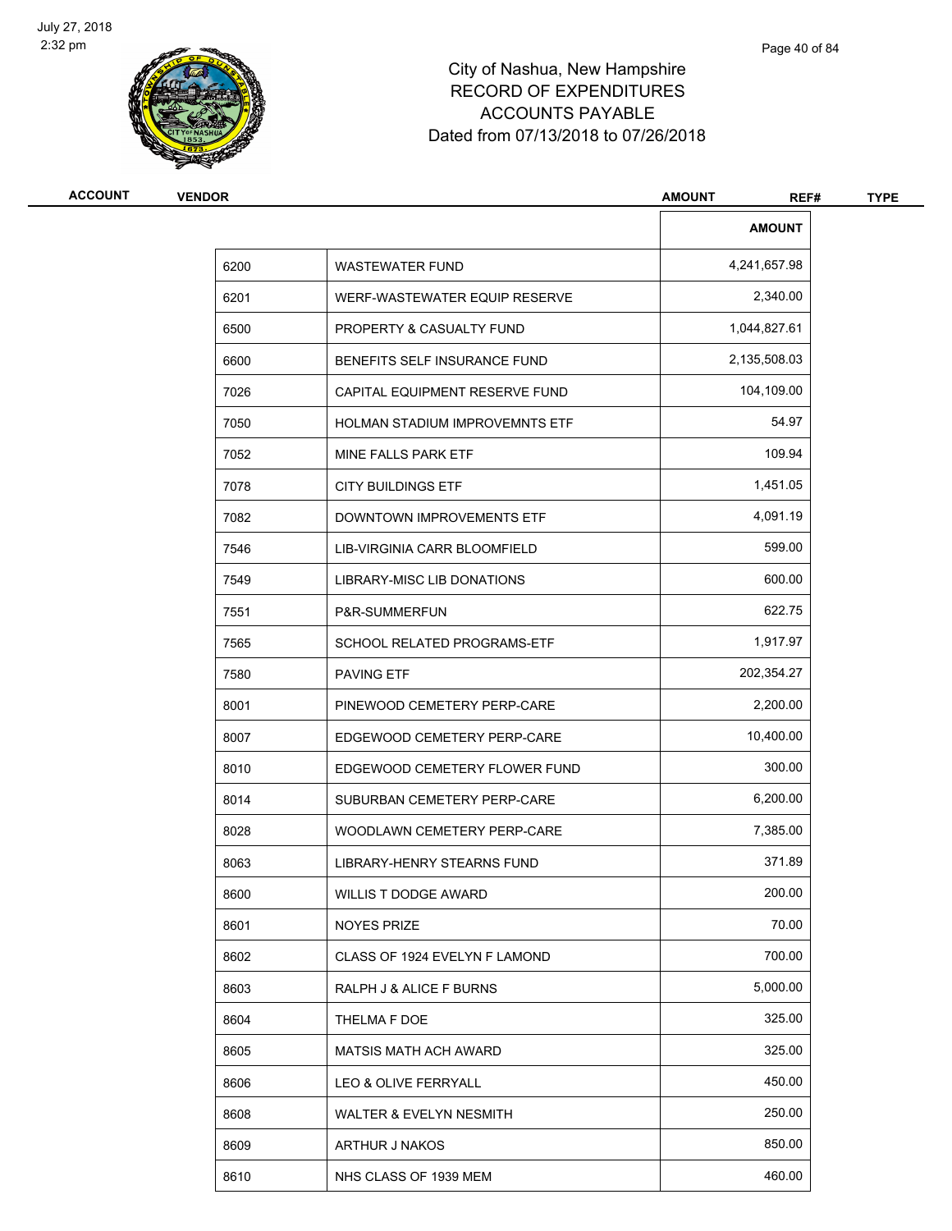

| <b>ACCOUNT</b> | <b>VENDOR</b> |                                   | <b>AMOUNT</b><br>REF# | <b>TYPE</b> |
|----------------|---------------|-----------------------------------|-----------------------|-------------|
|                |               |                                   | <b>AMOUNT</b>         |             |
|                | 6200          | <b>WASTEWATER FUND</b>            | 4,241,657.98          |             |
|                | 6201          | WERF-WASTEWATER EQUIP RESERVE     | 2,340.00              |             |
|                | 6500          | PROPERTY & CASUALTY FUND          | 1,044,827.61          |             |
|                | 6600          | BENEFITS SELF INSURANCE FUND      | 2,135,508.03          |             |
|                | 7026          | CAPITAL EQUIPMENT RESERVE FUND    | 104,109.00            |             |
|                | 7050          | HOLMAN STADIUM IMPROVEMNTS ETF    | 54.97                 |             |
|                | 7052          | MINE FALLS PARK ETF               | 109.94                |             |
|                | 7078          | <b>CITY BUILDINGS ETF</b>         | 1,451.05              |             |
|                | 7082          | DOWNTOWN IMPROVEMENTS ETF         | 4,091.19              |             |
|                | 7546          | LIB-VIRGINIA CARR BLOOMFIELD      | 599.00                |             |
|                | 7549          | LIBRARY-MISC LIB DONATIONS        | 600.00                |             |
|                | 7551          | P&R-SUMMERFUN                     | 622.75                |             |
|                | 7565          | SCHOOL RELATED PROGRAMS-ETF       | 1,917.97              |             |
|                | 7580          | <b>PAVING ETF</b>                 | 202,354.27            |             |
|                | 8001          | PINEWOOD CEMETERY PERP-CARE       | 2,200.00              |             |
|                | 8007          | EDGEWOOD CEMETERY PERP-CARE       | 10,400.00             |             |
|                | 8010          | EDGEWOOD CEMETERY FLOWER FUND     | 300.00                |             |
|                | 8014          | SUBURBAN CEMETERY PERP-CARE       | 6,200.00              |             |
|                | 8028          | WOODLAWN CEMETERY PERP-CARE       | 7,385.00              |             |
|                | 8063          | <b>LIBRARY-HENRY STEARNS FUND</b> | 371.89                |             |
|                | 8600          | WILLIS T DODGE AWARD              | 200.00                |             |
|                | 8601          | <b>NOYES PRIZE</b>                | 70.00                 |             |
|                | 8602          | CLASS OF 1924 EVELYN F LAMOND     | 700.00                |             |
|                | 8603          | RALPH J & ALICE F BURNS           | 5,000.00              |             |
|                | 8604          | THELMA F DOE                      | 325.00                |             |
|                | 8605          | <b>MATSIS MATH ACH AWARD</b>      | 325.00                |             |
|                | 8606          | LEO & OLIVE FERRYALL              | 450.00                |             |
|                | 8608          | WALTER & EVELYN NESMITH           | 250.00                |             |
|                | 8609          | ARTHUR J NAKOS                    | 850.00                |             |
|                | 8610          | NHS CLASS OF 1939 MEM             | 460.00                |             |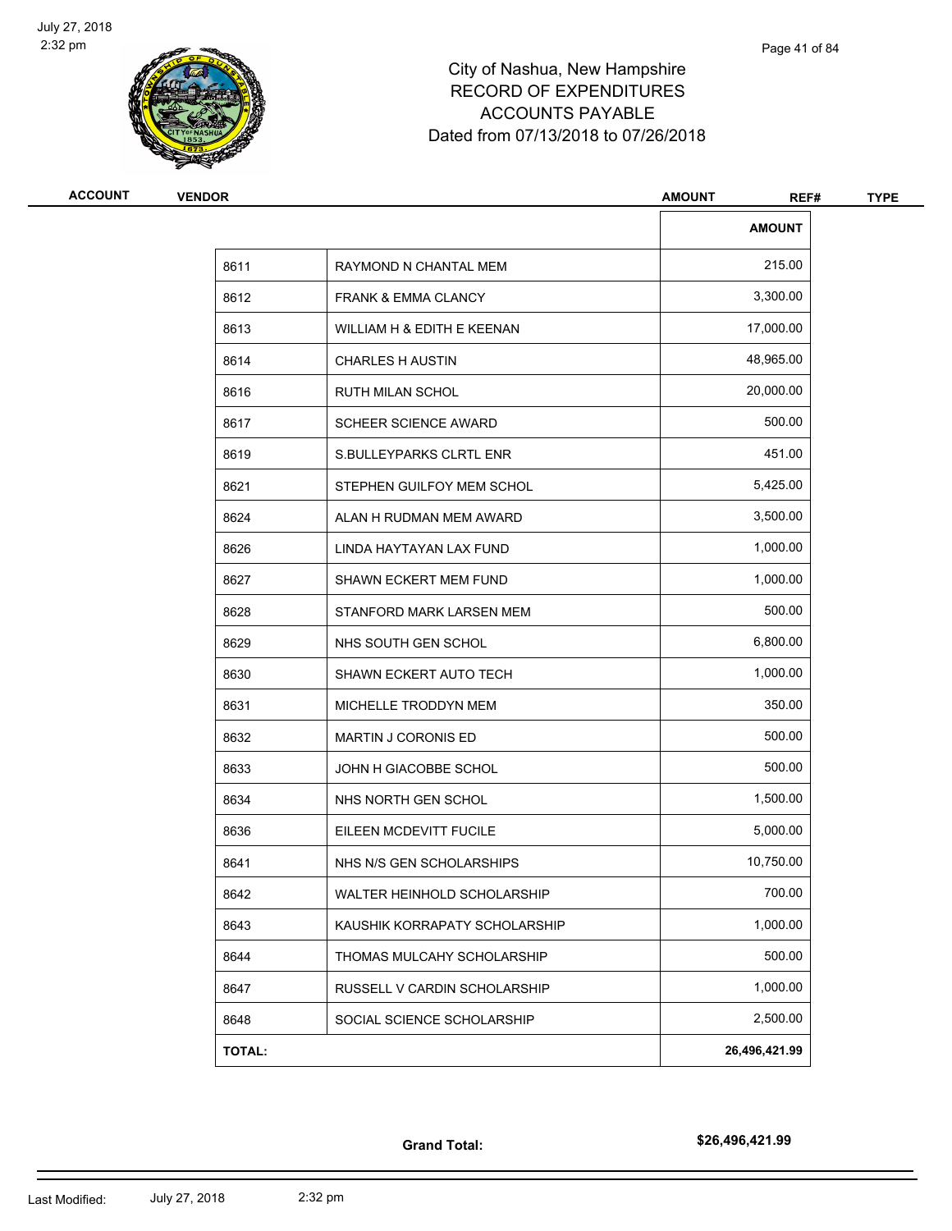

| <b>ACCOUNT</b> | <b>VENDOR</b> |                                | <b>AMOUNT</b><br>REF# | <b>TYPE</b> |
|----------------|---------------|--------------------------------|-----------------------|-------------|
|                |               |                                | <b>AMOUNT</b>         |             |
|                | 8611          | RAYMOND N CHANTAL MEM          | 215.00                |             |
|                | 8612          | <b>FRANK &amp; EMMA CLANCY</b> | 3,300.00              |             |
|                | 8613          | WILLIAM H & EDITH E KEENAN     | 17,000.00             |             |
|                | 8614          | <b>CHARLES H AUSTIN</b>        | 48,965.00             |             |
|                | 8616          | <b>RUTH MILAN SCHOL</b>        | 20,000.00             |             |
|                | 8617          | <b>SCHEER SCIENCE AWARD</b>    | 500.00                |             |
|                | 8619          | S.BULLEYPARKS CLRTL ENR        | 451.00                |             |
|                | 8621          | STEPHEN GUILFOY MEM SCHOL      | 5,425.00              |             |
|                | 8624          | ALAN H RUDMAN MEM AWARD        | 3,500.00              |             |
|                | 8626          | LINDA HAYTAYAN LAX FUND        | 1,000.00              |             |
|                | 8627          | <b>SHAWN ECKERT MEM FUND</b>   | 1,000.00              |             |
|                | 8628          | STANFORD MARK LARSEN MEM       | 500.00                |             |
|                | 8629          | NHS SOUTH GEN SCHOL            | 6,800.00              |             |
|                | 8630          | SHAWN ECKERT AUTO TECH         | 1,000.00              |             |
|                | 8631          | MICHELLE TRODDYN MEM           | 350.00                |             |
|                | 8632          | MARTIN J CORONIS ED            | 500.00                |             |
|                | 8633          | JOHN H GIACOBBE SCHOL          | 500.00                |             |
|                | 8634          | NHS NORTH GEN SCHOL            | 1,500.00              |             |
|                | 8636          | EILEEN MCDEVITT FUCILE         | 5,000.00              |             |
|                | 8641          | NHS N/S GEN SCHOLARSHIPS       | 10,750.00             |             |
|                | 8642          | WALTER HEINHOLD SCHOLARSHIP    | 700.00                |             |
|                | 8643          | KAUSHIK KORRAPATY SCHOLARSHIP  | 1,000.00              |             |
|                | 8644          | THOMAS MULCAHY SCHOLARSHIP     | 500.00                |             |
|                | 8647          | RUSSELL V CARDIN SCHOLARSHIP   | 1,000.00              |             |
|                | 8648          | SOCIAL SCIENCE SCHOLARSHIP     | 2,500.00              |             |
|                | <b>TOTAL:</b> |                                | 26,496,421.99         |             |
|                |               |                                |                       |             |

**Grand Total:**

**\$26,496,421.99**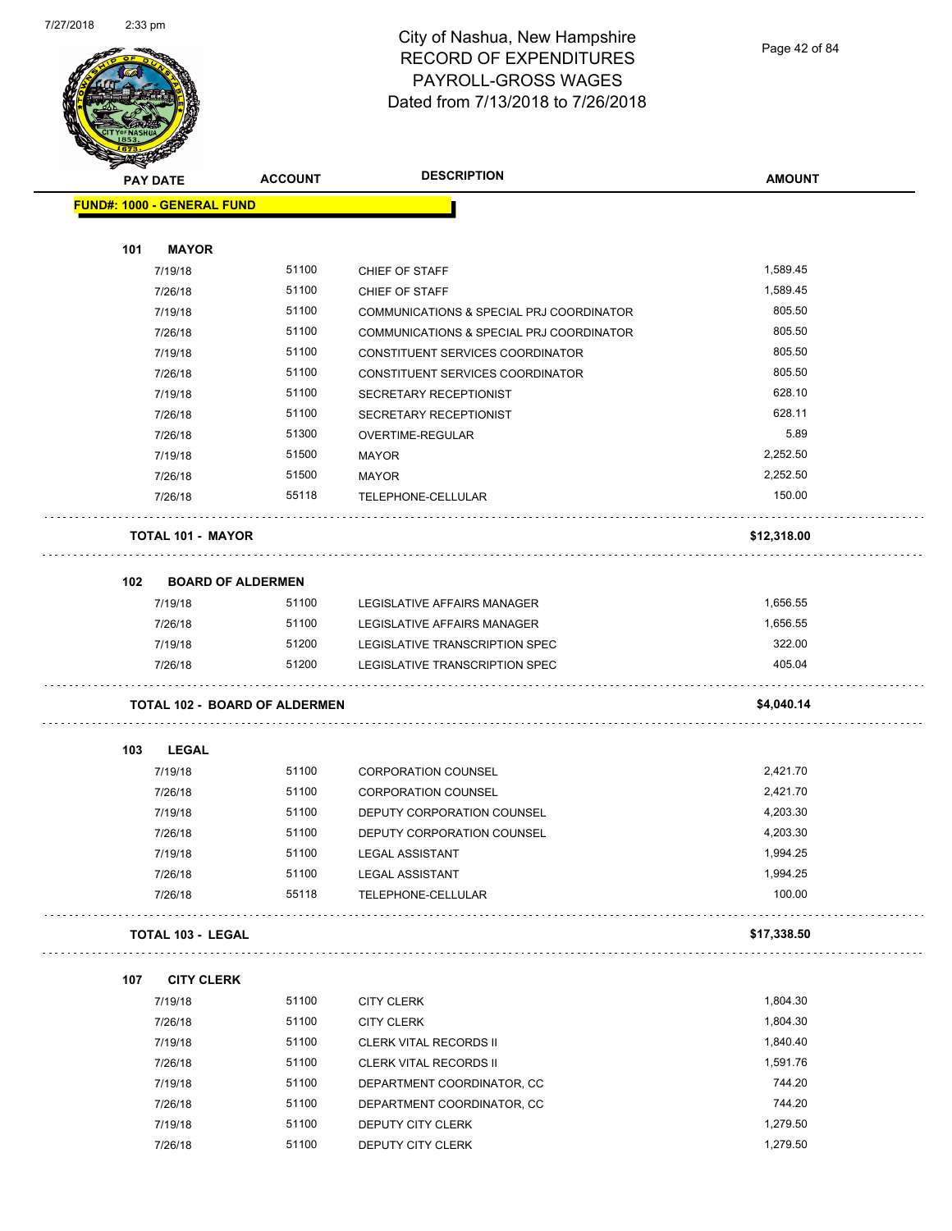$\Box$ 

 $\Box$ 

 $\Box$ 

## City of Nashua, New Hampshire RECORD OF EXPENDITURES PAYROLL-GROSS WAGES Dated from 7/13/2018 to 7/26/2018

|     | <b>PAY DATE</b>                   | <b>ACCOUNT</b>                | <b>DESCRIPTION</b>                       | <b>AMOUNT</b> |
|-----|-----------------------------------|-------------------------------|------------------------------------------|---------------|
|     | <b>FUND#: 1000 - GENERAL FUND</b> |                               |                                          |               |
|     |                                   |                               |                                          |               |
| 101 | <b>MAYOR</b>                      |                               |                                          |               |
|     | 7/19/18                           | 51100                         | CHIEF OF STAFF                           | 1,589.45      |
|     | 7/26/18                           | 51100                         | CHIEF OF STAFF                           | 1,589.45      |
|     | 7/19/18                           | 51100                         | COMMUNICATIONS & SPECIAL PRJ COORDINATOR | 805.50        |
|     | 7/26/18                           | 51100                         | COMMUNICATIONS & SPECIAL PRJ COORDINATOR | 805.50        |
|     | 7/19/18                           | 51100                         | CONSTITUENT SERVICES COORDINATOR         | 805.50        |
|     | 7/26/18                           | 51100                         | CONSTITUENT SERVICES COORDINATOR         | 805.50        |
|     | 7/19/18                           | 51100                         | SECRETARY RECEPTIONIST                   | 628.10        |
|     | 7/26/18                           | 51100                         | SECRETARY RECEPTIONIST                   | 628.11        |
|     | 7/26/18                           | 51300                         | OVERTIME-REGULAR                         | 5.89          |
|     | 7/19/18                           | 51500                         | <b>MAYOR</b>                             | 2,252.50      |
|     | 7/26/18                           | 51500                         | <b>MAYOR</b>                             | 2,252.50      |
|     | 7/26/18                           | 55118                         | TELEPHONE-CELLULAR                       | 150.00        |
|     | <b>TOTAL 101 - MAYOR</b>          |                               |                                          | \$12,318.00   |
| 102 | <b>BOARD OF ALDERMEN</b>          |                               |                                          |               |
|     | 7/19/18                           | 51100                         | LEGISLATIVE AFFAIRS MANAGER              | 1,656.55      |
|     | 7/26/18                           | 51100                         | LEGISLATIVE AFFAIRS MANAGER              | 1,656.55      |
|     | 7/19/18                           | 51200                         | LEGISLATIVE TRANSCRIPTION SPEC           | 322.00        |
|     | 7/26/18                           | 51200                         | LEGISLATIVE TRANSCRIPTION SPEC           | 405.04        |
|     |                                   | TOTAL 102 - BOARD OF ALDERMEN |                                          | \$4,040.14    |
|     |                                   |                               |                                          |               |
| 103 | <b>LEGAL</b>                      |                               |                                          |               |
|     | 7/19/18                           | 51100                         | <b>CORPORATION COUNSEL</b>               | 2,421.70      |
|     | 7/26/18                           | 51100                         | <b>CORPORATION COUNSEL</b>               | 2,421.70      |
|     | 7/19/18                           | 51100                         | DEPUTY CORPORATION COUNSEL               | 4,203.30      |
|     | 7/26/18                           | 51100                         | DEPUTY CORPORATION COUNSEL               | 4,203.30      |
|     | 7/19/18                           | 51100                         | <b>LEGAL ASSISTANT</b>                   | 1,994.25      |
|     | 7/26/18                           | 51100                         | <b>LEGAL ASSISTANT</b>                   | 1,994.25      |
|     | 7/26/18                           | 55118                         | TELEPHONE-CELLULAR                       | 100.00        |
|     | <b>TOTAL 103 - LEGAL</b>          |                               |                                          | \$17,338.50   |
| 107 | <b>CITY CLERK</b>                 |                               |                                          |               |
|     | 7/19/18                           | 51100                         | <b>CITY CLERK</b>                        | 1,804.30      |
|     | 7/26/18                           | 51100                         | <b>CITY CLERK</b>                        | 1,804.30      |
|     | 7/19/18                           | 51100                         | CLERK VITAL RECORDS II                   | 1,840.40      |
|     | 7/26/18                           | 51100                         | CLERK VITAL RECORDS II                   | 1,591.76      |
|     | 7/19/18                           | 51100                         | DEPARTMENT COORDINATOR, CC               | 744.20        |
|     | 7/26/18                           | 51100                         | DEPARTMENT COORDINATOR, CC               | 744.20        |
|     | 7/19/18                           | 51100                         | DEPUTY CITY CLERK                        | 1,279.50      |
|     | 7/26/18                           | 51100                         | DEPUTY CITY CLERK                        | 1,279.50      |
|     |                                   |                               |                                          |               |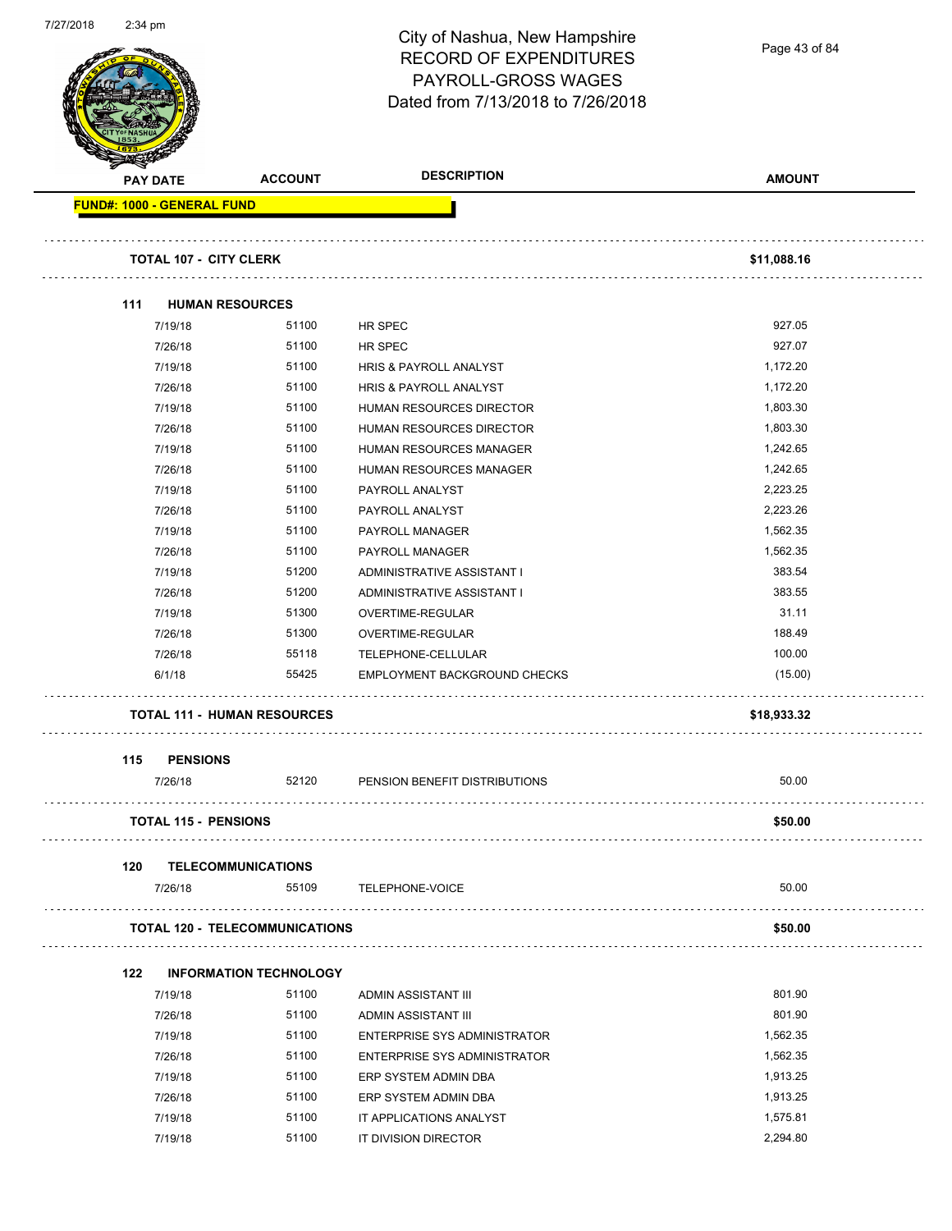| 112112010 | 2.34 pm |                 |                                       | City of Nashua, New Hampshire<br><b>RECORD OF EXPENDITURES</b><br>PAYROLL-GROSS WAGES | Page 43 of 84 |
|-----------|---------|-----------------|---------------------------------------|---------------------------------------------------------------------------------------|---------------|
|           |         |                 |                                       | Dated from 7/13/2018 to 7/26/2018                                                     |               |
|           |         | <b>PAY DATE</b> | <b>ACCOUNT</b>                        | <b>DESCRIPTION</b>                                                                    | <b>AMOUNT</b> |
|           |         |                 | <b>FUND#: 1000 - GENERAL FUND</b>     |                                                                                       |               |
|           |         |                 |                                       |                                                                                       |               |
|           |         |                 | <b>TOTAL 107 - CITY CLERK</b>         |                                                                                       | \$11,088.16   |
|           | 111     |                 | <b>HUMAN RESOURCES</b>                |                                                                                       |               |
|           |         | 7/19/18         | 51100                                 | HR SPEC                                                                               | 927.05        |
|           |         | 7/26/18         | 51100                                 | HR SPEC                                                                               | 927.07        |
|           |         | 7/19/18         | 51100                                 | HRIS & PAYROLL ANALYST                                                                | 1,172.20      |
|           |         | 7/26/18         | 51100                                 | HRIS & PAYROLL ANALYST                                                                | 1,172.20      |
|           |         | 7/19/18         | 51100                                 | HUMAN RESOURCES DIRECTOR                                                              | 1,803.30      |
|           |         | 7/26/18         | 51100                                 | HUMAN RESOURCES DIRECTOR                                                              | 1,803.30      |
|           |         | 7/19/18         | 51100                                 | HUMAN RESOURCES MANAGER                                                               | 1,242.65      |
|           |         | 7/26/18         | 51100                                 | HUMAN RESOURCES MANAGER                                                               | 1,242.65      |
|           |         | 7/19/18         | 51100                                 | PAYROLL ANALYST                                                                       | 2,223.25      |
|           |         | 7/26/18         | 51100                                 | PAYROLL ANALYST                                                                       | 2,223.26      |
|           |         | 7/19/18         | 51100                                 | PAYROLL MANAGER                                                                       | 1,562.35      |
|           |         | 7/26/18         | 51100                                 | PAYROLL MANAGER                                                                       | 1,562.35      |
|           |         | 7/19/18         | 51200                                 | ADMINISTRATIVE ASSISTANT I                                                            | 383.54        |
|           |         | 7/26/18         | 51200                                 | ADMINISTRATIVE ASSISTANT I                                                            | 383.55        |
|           |         | 7/19/18         | 51300                                 | OVERTIME-REGULAR                                                                      | 31.11         |
|           |         | 7/26/18         | 51300                                 | OVERTIME-REGULAR                                                                      | 188.49        |
|           |         | 7/26/18         | 55118                                 | TELEPHONE-CELLULAR                                                                    | 100.00        |
|           |         | 6/1/18          | 55425                                 | EMPLOYMENT BACKGROUND CHECKS                                                          | (15.00)       |
|           |         |                 | <b>TOTAL 111 - HUMAN RESOURCES</b>    |                                                                                       | \$18,933.32   |
|           |         |                 |                                       |                                                                                       |               |
|           | 115     | <b>PENSIONS</b> |                                       |                                                                                       | 50.00         |
|           |         | 7/26/18         | 52120                                 | PENSION BENEFIT DISTRIBUTIONS                                                         |               |
|           |         |                 | <b>TOTAL 115 - PENSIONS</b>           |                                                                                       | \$50.00       |
|           | 120     |                 | <b>TELECOMMUNICATIONS</b>             |                                                                                       |               |
|           |         | 7/26/18         | 55109                                 | <b>TELEPHONE-VOICE</b>                                                                | 50.00         |
|           |         |                 | <b>TOTAL 120 - TELECOMMUNICATIONS</b> |                                                                                       | \$50.00       |
|           |         |                 |                                       |                                                                                       |               |
|           | 122     |                 | <b>INFORMATION TECHNOLOGY</b>         |                                                                                       |               |
|           |         | 7/19/18         | 51100                                 | ADMIN ASSISTANT III                                                                   | 801.90        |
|           |         | 7/26/18         | 51100                                 | ADMIN ASSISTANT III                                                                   | 801.90        |
|           |         | 7/19/18         | 51100                                 | <b>ENTERPRISE SYS ADMINISTRATOR</b>                                                   | 1,562.35      |
|           |         | 7/26/18         | 51100                                 | <b>ENTERPRISE SYS ADMINISTRATOR</b>                                                   | 1,562.35      |
|           |         | 7/19/18         | 51100                                 | ERP SYSTEM ADMIN DBA                                                                  | 1,913.25      |
|           |         | 7/26/18         | 51100                                 | ERP SYSTEM ADMIN DBA                                                                  | 1,913.25      |
|           |         | 7/19/18         | 51100                                 | IT APPLICATIONS ANALYST                                                               | 1,575.81      |
|           |         | 7/19/18         | 51100                                 | IT DIVISION DIRECTOR                                                                  | 2,294.80      |

7/27/2018 2:34 pm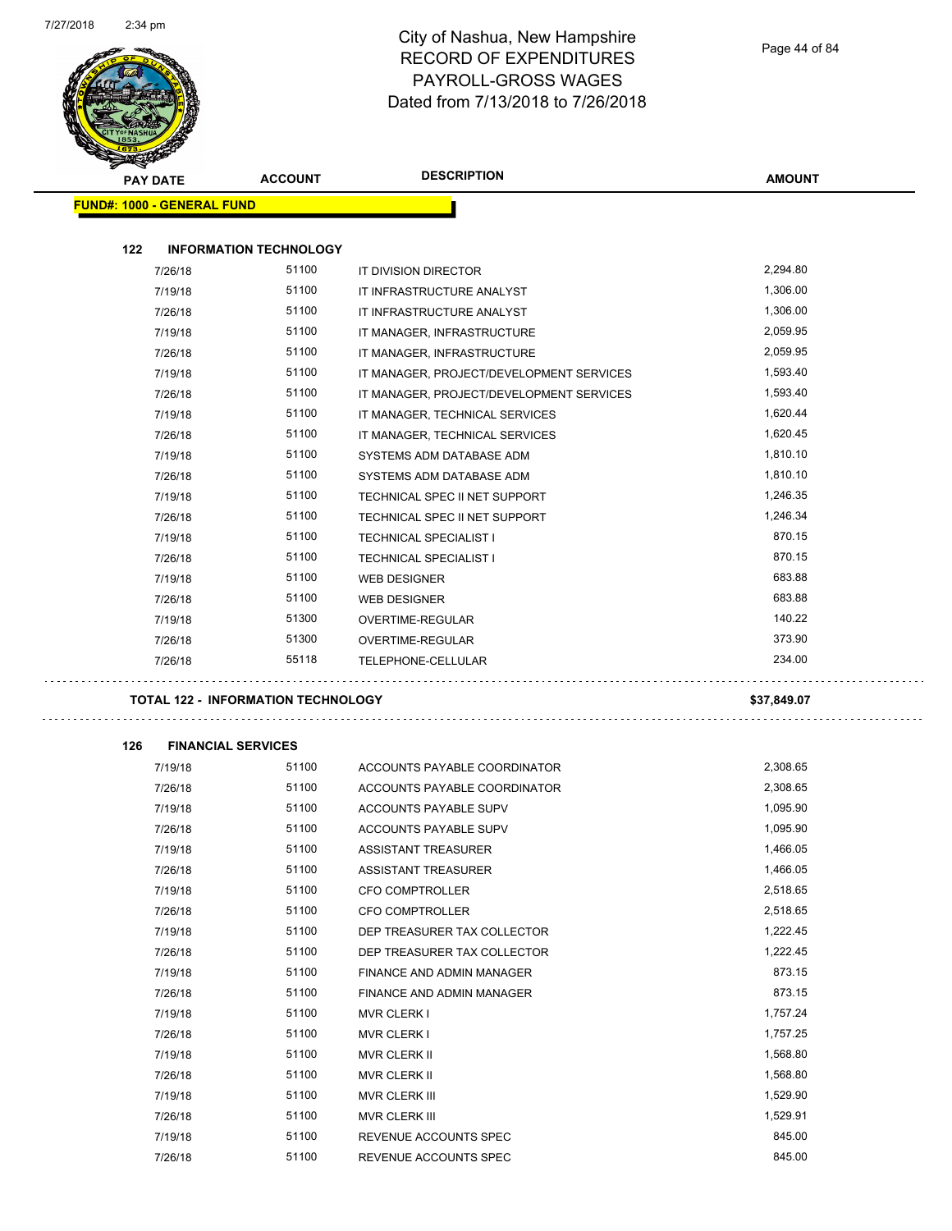$\sim$  .



#### City of Nashua, New Hampshire RECORD OF EXPENDITURES PAYROLL-GROSS WAGES Dated from 7/13/2018 to 7/26/2018

|     | <b>PAY DATE</b>                           | <b>ACCOUNT</b> | <b>DESCRIPTION</b>                       | <b>AMOUNT</b> |
|-----|-------------------------------------------|----------------|------------------------------------------|---------------|
|     | <b>FUND#: 1000 - GENERAL FUND</b>         |                |                                          |               |
|     |                                           |                |                                          |               |
| 122 | <b>INFORMATION TECHNOLOGY</b>             |                |                                          |               |
|     | 7/26/18                                   | 51100          | IT DIVISION DIRECTOR                     | 2,294.80      |
|     | 7/19/18                                   | 51100          | IT INFRASTRUCTURE ANALYST                | 1,306.00      |
|     | 7/26/18                                   | 51100          | IT INFRASTRUCTURE ANALYST                | 1,306.00      |
|     | 7/19/18                                   | 51100          | IT MANAGER, INFRASTRUCTURE               | 2,059.95      |
|     | 7/26/18                                   | 51100          | IT MANAGER, INFRASTRUCTURE               | 2,059.95      |
|     | 7/19/18                                   | 51100          | IT MANAGER, PROJECT/DEVELOPMENT SERVICES | 1,593.40      |
|     | 7/26/18                                   | 51100          | IT MANAGER, PROJECT/DEVELOPMENT SERVICES | 1,593.40      |
|     | 7/19/18                                   | 51100          | IT MANAGER, TECHNICAL SERVICES           | 1,620.44      |
|     | 7/26/18                                   | 51100          | IT MANAGER, TECHNICAL SERVICES           | 1,620.45      |
|     | 7/19/18                                   | 51100          | SYSTEMS ADM DATABASE ADM                 | 1,810.10      |
|     | 7/26/18                                   | 51100          | SYSTEMS ADM DATABASE ADM                 | 1,810.10      |
|     | 7/19/18                                   | 51100          | TECHNICAL SPEC II NET SUPPORT            | 1,246.35      |
|     | 7/26/18                                   | 51100          | TECHNICAL SPEC II NET SUPPORT            | 1,246.34      |
|     | 7/19/18                                   | 51100          | <b>TECHNICAL SPECIALIST I</b>            | 870.15        |
|     | 7/26/18                                   | 51100          | <b>TECHNICAL SPECIALIST I</b>            | 870.15        |
|     | 7/19/18                                   | 51100          | <b>WEB DESIGNER</b>                      | 683.88        |
|     | 7/26/18                                   | 51100          | <b>WEB DESIGNER</b>                      | 683.88        |
|     | 7/19/18                                   | 51300          | OVERTIME-REGULAR                         | 140.22        |
|     | 7/26/18                                   | 51300          | OVERTIME-REGULAR                         | 373.90        |
|     | 7/26/18                                   | 55118          | TELEPHONE-CELLULAR                       | 234.00        |
|     |                                           |                |                                          |               |
|     | <b>TOTAL 122 - INFORMATION TECHNOLOGY</b> |                |                                          | \$37,849.07   |
|     |                                           |                |                                          |               |
| 126 | <b>FINANCIAL SERVICES</b>                 |                |                                          |               |
|     | 7/19/18                                   | 51100          | ACCOUNTS PAYABLE COORDINATOR             | 2,308.65      |
|     | 7/26/18                                   | 51100          | ACCOUNTS PAYABLE COORDINATOR             | 2,308.65      |
|     | 7/19/18                                   | 51100          | <b>ACCOUNTS PAYABLE SUPV</b>             | 1,095.90      |
|     | 7/26/18                                   | 51100          | ACCOUNTS PAYABLE SUPV                    | 1,095.90      |
|     | 7/19/18                                   | 51100          | ASSISTANT TREASURER                      | 1,466.05      |
|     | 7/26/18                                   | 51100          | <b>ASSISTANT TREASURER</b>               | 1,466.05      |
|     | 7/19/18                                   | 51100          | <b>CFO COMPTROLLER</b>                   | 2,518.65      |
|     | 7/26/18                                   | 51100          | CFO COMPTROLLER                          | 2,518.65      |
|     | 7/19/18                                   | 51100          | DEP TREASURER TAX COLLECTOR              | 1,222.45      |
|     | 7/26/18                                   | 51100          | DEP TREASURER TAX COLLECTOR              | 1,222.45      |
|     | 7/19/18                                   | 51100          | FINANCE AND ADMIN MANAGER                | 873.15        |
|     | 7/26/18                                   | 51100          | FINANCE AND ADMIN MANAGER                | 873.15        |
|     | 7/19/18                                   | 51100          | <b>MVR CLERK I</b>                       | 1,757.24      |
|     | 7/26/18                                   | 51100          | <b>MVR CLERK I</b>                       | 1,757.25      |
|     | 7/19/18                                   | 51100          | MVR CLERK II                             | 1,568.80      |
|     | 7/26/18                                   | 51100          | MVR CLERK II                             | 1,568.80      |
|     | 7/19/18                                   | 51100          | MVR CLERK III                            | 1,529.90      |
|     | 7/26/18                                   | 51100          | MVR CLERK III                            | 1,529.91      |
|     | 7/19/18                                   | 51100          | REVENUE ACCOUNTS SPEC                    | 845.00        |
|     | 7/26/18                                   | 51100          | REVENUE ACCOUNTS SPEC                    | 845.00        |

 $\mathbb{Z}^{\mathbb{Z}}$  .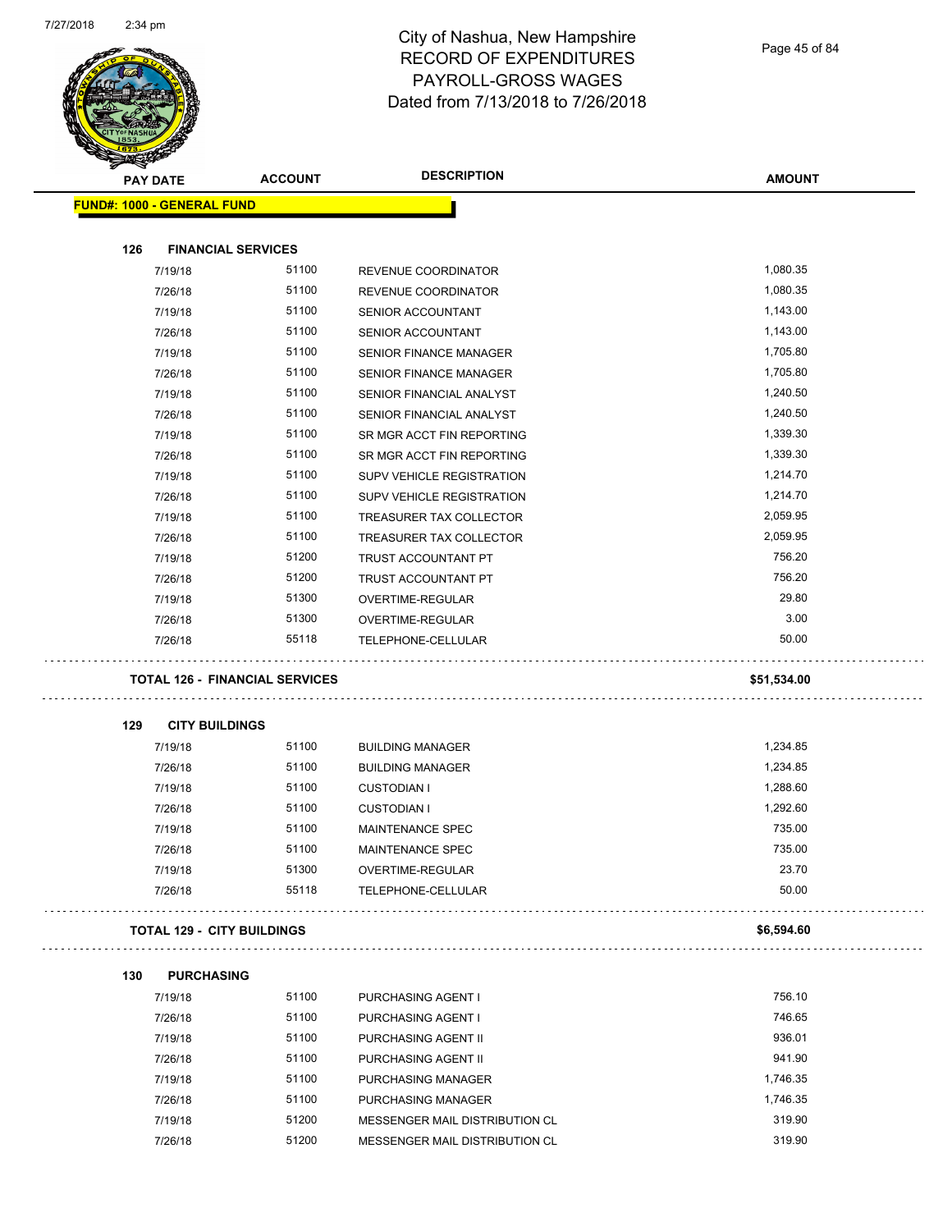

Page 45 of 84

| <b>PAY DATE</b>                   | <b>ACCOUNT</b>                        | <b>DESCRIPTION</b>             | <b>AMOUNT</b> |
|-----------------------------------|---------------------------------------|--------------------------------|---------------|
| <b>FUND#: 1000 - GENERAL FUND</b> |                                       |                                |               |
| 126                               | <b>FINANCIAL SERVICES</b>             |                                |               |
| 7/19/18                           | 51100                                 | REVENUE COORDINATOR            | 1,080.35      |
| 7/26/18                           | 51100                                 | REVENUE COORDINATOR            | 1,080.35      |
| 7/19/18                           | 51100                                 | SENIOR ACCOUNTANT              | 1,143.00      |
| 7/26/18                           | 51100                                 | <b>SENIOR ACCOUNTANT</b>       | 1,143.00      |
| 7/19/18                           | 51100                                 | <b>SENIOR FINANCE MANAGER</b>  | 1,705.80      |
| 7/26/18                           | 51100                                 | <b>SENIOR FINANCE MANAGER</b>  | 1,705.80      |
| 7/19/18                           | 51100                                 | SENIOR FINANCIAL ANALYST       | 1,240.50      |
| 7/26/18                           | 51100                                 | SENIOR FINANCIAL ANALYST       | 1,240.50      |
| 7/19/18                           | 51100                                 | SR MGR ACCT FIN REPORTING      | 1,339.30      |
| 7/26/18                           | 51100                                 | SR MGR ACCT FIN REPORTING      | 1,339.30      |
| 7/19/18                           | 51100                                 | SUPV VEHICLE REGISTRATION      | 1,214.70      |
| 7/26/18                           | 51100                                 | SUPV VEHICLE REGISTRATION      | 1,214.70      |
| 7/19/18                           | 51100                                 | TREASURER TAX COLLECTOR        | 2,059.95      |
| 7/26/18                           | 51100                                 | TREASURER TAX COLLECTOR        | 2,059.95      |
| 7/19/18                           | 51200                                 | TRUST ACCOUNTANT PT            | 756.20        |
| 7/26/18                           | 51200                                 | TRUST ACCOUNTANT PT            | 756.20        |
| 7/19/18                           | 51300                                 | OVERTIME-REGULAR               | 29.80         |
| 7/26/18                           | 51300                                 | OVERTIME-REGULAR               | 3.00          |
| 7/26/18                           | 55118                                 | TELEPHONE-CELLULAR             | 50.00         |
|                                   | <b>TOTAL 126 - FINANCIAL SERVICES</b> |                                | \$51,534.00   |
| 129                               | <b>CITY BUILDINGS</b>                 |                                |               |
| 7/19/18                           | 51100                                 | <b>BUILDING MANAGER</b>        | 1,234.85      |
| 7/26/18                           | 51100                                 | <b>BUILDING MANAGER</b>        | 1,234.85      |
| 7/19/18                           | 51100                                 | <b>CUSTODIAN I</b>             | 1,288.60      |
| 7/26/18                           | 51100                                 | <b>CUSTODIAN I</b>             | 1,292.60      |
| 7/19/18                           | 51100                                 | <b>MAINTENANCE SPEC</b>        | 735.00        |
| 7/26/18                           | 51100                                 | MAINTENANCE SPEC               | 735.00        |
| 7/19/18                           | 51300                                 | OVERTIME-REGULAR               | 23.70         |
| 7/26/18                           | 55118                                 | TELEPHONE-CELLULAR             | 50.00         |
|                                   | <b>TOTAL 129 - CITY BUILDINGS</b>     |                                | \$6,594.60    |
| 130                               | <b>PURCHASING</b>                     |                                |               |
| 7/19/18                           | 51100                                 | PURCHASING AGENT I             | 756.10        |
| 7/26/18                           | 51100                                 | PURCHASING AGENT I             | 746.65        |
| 7/19/18                           | 51100                                 | PURCHASING AGENT II            | 936.01        |
| 7/26/18                           | 51100                                 | PURCHASING AGENT II            | 941.90        |
| 7/19/18                           | 51100                                 | PURCHASING MANAGER             | 1,746.35      |
| 7/26/18                           | 51100                                 | PURCHASING MANAGER             | 1,746.35      |
|                                   |                                       |                                |               |
| 7/19/18                           | 51200                                 | MESSENGER MAIL DISTRIBUTION CL | 319.90        |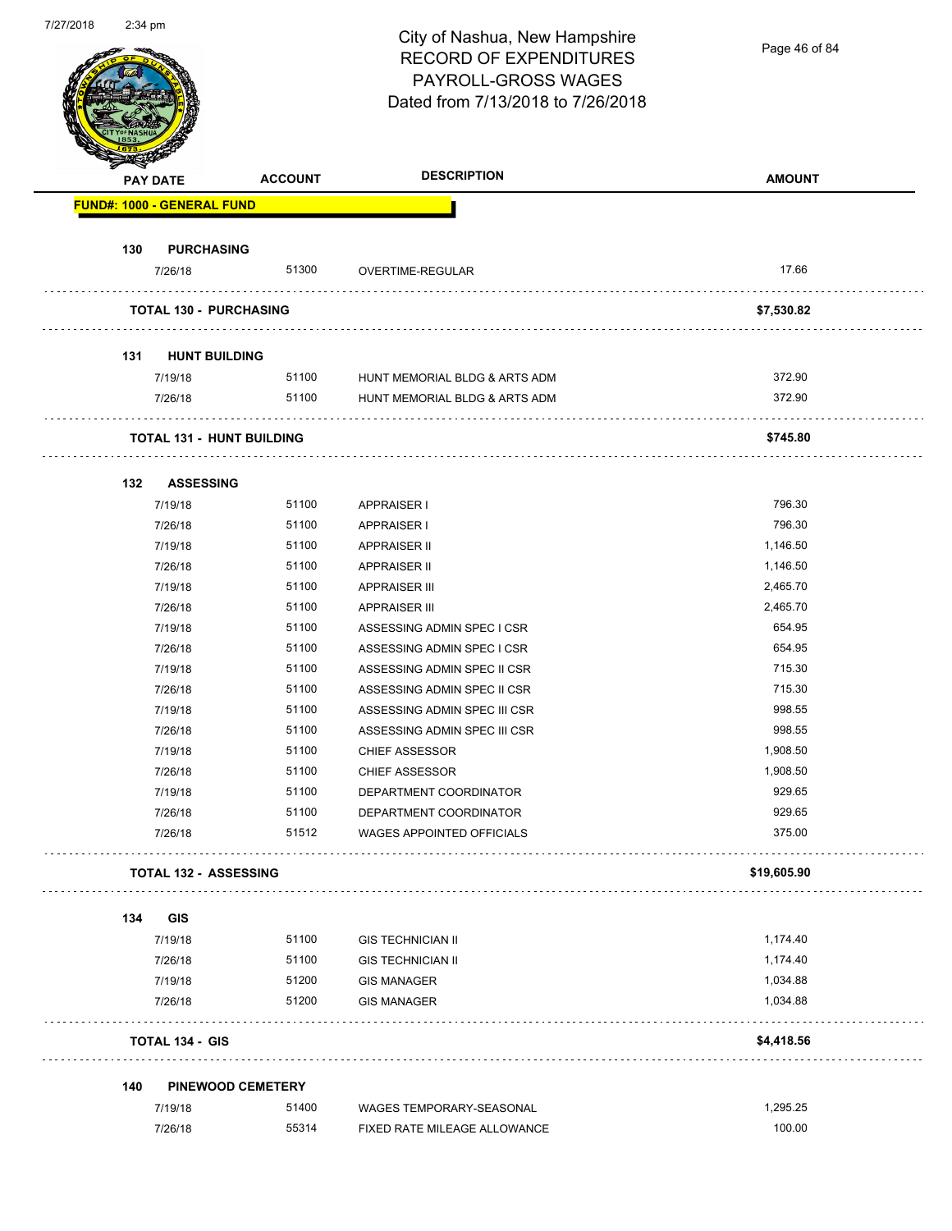

Page 46 of 84

|     | <b>PAY DATE</b>               | <b>ACCOUNT</b>                   | <b>DESCRIPTION</b>               | <b>AMOUNT</b> |
|-----|-------------------------------|----------------------------------|----------------------------------|---------------|
|     | FUND#: 1000 - GENERAL FUND    |                                  |                                  |               |
| 130 | <b>PURCHASING</b>             |                                  |                                  |               |
|     | 7/26/18                       | 51300                            | OVERTIME-REGULAR                 | 17.66         |
|     | <b>TOTAL 130 - PURCHASING</b> |                                  | .                                | \$7,530.82    |
| 131 | <b>HUNT BUILDING</b>          |                                  |                                  |               |
|     | 7/19/18                       | 51100                            | HUNT MEMORIAL BLDG & ARTS ADM    | 372.90        |
|     | 7/26/18                       | 51100                            | HUNT MEMORIAL BLDG & ARTS ADM    | 372.90        |
|     |                               |                                  |                                  |               |
|     |                               | <b>TOTAL 131 - HUNT BUILDING</b> |                                  | \$745.80      |
| 132 | <b>ASSESSING</b>              |                                  |                                  |               |
|     | 7/19/18                       | 51100                            | APPRAISER I                      | 796.30        |
|     | 7/26/18                       | 51100                            | <b>APPRAISER I</b>               | 796.30        |
|     | 7/19/18                       | 51100                            | <b>APPRAISER II</b>              | 1,146.50      |
|     | 7/26/18                       | 51100                            | <b>APPRAISER II</b>              | 1,146.50      |
|     | 7/19/18                       | 51100                            | <b>APPRAISER III</b>             | 2,465.70      |
|     | 7/26/18                       | 51100                            | <b>APPRAISER III</b>             | 2,465.70      |
|     | 7/19/18                       | 51100                            | ASSESSING ADMIN SPEC I CSR       | 654.95        |
|     | 7/26/18                       | 51100                            | ASSESSING ADMIN SPEC I CSR       | 654.95        |
|     | 7/19/18                       | 51100                            | ASSESSING ADMIN SPEC II CSR      | 715.30        |
|     | 7/26/18                       | 51100                            | ASSESSING ADMIN SPEC II CSR      | 715.30        |
|     | 7/19/18                       | 51100                            | ASSESSING ADMIN SPEC III CSR     | 998.55        |
|     | 7/26/18                       | 51100                            | ASSESSING ADMIN SPEC III CSR     | 998.55        |
|     | 7/19/18                       | 51100                            | <b>CHIEF ASSESSOR</b>            | 1,908.50      |
|     | 7/26/18                       | 51100                            | <b>CHIEF ASSESSOR</b>            | 1,908.50      |
|     | 7/19/18                       | 51100                            | DEPARTMENT COORDINATOR           | 929.65        |
|     | 7/26/18                       | 51100                            | DEPARTMENT COORDINATOR           | 929.65        |
|     | 7/26/18                       | 51512                            | <b>WAGES APPOINTED OFFICIALS</b> | 375.00        |
|     | <b>TOTAL 132 - ASSESSING</b>  |                                  |                                  | \$19,605.90   |
| 134 | GIS                           |                                  |                                  |               |
|     | 7/19/18                       | 51100                            | <b>GIS TECHNICIAN II</b>         | 1,174.40      |
|     | 7/26/18                       | 51100                            | <b>GIS TECHNICIAN II</b>         | 1,174.40      |
|     | 7/19/18                       | 51200                            | <b>GIS MANAGER</b>               | 1,034.88      |
|     | 7/26/18                       | 51200                            | <b>GIS MANAGER</b>               | 1,034.88      |
|     | <b>TOTAL 134 - GIS</b>        |                                  |                                  | \$4,418.56    |
| 140 |                               | <b>PINEWOOD CEMETERY</b>         |                                  |               |
|     | 7/19/18                       | 51400                            | WAGES TEMPORARY-SEASONAL         | 1,295.25      |
|     |                               |                                  |                                  |               |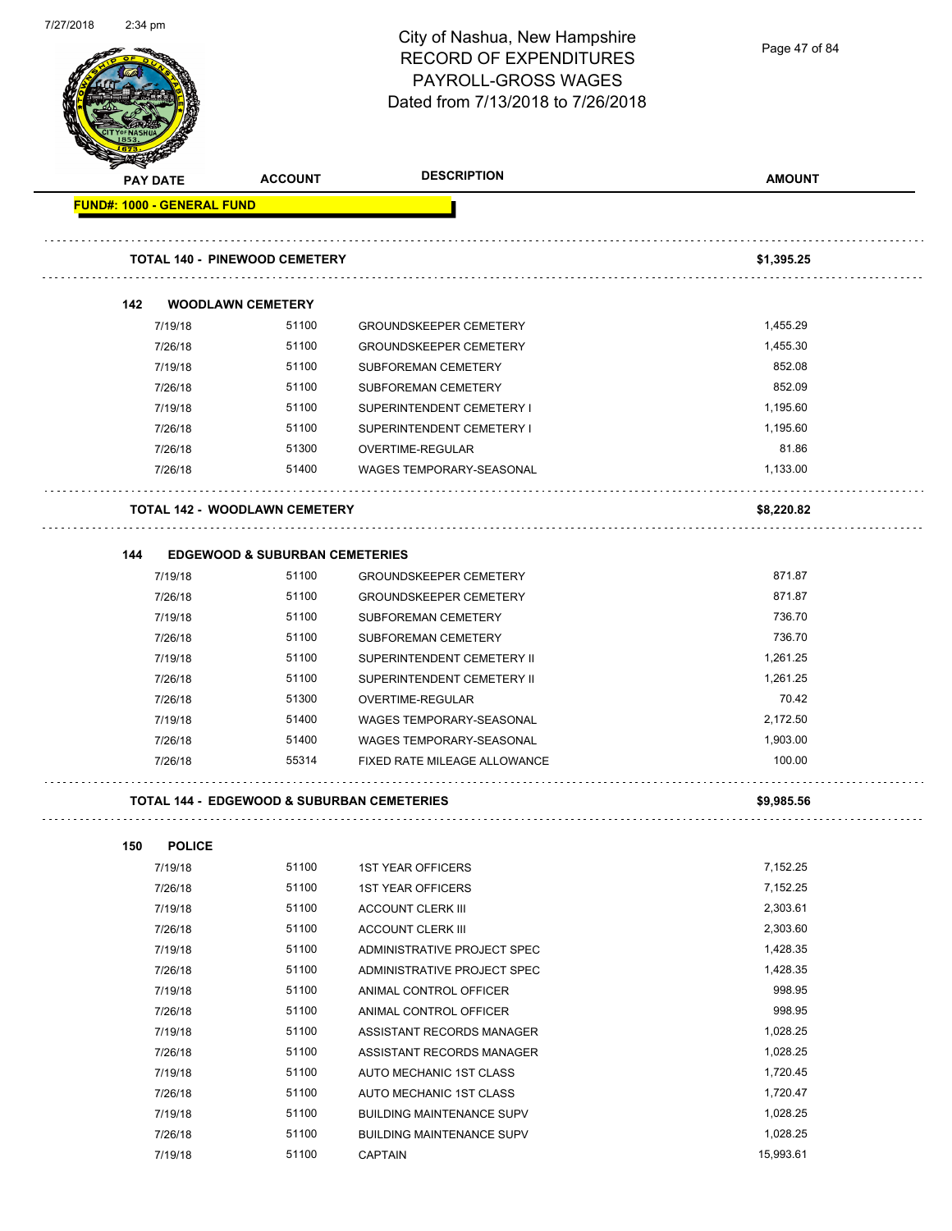City of Nashua, New Hampshire Page 47 of 84RECORD OF EXPENDITURES PAYROLL-GROSS WAGES Dated from 7/13/2018 to 7/26/2018 **PAY DATE ACCOUNT DESCRIPTION AMOUNT FUND#: 1000 - GENERAL FUND TOTAL 140 - PINEWOOD CEMETERY \$1,395.25 142 WOODLAWN CEMETERY** 7/19/18 51100 GROUNDSKEEPER CEMETERY 51.455.29 7/26/18 51100 GROUNDSKEEPER CEMETERY 1,455.30 7/19/18 51100 SUBFOREMAN CEMETERY 852.08 7/26/18 51100 SUBFOREMAN CEMETERY 852.09 7/19/18 51100 SUPERINTENDENT CEMETERY I 1,195.60 7/26/18 51100 SUPERINTENDENT CEMETERY I 1,195.60 7/26/18 51300 OVERTIME-REGULAR 81.86 7/26/18 51400 WAGES TEMPORARY-SEASONAL 1,133.00 . . . . . . . . . . . . . . . . . . **TOTAL 142 - WOODLAWN CEMETERY \$8,220.82 144 EDGEWOOD & SUBURBAN CEMETERIES** 7/19/18 51100 GROUNDSKEEPER CEMETERY 871.87 7/26/18 51100 GROUNDSKEEPER CEMETERY 871.87 7/19/18 51100 SUBFOREMAN CEMETERY 736.70 7/26/18 51100 SUBFOREMAN CEMETERY 736.70 7/19/18 51100 SUPERINTENDENT CEMETERY II 1,261.25 1,261.25 7/26/18 51100 SUPERINTENDENT CEMETERY II 1,261.25 7/26/18 51300 OVERTIME-REGULAR 70.42 7/19/18 51400 WAGES TEMPORARY-SEASONAL 2,172.50 7/26/18 51400 WAGES TEMPORARY-SEASONAL 1,903.00 7/26/18 55314 FIXED RATE MILEAGE ALLOWANCE 100.00 **TOTAL 144 - EDGEWOOD & SUBURBAN CEMETERIES \$9,985.56 150 POLICE** 7/19/18 51100 1ST YEAR OFFICERS 7,152.25 7/26/18 51100 1ST YEAR OFFICERS 7,152.25 7/19/18 51100 ACCOUNT CLERK III 2,303.61 7/26/18 51100 ACCOUNT CLERK III 2,303.60 7/19/18 51100 ADMINISTRATIVE PROJECT SPEC 1,428.35

7/27/2018 2:34 pm

7/26/18 51100 ADMINISTRATIVE PROJECT SPEC 1,428.35 7/19/18 51100 ANIMAL CONTROL OFFICER 998.95 7/26/18 51100 ANIMAL CONTROL OFFICER 998.95 7/19/18 51100 ASSISTANT RECORDS MANAGER 1,028.25 7/26/18 51100 ASSISTANT RECORDS MANAGER 1,028.25 7/19/18 51100 AUTO MECHANIC 1ST CLASS 1,720.45 7/26/18 51100 AUTO MECHANIC 1ST CLASS 1,720.47 7/19/18 51100 BUILDING MAINTENANCE SUPV 1,028.25 7/26/18 51100 BUILDING MAINTENANCE SUPV 1,028.25 7/19/18 51100 CAPTAIN 15,993.61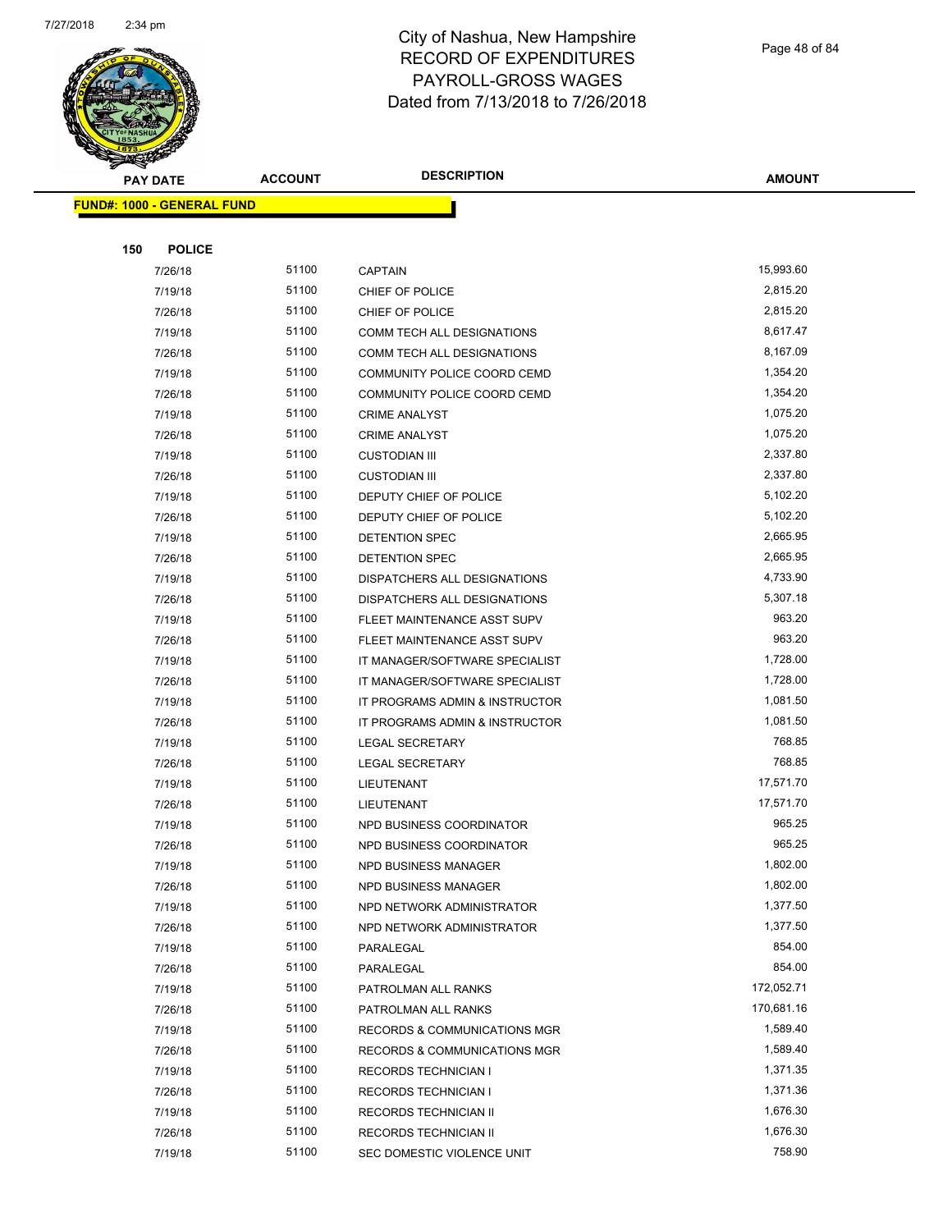

Page 48 of 84

|     | <b>PAY DATE</b>                   | <b>ACCOUNT</b> | <b>DESCRIPTION</b>                               | <b>AMOUNT</b>          |
|-----|-----------------------------------|----------------|--------------------------------------------------|------------------------|
|     | <b>FUND#: 1000 - GENERAL FUND</b> |                |                                                  |                        |
|     |                                   |                |                                                  |                        |
| 150 | <b>POLICE</b>                     |                |                                                  |                        |
|     | 7/26/18                           | 51100          | <b>CAPTAIN</b>                                   | 15,993.60              |
|     | 7/19/18                           | 51100          | CHIEF OF POLICE                                  | 2,815.20               |
|     | 7/26/18                           | 51100          | CHIEF OF POLICE                                  | 2,815.20               |
|     | 7/19/18                           | 51100          | COMM TECH ALL DESIGNATIONS                       | 8,617.47               |
|     | 7/26/18                           | 51100          | COMM TECH ALL DESIGNATIONS                       | 8,167.09               |
|     | 7/19/18                           | 51100          | <b>COMMUNITY POLICE COORD CEMD</b>               | 1,354.20               |
|     | 7/26/18                           | 51100          | COMMUNITY POLICE COORD CEMD                      | 1,354.20               |
|     | 7/19/18                           | 51100          | <b>CRIME ANALYST</b>                             | 1,075.20               |
|     | 7/26/18                           | 51100          | <b>CRIME ANALYST</b>                             | 1,075.20               |
|     |                                   | 51100          |                                                  | 2,337.80               |
|     | 7/19/18                           | 51100          | <b>CUSTODIAN III</b>                             | 2,337.80               |
|     | 7/26/18                           | 51100          | <b>CUSTODIAN III</b>                             | 5,102.20               |
|     | 7/19/18                           |                | DEPUTY CHIEF OF POLICE<br>DEPUTY CHIEF OF POLICE |                        |
|     | 7/26/18                           | 51100          | <b>DETENTION SPEC</b>                            | 5,102.20<br>2,665.95   |
|     | 7/19/18<br>7/26/18                | 51100<br>51100 | <b>DETENTION SPEC</b>                            | 2,665.95               |
|     |                                   | 51100          |                                                  | 4,733.90               |
|     | 7/19/18                           |                | DISPATCHERS ALL DESIGNATIONS                     |                        |
|     | 7/26/18                           | 51100          | DISPATCHERS ALL DESIGNATIONS                     | 5,307.18<br>963.20     |
|     | 7/19/18                           | 51100          | FLEET MAINTENANCE ASST SUPV                      | 963.20                 |
|     | 7/26/18                           | 51100          | FLEET MAINTENANCE ASST SUPV                      |                        |
|     | 7/19/18                           | 51100          | IT MANAGER/SOFTWARE SPECIALIST                   | 1,728.00               |
|     | 7/26/18                           | 51100          | IT MANAGER/SOFTWARE SPECIALIST                   | 1,728.00               |
|     | 7/19/18                           | 51100          | IT PROGRAMS ADMIN & INSTRUCTOR                   | 1,081.50               |
|     | 7/26/18                           | 51100          | IT PROGRAMS ADMIN & INSTRUCTOR                   | 1,081.50<br>768.85     |
|     | 7/19/18                           | 51100          | <b>LEGAL SECRETARY</b>                           | 768.85                 |
|     | 7/26/18                           | 51100          | <b>LEGAL SECRETARY</b>                           |                        |
|     | 7/19/18                           | 51100<br>51100 | LIEUTENANT                                       | 17,571.70<br>17,571.70 |
|     | 7/26/18                           |                | LIEUTENANT                                       |                        |
|     | 7/19/18                           | 51100          | NPD BUSINESS COORDINATOR                         | 965.25                 |
|     | 7/26/18                           | 51100          | NPD BUSINESS COORDINATOR                         | 965.25<br>1,802.00     |
|     | 7/19/18                           | 51100          | NPD BUSINESS MANAGER                             |                        |
|     | 7/26/18                           | 51100          | NPD BUSINESS MANAGER                             | 1,802.00               |
|     | 7/19/18                           | 51100          | NPD NETWORK ADMINISTRATOR                        | 1,377.50               |
|     | 7/26/18                           | 51100          | NPD NETWORK ADMINISTRATOR                        | 1,377.50               |
|     | 7/19/18                           | 51100          | PARALEGAL                                        | 854.00                 |
|     | 7/26/18                           | 51100          | PARALEGAL                                        | 854.00                 |
|     | 7/19/18                           | 51100          | PATROLMAN ALL RANKS                              | 172,052.71             |
|     | 7/26/18                           | 51100          | PATROLMAN ALL RANKS                              | 170,681.16             |
|     | 7/19/18                           | 51100          | <b>RECORDS &amp; COMMUNICATIONS MGR</b>          | 1,589.40               |
|     | 7/26/18                           | 51100          | RECORDS & COMMUNICATIONS MGR                     | 1,589.40               |
|     | 7/19/18                           | 51100          | <b>RECORDS TECHNICIAN I</b>                      | 1,371.35               |
|     | 7/26/18                           | 51100          | <b>RECORDS TECHNICIAN I</b>                      | 1,371.36               |
|     | 7/19/18                           | 51100          | RECORDS TECHNICIAN II                            | 1,676.30               |
|     | 7/26/18                           | 51100          | RECORDS TECHNICIAN II                            | 1,676.30               |
|     | 7/19/18                           | 51100          | SEC DOMESTIC VIOLENCE UNIT                       | 758.90                 |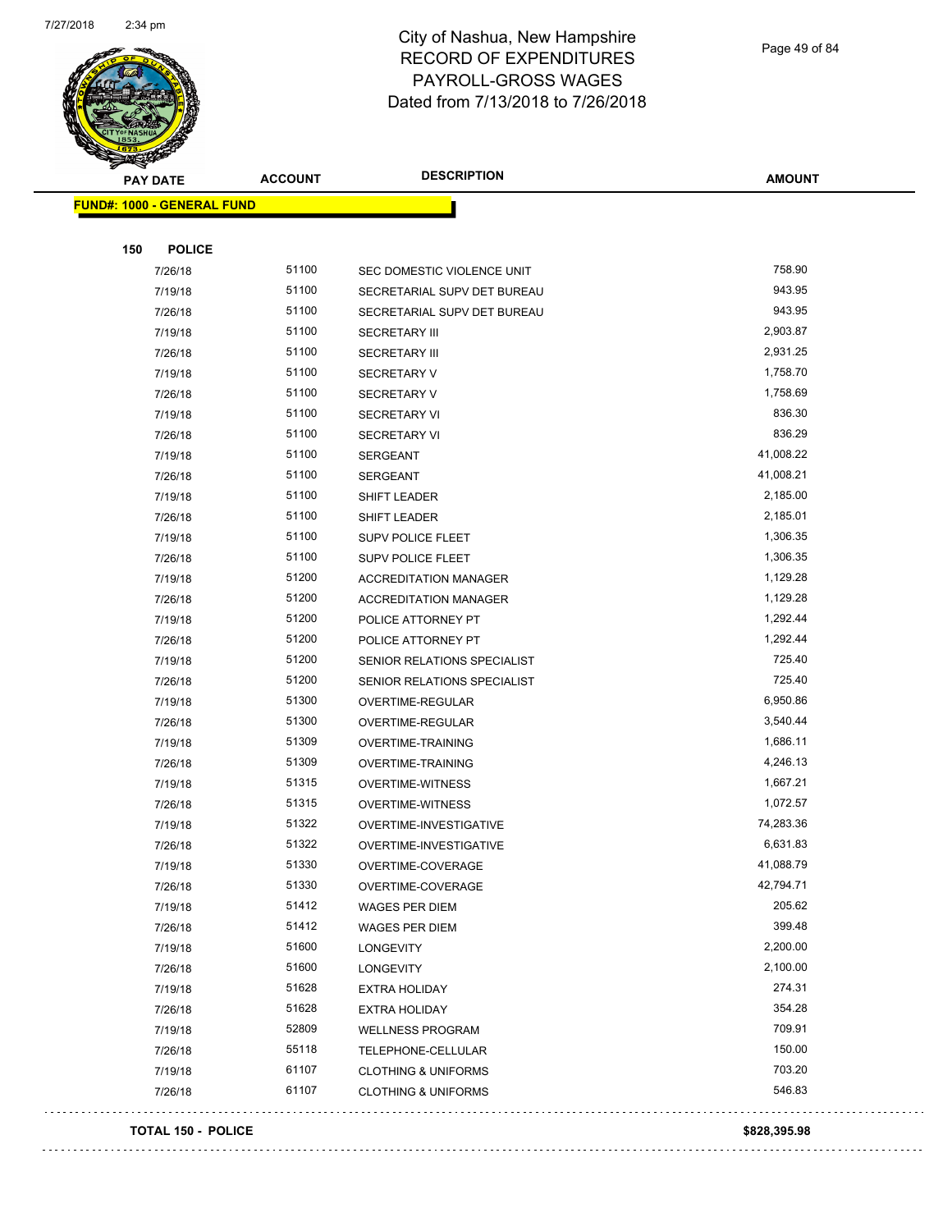

Page 49 of 84

| <b>Suntain</b>             |                |                                |               |
|----------------------------|----------------|--------------------------------|---------------|
| <b>PAY DATE</b>            | <b>ACCOUNT</b> | <b>DESCRIPTION</b>             | <b>AMOUNT</b> |
| FUND#: 1000 - GENERAL FUND |                |                                |               |
|                            |                |                                |               |
| 150<br><b>POLICE</b>       |                |                                |               |
| 7/26/18                    | 51100          | SEC DOMESTIC VIOLENCE UNIT     | 758.90        |
| 7/19/18                    | 51100          | SECRETARIAL SUPV DET BUREAU    | 943.95        |
| 7/26/18                    | 51100          | SECRETARIAL SUPV DET BUREAU    | 943.95        |
| 7/19/18                    | 51100          | <b>SECRETARY III</b>           | 2,903.87      |
| 7/26/18                    | 51100          | <b>SECRETARY III</b>           | 2,931.25      |
| 7/19/18                    | 51100          | <b>SECRETARY V</b>             | 1,758.70      |
| 7/26/18                    | 51100          | <b>SECRETARY V</b>             | 1,758.69      |
| 7/19/18                    | 51100          | <b>SECRETARY VI</b>            | 836.30        |
| 7/26/18                    | 51100          | <b>SECRETARY VI</b>            | 836.29        |
| 7/19/18                    | 51100          | <b>SERGEANT</b>                | 41,008.22     |
| 7/26/18                    | 51100          | <b>SERGEANT</b>                | 41,008.21     |
| 7/19/18                    | 51100          | SHIFT LEADER                   | 2,185.00      |
| 7/26/18                    | 51100          | SHIFT LEADER                   | 2,185.01      |
| 7/19/18                    | 51100          | SUPV POLICE FLEET              | 1,306.35      |
| 7/26/18                    | 51100          | SUPV POLICE FLEET              | 1,306.35      |
| 7/19/18                    | 51200          | <b>ACCREDITATION MANAGER</b>   | 1,129.28      |
| 7/26/18                    | 51200          | <b>ACCREDITATION MANAGER</b>   | 1,129.28      |
| 7/19/18                    | 51200          | POLICE ATTORNEY PT             | 1,292.44      |
| 7/26/18                    | 51200          | POLICE ATTORNEY PT             | 1,292.44      |
| 7/19/18                    | 51200          | SENIOR RELATIONS SPECIALIST    | 725.40        |
| 7/26/18                    | 51200          | SENIOR RELATIONS SPECIALIST    | 725.40        |
| 7/19/18                    | 51300          | OVERTIME-REGULAR               | 6,950.86      |
| 7/26/18                    | 51300          | OVERTIME-REGULAR               | 3,540.44      |
| 7/19/18                    | 51309          | <b>OVERTIME-TRAINING</b>       | 1,686.11      |
| 7/26/18                    | 51309          | OVERTIME-TRAINING              | 4,246.13      |
| 7/19/18                    | 51315          | <b>OVERTIME-WITNESS</b>        | 1,667.21      |
| 7/26/18                    | 51315          | <b>OVERTIME-WITNESS</b>        | 1,072.57      |
| 7/19/18                    | 51322          | OVERTIME-INVESTIGATIVE         | 74,283.36     |
| 7/26/18                    | 51322          | OVERTIME-INVESTIGATIVE         | 6,631.83      |
| 7/19/18                    | 51330          | OVERTIME-COVERAGE              | 41,088.79     |
| 7/26/18                    | 51330          | OVERTIME-COVERAGE              | 42,794.71     |
| 7/19/18                    | 51412          | WAGES PER DIEM                 | 205.62        |
| 7/26/18                    | 51412          | WAGES PER DIEM                 | 399.48        |
| 7/19/18                    | 51600          | LONGEVITY                      | 2,200.00      |
| 7/26/18                    | 51600          | LONGEVITY                      | 2,100.00      |
| 7/19/18                    | 51628          | <b>EXTRA HOLIDAY</b>           | 274.31        |
| 7/26/18                    | 51628          | <b>EXTRA HOLIDAY</b>           | 354.28        |
| 7/19/18                    | 52809          | <b>WELLNESS PROGRAM</b>        | 709.91        |
| 7/26/18                    | 55118          | TELEPHONE-CELLULAR             | 150.00        |
| 7/19/18                    | 61107          | <b>CLOTHING &amp; UNIFORMS</b> | 703.20        |
| 7/26/18                    | 61107          | <b>CLOTHING &amp; UNIFORMS</b> | 546.83        |
|                            |                |                                |               |

#### **TOTAL 150 - POLICE \$828,395.98**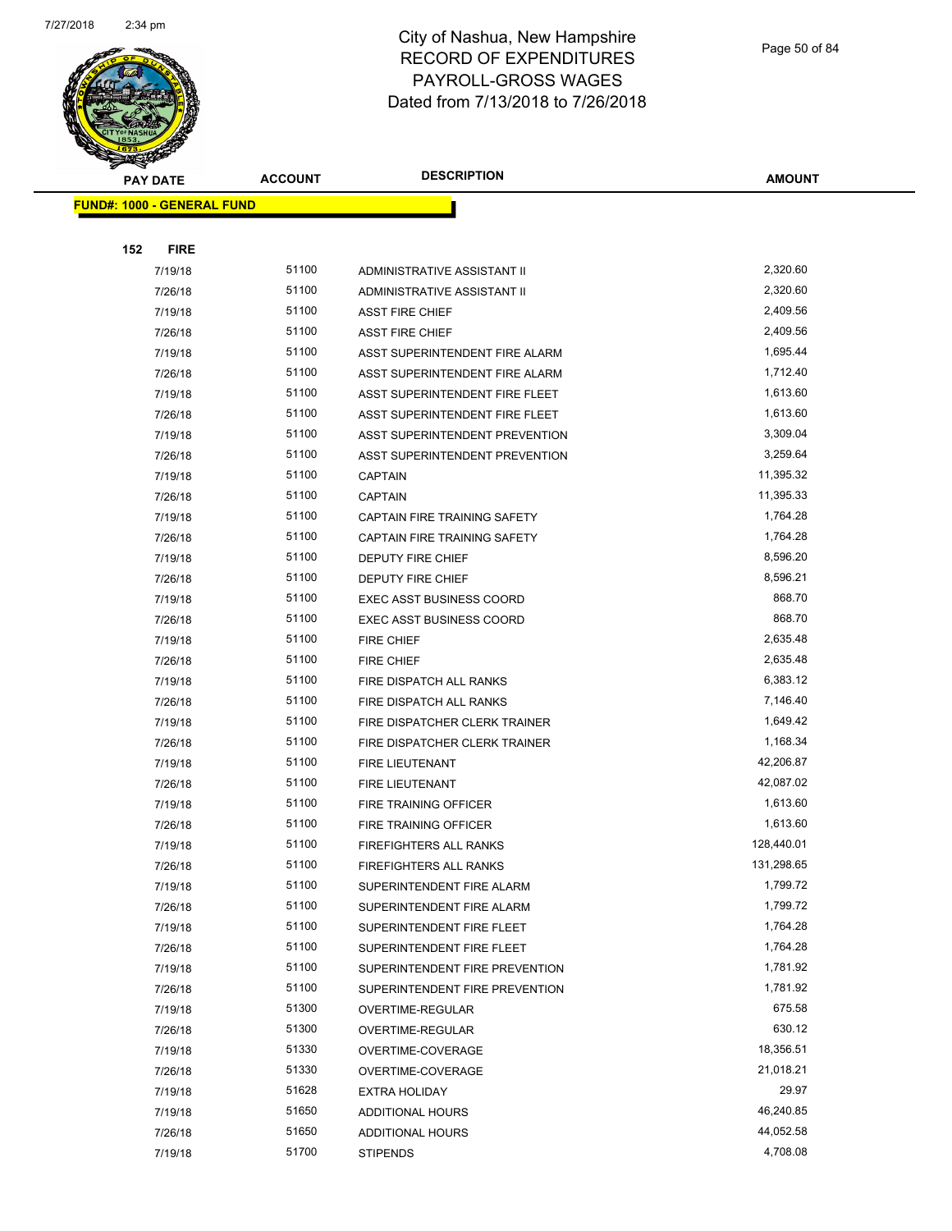

Page 50 of 84

| ❤<br><b>PAY DATE</b>              | <b>ACCOUNT</b> | <b>DESCRIPTION</b>              | <b>AMOUNT</b> |
|-----------------------------------|----------------|---------------------------------|---------------|
| <b>FUND#: 1000 - GENERAL FUND</b> |                |                                 |               |
|                                   |                |                                 |               |
| 152<br><b>FIRE</b>                |                |                                 |               |
| 7/19/18                           | 51100          | ADMINISTRATIVE ASSISTANT II     | 2,320.60      |
| 7/26/18                           | 51100          | ADMINISTRATIVE ASSISTANT II     | 2,320.60      |
| 7/19/18                           | 51100          | <b>ASST FIRE CHIEF</b>          | 2,409.56      |
| 7/26/18                           | 51100          | <b>ASST FIRE CHIEF</b>          | 2,409.56      |
| 7/19/18                           | 51100          | ASST SUPERINTENDENT FIRE ALARM  | 1,695.44      |
| 7/26/18                           | 51100          | ASST SUPERINTENDENT FIRE ALARM  | 1,712.40      |
| 7/19/18                           | 51100          | ASST SUPERINTENDENT FIRE FLEET  | 1,613.60      |
| 7/26/18                           | 51100          | ASST SUPERINTENDENT FIRE FLEET  | 1,613.60      |
| 7/19/18                           | 51100          | ASST SUPERINTENDENT PREVENTION  | 3,309.04      |
| 7/26/18                           | 51100          | ASST SUPERINTENDENT PREVENTION  | 3,259.64      |
| 7/19/18                           | 51100          | <b>CAPTAIN</b>                  | 11,395.32     |
| 7/26/18                           | 51100          | <b>CAPTAIN</b>                  | 11,395.33     |
| 7/19/18                           | 51100          | CAPTAIN FIRE TRAINING SAFETY    | 1,764.28      |
| 7/26/18                           | 51100          | CAPTAIN FIRE TRAINING SAFETY    | 1,764.28      |
| 7/19/18                           | 51100          | <b>DEPUTY FIRE CHIEF</b>        | 8,596.20      |
| 7/26/18                           | 51100          | <b>DEPUTY FIRE CHIEF</b>        | 8,596.21      |
| 7/19/18                           | 51100          | <b>EXEC ASST BUSINESS COORD</b> | 868.70        |
| 7/26/18                           | 51100          | <b>EXEC ASST BUSINESS COORD</b> | 868.70        |
| 7/19/18                           | 51100          | <b>FIRE CHIEF</b>               | 2,635.48      |
| 7/26/18                           | 51100          | <b>FIRE CHIEF</b>               | 2,635.48      |
| 7/19/18                           | 51100          | FIRE DISPATCH ALL RANKS         | 6,383.12      |
| 7/26/18                           | 51100          | FIRE DISPATCH ALL RANKS         | 7,146.40      |
| 7/19/18                           | 51100          | FIRE DISPATCHER CLERK TRAINER   | 1,649.42      |
| 7/26/18                           | 51100          | FIRE DISPATCHER CLERK TRAINER   | 1,168.34      |
| 7/19/18                           | 51100          | <b>FIRE LIEUTENANT</b>          | 42,206.87     |
| 7/26/18                           | 51100          | <b>FIRE LIEUTENANT</b>          | 42,087.02     |
| 7/19/18                           | 51100          | FIRE TRAINING OFFICER           | 1,613.60      |
| 7/26/18                           | 51100          | FIRE TRAINING OFFICER           | 1,613.60      |
| 7/19/18                           | 51100          | FIREFIGHTERS ALL RANKS          | 128,440.01    |
| 7/26/18                           | 51100          | FIREFIGHTERS ALL RANKS          | 131,298.65    |
| 7/19/18                           | 51100          | SUPERINTENDENT FIRE ALARM       | 1,799.72      |
| 7/26/18                           | 51100          | SUPERINTENDENT FIRE ALARM       | 1,799.72      |
| 7/19/18                           | 51100          | SUPERINTENDENT FIRE FLEET       | 1,764.28      |
| 7/26/18                           | 51100          | SUPERINTENDENT FIRE FLEET       | 1,764.28      |
| 7/19/18                           | 51100          | SUPERINTENDENT FIRE PREVENTION  | 1,781.92      |
| 7/26/18                           | 51100          | SUPERINTENDENT FIRE PREVENTION  | 1,781.92      |
| 7/19/18                           | 51300          | OVERTIME-REGULAR                | 675.58        |
| 7/26/18                           | 51300          | OVERTIME-REGULAR                | 630.12        |
| 7/19/18                           | 51330          | OVERTIME-COVERAGE               | 18,356.51     |
| 7/26/18                           | 51330          | OVERTIME-COVERAGE               | 21,018.21     |
| 7/19/18                           | 51628          | <b>EXTRA HOLIDAY</b>            | 29.97         |
| 7/19/18                           | 51650          | ADDITIONAL HOURS                | 46,240.85     |
| 7/26/18                           | 51650          | <b>ADDITIONAL HOURS</b>         | 44,052.58     |
| 7/19/18                           | 51700          | <b>STIPENDS</b>                 | 4,708.08      |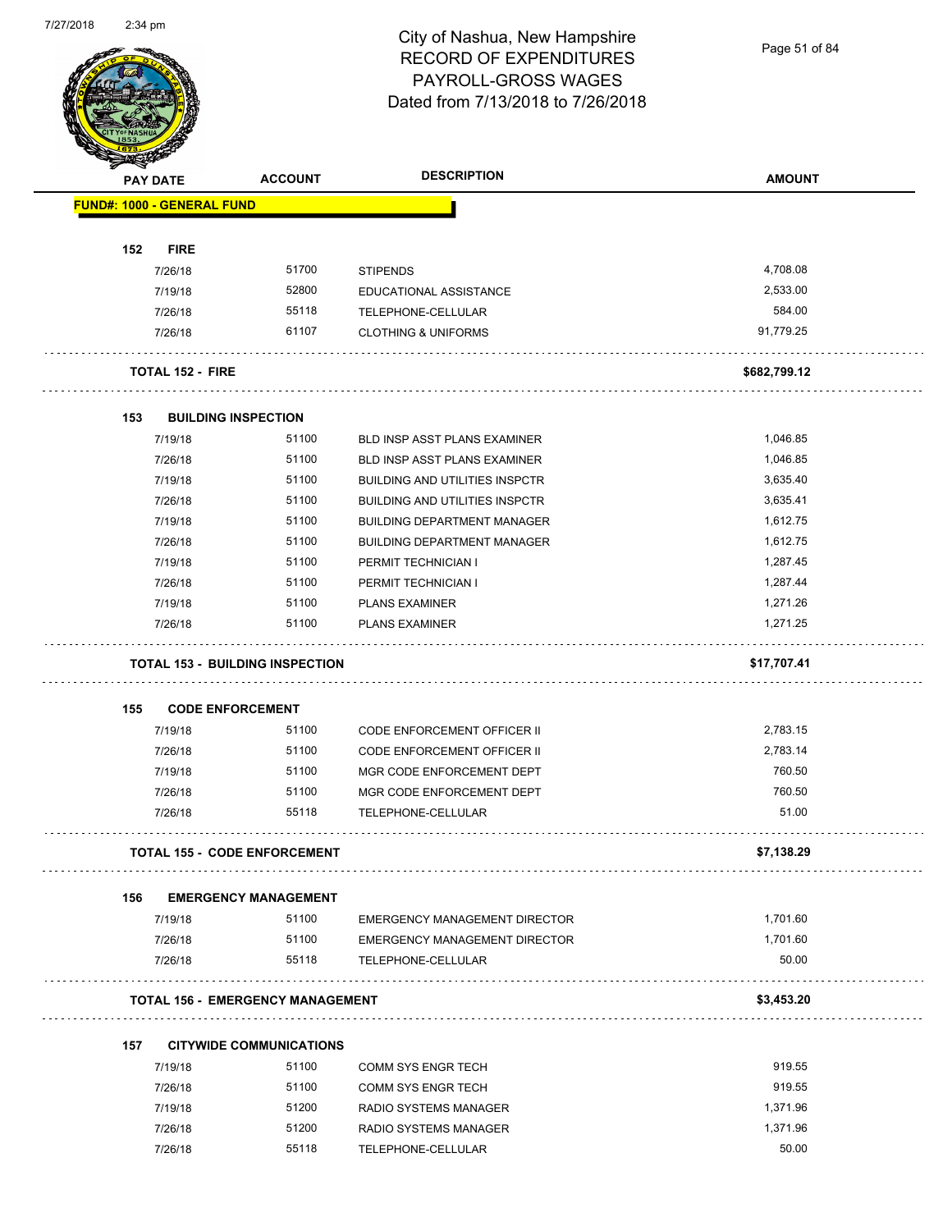Page 51 of 84

|     | <b>PAY DATE</b>                   | <b>ACCOUNT</b>                          | <b>DESCRIPTION</b>                    | <b>AMOUNT</b> |
|-----|-----------------------------------|-----------------------------------------|---------------------------------------|---------------|
|     | <b>FUND#: 1000 - GENERAL FUND</b> |                                         |                                       |               |
| 152 | <b>FIRE</b>                       |                                         |                                       |               |
|     | 7/26/18                           | 51700                                   | <b>STIPENDS</b>                       | 4,708.08      |
|     | 7/19/18                           | 52800                                   | EDUCATIONAL ASSISTANCE                | 2,533.00      |
|     | 7/26/18                           | 55118                                   | TELEPHONE-CELLULAR                    | 584.00        |
|     | 7/26/18                           | 61107                                   | <b>CLOTHING &amp; UNIFORMS</b>        | 91,779.25     |
|     | <b>TOTAL 152 - FIRE</b>           |                                         |                                       | \$682,799.12  |
| 153 |                                   | <b>BUILDING INSPECTION</b>              |                                       |               |
|     | 7/19/18                           | 51100                                   | <b>BLD INSP ASST PLANS EXAMINER</b>   | 1,046.85      |
|     | 7/26/18                           | 51100                                   | BLD INSP ASST PLANS EXAMINER          | 1,046.85      |
|     | 7/19/18                           | 51100                                   | <b>BUILDING AND UTILITIES INSPCTR</b> | 3,635.40      |
|     | 7/26/18                           | 51100                                   | <b>BUILDING AND UTILITIES INSPCTR</b> | 3,635.41      |
|     | 7/19/18                           | 51100                                   | <b>BUILDING DEPARTMENT MANAGER</b>    | 1,612.75      |
|     | 7/26/18                           | 51100                                   | <b>BUILDING DEPARTMENT MANAGER</b>    | 1,612.75      |
|     | 7/19/18                           | 51100                                   | PERMIT TECHNICIAN I                   | 1,287.45      |
|     | 7/26/18                           | 51100                                   | PERMIT TECHNICIAN I                   | 1,287.44      |
|     | 7/19/18                           | 51100                                   | <b>PLANS EXAMINER</b>                 | 1,271.26      |
|     | 7/26/18                           | 51100                                   | <b>PLANS EXAMINER</b>                 | 1,271.25      |
|     |                                   | <b>TOTAL 153 - BUILDING INSPECTION</b>  |                                       | \$17,707.41   |
| 155 |                                   | <b>CODE ENFORCEMENT</b>                 |                                       |               |
|     | 7/19/18                           | 51100                                   | <b>CODE ENFORCEMENT OFFICER II</b>    | 2,783.15      |
|     | 7/26/18                           | 51100                                   | CODE ENFORCEMENT OFFICER II           | 2,783.14      |
|     | 7/19/18                           | 51100                                   | MGR CODE ENFORCEMENT DEPT             | 760.50        |
|     | 7/26/18                           | 51100                                   | MGR CODE ENFORCEMENT DEPT             | 760.50        |
|     | 7/26/18                           | 55118                                   | TELEPHONE-CELLULAR                    | 51.00         |
|     |                                   | <b>TOTAL 155 - CODE ENFORCEMENT</b>     |                                       | \$7,138.29    |
| 156 |                                   | <b>EMERGENCY MANAGEMENT</b>             |                                       |               |
|     | 7/19/18                           | 51100                                   | EMERGENCY MANAGEMENT DIRECTOR         | 1,701.60      |
|     | 7/26/18                           | 51100                                   | EMERGENCY MANAGEMENT DIRECTOR         | 1,701.60      |
|     | 7/26/18                           | 55118                                   | TELEPHONE-CELLULAR                    | 50.00         |
|     |                                   | <b>TOTAL 156 - EMERGENCY MANAGEMENT</b> |                                       | \$3,453.20    |
| 157 |                                   | <b>CITYWIDE COMMUNICATIONS</b>          |                                       |               |
|     | 7/19/18                           | 51100                                   | COMM SYS ENGR TECH                    | 919.55        |
|     | 7/26/18                           | 51100                                   | COMM SYS ENGR TECH                    | 919.55        |
|     | 7/19/18                           | 51200                                   | RADIO SYSTEMS MANAGER                 | 1,371.96      |
|     | 7/26/18                           | 51200                                   | RADIO SYSTEMS MANAGER                 | 1,371.96      |
|     |                                   |                                         |                                       |               |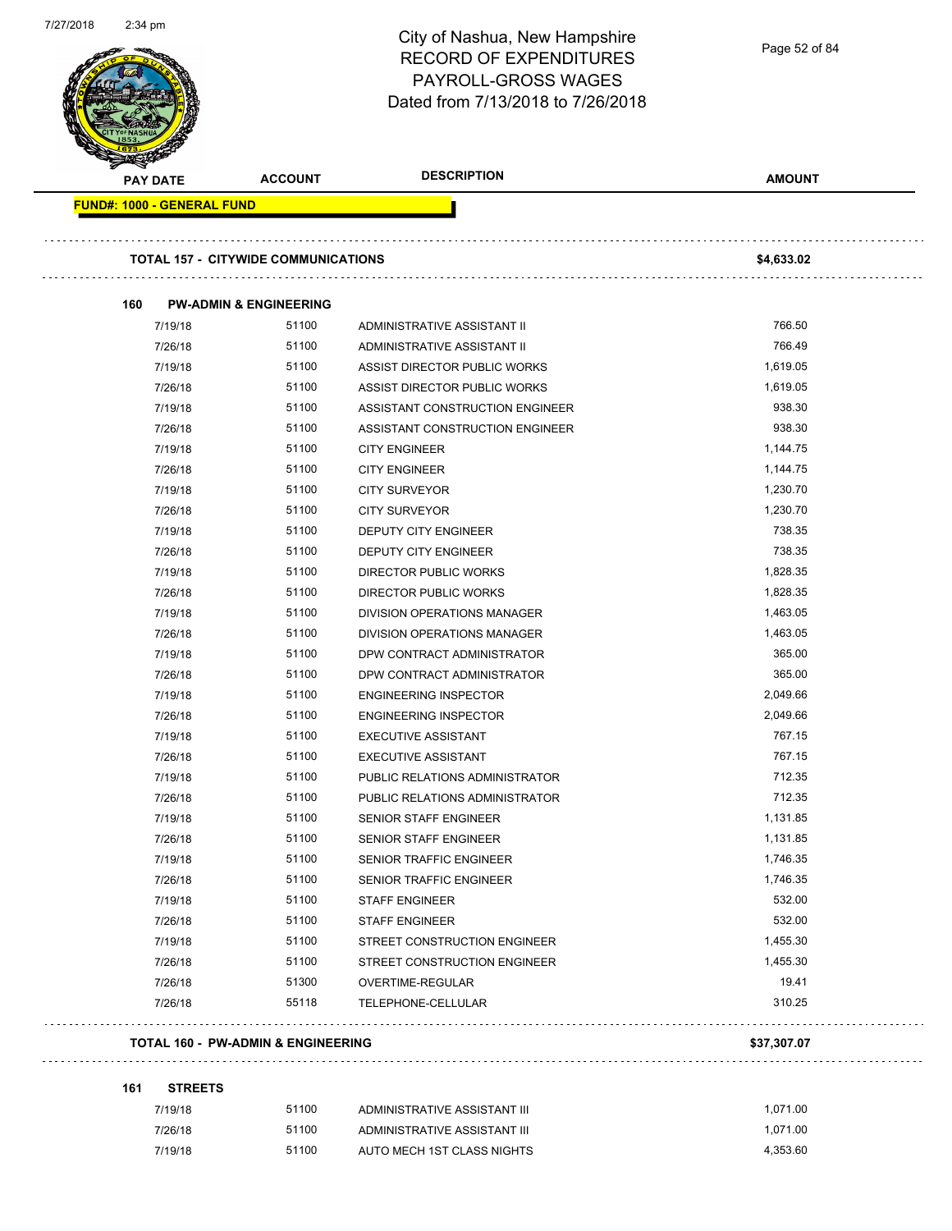| 7/27/2018 | $2:34$ pm                  |                                               | City of Nashua, New Hampshire<br><b>RECORD OF EXPENDITURES</b><br><b>PAYROLL-GROSS WAGES</b><br>Dated from 7/13/2018 to 7/26/2018 | Page 52 of 84 |  |
|-----------|----------------------------|-----------------------------------------------|-----------------------------------------------------------------------------------------------------------------------------------|---------------|--|
|           | <b>PAY DATE</b>            | <b>ACCOUNT</b>                                | <b>DESCRIPTION</b>                                                                                                                | <b>AMOUNT</b> |  |
|           | FUND#: 1000 - GENERAL FUND |                                               |                                                                                                                                   |               |  |
|           |                            | <b>TOTAL 157 - CITYWIDE COMMUNICATIONS</b>    |                                                                                                                                   | \$4,633.02    |  |
|           | 160                        | <b>PW-ADMIN &amp; ENGINEERING</b>             |                                                                                                                                   |               |  |
|           | 7/19/18                    | 51100                                         | ADMINISTRATIVE ASSISTANT II                                                                                                       | 766.50        |  |
|           | 7/26/18                    | 51100                                         | ADMINISTRATIVE ASSISTANT II                                                                                                       | 766.49        |  |
|           | 7/19/18                    | 51100                                         | ASSIST DIRECTOR PUBLIC WORKS                                                                                                      | 1,619.05      |  |
|           | 7/26/18                    | 51100                                         | ASSIST DIRECTOR PUBLIC WORKS                                                                                                      | 1,619.05      |  |
|           | 7/19/18                    | 51100                                         | ASSISTANT CONSTRUCTION ENGINEER                                                                                                   | 938.30        |  |
|           | 7/26/18                    | 51100                                         | ASSISTANT CONSTRUCTION ENGINEER                                                                                                   | 938.30        |  |
|           | 7/19/18                    | 51100                                         | <b>CITY ENGINEER</b>                                                                                                              | 1,144.75      |  |
|           | 7/26/18                    | 51100                                         | <b>CITY ENGINEER</b>                                                                                                              | 1,144.75      |  |
|           | 7/19/18                    | 51100                                         | <b>CITY SURVEYOR</b>                                                                                                              | 1,230.70      |  |
|           | 7/26/18                    | 51100                                         | <b>CITY SURVEYOR</b>                                                                                                              | 1,230.70      |  |
|           | 7/19/18                    | 51100                                         | DEPUTY CITY ENGINEER                                                                                                              | 738.35        |  |
|           | 7/26/18                    | 51100                                         | DEPUTY CITY ENGINEER                                                                                                              | 738.35        |  |
|           | 7/19/18                    | 51100                                         | <b>DIRECTOR PUBLIC WORKS</b>                                                                                                      | 1,828.35      |  |
|           | 7/26/18                    | 51100                                         | DIRECTOR PUBLIC WORKS                                                                                                             | 1,828.35      |  |
|           | 7/19/18                    | 51100                                         | DIVISION OPERATIONS MANAGER                                                                                                       | 1,463.05      |  |
|           | 7/26/18                    | 51100                                         | DIVISION OPERATIONS MANAGER                                                                                                       | 1,463.05      |  |
|           | 7/19/18                    | 51100                                         | DPW CONTRACT ADMINISTRATOR                                                                                                        | 365.00        |  |
|           | 7/26/18                    | 51100                                         | DPW CONTRACT ADMINISTRATOR                                                                                                        | 365.00        |  |
|           | 7/19/18                    | 51100                                         | <b>ENGINEERING INSPECTOR</b>                                                                                                      | 2,049.66      |  |
|           | 7/26/18                    | 51100                                         | <b>ENGINEERING INSPECTOR</b>                                                                                                      | 2,049.66      |  |
|           | 7/19/18                    | 51100                                         | <b>EXECUTIVE ASSISTANT</b>                                                                                                        | 767.15        |  |
|           | 7/26/18                    | 51100                                         | <b>EXECUTIVE ASSISTANT</b>                                                                                                        | 767.15        |  |
|           | 7/19/18                    | 51100                                         | PUBLIC RELATIONS ADMINISTRATOR                                                                                                    | 712.35        |  |
|           | 7/26/18                    | 51100                                         | PUBLIC RELATIONS ADMINISTRATOR                                                                                                    | 712.35        |  |
|           | 7/19/18                    | 51100                                         | <b>SENIOR STAFF ENGINEER</b>                                                                                                      | 1,131.85      |  |
|           | 7/26/18                    | 51100                                         | SENIOR STAFF ENGINEER                                                                                                             | 1,131.85      |  |
|           | 7/19/18                    | 51100                                         | SENIOR TRAFFIC ENGINEER                                                                                                           | 1,746.35      |  |
|           | 7/26/18                    | 51100                                         | SENIOR TRAFFIC ENGINEER                                                                                                           | 1,746.35      |  |
|           | 7/19/18                    | 51100                                         | <b>STAFF ENGINEER</b>                                                                                                             | 532.00        |  |
|           | 7/26/18                    | 51100                                         | <b>STAFF ENGINEER</b>                                                                                                             | 532.00        |  |
|           | 7/19/18                    | 51100                                         | STREET CONSTRUCTION ENGINEER                                                                                                      | 1,455.30      |  |
|           | 7/26/18                    | 51100                                         | STREET CONSTRUCTION ENGINEER                                                                                                      | 1,455.30      |  |
|           | 7/26/18                    | 51300                                         | OVERTIME-REGULAR                                                                                                                  | 19.41         |  |
|           | 7/26/18                    | 55118                                         | TELEPHONE-CELLULAR                                                                                                                | 310.25        |  |
|           |                            |                                               |                                                                                                                                   |               |  |
|           |                            | <b>TOTAL 160 - PW-ADMIN &amp; ENGINEERING</b> |                                                                                                                                   | \$37,307.07   |  |
|           | <b>STREETS</b><br>161      |                                               |                                                                                                                                   |               |  |
|           | 7/19/18                    | 51100                                         | ADMINISTRATIVE ASSISTANT III                                                                                                      | 1,071.00      |  |
|           | 7/26/18                    | 51100                                         | ADMINISTRATIVE ASSISTANT III                                                                                                      | 1,071.00      |  |

7/19/18 51100 AUTO MECH 1ST CLASS NIGHTS 4,353.60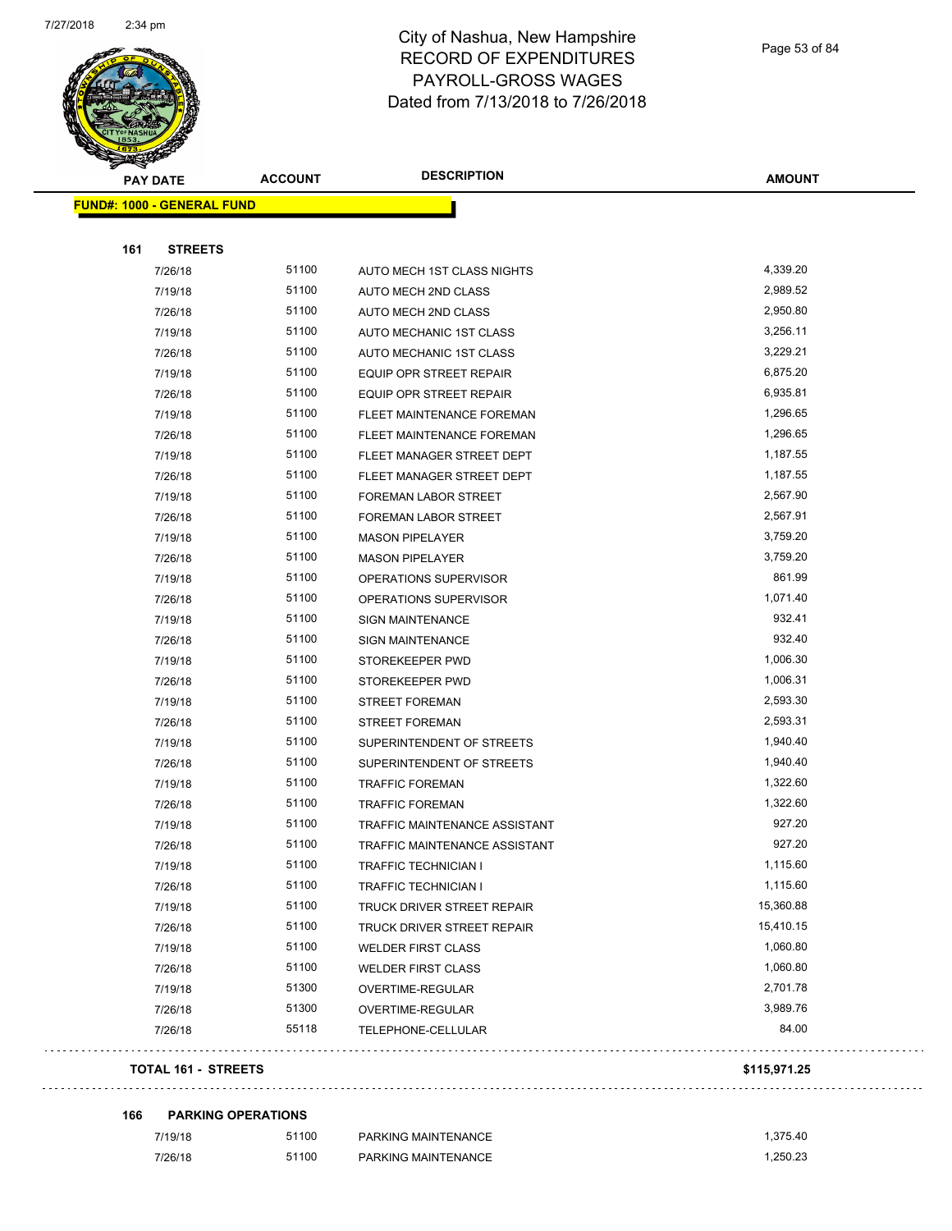

Page 53 of 84

| <b>START SERVICE</b> |                                   |                |                                |               |
|----------------------|-----------------------------------|----------------|--------------------------------|---------------|
|                      | <b>PAY DATE</b>                   | <b>ACCOUNT</b> | <b>DESCRIPTION</b>             | <b>AMOUNT</b> |
|                      | <b>FUND#: 1000 - GENERAL FUND</b> |                |                                |               |
|                      |                                   |                |                                |               |
| 161                  | <b>STREETS</b>                    |                |                                |               |
|                      | 7/26/18                           | 51100          | AUTO MECH 1ST CLASS NIGHTS     | 4,339.20      |
|                      | 7/19/18                           | 51100          | AUTO MECH 2ND CLASS            | 2,989.52      |
|                      | 7/26/18                           | 51100          | AUTO MECH 2ND CLASS            | 2,950.80      |
|                      | 7/19/18                           | 51100          | AUTO MECHANIC 1ST CLASS        | 3,256.11      |
|                      | 7/26/18                           | 51100          | AUTO MECHANIC 1ST CLASS        | 3,229.21      |
|                      | 7/19/18                           | 51100          | <b>EQUIP OPR STREET REPAIR</b> | 6,875.20      |
|                      | 7/26/18                           | 51100          | EQUIP OPR STREET REPAIR        | 6,935.81      |
|                      | 7/19/18                           | 51100          | FLEET MAINTENANCE FOREMAN      | 1,296.65      |
|                      | 7/26/18                           | 51100          | FLEET MAINTENANCE FOREMAN      | 1,296.65      |
|                      | 7/19/18                           | 51100          | FLEET MANAGER STREET DEPT      | 1,187.55      |
|                      | 7/26/18                           | 51100          | FLEET MANAGER STREET DEPT      | 1,187.55      |
|                      | 7/19/18                           | 51100          | FOREMAN LABOR STREET           | 2,567.90      |
|                      | 7/26/18                           | 51100          | FOREMAN LABOR STREET           | 2,567.91      |
|                      | 7/19/18                           | 51100          | <b>MASON PIPELAYER</b>         | 3,759.20      |
|                      | 7/26/18                           | 51100          | <b>MASON PIPELAYER</b>         | 3,759.20      |
|                      | 7/19/18                           | 51100          | OPERATIONS SUPERVISOR          | 861.99        |
|                      | 7/26/18                           | 51100          | OPERATIONS SUPERVISOR          | 1,071.40      |
|                      | 7/19/18                           | 51100          | <b>SIGN MAINTENANCE</b>        | 932.41        |
|                      | 7/26/18                           | 51100          | <b>SIGN MAINTENANCE</b>        | 932.40        |
|                      | 7/19/18                           | 51100          | STOREKEEPER PWD                | 1,006.30      |
|                      | 7/26/18                           | 51100          | STOREKEEPER PWD                | 1,006.31      |
|                      | 7/19/18                           | 51100          | <b>STREET FOREMAN</b>          | 2,593.30      |
|                      | 7/26/18                           | 51100          | <b>STREET FOREMAN</b>          | 2,593.31      |
|                      | 7/19/18                           | 51100          | SUPERINTENDENT OF STREETS      | 1,940.40      |
|                      | 7/26/18                           | 51100          | SUPERINTENDENT OF STREETS      | 1,940.40      |
|                      | 7/19/18                           | 51100          | <b>TRAFFIC FOREMAN</b>         | 1,322.60      |
|                      | 7/26/18                           | 51100          | <b>TRAFFIC FOREMAN</b>         | 1,322.60      |
|                      | 7/19/18                           | 51100          | TRAFFIC MAINTENANCE ASSISTANT  | 927.20        |
|                      | 7/26/18                           | 51100          | TRAFFIC MAINTENANCE ASSISTANT  | 927.20        |
|                      | 7/19/18                           | 51100          | <b>TRAFFIC TECHNICIAN I</b>    | 1,115.60      |
|                      | 7/26/18                           | 51100          | TRAFFIC TECHNICIAN I           | 1,115.60      |
|                      | 7/19/18                           | 51100          | TRUCK DRIVER STREET REPAIR     | 15,360.88     |
|                      | 7/26/18                           | 51100          | TRUCK DRIVER STREET REPAIR     | 15,410.15     |
|                      | 7/19/18                           | 51100          | <b>WELDER FIRST CLASS</b>      | 1,060.80      |
|                      | 7/26/18                           | 51100          | <b>WELDER FIRST CLASS</b>      | 1,060.80      |
|                      | 7/19/18                           | 51300          | OVERTIME-REGULAR               | 2,701.78      |
|                      | 7/26/18                           | 51300          | OVERTIME-REGULAR               | 3,989.76      |
|                      | 7/26/18                           | 55118          | TELEPHONE-CELLULAR             | 84.00         |
|                      | <b>TOTAL 161 - STREETS</b>        |                |                                | \$115,971.25  |
|                      |                                   |                |                                |               |

**166 PARKING OPERATIONS**

| 7/19/18 | 51100 | PARKING MAINTENANCE | .375.40 |
|---------|-------|---------------------|---------|
| 7/26/18 | 51100 | PARKING MAINTENANCE | .250.23 |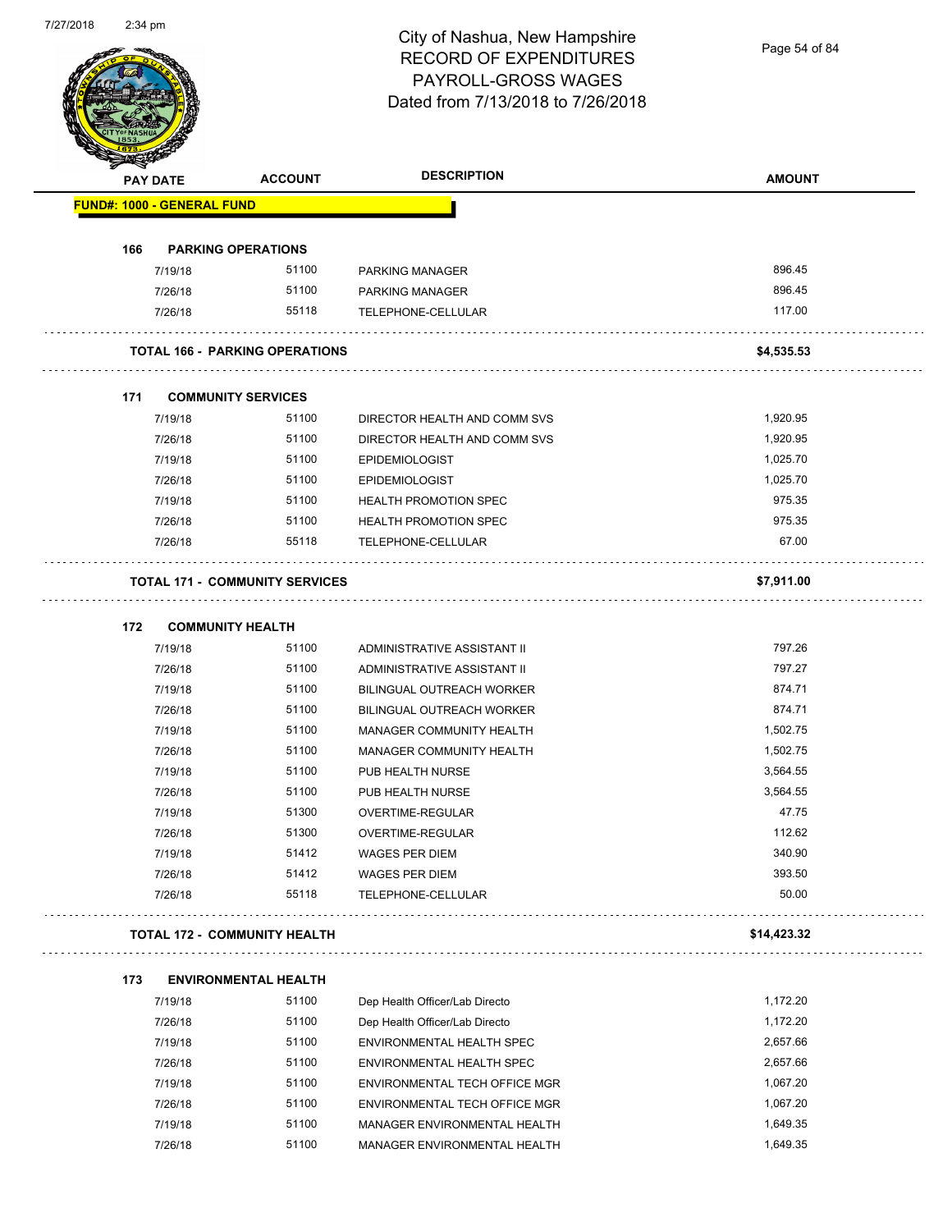Page 54 of 84

|     | <b>PAY DATE</b>                   | <b>ACCOUNT</b>                        | <b>DESCRIPTION</b>               | <b>AMOUNT</b> |
|-----|-----------------------------------|---------------------------------------|----------------------------------|---------------|
|     | <b>FUND#: 1000 - GENERAL FUND</b> |                                       |                                  |               |
| 166 |                                   | <b>PARKING OPERATIONS</b>             |                                  |               |
|     | 7/19/18                           | 51100                                 | PARKING MANAGER                  | 896.45        |
|     | 7/26/18                           | 51100                                 | PARKING MANAGER                  | 896.45        |
|     | 7/26/18                           | 55118                                 | TELEPHONE-CELLULAR               | 117.00        |
|     |                                   | <b>TOTAL 166 - PARKING OPERATIONS</b> |                                  | \$4,535.53    |
| 171 |                                   | <b>COMMUNITY SERVICES</b>             |                                  |               |
|     | 7/19/18                           | 51100                                 | DIRECTOR HEALTH AND COMM SVS     | 1,920.95      |
|     | 7/26/18                           | 51100                                 | DIRECTOR HEALTH AND COMM SVS     | 1,920.95      |
|     | 7/19/18                           | 51100                                 | <b>EPIDEMIOLOGIST</b>            | 1,025.70      |
|     | 7/26/18                           | 51100                                 | <b>EPIDEMIOLOGIST</b>            | 1,025.70      |
|     | 7/19/18                           | 51100                                 | <b>HEALTH PROMOTION SPEC</b>     | 975.35        |
|     | 7/26/18                           | 51100                                 | <b>HEALTH PROMOTION SPEC</b>     | 975.35        |
|     | 7/26/18                           | 55118                                 | TELEPHONE-CELLULAR               | 67.00         |
|     |                                   | <b>TOTAL 171 - COMMUNITY SERVICES</b> |                                  | \$7,911.00    |
| 172 |                                   | <b>COMMUNITY HEALTH</b>               |                                  |               |
|     | 7/19/18                           | 51100                                 | ADMINISTRATIVE ASSISTANT II      | 797.26        |
|     | 7/26/18                           | 51100                                 | ADMINISTRATIVE ASSISTANT II      | 797.27        |
|     | 7/19/18                           | 51100                                 | <b>BILINGUAL OUTREACH WORKER</b> | 874.71        |
|     | 7/26/18                           | 51100                                 | BILINGUAL OUTREACH WORKER        | 874.71        |
|     | 7/19/18                           | 51100                                 | MANAGER COMMUNITY HEALTH         | 1,502.75      |
|     | 7/26/18                           | 51100                                 | MANAGER COMMUNITY HEALTH         | 1,502.75      |
|     | 7/19/18                           | 51100                                 | PUB HEALTH NURSE                 | 3,564.55      |
|     | 7/26/18                           | 51100                                 | PUB HEALTH NURSE                 | 3,564.55      |
|     | 7/19/18                           | 51300                                 | OVERTIME-REGULAR                 | 47.75         |
|     | 7/26/18                           | 51300                                 | OVERTIME-REGULAR                 | 112.62        |
|     | 7/19/18                           | 51412                                 | <b>WAGES PER DIEM</b>            | 340.90        |
|     | 7/26/18                           | 51412                                 | <b>WAGES PER DIEM</b>            | 393.50        |
|     | 7/26/18                           | 55118                                 | TELEPHONE-CELLULAR               | 50.00         |
|     |                                   | <b>TOTAL 172 - COMMUNITY HEALTH</b>   |                                  | \$14,423.32   |
| 173 |                                   | <b>ENVIRONMENTAL HEALTH</b>           |                                  |               |
|     | 7/19/18                           | 51100                                 | Dep Health Officer/Lab Directo   | 1,172.20      |
|     | 7/26/18                           | 51100                                 | Dep Health Officer/Lab Directo   | 1,172.20      |
|     | 7/19/18                           | 51100                                 | ENVIRONMENTAL HEALTH SPEC        | 2,657.66      |
|     | 7/26/18                           | 51100                                 | ENVIRONMENTAL HEALTH SPEC        | 2,657.66      |
|     | 7/19/18                           | 51100                                 | ENVIRONMENTAL TECH OFFICE MGR    | 1,067.20      |
|     | 7/26/18                           | 51100                                 | ENVIRONMENTAL TECH OFFICE MGR    | 1,067.20      |
|     | 7/19/18                           | 51100                                 | MANAGER ENVIRONMENTAL HEALTH     | 1,649.35      |
|     | 7/26/18                           | 51100                                 | MANAGER ENVIRONMENTAL HEALTH     | 1,649.35      |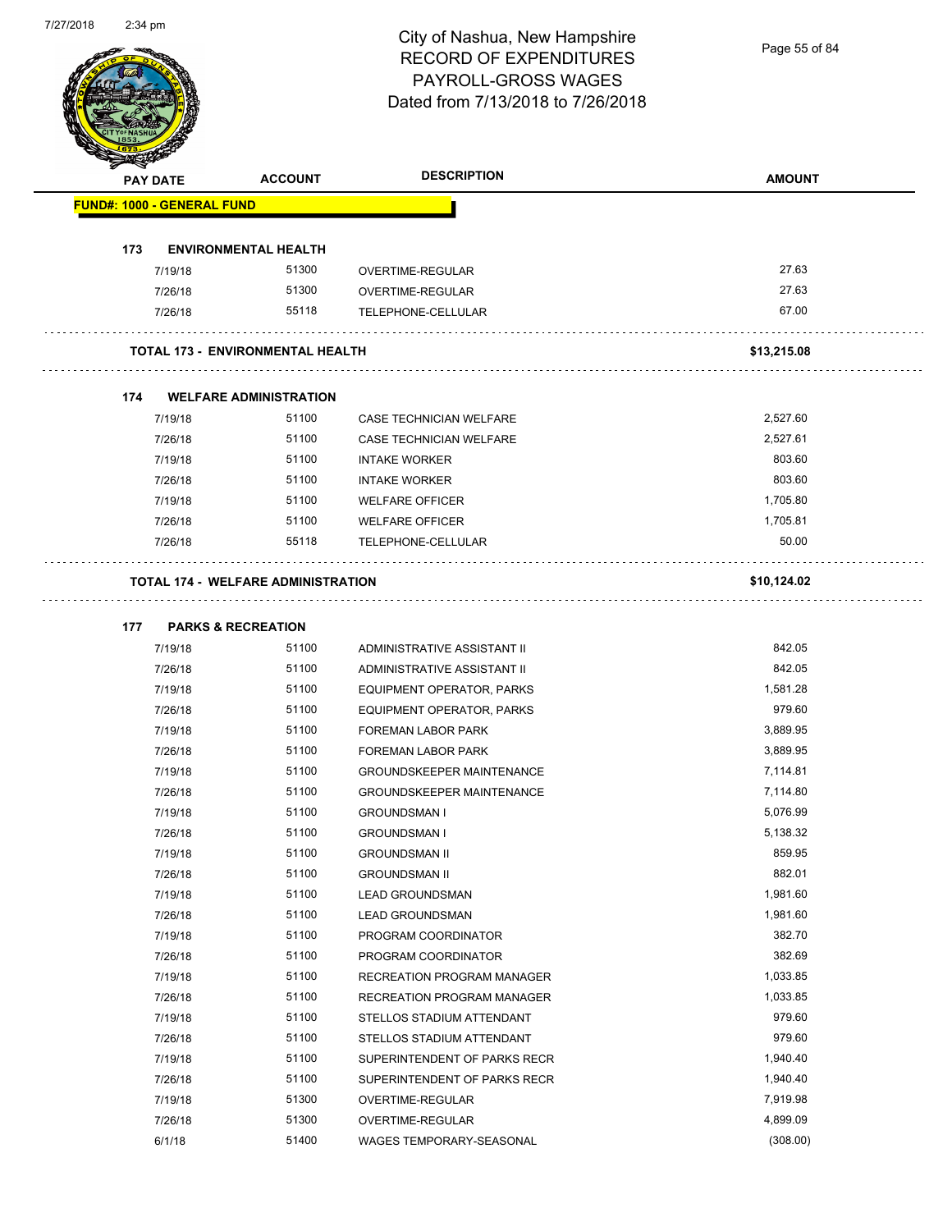Page 55 of 84

|     | <b>PAY DATE</b>                   | <b>ACCOUNT</b>                            | <b>DESCRIPTION</b>               | <b>AMOUNT</b> |
|-----|-----------------------------------|-------------------------------------------|----------------------------------|---------------|
|     | <b>FUND#: 1000 - GENERAL FUND</b> |                                           |                                  |               |
| 173 |                                   | <b>ENVIRONMENTAL HEALTH</b>               |                                  |               |
|     | 7/19/18                           | 51300                                     | OVERTIME-REGULAR                 | 27.63         |
|     | 7/26/18                           | 51300                                     | OVERTIME-REGULAR                 | 27.63         |
|     | 7/26/18                           | 55118                                     | TELEPHONE-CELLULAR               | 67.00         |
|     |                                   | <b>TOTAL 173 - ENVIRONMENTAL HEALTH</b>   |                                  | \$13,215.08   |
| 174 |                                   | <b>WELFARE ADMINISTRATION</b>             |                                  |               |
|     | 7/19/18                           | 51100                                     | CASE TECHNICIAN WELFARE          | 2,527.60      |
|     | 7/26/18                           | 51100                                     | CASE TECHNICIAN WELFARE          | 2,527.61      |
|     | 7/19/18                           | 51100                                     | <b>INTAKE WORKER</b>             | 803.60        |
|     | 7/26/18                           | 51100                                     | <b>INTAKE WORKER</b>             | 803.60        |
|     | 7/19/18                           | 51100                                     | <b>WELFARE OFFICER</b>           | 1,705.80      |
|     | 7/26/18                           | 51100                                     | <b>WELFARE OFFICER</b>           | 1,705.81      |
|     | 7/26/18                           | 55118                                     | TELEPHONE-CELLULAR               | 50.00         |
|     |                                   |                                           |                                  |               |
|     |                                   | <b>TOTAL 174 - WELFARE ADMINISTRATION</b> |                                  | \$10,124.02   |
| 177 | <b>PARKS &amp; RECREATION</b>     |                                           |                                  |               |
|     | 7/19/18                           | 51100                                     | ADMINISTRATIVE ASSISTANT II      | 842.05        |
|     | 7/26/18                           | 51100                                     | ADMINISTRATIVE ASSISTANT II      | 842.05        |
|     | 7/19/18                           | 51100                                     | EQUIPMENT OPERATOR, PARKS        | 1,581.28      |
|     | 7/26/18                           | 51100                                     | EQUIPMENT OPERATOR, PARKS        | 979.60        |
|     | 7/19/18                           | 51100                                     | FOREMAN LABOR PARK               | 3,889.95      |
|     | 7/26/18                           | 51100                                     | <b>FOREMAN LABOR PARK</b>        | 3,889.95      |
|     | 7/19/18                           | 51100                                     | <b>GROUNDSKEEPER MAINTENANCE</b> | 7,114.81      |
|     | 7/26/18                           | 51100                                     | <b>GROUNDSKEEPER MAINTENANCE</b> | 7,114.80      |
|     | 7/19/18                           | 51100                                     | <b>GROUNDSMAN I</b>              | 5,076.99      |
|     | 7/26/18                           | 51100                                     | <b>GROUNDSMAN I</b>              | 5,138.32      |
|     |                                   |                                           | <b>GROUNDSMAN II</b>             | 859.95        |
|     | 7/19/18                           | 51100                                     |                                  |               |
|     | 7/26/18                           | 51100                                     | <b>GROUNDSMAN II</b>             | 882.01        |
|     | 7/19/18                           | 51100                                     | <b>LEAD GROUNDSMAN</b>           | 1,981.60      |
|     | 7/26/18                           | 51100                                     | <b>LEAD GROUNDSMAN</b>           | 1,981.60      |
|     | 7/19/18                           | 51100                                     | PROGRAM COORDINATOR              | 382.70        |
|     | 7/26/18                           | 51100                                     | PROGRAM COORDINATOR              | 382.69        |
|     | 7/19/18                           | 51100                                     | RECREATION PROGRAM MANAGER       | 1,033.85      |
|     | 7/26/18                           | 51100                                     | RECREATION PROGRAM MANAGER       | 1,033.85      |
|     | 7/19/18                           | 51100                                     | STELLOS STADIUM ATTENDANT        | 979.60        |
|     | 7/26/18                           | 51100                                     | STELLOS STADIUM ATTENDANT        | 979.60        |
|     | 7/19/18                           | 51100                                     | SUPERINTENDENT OF PARKS RECR     | 1,940.40      |
|     | 7/26/18                           | 51100                                     | SUPERINTENDENT OF PARKS RECR     | 1,940.40      |
|     | 7/19/18                           | 51300                                     | OVERTIME-REGULAR                 | 7,919.98      |
|     | 7/26/18                           | 51300                                     | OVERTIME-REGULAR                 | 4,899.09      |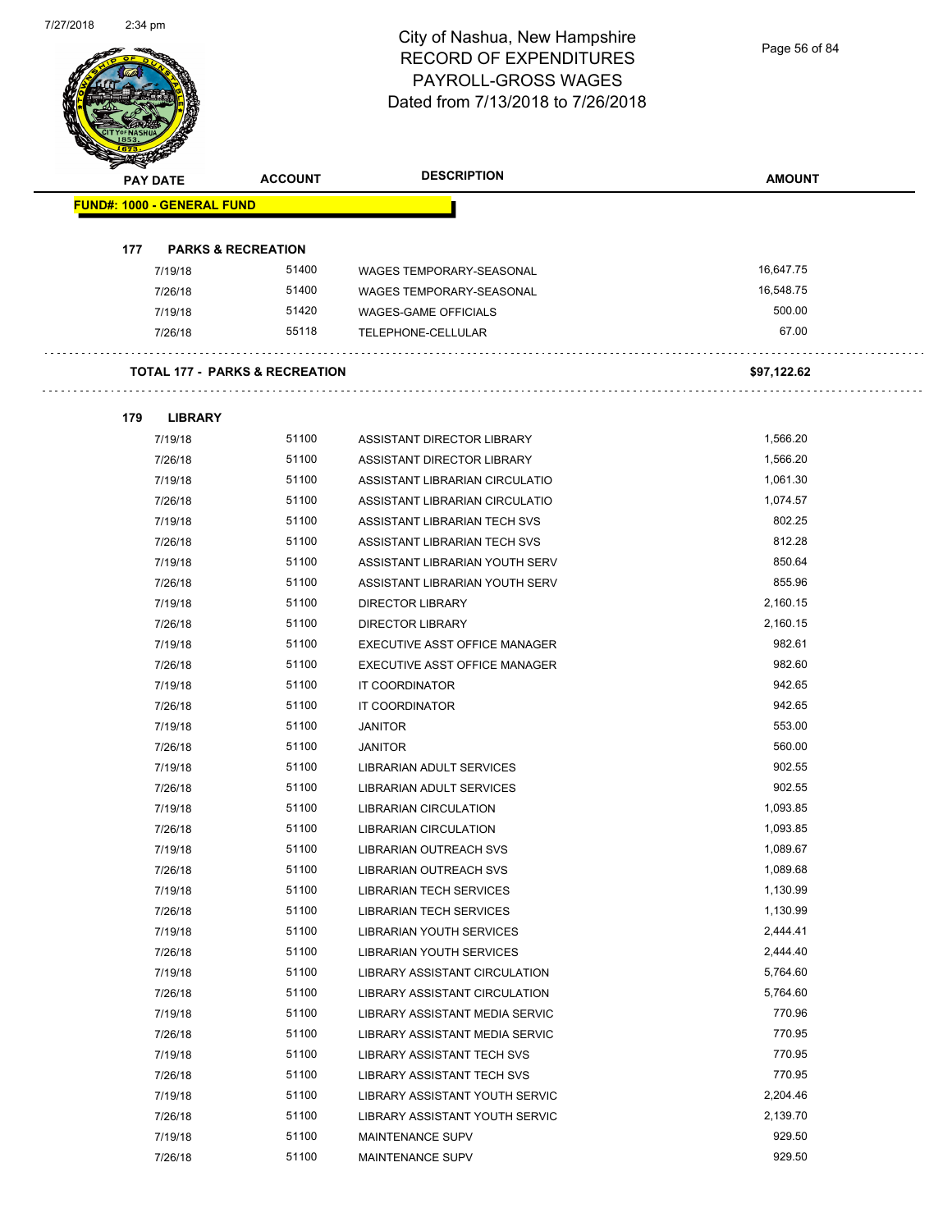Page 56 of 84

| <b>PAY DATE</b>                   |                               | <b>ACCOUNT</b>                            | <b>DESCRIPTION</b>              | <b>AMOUNT</b> |
|-----------------------------------|-------------------------------|-------------------------------------------|---------------------------------|---------------|
| <b>FUND#: 1000 - GENERAL FUND</b> |                               |                                           |                                 |               |
| 177                               | <b>PARKS &amp; RECREATION</b> |                                           |                                 |               |
| 7/19/18                           |                               | 51400                                     | WAGES TEMPORARY-SEASONAL        | 16,647.75     |
| 7/26/18                           |                               | 51400                                     | <b>WAGES TEMPORARY-SEASONAL</b> | 16,548.75     |
| 7/19/18                           |                               | 51420                                     | WAGES-GAME OFFICIALS            | 500.00        |
| 7/26/18                           |                               | 55118                                     | TELEPHONE-CELLULAR              | 67.00         |
|                                   |                               | <b>TOTAL 177 - PARKS &amp; RECREATION</b> |                                 | \$97,122.62   |
| 179                               | <b>LIBRARY</b>                |                                           |                                 |               |
| 7/19/18                           |                               | 51100                                     | ASSISTANT DIRECTOR LIBRARY      | 1,566.20      |
| 7/26/18                           |                               | 51100                                     | ASSISTANT DIRECTOR LIBRARY      | 1,566.20      |
| 7/19/18                           |                               | 51100                                     | ASSISTANT LIBRARIAN CIRCULATIO  | 1,061.30      |
| 7/26/18                           |                               | 51100                                     | ASSISTANT LIBRARIAN CIRCULATIO  | 1,074.57      |
| 7/19/18                           |                               | 51100                                     | ASSISTANT LIBRARIAN TECH SVS    | 802.25        |
| 7/26/18                           |                               | 51100                                     | ASSISTANT LIBRARIAN TECH SVS    | 812.28        |
| 7/19/18                           |                               | 51100                                     | ASSISTANT LIBRARIAN YOUTH SERV  | 850.64        |
| 7/26/18                           |                               | 51100                                     | ASSISTANT LIBRARIAN YOUTH SERV  | 855.96        |
| 7/19/18                           |                               | 51100                                     | <b>DIRECTOR LIBRARY</b>         | 2,160.15      |
| 7/26/18                           |                               | 51100                                     | <b>DIRECTOR LIBRARY</b>         | 2,160.15      |
| 7/19/18                           |                               | 51100                                     | EXECUTIVE ASST OFFICE MANAGER   | 982.61        |
| 7/26/18                           |                               | 51100                                     | EXECUTIVE ASST OFFICE MANAGER   | 982.60        |
| 7/19/18                           |                               | 51100                                     | IT COORDINATOR                  | 942.65        |
| 7/26/18                           |                               | 51100                                     | IT COORDINATOR                  | 942.65        |
| 7/19/18                           |                               | 51100                                     | <b>JANITOR</b>                  | 553.00        |
| 7/26/18                           |                               | 51100                                     | <b>JANITOR</b>                  | 560.00        |
| 7/19/18                           |                               | 51100                                     | LIBRARIAN ADULT SERVICES        | 902.55        |
| 7/26/18                           |                               | 51100                                     | LIBRARIAN ADULT SERVICES        | 902.55        |
| 7/19/18                           |                               | 51100                                     | <b>LIBRARIAN CIRCULATION</b>    | 1,093.85      |
| 7/26/18                           |                               | 51100                                     | LIBRARIAN CIRCULATION           | 1,093.85      |
| 7/19/18                           |                               | 51100                                     | <b>LIBRARIAN OUTREACH SVS</b>   | 1,089.67      |
| 7/26/18                           |                               | 51100                                     | LIBRARIAN OUTREACH SVS          | 1,089.68      |
| 7/19/18                           |                               | 51100                                     | <b>LIBRARIAN TECH SERVICES</b>  | 1,130.99      |
| 7/26/18                           |                               | 51100                                     | <b>LIBRARIAN TECH SERVICES</b>  | 1,130.99      |
| 7/19/18                           |                               | 51100                                     | LIBRARIAN YOUTH SERVICES        | 2,444.41      |
| 7/26/18                           |                               | 51100                                     | LIBRARIAN YOUTH SERVICES        | 2,444.40      |
| 7/19/18                           |                               | 51100                                     | LIBRARY ASSISTANT CIRCULATION   | 5,764.60      |
| 7/26/18                           |                               | 51100                                     | LIBRARY ASSISTANT CIRCULATION   | 5,764.60      |
| 7/19/18                           |                               | 51100                                     | LIBRARY ASSISTANT MEDIA SERVIC  | 770.96        |
| 7/26/18                           |                               | 51100                                     | LIBRARY ASSISTANT MEDIA SERVIC  | 770.95        |
| 7/19/18                           |                               | 51100                                     | LIBRARY ASSISTANT TECH SVS      | 770.95        |
| 7/26/18                           |                               | 51100                                     | LIBRARY ASSISTANT TECH SVS      | 770.95        |
| 7/19/18                           |                               | 51100                                     | LIBRARY ASSISTANT YOUTH SERVIC  | 2,204.46      |
| 7/26/18                           |                               | 51100                                     | LIBRARY ASSISTANT YOUTH SERVIC  | 2,139.70      |
| 7/19/18                           |                               | 51100                                     | MAINTENANCE SUPV                | 929.50        |
|                                   |                               |                                           |                                 |               |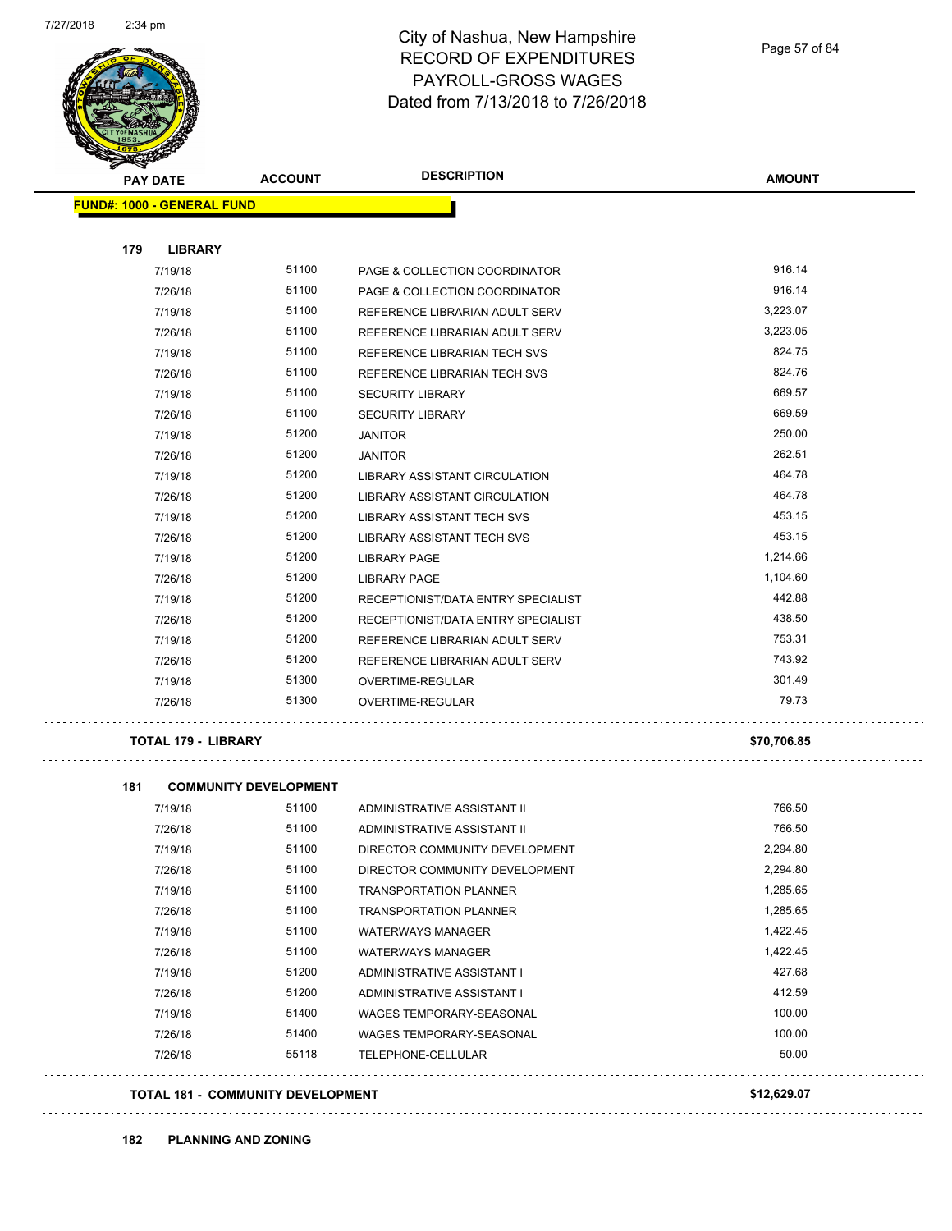

Page 57 of 84

| PAY DATE                          | <b>ACCOUNT</b>               | <b>DESCRIPTION</b>                   | <b>AMOUNT</b> |
|-----------------------------------|------------------------------|--------------------------------------|---------------|
| <b>FUND#: 1000 - GENERAL FUND</b> |                              |                                      |               |
| 179<br><b>LIBRARY</b>             |                              |                                      |               |
| 7/19/18                           | 51100                        | PAGE & COLLECTION COORDINATOR        | 916.14        |
| 7/26/18                           | 51100                        | PAGE & COLLECTION COORDINATOR        | 916.14        |
| 7/19/18                           | 51100                        | REFERENCE LIBRARIAN ADULT SERV       | 3.223.07      |
| 7/26/18                           | 51100                        | REFERENCE LIBRARIAN ADULT SERV       | 3.223.05      |
| 7/19/18                           | 51100                        | REFERENCE LIBRARIAN TECH SVS         | 824.75        |
| 7/26/18                           | 51100                        | REFERENCE LIBRARIAN TECH SVS         | 824.76        |
| 7/19/18                           | 51100                        | <b>SECURITY LIBRARY</b>              | 669.57        |
| 7/26/18                           | 51100                        | <b>SECURITY LIBRARY</b>              | 669.59        |
| 7/19/18                           | 51200                        | <b>JANITOR</b>                       | 250.00        |
| 7/26/18                           | 51200                        | <b>JANITOR</b>                       | 262.51        |
| 7/19/18                           | 51200                        | <b>LIBRARY ASSISTANT CIRCULATION</b> | 464.78        |
| 7/26/18                           | 51200                        | LIBRARY ASSISTANT CIRCULATION        | 464.78        |
| 7/19/18                           | 51200                        | <b>LIBRARY ASSISTANT TECH SVS</b>    | 453.15        |
| 7/26/18                           | 51200                        | LIBRARY ASSISTANT TECH SVS           | 453.15        |
| 7/19/18                           | 51200                        | LIBRARY PAGE                         | 1,214.66      |
| 7/26/18                           | 51200                        | LIBRARY PAGE                         | 1,104.60      |
| 7/19/18                           | 51200                        | RECEPTIONIST/DATA ENTRY SPECIALIST   | 442.88        |
| 7/26/18                           | 51200                        | RECEPTIONIST/DATA ENTRY SPECIALIST   | 438.50        |
| 7/19/18                           | 51200                        | REFERENCE LIBRARIAN ADULT SERV       | 753.31        |
| 7/26/18                           | 51200                        | REFERENCE LIBRARIAN ADULT SERV       | 743.92        |
| 7/19/18                           | 51300                        | OVERTIME-REGULAR                     | 301.49        |
| 7/26/18                           | 51300                        | OVERTIME-REGULAR                     | 79.73         |
| <b>TOTAL 179 - LIBRARY</b>        |                              |                                      | \$70,706.85   |
| 181                               | <b>COMMUNITY DEVELOPMENT</b> |                                      |               |
| 7/19/18                           | 51100                        | ADMINISTRATIVE ASSISTANT II          | 766.50        |
| 7/26/18                           | 51100                        | ADMINISTRATIVE ASSISTANT II          | 766.50        |
| 7/19/18                           | 51100                        | DIRECTOR COMMUNITY DEVELOPMENT       | 2,294.80      |
| 7/26/18                           | 51100                        | DIRECTOR COMMUNITY DEVELOPMENT       | 2,294.80      |
| 7/19/18                           | 51100                        | <b>TRANSPORTATION PLANNER</b>        | 1,285.65      |
| 7/26/18                           | 51100                        | <b>TRANSPORTATION PLANNER</b>        | 1,285.65      |
| 7/19/18                           | 51100                        | <b>WATERWAYS MANAGER</b>             | 1,422.45      |
| 7/26/18                           | 51100                        | <b>WATERWAYS MANAGER</b>             | 1,422.45      |
| 7/19/18                           | 51200                        | ADMINISTRATIVE ASSISTANT I           | 427.68        |
| 7/26/18                           | 51200                        | ADMINISTRATIVE ASSISTANT I           | 412.59        |
| 7/19/18                           | 51400                        | WAGES TEMPORARY-SEASONAL             | 100.00        |
| 7/26/18                           | 51400                        | WAGES TEMPORARY-SEASONAL             | 100.00        |
| 7/26/18                           | 55118                        | TELEPHONE-CELLULAR                   | 50.00         |
|                                   |                              |                                      | \$12,629.07   |
| TOTAL 181 - COMMUNITY DEVELOPMENT |                              |                                      |               |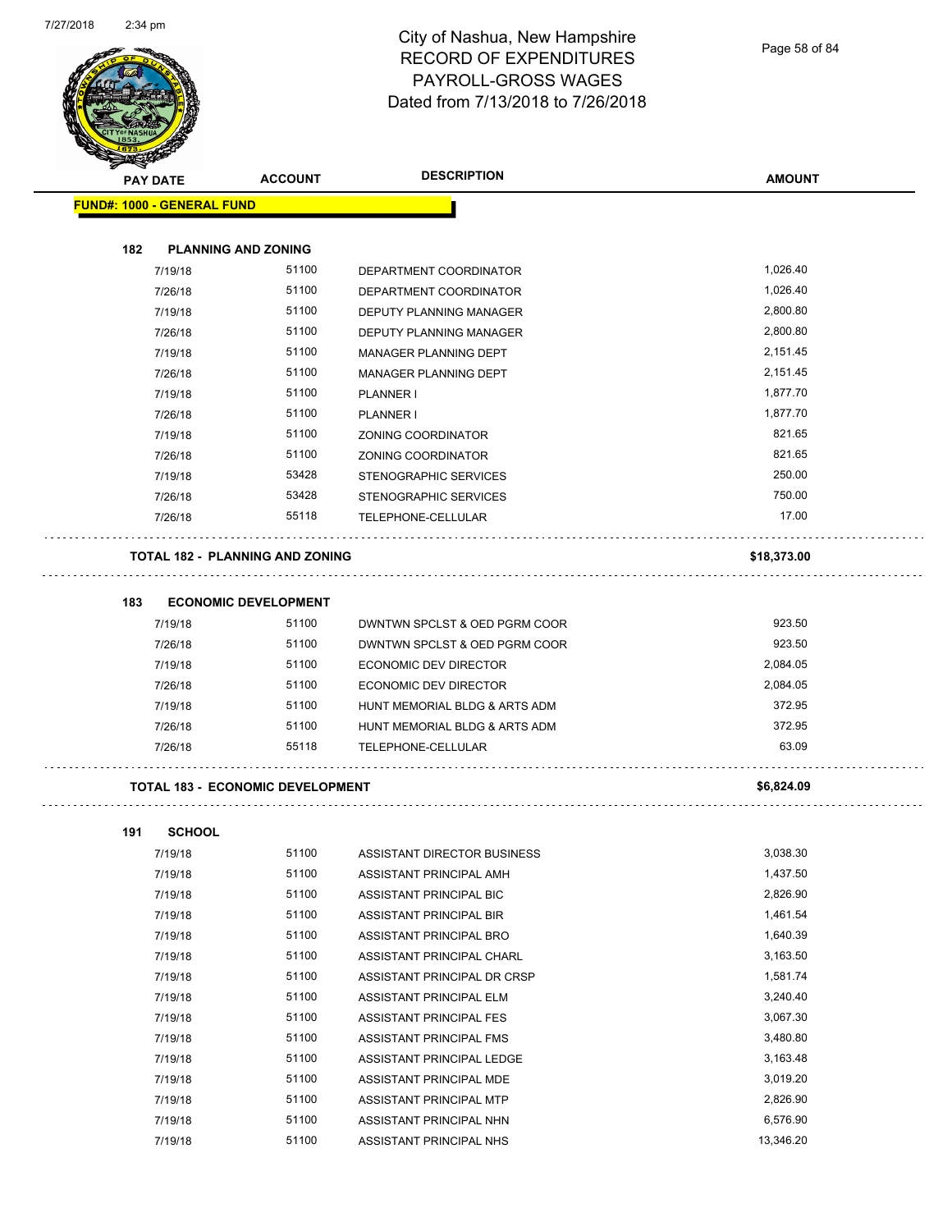

Page 58 of 84

|     | <b>PAY DATE</b>                   | <b>ACCOUNT</b>                          | <b>DESCRIPTION</b>            | <b>AMOUNT</b> |
|-----|-----------------------------------|-----------------------------------------|-------------------------------|---------------|
|     | <b>FUND#: 1000 - GENERAL FUND</b> |                                         |                               |               |
|     |                                   |                                         |                               |               |
| 182 |                                   | <b>PLANNING AND ZONING</b>              |                               |               |
|     | 7/19/18                           | 51100                                   | DEPARTMENT COORDINATOR        | 1,026.40      |
|     | 7/26/18                           | 51100                                   | DEPARTMENT COORDINATOR        | 1,026.40      |
|     | 7/19/18                           | 51100                                   | DEPUTY PLANNING MANAGER       | 2,800.80      |
|     | 7/26/18                           | 51100                                   | DEPUTY PLANNING MANAGER       | 2,800.80      |
|     | 7/19/18                           | 51100                                   | MANAGER PLANNING DEPT         | 2,151.45      |
|     | 7/26/18                           | 51100                                   | MANAGER PLANNING DEPT         | 2,151.45      |
|     | 7/19/18                           | 51100                                   | PLANNER I                     | 1,877.70      |
|     | 7/26/18                           | 51100                                   | <b>PLANNER I</b>              | 1,877.70      |
|     | 7/19/18                           | 51100                                   | ZONING COORDINATOR            | 821.65        |
|     | 7/26/18                           | 51100                                   | <b>ZONING COORDINATOR</b>     | 821.65        |
|     | 7/19/18                           | 53428                                   | STENOGRAPHIC SERVICES         | 250.00        |
|     | 7/26/18                           | 53428                                   | STENOGRAPHIC SERVICES         | 750.00        |
|     | 7/26/18                           | 55118                                   | TELEPHONE-CELLULAR            | 17.00         |
|     |                                   | TOTAL 182 - PLANNING AND ZONING         |                               | \$18,373.00   |
| 183 |                                   | <b>ECONOMIC DEVELOPMENT</b>             |                               |               |
|     | 7/19/18                           | 51100                                   | DWNTWN SPCLST & OED PGRM COOR | 923.50        |
|     | 7/26/18                           | 51100                                   | DWNTWN SPCLST & OED PGRM COOR | 923.50        |
|     | 7/19/18                           | 51100                                   | ECONOMIC DEV DIRECTOR         | 2,084.05      |
|     | 7/26/18                           | 51100                                   | ECONOMIC DEV DIRECTOR         | 2,084.05      |
|     | 7/19/18                           | 51100                                   | HUNT MEMORIAL BLDG & ARTS ADM | 372.95        |
|     | 7/26/18                           | 51100                                   | HUNT MEMORIAL BLDG & ARTS ADM | 372.95        |
|     | 7/26/18                           | 55118                                   | TELEPHONE-CELLULAR            | 63.09         |
|     |                                   | <b>TOTAL 183 - ECONOMIC DEVELOPMENT</b> |                               | \$6,824.09    |
| 191 | <b>SCHOOL</b>                     |                                         |                               |               |
|     | 7/19/18                           | 51100                                   | ASSISTANT DIRECTOR BUSINESS   | 3,038.30      |
|     | 7/19/18                           | 51100                                   | ASSISTANT PRINCIPAL AMH       | 1,437.50      |
|     | 7/19/18                           | 51100                                   | ASSISTANT PRINCIPAL BIC       | 2,826.90      |
|     | 7/19/18                           | 51100                                   | ASSISTANT PRINCIPAL BIR       | 1,461.54      |
|     | 7/19/18                           | 51100                                   | ASSISTANT PRINCIPAL BRO       | 1,640.39      |
|     | 7/19/18                           | 51100                                   | ASSISTANT PRINCIPAL CHARL     | 3,163.50      |
|     | 7/19/18                           | 51100                                   | ASSISTANT PRINCIPAL DR CRSP   | 1,581.74      |
|     | 7/19/18                           | 51100                                   | ASSISTANT PRINCIPAL ELM       | 3,240.40      |
|     | 7/19/18                           | 51100                                   | ASSISTANT PRINCIPAL FES       | 3,067.30      |
|     | 7/19/18                           | 51100                                   | ASSISTANT PRINCIPAL FMS       | 3,480.80      |
|     | 7/19/18                           | 51100                                   | ASSISTANT PRINCIPAL LEDGE     | 3,163.48      |
|     | 7/19/18                           | 51100                                   | ASSISTANT PRINCIPAL MDE       | 3,019.20      |
|     | 7/19/18                           | 51100                                   | ASSISTANT PRINCIPAL MTP       | 2,826.90      |
|     | 7/19/18                           | 51100                                   | ASSISTANT PRINCIPAL NHN       | 6,576.90      |
|     | 7/19/18                           | 51100                                   | ASSISTANT PRINCIPAL NHS       | 13,346.20     |
|     |                                   |                                         |                               |               |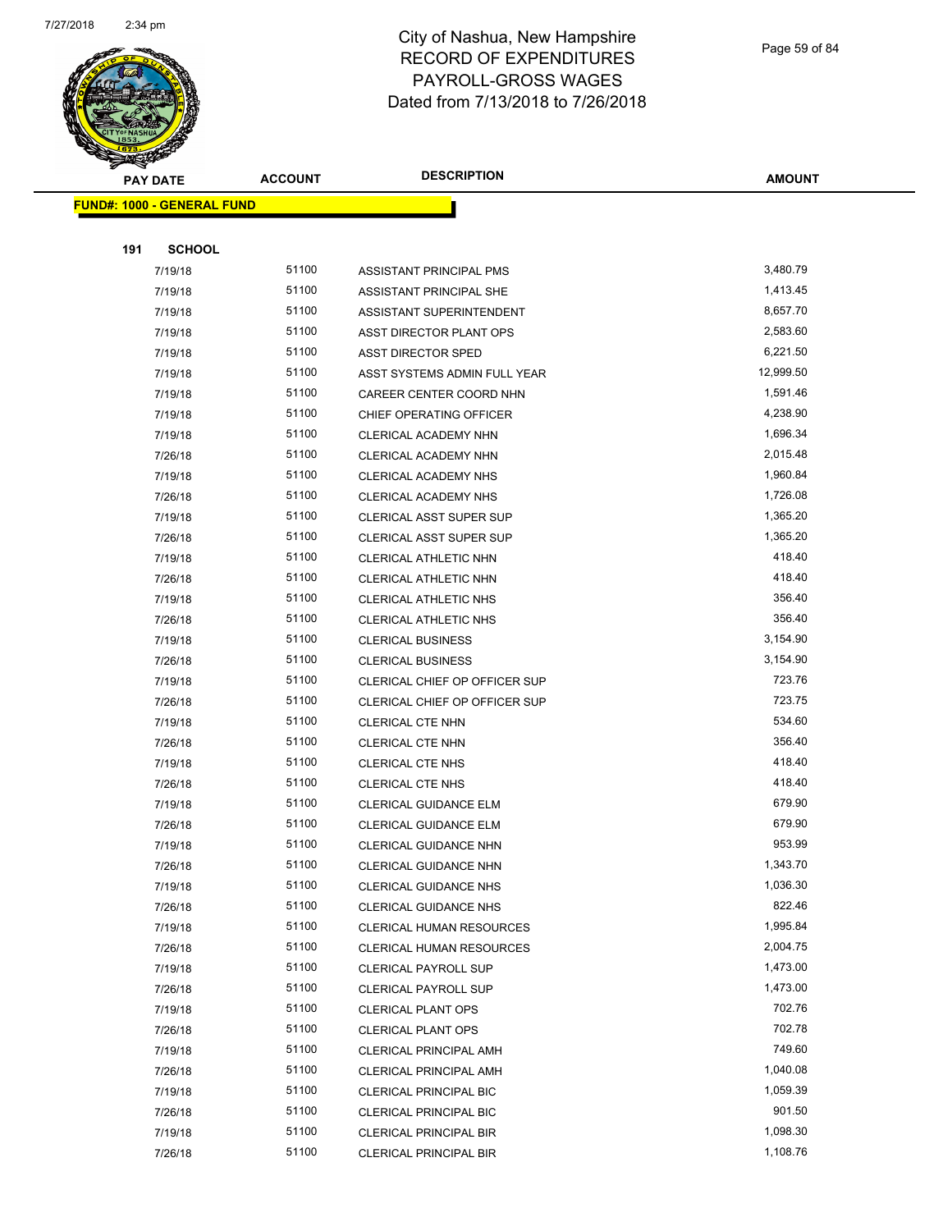

Page 59 of 84

| <b>PAY DATE</b>                   | <b>ACCOUNT</b> | <b>DESCRIPTION</b>              | <b>AMOUNT</b> |
|-----------------------------------|----------------|---------------------------------|---------------|
| <b>FUND#: 1000 - GENERAL FUND</b> |                |                                 |               |
|                                   |                |                                 |               |
| 191<br><b>SCHOOL</b>              |                |                                 |               |
| 7/19/18                           | 51100          | ASSISTANT PRINCIPAL PMS         | 3,480.79      |
| 7/19/18                           | 51100          | ASSISTANT PRINCIPAL SHE         | 1,413.45      |
| 7/19/18                           | 51100          | ASSISTANT SUPERINTENDENT        | 8,657.70      |
| 7/19/18                           | 51100          | ASST DIRECTOR PLANT OPS         | 2,583.60      |
| 7/19/18                           | 51100          | <b>ASST DIRECTOR SPED</b>       | 6,221.50      |
| 7/19/18                           | 51100          | ASST SYSTEMS ADMIN FULL YEAR    | 12,999.50     |
| 7/19/18                           | 51100          | CAREER CENTER COORD NHN         | 1,591.46      |
| 7/19/18                           | 51100          | CHIEF OPERATING OFFICER         | 4,238.90      |
| 7/19/18                           | 51100          | CLERICAL ACADEMY NHN            | 1,696.34      |
| 7/26/18                           | 51100          | CLERICAL ACADEMY NHN            | 2,015.48      |
| 7/19/18                           | 51100          | CLERICAL ACADEMY NHS            | 1,960.84      |
| 7/26/18                           | 51100          | CLERICAL ACADEMY NHS            | 1,726.08      |
| 7/19/18                           | 51100          | CLERICAL ASST SUPER SUP         | 1,365.20      |
| 7/26/18                           | 51100          | <b>CLERICAL ASST SUPER SUP</b>  | 1,365.20      |
| 7/19/18                           | 51100          | CLERICAL ATHLETIC NHN           | 418.40        |
| 7/26/18                           | 51100          | CLERICAL ATHLETIC NHN           | 418.40        |
| 7/19/18                           | 51100          | <b>CLERICAL ATHLETIC NHS</b>    | 356.40        |
| 7/26/18                           | 51100          | <b>CLERICAL ATHLETIC NHS</b>    | 356.40        |
| 7/19/18                           | 51100          | <b>CLERICAL BUSINESS</b>        | 3,154.90      |
| 7/26/18                           | 51100          | <b>CLERICAL BUSINESS</b>        | 3,154.90      |
| 7/19/18                           | 51100          | CLERICAL CHIEF OP OFFICER SUP   | 723.76        |
| 7/26/18                           | 51100          | CLERICAL CHIEF OP OFFICER SUP   | 723.75        |
| 7/19/18                           | 51100          | CLERICAL CTE NHN                | 534.60        |
| 7/26/18                           | 51100          | CLERICAL CTE NHN                | 356.40        |
| 7/19/18                           | 51100          | CLERICAL CTE NHS                | 418.40        |
| 7/26/18                           | 51100          | CLERICAL CTE NHS                | 418.40        |
| 7/19/18                           | 51100          | CLERICAL GUIDANCE ELM           | 679.90        |
| 7/26/18                           | 51100          | <b>CLERICAL GUIDANCE ELM</b>    | 679.90        |
| 7/19/18                           | 51100          | CLERICAL GUIDANCE NHN           | 953.99        |
| 7/26/18                           | 51100          | CLERICAL GUIDANCE NHN           | 1,343.70      |
| 7/19/18                           | 51100          | CLERICAL GUIDANCE NHS           | 1,036.30      |
| 7/26/18                           | 51100          | <b>CLERICAL GUIDANCE NHS</b>    | 822.46        |
| 7/19/18                           | 51100          | CLERICAL HUMAN RESOURCES        | 1,995.84      |
| 7/26/18                           | 51100          | <b>CLERICAL HUMAN RESOURCES</b> | 2,004.75      |
| 7/19/18                           | 51100          | <b>CLERICAL PAYROLL SUP</b>     | 1,473.00      |
| 7/26/18                           | 51100          | <b>CLERICAL PAYROLL SUP</b>     | 1,473.00      |
| 7/19/18                           | 51100          | <b>CLERICAL PLANT OPS</b>       | 702.76        |
| 7/26/18                           | 51100          | <b>CLERICAL PLANT OPS</b>       | 702.78        |
| 7/19/18                           | 51100          | <b>CLERICAL PRINCIPAL AMH</b>   | 749.60        |
| 7/26/18                           | 51100          | CLERICAL PRINCIPAL AMH          | 1,040.08      |
| 7/19/18                           | 51100          | <b>CLERICAL PRINCIPAL BIC</b>   | 1,059.39      |
| 7/26/18                           | 51100          | <b>CLERICAL PRINCIPAL BIC</b>   | 901.50        |
| 7/19/18                           | 51100          | <b>CLERICAL PRINCIPAL BIR</b>   | 1,098.30      |
| 7/26/18                           | 51100          | <b>CLERICAL PRINCIPAL BIR</b>   | 1,108.76      |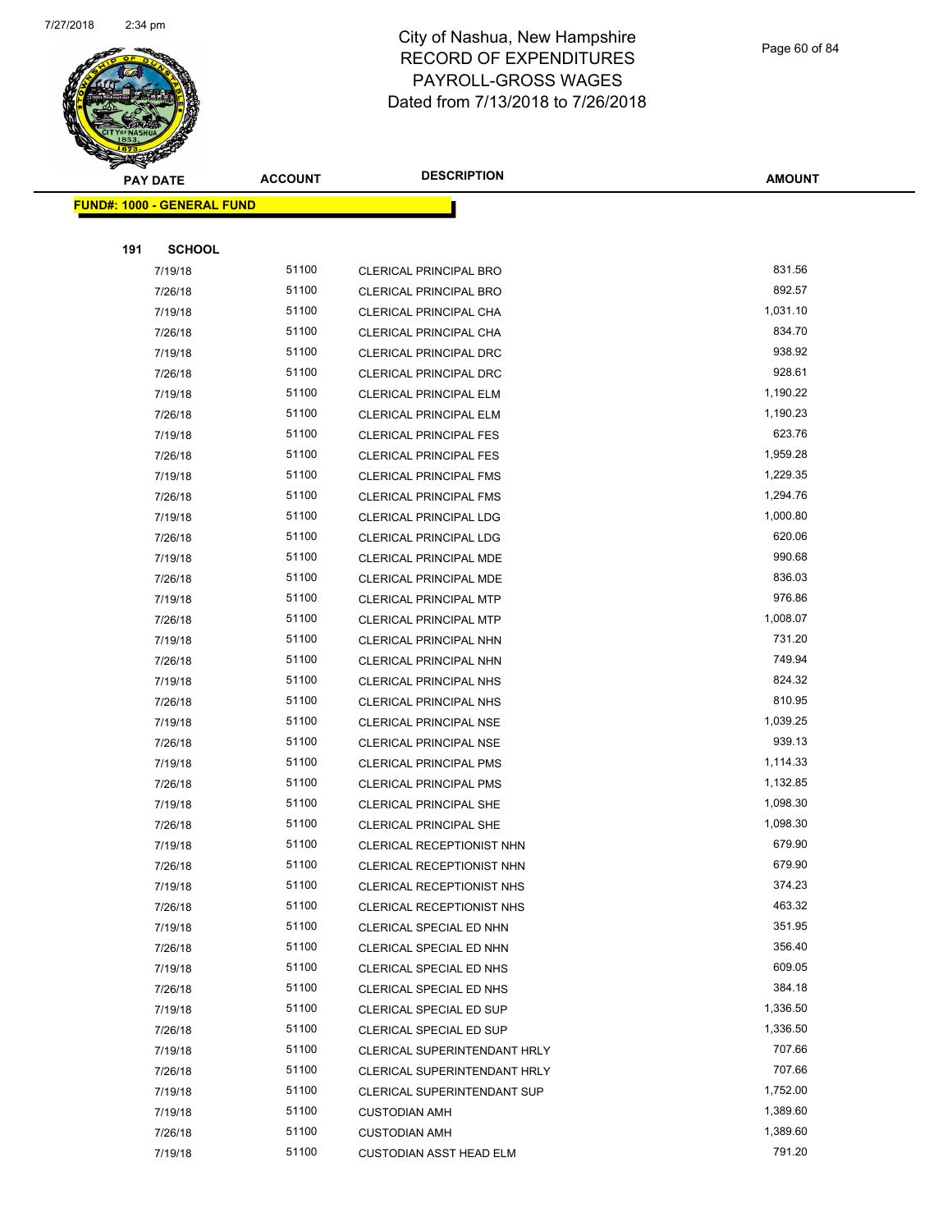

Page 60 of 84

| <b>PAY DATE</b>                   | <b>ACCOUNT</b> | <b>DESCRIPTION</b>                 | <b>AMOUNT</b> |
|-----------------------------------|----------------|------------------------------------|---------------|
| <b>FUND#: 1000 - GENERAL FUND</b> |                |                                    |               |
|                                   |                |                                    |               |
| <b>SCHOOL</b><br>191              |                |                                    |               |
| 7/19/18                           | 51100          | <b>CLERICAL PRINCIPAL BRO</b>      | 831.56        |
| 7/26/18                           | 51100          | <b>CLERICAL PRINCIPAL BRO</b>      | 892.57        |
| 7/19/18                           | 51100          | CLERICAL PRINCIPAL CHA             | 1,031.10      |
| 7/26/18                           | 51100          | <b>CLERICAL PRINCIPAL CHA</b>      | 834.70        |
| 7/19/18                           | 51100          | CLERICAL PRINCIPAL DRC             | 938.92        |
| 7/26/18                           | 51100          | CLERICAL PRINCIPAL DRC             | 928.61        |
| 7/19/18                           | 51100          | <b>CLERICAL PRINCIPAL ELM</b>      | 1,190.22      |
| 7/26/18                           | 51100          | <b>CLERICAL PRINCIPAL ELM</b>      | 1,190.23      |
| 7/19/18                           | 51100          | <b>CLERICAL PRINCIPAL FES</b>      | 623.76        |
| 7/26/18                           | 51100          | <b>CLERICAL PRINCIPAL FES</b>      | 1,959.28      |
| 7/19/18                           | 51100          | <b>CLERICAL PRINCIPAL FMS</b>      | 1,229.35      |
| 7/26/18                           | 51100          | <b>CLERICAL PRINCIPAL FMS</b>      | 1,294.76      |
| 7/19/18                           | 51100          | <b>CLERICAL PRINCIPAL LDG</b>      | 1,000.80      |
| 7/26/18                           | 51100          | <b>CLERICAL PRINCIPAL LDG</b>      | 620.06        |
| 7/19/18                           | 51100          | <b>CLERICAL PRINCIPAL MDE</b>      | 990.68        |
| 7/26/18                           | 51100          | <b>CLERICAL PRINCIPAL MDE</b>      | 836.03        |
| 7/19/18                           | 51100          | <b>CLERICAL PRINCIPAL MTP</b>      | 976.86        |
| 7/26/18                           | 51100          | <b>CLERICAL PRINCIPAL MTP</b>      | 1,008.07      |
| 7/19/18                           | 51100          | CLERICAL PRINCIPAL NHN             | 731.20        |
| 7/26/18                           | 51100          | CLERICAL PRINCIPAL NHN             | 749.94        |
| 7/19/18                           | 51100          | <b>CLERICAL PRINCIPAL NHS</b>      | 824.32        |
| 7/26/18                           | 51100          | <b>CLERICAL PRINCIPAL NHS</b>      | 810.95        |
| 7/19/18                           | 51100          | <b>CLERICAL PRINCIPAL NSE</b>      | 1,039.25      |
| 7/26/18                           | 51100          | <b>CLERICAL PRINCIPAL NSE</b>      | 939.13        |
| 7/19/18                           | 51100          | <b>CLERICAL PRINCIPAL PMS</b>      | 1,114.33      |
| 7/26/18                           | 51100          | <b>CLERICAL PRINCIPAL PMS</b>      | 1,132.85      |
| 7/19/18                           | 51100          | <b>CLERICAL PRINCIPAL SHE</b>      | 1,098.30      |
| 7/26/18                           | 51100          | <b>CLERICAL PRINCIPAL SHE</b>      | 1,098.30      |
| 7/19/18                           | 51100          | <b>CLERICAL RECEPTIONIST NHN</b>   | 679.90        |
| 7/26/18                           | 51100          | CLERICAL RECEPTIONIST NHN          | 679.90        |
| 7/19/18                           | 51100          | CLERICAL RECEPTIONIST NHS          | 374.23        |
| 7/26/18                           | 51100          | CLERICAL RECEPTIONIST NHS          | 463.32        |
| 7/19/18                           | 51100          | CLERICAL SPECIAL ED NHN            | 351.95        |
| 7/26/18                           | 51100          | CLERICAL SPECIAL ED NHN            | 356.40        |
| 7/19/18                           | 51100          | CLERICAL SPECIAL ED NHS            | 609.05        |
| 7/26/18                           | 51100          | CLERICAL SPECIAL ED NHS            | 384.18        |
| 7/19/18                           | 51100          | CLERICAL SPECIAL ED SUP            | 1,336.50      |
| 7/26/18                           | 51100          | CLERICAL SPECIAL ED SUP            | 1,336.50      |
| 7/19/18                           | 51100          | CLERICAL SUPERINTENDANT HRLY       | 707.66        |
| 7/26/18                           | 51100          | CLERICAL SUPERINTENDANT HRLY       | 707.66        |
| 7/19/18                           | 51100          | <b>CLERICAL SUPERINTENDANT SUP</b> | 1,752.00      |
| 7/19/18                           | 51100          | <b>CUSTODIAN AMH</b>               | 1,389.60      |
| 7/26/18                           | 51100          | <b>CUSTODIAN AMH</b>               | 1,389.60      |
| 7/19/18                           | 51100          | CUSTODIAN ASST HEAD ELM            | 791.20        |
|                                   |                |                                    |               |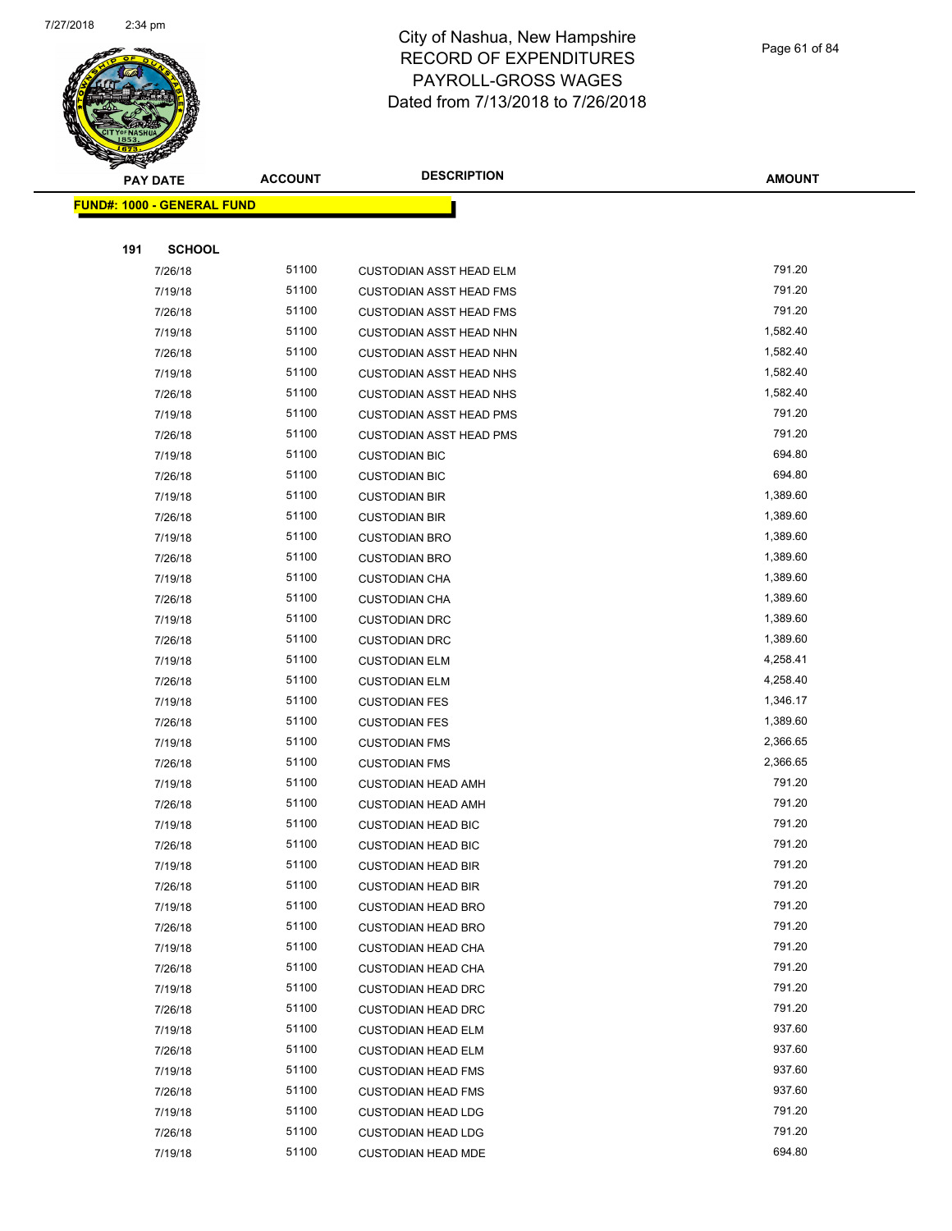

Page 61 of 84

| <b>PAY DATE</b>                   | <b>ACCOUNT</b> | <b>DESCRIPTION</b>             | <b>AMOUNT</b> |
|-----------------------------------|----------------|--------------------------------|---------------|
| <b>FUND#: 1000 - GENERAL FUND</b> |                |                                |               |
|                                   |                |                                |               |
| 191<br><b>SCHOOL</b>              |                |                                |               |
| 7/26/18                           | 51100          | <b>CUSTODIAN ASST HEAD ELM</b> | 791.20        |
| 7/19/18                           | 51100          | <b>CUSTODIAN ASST HEAD FMS</b> | 791.20        |
| 7/26/18                           | 51100          | <b>CUSTODIAN ASST HEAD FMS</b> | 791.20        |
| 7/19/18                           | 51100          | <b>CUSTODIAN ASST HEAD NHN</b> | 1,582.40      |
| 7/26/18                           | 51100          | <b>CUSTODIAN ASST HEAD NHN</b> | 1,582.40      |
| 7/19/18                           | 51100          | <b>CUSTODIAN ASST HEAD NHS</b> | 1,582.40      |
| 7/26/18                           | 51100          | <b>CUSTODIAN ASST HEAD NHS</b> | 1,582.40      |
| 7/19/18                           | 51100          | <b>CUSTODIAN ASST HEAD PMS</b> | 791.20        |
| 7/26/18                           | 51100          | <b>CUSTODIAN ASST HEAD PMS</b> | 791.20        |
| 7/19/18                           | 51100          | <b>CUSTODIAN BIC</b>           | 694.80        |
| 7/26/18                           | 51100          | <b>CUSTODIAN BIC</b>           | 694.80        |
| 7/19/18                           | 51100          | <b>CUSTODIAN BIR</b>           | 1,389.60      |
| 7/26/18                           | 51100          | <b>CUSTODIAN BIR</b>           | 1,389.60      |
| 7/19/18                           | 51100          | <b>CUSTODIAN BRO</b>           | 1,389.60      |
| 7/26/18                           | 51100          | <b>CUSTODIAN BRO</b>           | 1,389.60      |
| 7/19/18                           | 51100          | <b>CUSTODIAN CHA</b>           | 1,389.60      |
| 7/26/18                           | 51100          | <b>CUSTODIAN CHA</b>           | 1,389.60      |
| 7/19/18                           | 51100          | <b>CUSTODIAN DRC</b>           | 1,389.60      |
| 7/26/18                           | 51100          | <b>CUSTODIAN DRC</b>           | 1,389.60      |
| 7/19/18                           | 51100          | <b>CUSTODIAN ELM</b>           | 4,258.41      |
| 7/26/18                           | 51100          | <b>CUSTODIAN ELM</b>           | 4,258.40      |
| 7/19/18                           | 51100          | <b>CUSTODIAN FES</b>           | 1,346.17      |
| 7/26/18                           | 51100          | <b>CUSTODIAN FES</b>           | 1,389.60      |
| 7/19/18                           | 51100          | <b>CUSTODIAN FMS</b>           | 2,366.65      |
| 7/26/18                           | 51100          | <b>CUSTODIAN FMS</b>           | 2,366.65      |
| 7/19/18                           | 51100          | <b>CUSTODIAN HEAD AMH</b>      | 791.20        |
| 7/26/18                           | 51100          | <b>CUSTODIAN HEAD AMH</b>      | 791.20        |
| 7/19/18                           | 51100          | <b>CUSTODIAN HEAD BIC</b>      | 791.20        |
| 7/26/18                           | 51100          | <b>CUSTODIAN HEAD BIC</b>      | 791.20        |
| 7/19/18                           | 51100          | <b>CUSTODIAN HEAD BIR</b>      | 791.20        |
| 7/26/18                           | 51100          | <b>CUSTODIAN HEAD BIR</b>      | 791.20        |
| 7/19/18                           | 51100          | <b>CUSTODIAN HEAD BRO</b>      | 791.20        |
| 7/26/18                           | 51100          | <b>CUSTODIAN HEAD BRO</b>      | 791.20        |
| 7/19/18                           | 51100          | <b>CUSTODIAN HEAD CHA</b>      | 791.20        |
| 7/26/18                           | 51100          | <b>CUSTODIAN HEAD CHA</b>      | 791.20        |
| 7/19/18                           | 51100          | <b>CUSTODIAN HEAD DRC</b>      | 791.20        |
| 7/26/18                           | 51100          | <b>CUSTODIAN HEAD DRC</b>      | 791.20        |
| 7/19/18                           | 51100          | <b>CUSTODIAN HEAD ELM</b>      | 937.60        |
| 7/26/18                           | 51100          | <b>CUSTODIAN HEAD ELM</b>      | 937.60        |
| 7/19/18                           | 51100          | <b>CUSTODIAN HEAD FMS</b>      | 937.60        |
| 7/26/18                           | 51100          | <b>CUSTODIAN HEAD FMS</b>      | 937.60        |
| 7/19/18                           | 51100          | <b>CUSTODIAN HEAD LDG</b>      | 791.20        |
| 7/26/18                           | 51100          | <b>CUSTODIAN HEAD LDG</b>      | 791.20        |
| 7/19/18                           | 51100          | <b>CUSTODIAN HEAD MDE</b>      | 694.80        |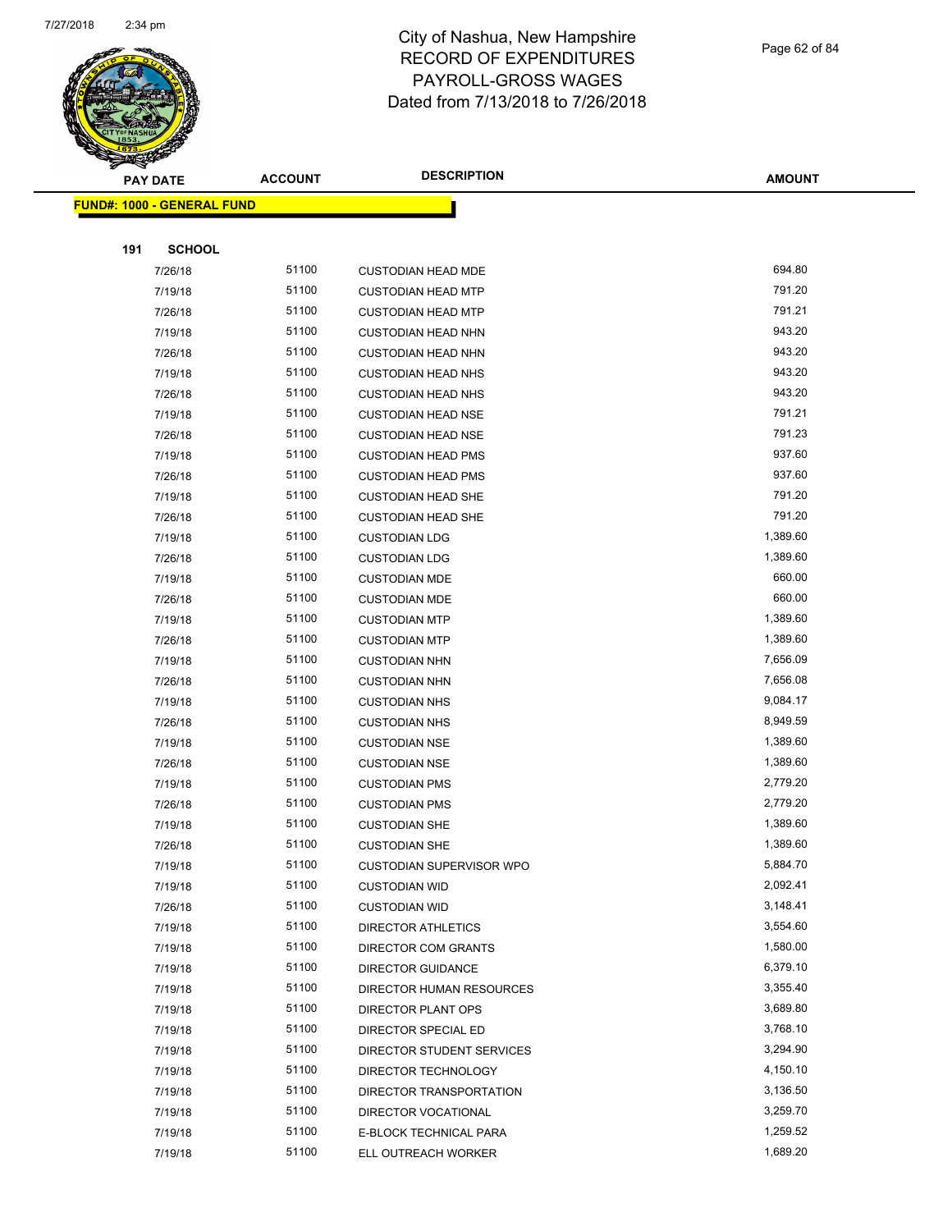

Page 62 of 84

| <b>PAY DATE</b>                   | <b>ACCOUNT</b> | <b>DESCRIPTION</b>                            | <b>AMOUNT</b>        |
|-----------------------------------|----------------|-----------------------------------------------|----------------------|
| <b>FUND#: 1000 - GENERAL FUND</b> |                |                                               |                      |
|                                   |                |                                               |                      |
| 191<br><b>SCHOOL</b>              |                |                                               |                      |
| 7/26/18                           | 51100          | <b>CUSTODIAN HEAD MDE</b>                     | 694.80               |
| 7/19/18                           | 51100          | <b>CUSTODIAN HEAD MTP</b>                     | 791.20               |
| 7/26/18                           | 51100          | <b>CUSTODIAN HEAD MTP</b>                     | 791.21               |
| 7/19/18                           | 51100          | <b>CUSTODIAN HEAD NHN</b>                     | 943.20               |
| 7/26/18                           | 51100          | <b>CUSTODIAN HEAD NHN</b>                     | 943.20               |
| 7/19/18                           | 51100          | <b>CUSTODIAN HEAD NHS</b>                     | 943.20               |
| 7/26/18                           | 51100          | <b>CUSTODIAN HEAD NHS</b>                     | 943.20               |
| 7/19/18                           | 51100          | <b>CUSTODIAN HEAD NSE</b>                     | 791.21               |
| 7/26/18                           | 51100          | <b>CUSTODIAN HEAD NSE</b>                     | 791.23               |
| 7/19/18                           | 51100          | <b>CUSTODIAN HEAD PMS</b>                     | 937.60               |
| 7/26/18                           | 51100          | <b>CUSTODIAN HEAD PMS</b>                     | 937.60               |
| 7/19/18                           | 51100          | <b>CUSTODIAN HEAD SHE</b>                     | 791.20               |
| 7/26/18                           | 51100          | <b>CUSTODIAN HEAD SHE</b>                     | 791.20               |
| 7/19/18                           | 51100          | <b>CUSTODIAN LDG</b>                          | 1,389.60             |
| 7/26/18                           | 51100          | <b>CUSTODIAN LDG</b>                          | 1,389.60             |
| 7/19/18                           | 51100          | <b>CUSTODIAN MDE</b>                          | 660.00               |
| 7/26/18                           | 51100          | <b>CUSTODIAN MDE</b>                          | 660.00               |
| 7/19/18                           | 51100          | <b>CUSTODIAN MTP</b>                          | 1,389.60             |
| 7/26/18                           | 51100          | <b>CUSTODIAN MTP</b>                          | 1,389.60             |
| 7/19/18                           | 51100          | <b>CUSTODIAN NHN</b>                          | 7,656.09             |
| 7/26/18                           | 51100          | <b>CUSTODIAN NHN</b>                          | 7,656.08             |
| 7/19/18                           | 51100          | <b>CUSTODIAN NHS</b>                          | 9,084.17             |
| 7/26/18                           | 51100          | <b>CUSTODIAN NHS</b>                          | 8,949.59             |
| 7/19/18                           | 51100          | <b>CUSTODIAN NSE</b>                          | 1,389.60             |
| 7/26/18                           | 51100          | <b>CUSTODIAN NSE</b>                          | 1,389.60             |
| 7/19/18                           | 51100          | <b>CUSTODIAN PMS</b>                          | 2,779.20             |
| 7/26/18                           | 51100          | <b>CUSTODIAN PMS</b>                          | 2,779.20             |
| 7/19/18                           | 51100          | <b>CUSTODIAN SHE</b>                          | 1,389.60             |
| 7/26/18                           | 51100          | <b>CUSTODIAN SHE</b>                          | 1,389.60             |
| 7/19/18                           | 51100          | CUSTODIAN SUPERVISOR WPO                      | 5,884.70             |
| 7/19/18                           | 51100          | <b>CUSTODIAN WID</b>                          | 2,092.41             |
| 7/26/18                           | 51100          | <b>CUSTODIAN WID</b>                          | 3,148.41             |
| 7/19/18                           | 51100          | DIRECTOR ATHLETICS                            | 3,554.60             |
| 7/19/18                           | 51100          | <b>DIRECTOR COM GRANTS</b>                    | 1,580.00             |
| 7/19/18                           | 51100          | DIRECTOR GUIDANCE                             | 6,379.10             |
| 7/19/18                           | 51100          | DIRECTOR HUMAN RESOURCES                      | 3,355.40             |
| 7/19/18                           | 51100          | DIRECTOR PLANT OPS                            | 3,689.80             |
| 7/19/18                           | 51100          | DIRECTOR SPECIAL ED                           | 3,768.10             |
| 7/19/18                           | 51100<br>51100 | DIRECTOR STUDENT SERVICES                     | 3,294.90             |
| 7/19/18                           | 51100          | DIRECTOR TECHNOLOGY                           | 4,150.10<br>3,136.50 |
| 7/19/18                           | 51100          | DIRECTOR TRANSPORTATION                       | 3,259.70             |
| 7/19/18<br>7/19/18                | 51100          | DIRECTOR VOCATIONAL<br>E-BLOCK TECHNICAL PARA | 1,259.52             |
| 7/19/18                           | 51100          | ELL OUTREACH WORKER                           | 1,689.20             |
|                                   |                |                                               |                      |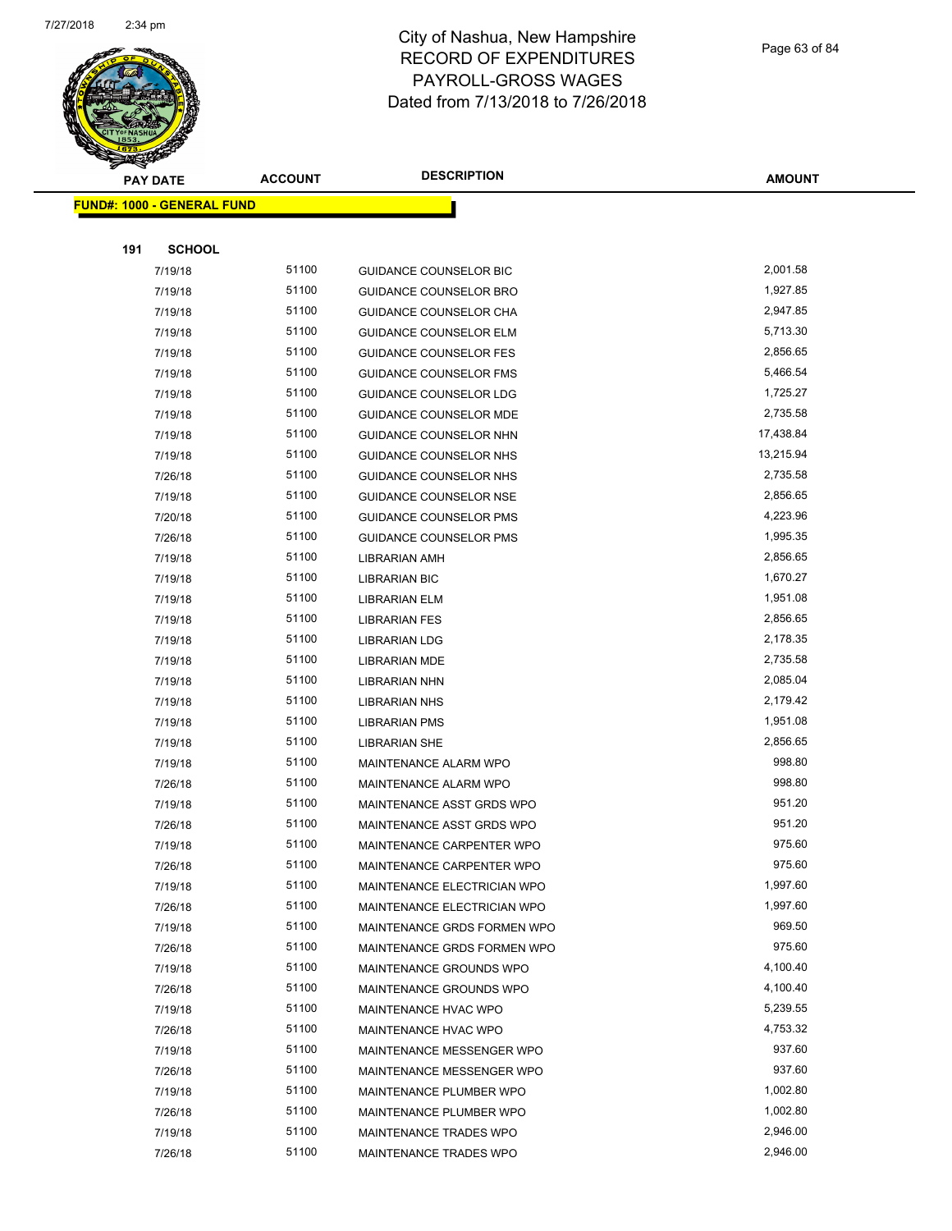

Page 63 of 84

| <b>PAY DATE</b>                   | <b>ACCOUNT</b> | <b>DESCRIPTION</b>                           | <b>AMOUNT</b>    |
|-----------------------------------|----------------|----------------------------------------------|------------------|
| <b>FUND#: 1000 - GENERAL FUND</b> |                |                                              |                  |
|                                   |                |                                              |                  |
| 191<br><b>SCHOOL</b>              |                |                                              |                  |
| 7/19/18                           | 51100          | <b>GUIDANCE COUNSELOR BIC</b>                | 2,001.58         |
| 7/19/18                           | 51100          | GUIDANCE COUNSELOR BRO                       | 1,927.85         |
| 7/19/18                           | 51100          | GUIDANCE COUNSELOR CHA                       | 2,947.85         |
| 7/19/18                           | 51100          | <b>GUIDANCE COUNSELOR ELM</b>                | 5,713.30         |
| 7/19/18                           | 51100          | <b>GUIDANCE COUNSELOR FES</b>                | 2,856.65         |
| 7/19/18                           | 51100          | GUIDANCE COUNSELOR FMS                       | 5,466.54         |
| 7/19/18                           | 51100          | <b>GUIDANCE COUNSELOR LDG</b>                | 1,725.27         |
| 7/19/18                           | 51100          | GUIDANCE COUNSELOR MDE                       | 2,735.58         |
| 7/19/18                           | 51100          | GUIDANCE COUNSELOR NHN                       | 17,438.84        |
| 7/19/18                           | 51100          | GUIDANCE COUNSELOR NHS                       | 13,215.94        |
| 7/26/18                           | 51100          | GUIDANCE COUNSELOR NHS                       | 2,735.58         |
| 7/19/18                           | 51100          | GUIDANCE COUNSELOR NSE                       | 2,856.65         |
| 7/20/18                           | 51100          | <b>GUIDANCE COUNSELOR PMS</b>                | 4,223.96         |
| 7/26/18                           | 51100          | <b>GUIDANCE COUNSELOR PMS</b>                | 1,995.35         |
| 7/19/18                           | 51100          | LIBRARIAN AMH                                | 2,856.65         |
| 7/19/18                           | 51100          | <b>LIBRARIAN BIC</b>                         | 1,670.27         |
| 7/19/18                           | 51100          | LIBRARIAN ELM                                | 1,951.08         |
| 7/19/18                           | 51100          | <b>LIBRARIAN FES</b>                         | 2,856.65         |
| 7/19/18                           | 51100          | LIBRARIAN LDG                                | 2,178.35         |
| 7/19/18                           | 51100          | <b>LIBRARIAN MDE</b>                         | 2,735.58         |
| 7/19/18                           | 51100          | <b>LIBRARIAN NHN</b>                         | 2,085.04         |
| 7/19/18                           | 51100          | <b>LIBRARIAN NHS</b>                         | 2,179.42         |
| 7/19/18                           | 51100          | <b>LIBRARIAN PMS</b>                         | 1,951.08         |
| 7/19/18                           | 51100          | LIBRARIAN SHE                                | 2,856.65         |
| 7/19/18                           | 51100          | <b>MAINTENANCE ALARM WPO</b>                 | 998.80           |
| 7/26/18                           | 51100          | MAINTENANCE ALARM WPO                        | 998.80           |
| 7/19/18                           | 51100          | MAINTENANCE ASST GRDS WPO                    | 951.20           |
| 7/26/18                           | 51100          | MAINTENANCE ASST GRDS WPO                    | 951.20           |
| 7/19/18                           | 51100          | MAINTENANCE CARPENTER WPO                    | 975.60           |
|                                   | 51100          | MAINTENANCE CARPENTER WPO                    | 975.60           |
| 7/26/18<br>7/19/18                | 51100          | MAINTENANCE ELECTRICIAN WPO                  | 1,997.60         |
| 7/26/18                           | 51100          | MAINTENANCE ELECTRICIAN WPO                  | 1,997.60         |
| 7/19/18                           | 51100          | MAINTENANCE GRDS FORMEN WPO                  | 969.50           |
| 7/26/18                           | 51100          | MAINTENANCE GRDS FORMEN WPO                  | 975.60           |
| 7/19/18                           | 51100          | MAINTENANCE GROUNDS WPO                      | 4,100.40         |
| 7/26/18                           | 51100          |                                              | 4,100.40         |
|                                   | 51100          | MAINTENANCE GROUNDS WPO                      | 5,239.55         |
| 7/19/18                           | 51100          | MAINTENANCE HVAC WPO<br>MAINTENANCE HVAC WPO | 4,753.32         |
| 7/26/18                           |                |                                              |                  |
| 7/19/18                           | 51100          | MAINTENANCE MESSENGER WPO                    | 937.60<br>937.60 |
| 7/26/18                           | 51100<br>51100 | MAINTENANCE MESSENGER WPO                    | 1,002.80         |
| 7/19/18                           | 51100          | MAINTENANCE PLUMBER WPO                      | 1,002.80         |
| 7/26/18                           |                | MAINTENANCE PLUMBER WPO                      |                  |
| 7/19/18                           | 51100          | MAINTENANCE TRADES WPO                       | 2,946.00         |
| 7/26/18                           | 51100          | MAINTENANCE TRADES WPO                       | 2,946.00         |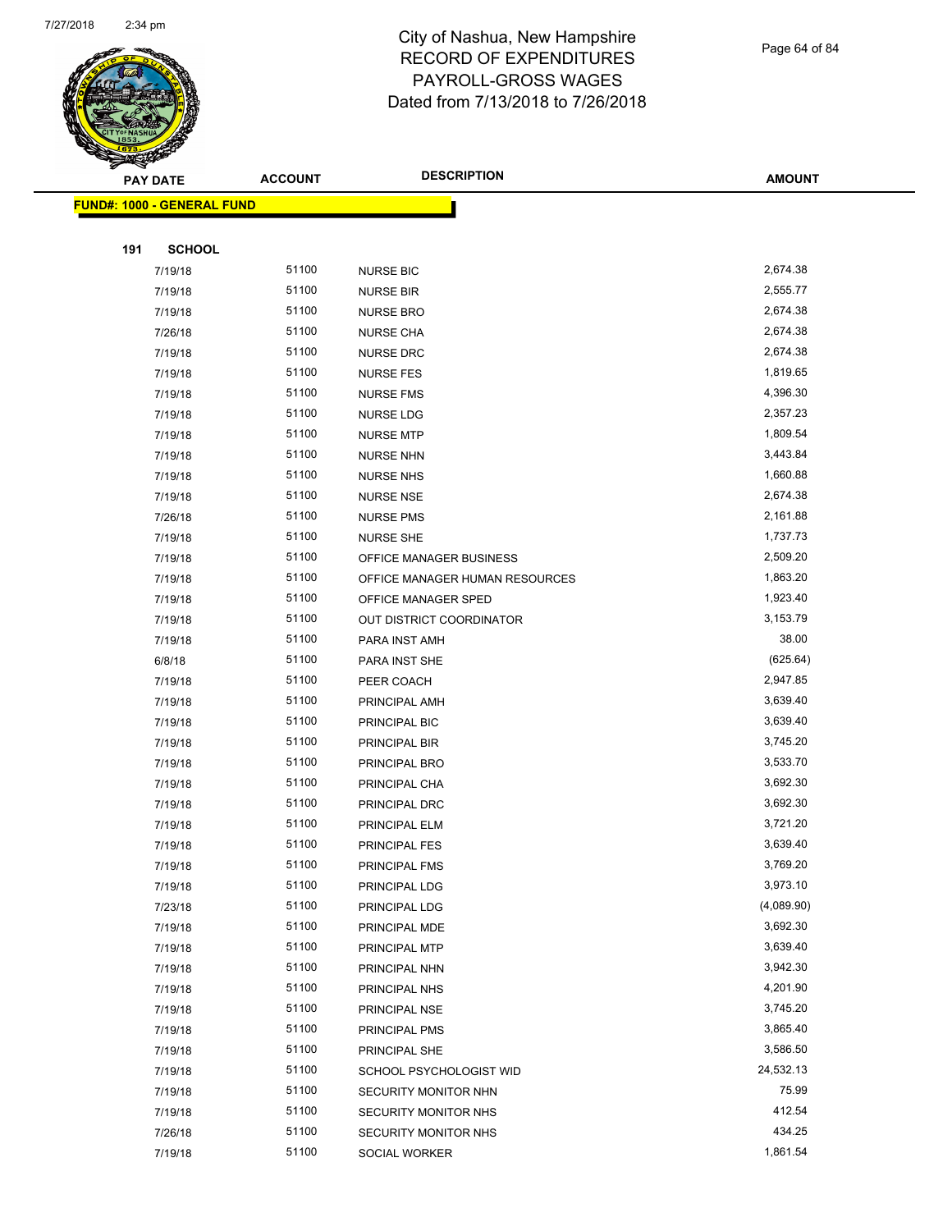

Page 64 of 84

|     | <b>PAY DATE</b>                   | <b>ACCOUNT</b> | <b>DESCRIPTION</b>             | <b>AMOUNT</b> |
|-----|-----------------------------------|----------------|--------------------------------|---------------|
|     | <b>FUND#: 1000 - GENERAL FUND</b> |                |                                |               |
|     |                                   |                |                                |               |
| 191 | <b>SCHOOL</b>                     |                |                                |               |
|     | 7/19/18                           | 51100          | <b>NURSE BIC</b>               | 2,674.38      |
|     | 7/19/18                           | 51100          | <b>NURSE BIR</b>               | 2,555.77      |
|     | 7/19/18                           | 51100          | <b>NURSE BRO</b>               | 2,674.38      |
|     | 7/26/18                           | 51100          | <b>NURSE CHA</b>               | 2,674.38      |
|     | 7/19/18                           | 51100          | <b>NURSE DRC</b>               | 2,674.38      |
|     | 7/19/18                           | 51100          | <b>NURSE FES</b>               | 1,819.65      |
|     | 7/19/18                           | 51100          | <b>NURSE FMS</b>               | 4,396.30      |
|     | 7/19/18                           | 51100          | <b>NURSE LDG</b>               | 2,357.23      |
|     | 7/19/18                           | 51100          | <b>NURSE MTP</b>               | 1,809.54      |
|     | 7/19/18                           | 51100          | <b>NURSE NHN</b>               | 3,443.84      |
|     | 7/19/18                           | 51100          | <b>NURSE NHS</b>               | 1,660.88      |
|     | 7/19/18                           | 51100          | <b>NURSE NSE</b>               | 2,674.38      |
|     | 7/26/18                           | 51100          | <b>NURSE PMS</b>               | 2,161.88      |
|     | 7/19/18                           | 51100          | <b>NURSE SHE</b>               | 1,737.73      |
|     | 7/19/18                           | 51100          | OFFICE MANAGER BUSINESS        | 2,509.20      |
|     | 7/19/18                           | 51100          | OFFICE MANAGER HUMAN RESOURCES | 1,863.20      |
|     | 7/19/18                           | 51100          | OFFICE MANAGER SPED            | 1,923.40      |
|     | 7/19/18                           | 51100          | OUT DISTRICT COORDINATOR       | 3,153.79      |
|     | 7/19/18                           | 51100          | PARA INST AMH                  | 38.00         |
|     | 6/8/18                            | 51100          | PARA INST SHE                  | (625.64)      |
|     | 7/19/18                           | 51100          | PEER COACH                     | 2,947.85      |
|     | 7/19/18                           | 51100          | PRINCIPAL AMH                  | 3,639.40      |
|     | 7/19/18                           | 51100          | PRINCIPAL BIC                  | 3,639.40      |
|     | 7/19/18                           | 51100          | PRINCIPAL BIR                  | 3,745.20      |
|     | 7/19/18                           | 51100          | PRINCIPAL BRO                  | 3,533.70      |
|     | 7/19/18                           | 51100          | PRINCIPAL CHA                  | 3,692.30      |
|     | 7/19/18                           | 51100          | PRINCIPAL DRC                  | 3,692.30      |
|     | 7/19/18                           | 51100          | PRINCIPAL ELM                  | 3,721.20      |
|     | 7/19/18                           | 51100          | <b>PRINCIPAL FES</b>           | 3,639.40      |
|     | 7/19/18                           | 51100          | PRINCIPAL FMS                  | 3,769.20      |
|     | 7/19/18                           | 51100          | PRINCIPAL LDG                  | 3,973.10      |
|     | 7/23/18                           | 51100          | PRINCIPAL LDG                  | (4,089.90)    |
|     | 7/19/18                           | 51100          | PRINCIPAL MDE                  | 3,692.30      |
|     | 7/19/18                           | 51100          | PRINCIPAL MTP                  | 3,639.40      |
|     | 7/19/18                           | 51100          | PRINCIPAL NHN                  | 3,942.30      |
|     | 7/19/18                           | 51100          | PRINCIPAL NHS                  | 4,201.90      |
|     | 7/19/18                           | 51100          | PRINCIPAL NSE                  | 3,745.20      |
|     | 7/19/18                           | 51100          | PRINCIPAL PMS                  | 3,865.40      |
|     | 7/19/18                           | 51100          | PRINCIPAL SHE                  | 3,586.50      |
|     | 7/19/18                           | 51100          | SCHOOL PSYCHOLOGIST WID        | 24,532.13     |
|     | 7/19/18                           | 51100          | SECURITY MONITOR NHN           | 75.99         |
|     | 7/19/18                           | 51100          | SECURITY MONITOR NHS           | 412.54        |
|     | 7/26/18                           | 51100          | SECURITY MONITOR NHS           | 434.25        |
|     | 7/19/18                           | 51100          | SOCIAL WORKER                  | 1,861.54      |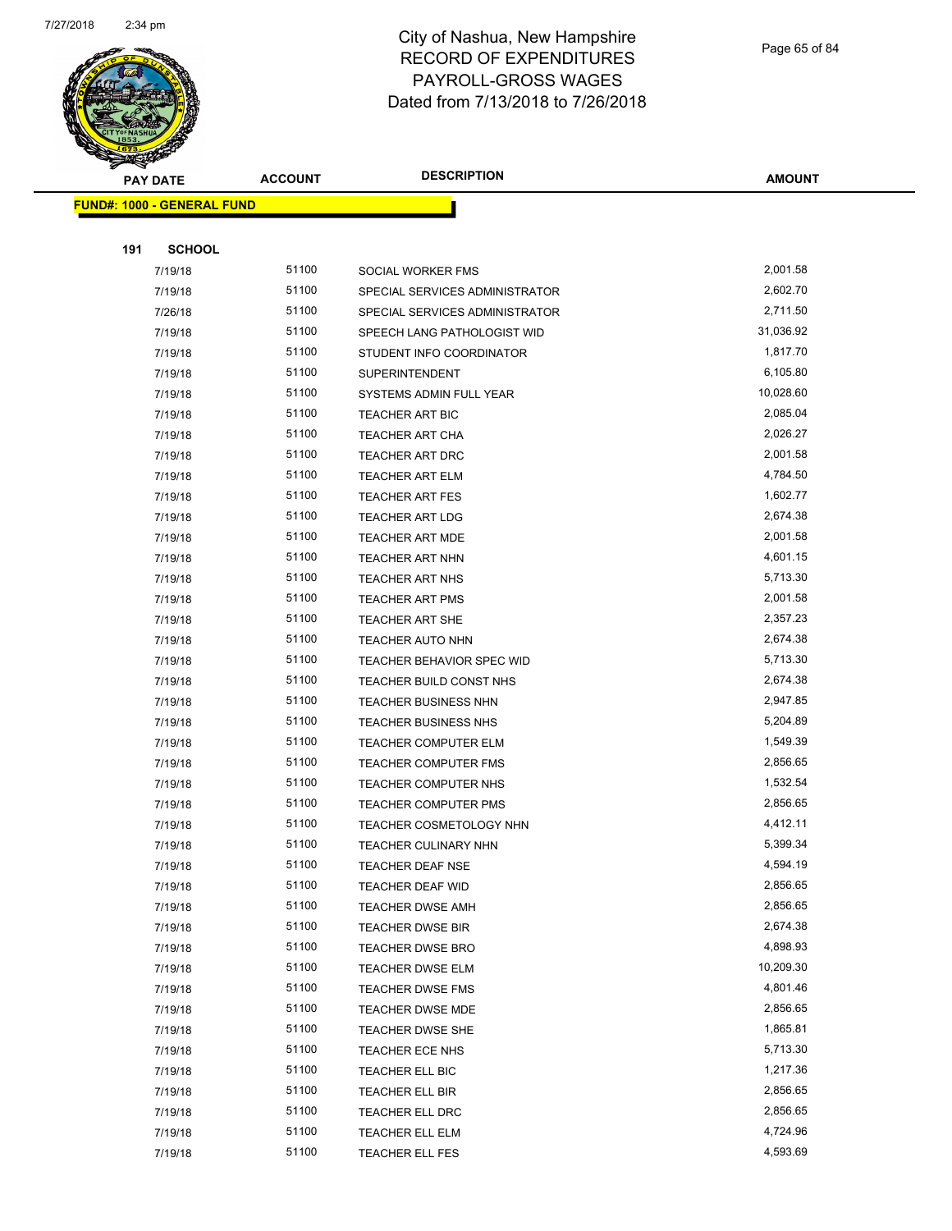

Page 65 of 84

| <b>PAY DATE</b>                   | <b>ACCOUNT</b> | <b>DESCRIPTION</b>             | <b>AMOUNT</b>        |
|-----------------------------------|----------------|--------------------------------|----------------------|
| <b>FUND#: 1000 - GENERAL FUND</b> |                |                                |                      |
|                                   |                |                                |                      |
| 191<br><b>SCHOOL</b>              |                |                                |                      |
| 7/19/18                           | 51100          | SOCIAL WORKER FMS              | 2,001.58             |
| 7/19/18                           | 51100          | SPECIAL SERVICES ADMINISTRATOR | 2,602.70             |
| 7/26/18                           | 51100          | SPECIAL SERVICES ADMINISTRATOR | 2,711.50             |
| 7/19/18                           | 51100          | SPEECH LANG PATHOLOGIST WID    | 31,036.92            |
| 7/19/18                           | 51100          | STUDENT INFO COORDINATOR       | 1,817.70             |
| 7/19/18                           | 51100          | <b>SUPERINTENDENT</b>          | 6,105.80             |
| 7/19/18                           | 51100          | SYSTEMS ADMIN FULL YEAR        | 10,028.60            |
| 7/19/18                           | 51100          | TEACHER ART BIC                | 2,085.04             |
| 7/19/18                           | 51100          | TEACHER ART CHA                | 2,026.27             |
| 7/19/18                           | 51100          | <b>TEACHER ART DRC</b>         | 2,001.58             |
| 7/19/18                           | 51100          | TEACHER ART ELM                | 4,784.50             |
| 7/19/18                           | 51100          | <b>TEACHER ART FES</b>         | 1,602.77             |
| 7/19/18                           | 51100          | <b>TEACHER ART LDG</b>         | 2,674.38             |
| 7/19/18                           | 51100          | <b>TEACHER ART MDE</b>         | 2,001.58             |
| 7/19/18                           | 51100          | <b>TEACHER ART NHN</b>         | 4,601.15             |
| 7/19/18                           | 51100          | TEACHER ART NHS                | 5,713.30             |
| 7/19/18                           | 51100          | <b>TEACHER ART PMS</b>         | 2,001.58             |
| 7/19/18                           | 51100          | TEACHER ART SHE                | 2,357.23             |
| 7/19/18                           | 51100          | TEACHER AUTO NHN               | 2,674.38             |
| 7/19/18                           | 51100          | TEACHER BEHAVIOR SPEC WID      | 5,713.30             |
| 7/19/18                           | 51100          | TEACHER BUILD CONST NHS        | 2,674.38             |
| 7/19/18                           | 51100          | <b>TEACHER BUSINESS NHN</b>    | 2,947.85             |
| 7/19/18                           | 51100          | <b>TEACHER BUSINESS NHS</b>    | 5,204.89             |
| 7/19/18                           | 51100          | <b>TEACHER COMPUTER ELM</b>    | 1,549.39             |
| 7/19/18                           | 51100          | <b>TEACHER COMPUTER FMS</b>    | 2,856.65             |
| 7/19/18                           | 51100          | TEACHER COMPUTER NHS           | 1,532.54             |
| 7/19/18                           | 51100          | <b>TEACHER COMPUTER PMS</b>    | 2,856.65             |
| 7/19/18                           | 51100          | TEACHER COSMETOLOGY NHN        | 4,412.11             |
| 7/19/18                           | 51100          | TEACHER CULINARY NHN           | 5,399.34             |
| 7/19/18                           | 51100          | TEACHER DEAF NSE               | 4,594.19             |
| 7/19/18                           | 51100          | TEACHER DEAF WID               | 2,856.65             |
| 7/19/18                           | 51100          | <b>TEACHER DWSE AMH</b>        | 2,856.65             |
| 7/19/18                           | 51100          | <b>TEACHER DWSE BIR</b>        | 2,674.38             |
| 7/19/18                           | 51100          | <b>TEACHER DWSE BRO</b>        | 4,898.93             |
| 7/19/18                           | 51100          | <b>TEACHER DWSE ELM</b>        | 10,209.30            |
| 7/19/18                           | 51100          | <b>TEACHER DWSE FMS</b>        | 4,801.46             |
| 7/19/18                           | 51100          | <b>TEACHER DWSE MDE</b>        | 2,856.65             |
| 7/19/18                           | 51100          | <b>TEACHER DWSE SHE</b>        | 1,865.81             |
| 7/19/18                           | 51100          | TEACHER ECE NHS                | 5,713.30             |
| 7/19/18                           | 51100          | TEACHER ELL BIC                | 1,217.36             |
| 7/19/18                           | 51100<br>51100 | TEACHER ELL BIR                | 2,856.65<br>2,856.65 |
| 7/19/18                           |                | TEACHER ELL DRC                | 4,724.96             |
| 7/19/18                           | 51100          | TEACHER ELL ELM                |                      |
| 7/19/18                           | 51100          | <b>TEACHER ELL FES</b>         | 4,593.69             |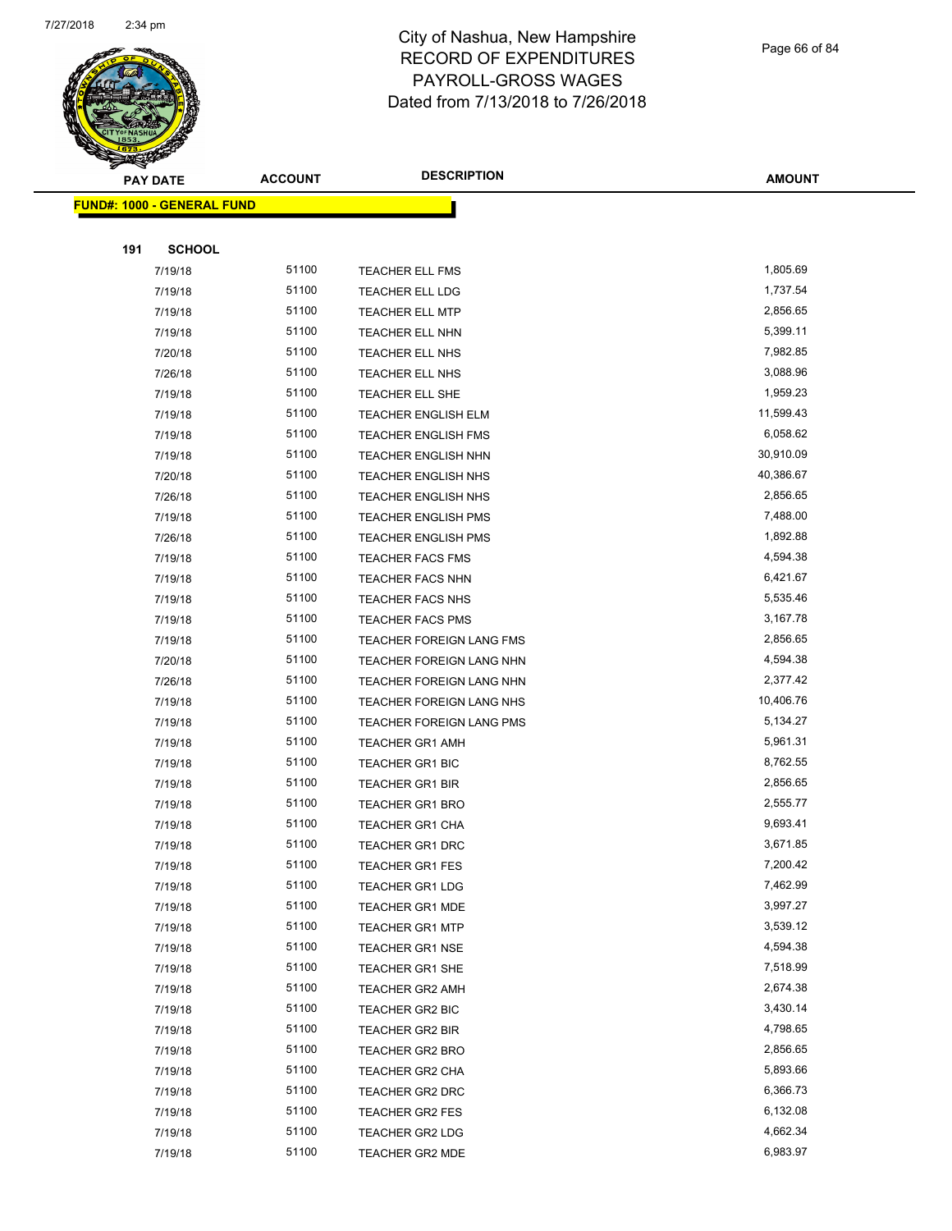

Page 66 of 84

| <b>PAY DATE</b>            | <b>ACCOUNT</b> | <b>DESCRIPTION</b>         | <b>AMOUNT</b> |
|----------------------------|----------------|----------------------------|---------------|
| FUND#: 1000 - GENERAL FUND |                |                            |               |
|                            |                |                            |               |
| <b>SCHOOL</b><br>191       |                |                            |               |
| 7/19/18                    | 51100          | TEACHER ELL FMS            | 1,805.69      |
| 7/19/18                    | 51100          | TEACHER ELL LDG            | 1,737.54      |
| 7/19/18                    | 51100          | <b>TEACHER ELL MTP</b>     | 2,856.65      |
| 7/19/18                    | 51100          | TEACHER ELL NHN            | 5,399.11      |
| 7/20/18                    | 51100          | TEACHER ELL NHS            | 7,982.85      |
| 7/26/18                    | 51100          | TEACHER ELL NHS            | 3,088.96      |
| 7/19/18                    | 51100          | TEACHER ELL SHE            | 1,959.23      |
| 7/19/18                    | 51100          | TEACHER ENGLISH ELM        | 11,599.43     |
| 7/19/18                    | 51100          | <b>TEACHER ENGLISH FMS</b> | 6,058.62      |
| 7/19/18                    | 51100          | TEACHER ENGLISH NHN        | 30,910.09     |
| 7/20/18                    | 51100          | TEACHER ENGLISH NHS        | 40,386.67     |
| 7/26/18                    | 51100          | TEACHER ENGLISH NHS        | 2,856.65      |
| 7/19/18                    | 51100          | TEACHER ENGLISH PMS        | 7,488.00      |
| 7/26/18                    | 51100          | <b>TEACHER ENGLISH PMS</b> | 1,892.88      |
| 7/19/18                    | 51100          | <b>TEACHER FACS FMS</b>    | 4,594.38      |
| 7/19/18                    | 51100          | <b>TEACHER FACS NHN</b>    | 6,421.67      |
| 7/19/18                    | 51100          | <b>TEACHER FACS NHS</b>    | 5,535.46      |
| 7/19/18                    | 51100          | TEACHER FACS PMS           | 3,167.78      |
| 7/19/18                    | 51100          | TEACHER FOREIGN LANG FMS   | 2,856.65      |
| 7/20/18                    | 51100          | TEACHER FOREIGN LANG NHN   | 4,594.38      |
| 7/26/18                    | 51100          | TEACHER FOREIGN LANG NHN   | 2,377.42      |
| 7/19/18                    | 51100          | TEACHER FOREIGN LANG NHS   | 10,406.76     |
| 7/19/18                    | 51100          | TEACHER FOREIGN LANG PMS   | 5,134.27      |
| 7/19/18                    | 51100          | <b>TEACHER GR1 AMH</b>     | 5,961.31      |
| 7/19/18                    | 51100          | TEACHER GR1 BIC            | 8,762.55      |
| 7/19/18                    | 51100          | TEACHER GR1 BIR            | 2,856.65      |
| 7/19/18                    | 51100          | <b>TEACHER GR1 BRO</b>     | 2,555.77      |
| 7/19/18                    | 51100          | <b>TEACHER GR1 CHA</b>     | 9,693.41      |
| 7/19/18                    | 51100          | <b>TEACHER GR1 DRC</b>     | 3,671.85      |
| 7/19/18                    | 51100          | TEACHER GR1 FES            | 7,200.42      |
| 7/19/18                    | 51100          | <b>TEACHER GR1 LDG</b>     | 7,462.99      |
| 7/19/18                    | 51100          | TEACHER GR1 MDE            | 3,997.27      |
| 7/19/18                    | 51100          | <b>TEACHER GR1 MTP</b>     | 3,539.12      |
| 7/19/18                    | 51100          | <b>TEACHER GR1 NSE</b>     | 4,594.38      |
| 7/19/18                    | 51100          | TEACHER GR1 SHE            | 7,518.99      |
| 7/19/18                    | 51100          | <b>TEACHER GR2 AMH</b>     | 2,674.38      |
| 7/19/18                    | 51100          | TEACHER GR2 BIC            | 3,430.14      |
| 7/19/18                    | 51100          | TEACHER GR2 BIR            | 4,798.65      |
| 7/19/18                    | 51100          | TEACHER GR2 BRO            | 2,856.65      |
| 7/19/18                    | 51100          | <b>TEACHER GR2 CHA</b>     | 5,893.66      |
| 7/19/18                    | 51100          | TEACHER GR2 DRC            | 6,366.73      |
| 7/19/18                    | 51100          | TEACHER GR2 FES            | 6,132.08      |
| 7/19/18                    | 51100          | TEACHER GR2 LDG            | 4,662.34      |
| 7/19/18                    | 51100          | TEACHER GR2 MDE            | 6,983.97      |
|                            |                |                            |               |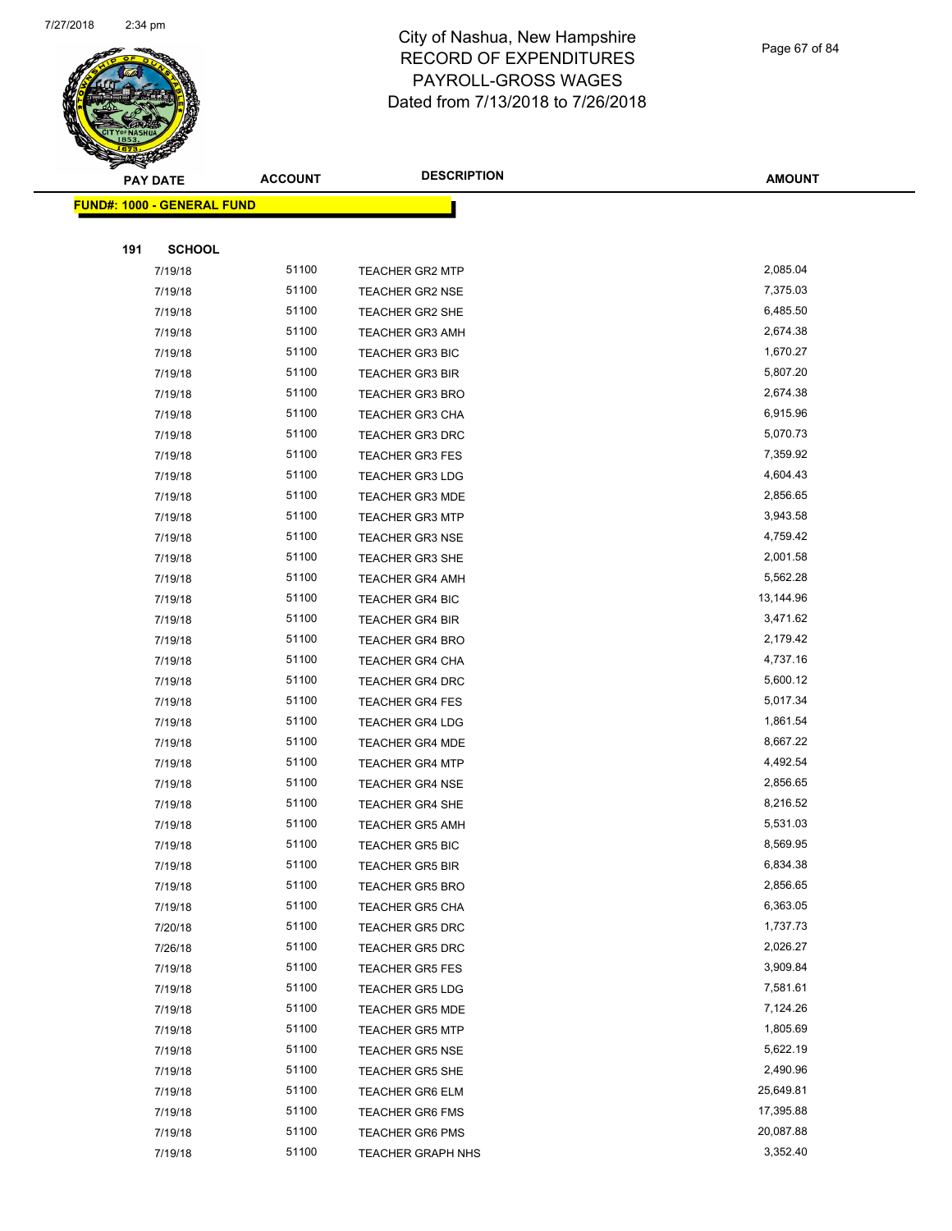

Page 67 of 84

| <b>PAY DATE</b>                   | <b>ACCOUNT</b> | <b>DESCRIPTION</b>       | <b>AMOUNT</b> |
|-----------------------------------|----------------|--------------------------|---------------|
| <b>FUND#: 1000 - GENERAL FUND</b> |                |                          |               |
|                                   |                |                          |               |
| 191<br><b>SCHOOL</b>              |                |                          |               |
| 7/19/18                           | 51100          | <b>TEACHER GR2 MTP</b>   | 2,085.04      |
| 7/19/18                           | 51100          | <b>TEACHER GR2 NSE</b>   | 7,375.03      |
| 7/19/18                           | 51100          | TEACHER GR2 SHE          | 6,485.50      |
| 7/19/18                           | 51100          | <b>TEACHER GR3 AMH</b>   | 2,674.38      |
| 7/19/18                           | 51100          | <b>TEACHER GR3 BIC</b>   | 1,670.27      |
| 7/19/18                           | 51100          | <b>TEACHER GR3 BIR</b>   | 5,807.20      |
| 7/19/18                           | 51100          | <b>TEACHER GR3 BRO</b>   | 2,674.38      |
| 7/19/18                           | 51100          | <b>TEACHER GR3 CHA</b>   | 6,915.96      |
| 7/19/18                           | 51100          | <b>TEACHER GR3 DRC</b>   | 5,070.73      |
| 7/19/18                           | 51100          | <b>TEACHER GR3 FES</b>   | 7,359.92      |
| 7/19/18                           | 51100          | <b>TEACHER GR3 LDG</b>   | 4,604.43      |
| 7/19/18                           | 51100          | <b>TEACHER GR3 MDE</b>   | 2,856.65      |
| 7/19/18                           | 51100          | <b>TEACHER GR3 MTP</b>   | 3,943.58      |
| 7/19/18                           | 51100          | <b>TEACHER GR3 NSE</b>   | 4,759.42      |
| 7/19/18                           | 51100          | TEACHER GR3 SHE          | 2,001.58      |
| 7/19/18                           | 51100          | <b>TEACHER GR4 AMH</b>   | 5,562.28      |
| 7/19/18                           | 51100          | <b>TEACHER GR4 BIC</b>   | 13,144.96     |
| 7/19/18                           | 51100          | <b>TEACHER GR4 BIR</b>   | 3,471.62      |
| 7/19/18                           | 51100          | <b>TEACHER GR4 BRO</b>   | 2,179.42      |
| 7/19/18                           | 51100          | TEACHER GR4 CHA          | 4,737.16      |
| 7/19/18                           | 51100          | TEACHER GR4 DRC          | 5,600.12      |
| 7/19/18                           | 51100          | <b>TEACHER GR4 FES</b>   | 5,017.34      |
| 7/19/18                           | 51100          | <b>TEACHER GR4 LDG</b>   | 1,861.54      |
| 7/19/18                           | 51100          | <b>TEACHER GR4 MDE</b>   | 8,667.22      |
| 7/19/18                           | 51100          | <b>TEACHER GR4 MTP</b>   | 4,492.54      |
| 7/19/18                           | 51100          | <b>TEACHER GR4 NSE</b>   | 2,856.65      |
| 7/19/18                           | 51100          | <b>TEACHER GR4 SHE</b>   | 8,216.52      |
| 7/19/18                           | 51100          | <b>TEACHER GR5 AMH</b>   | 5,531.03      |
| 7/19/18                           | 51100          | <b>TEACHER GR5 BIC</b>   | 8,569.95      |
| 7/19/18                           | 51100          | <b>TEACHER GR5 BIR</b>   | 6,834.38      |
| 7/19/18                           | 51100          | <b>TEACHER GR5 BRO</b>   | 2,856.65      |
| 7/19/18                           | 51100          | <b>TEACHER GR5 CHA</b>   | 6,363.05      |
| 7/20/18                           | 51100          | <b>TEACHER GR5 DRC</b>   | 1,737.73      |
| 7/26/18                           | 51100          | TEACHER GR5 DRC          | 2,026.27      |
| 7/19/18                           | 51100          | <b>TEACHER GR5 FES</b>   | 3,909.84      |
| 7/19/18                           | 51100          | <b>TEACHER GR5 LDG</b>   | 7,581.61      |
| 7/19/18                           | 51100          | <b>TEACHER GR5 MDE</b>   | 7,124.26      |
| 7/19/18                           | 51100          | <b>TEACHER GR5 MTP</b>   | 1,805.69      |
| 7/19/18                           | 51100          | <b>TEACHER GR5 NSE</b>   | 5,622.19      |
| 7/19/18                           | 51100          | TEACHER GR5 SHE          | 2,490.96      |
| 7/19/18                           | 51100          | <b>TEACHER GR6 ELM</b>   | 25,649.81     |
| 7/19/18                           | 51100          | <b>TEACHER GR6 FMS</b>   | 17,395.88     |
| 7/19/18                           | 51100          | <b>TEACHER GR6 PMS</b>   | 20,087.88     |
| 7/19/18                           | 51100          | <b>TEACHER GRAPH NHS</b> | 3,352.40      |
|                                   |                |                          |               |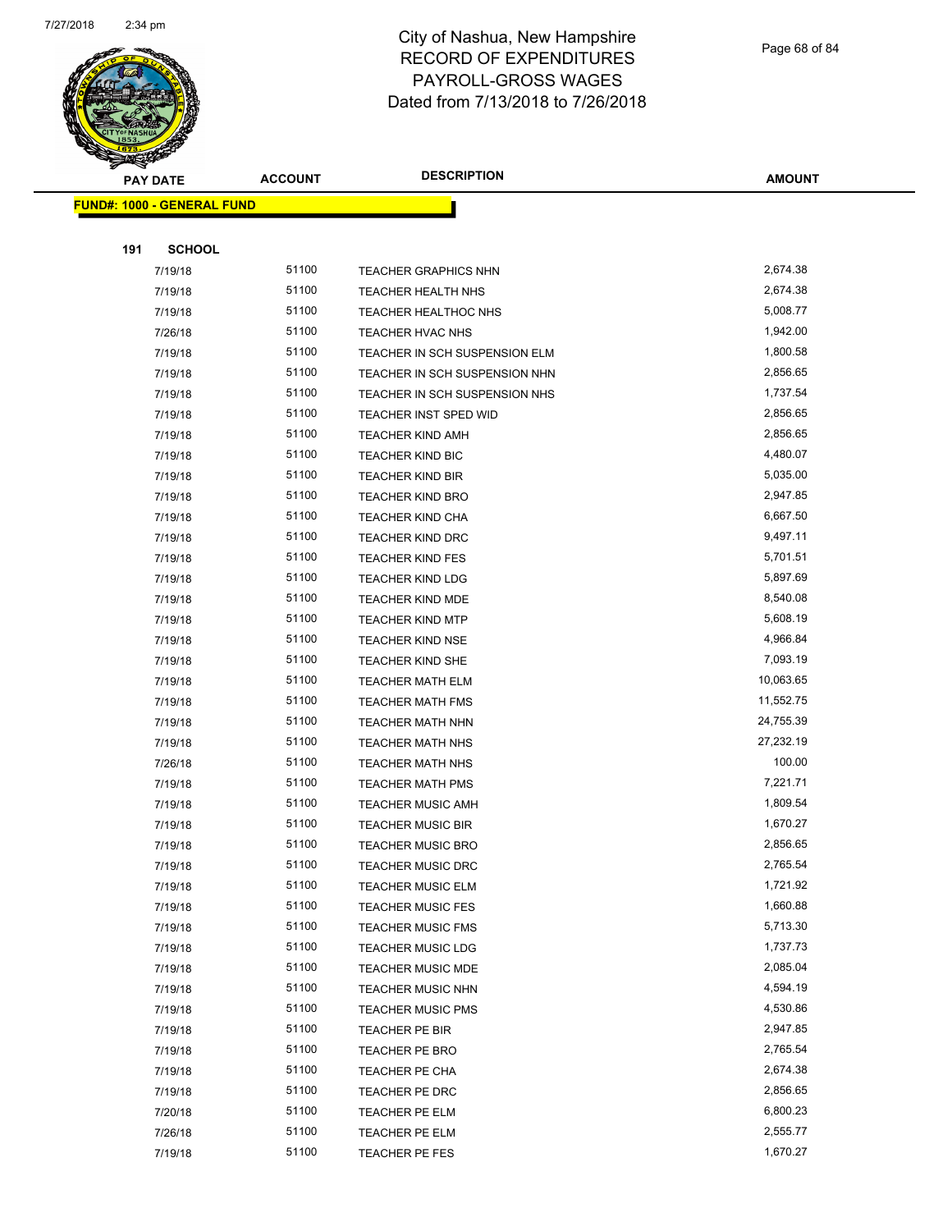

Page 68 of 84

| ទ<br>$\blacktriangleleft$<br><b>PAY DATE</b> | <b>ACCOUNT</b> | <b>DESCRIPTION</b>            | <b>AMOUNT</b> |
|----------------------------------------------|----------------|-------------------------------|---------------|
| <b>FUND#: 1000 - GENERAL FUND</b>            |                |                               |               |
|                                              |                |                               |               |
| 191<br><b>SCHOOL</b>                         |                |                               |               |
| 7/19/18                                      | 51100          | <b>TEACHER GRAPHICS NHN</b>   | 2,674.38      |
| 7/19/18                                      | 51100          | TEACHER HEALTH NHS            | 2,674.38      |
| 7/19/18                                      | 51100          | <b>TEACHER HEALTHOC NHS</b>   | 5,008.77      |
| 7/26/18                                      | 51100          | TEACHER HVAC NHS              | 1,942.00      |
| 7/19/18                                      | 51100          | TEACHER IN SCH SUSPENSION ELM | 1,800.58      |
| 7/19/18                                      | 51100          | TEACHER IN SCH SUSPENSION NHN | 2,856.65      |
| 7/19/18                                      | 51100          | TEACHER IN SCH SUSPENSION NHS | 1,737.54      |
| 7/19/18                                      | 51100          | <b>TEACHER INST SPED WID</b>  | 2,856.65      |
| 7/19/18                                      | 51100          | <b>TEACHER KIND AMH</b>       | 2,856.65      |
| 7/19/18                                      | 51100          | <b>TEACHER KIND BIC</b>       | 4,480.07      |
| 7/19/18                                      | 51100          | <b>TEACHER KIND BIR</b>       | 5,035.00      |
| 7/19/18                                      | 51100          | <b>TEACHER KIND BRO</b>       | 2,947.85      |
| 7/19/18                                      | 51100          | <b>TEACHER KIND CHA</b>       | 6,667.50      |
| 7/19/18                                      | 51100          | <b>TEACHER KIND DRC</b>       | 9,497.11      |
| 7/19/18                                      | 51100          | <b>TEACHER KIND FES</b>       | 5,701.51      |
| 7/19/18                                      | 51100          | <b>TEACHER KIND LDG</b>       | 5,897.69      |
| 7/19/18                                      | 51100          | <b>TEACHER KIND MDE</b>       | 8,540.08      |
| 7/19/18                                      | 51100          | <b>TEACHER KIND MTP</b>       | 5,608.19      |
| 7/19/18                                      | 51100          | <b>TEACHER KIND NSE</b>       | 4,966.84      |
| 7/19/18                                      | 51100          | TEACHER KIND SHE              | 7,093.19      |
| 7/19/18                                      | 51100          | <b>TEACHER MATH ELM</b>       | 10,063.65     |
| 7/19/18                                      | 51100          | TEACHER MATH FMS              | 11,552.75     |
| 7/19/18                                      | 51100          | <b>TEACHER MATH NHN</b>       | 24,755.39     |
| 7/19/18                                      | 51100          | TEACHER MATH NHS              | 27,232.19     |
| 7/26/18                                      | 51100          | TEACHER MATH NHS              | 100.00        |
| 7/19/18                                      | 51100          | <b>TEACHER MATH PMS</b>       | 7,221.71      |
| 7/19/18                                      | 51100          | <b>TEACHER MUSIC AMH</b>      | 1,809.54      |
| 7/19/18                                      | 51100          | <b>TEACHER MUSIC BIR</b>      | 1,670.27      |
| 7/19/18                                      | 51100          | <b>TEACHER MUSIC BRO</b>      | 2,856.65      |
| 7/19/18                                      | 51100          | TEACHER MUSIC DRC             | 2,765.54      |
| 7/19/18                                      | 51100          | TEACHER MUSIC ELM             | 1,721.92      |
| 7/19/18                                      | 51100          | <b>TEACHER MUSIC FES</b>      | 1,660.88      |
| 7/19/18                                      | 51100          | <b>TEACHER MUSIC FMS</b>      | 5,713.30      |
| 7/19/18                                      | 51100          | <b>TEACHER MUSIC LDG</b>      | 1,737.73      |
| 7/19/18                                      | 51100          | TEACHER MUSIC MDE             | 2,085.04      |
| 7/19/18                                      | 51100          | <b>TEACHER MUSIC NHN</b>      | 4,594.19      |
| 7/19/18                                      | 51100          | <b>TEACHER MUSIC PMS</b>      | 4,530.86      |
| 7/19/18                                      | 51100          | TEACHER PE BIR                | 2,947.85      |
| 7/19/18                                      | 51100          | TEACHER PE BRO                | 2,765.54      |
| 7/19/18                                      | 51100          | TEACHER PE CHA                | 2,674.38      |
| 7/19/18                                      | 51100          | TEACHER PE DRC                | 2,856.65      |
| 7/20/18                                      | 51100          | TEACHER PE ELM                | 6,800.23      |
| 7/26/18                                      | 51100          | <b>TEACHER PE ELM</b>         | 2,555.77      |
| 7/19/18                                      | 51100          | TEACHER PE FES                | 1,670.27      |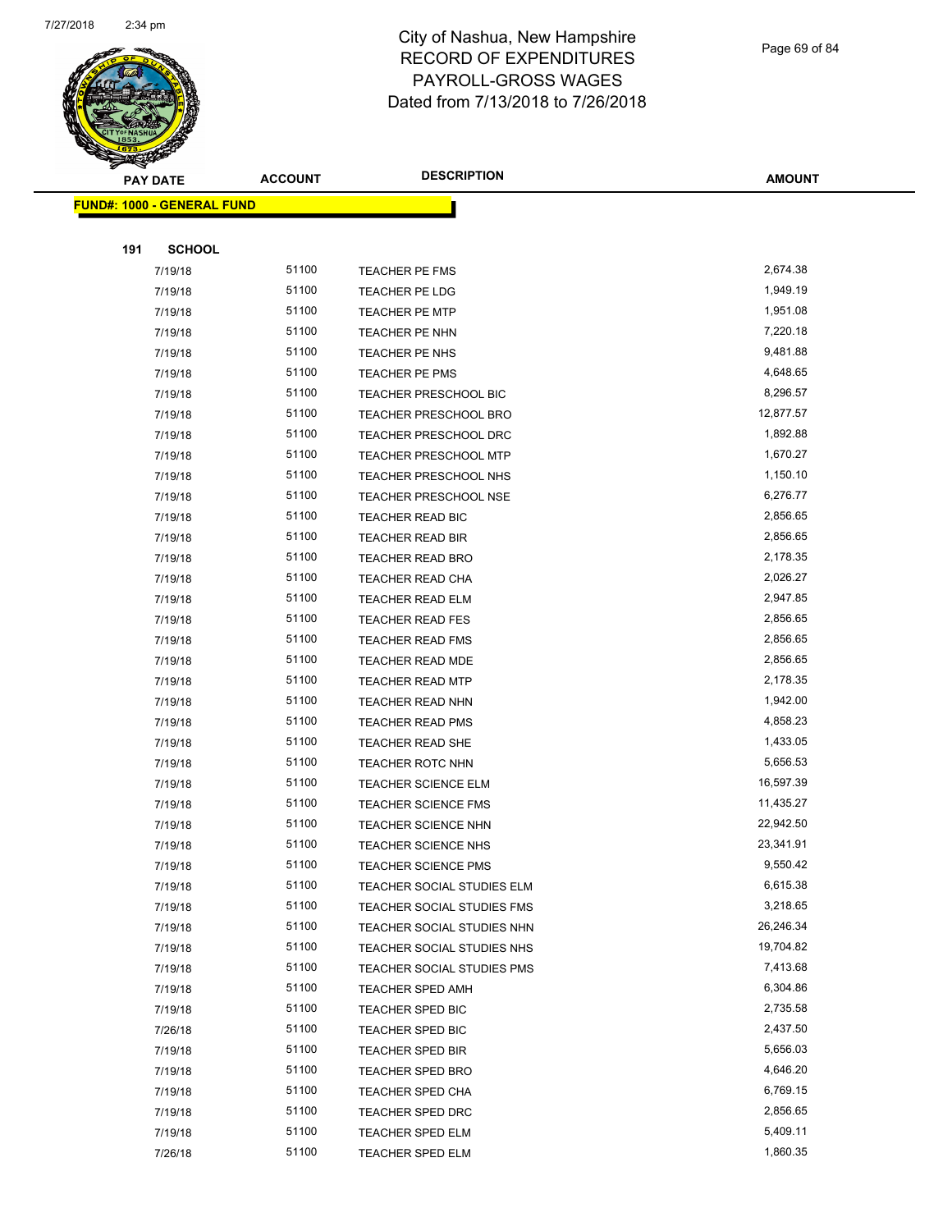

Page 69 of 84

| <b>PAY DATE</b> | <b>ACCOUNT</b>                                                                                                                                                                                                                                   | <b>DESCRIPTION</b>                                                                                                                                                                         | <b>AMOUNT</b>                                                                                                                                                                                                                                                                                                                                                                                                                                                                                        |
|-----------------|--------------------------------------------------------------------------------------------------------------------------------------------------------------------------------------------------------------------------------------------------|--------------------------------------------------------------------------------------------------------------------------------------------------------------------------------------------|------------------------------------------------------------------------------------------------------------------------------------------------------------------------------------------------------------------------------------------------------------------------------------------------------------------------------------------------------------------------------------------------------------------------------------------------------------------------------------------------------|
|                 |                                                                                                                                                                                                                                                  |                                                                                                                                                                                            |                                                                                                                                                                                                                                                                                                                                                                                                                                                                                                      |
|                 |                                                                                                                                                                                                                                                  |                                                                                                                                                                                            |                                                                                                                                                                                                                                                                                                                                                                                                                                                                                                      |
|                 |                                                                                                                                                                                                                                                  |                                                                                                                                                                                            |                                                                                                                                                                                                                                                                                                                                                                                                                                                                                                      |
|                 |                                                                                                                                                                                                                                                  |                                                                                                                                                                                            | 2,674.38                                                                                                                                                                                                                                                                                                                                                                                                                                                                                             |
|                 |                                                                                                                                                                                                                                                  |                                                                                                                                                                                            | 1,949.19                                                                                                                                                                                                                                                                                                                                                                                                                                                                                             |
|                 |                                                                                                                                                                                                                                                  |                                                                                                                                                                                            | 1,951.08                                                                                                                                                                                                                                                                                                                                                                                                                                                                                             |
|                 |                                                                                                                                                                                                                                                  |                                                                                                                                                                                            | 7,220.18                                                                                                                                                                                                                                                                                                                                                                                                                                                                                             |
|                 |                                                                                                                                                                                                                                                  |                                                                                                                                                                                            | 9,481.88                                                                                                                                                                                                                                                                                                                                                                                                                                                                                             |
|                 |                                                                                                                                                                                                                                                  |                                                                                                                                                                                            | 4,648.65                                                                                                                                                                                                                                                                                                                                                                                                                                                                                             |
|                 |                                                                                                                                                                                                                                                  |                                                                                                                                                                                            | 8,296.57                                                                                                                                                                                                                                                                                                                                                                                                                                                                                             |
|                 |                                                                                                                                                                                                                                                  |                                                                                                                                                                                            | 12,877.57                                                                                                                                                                                                                                                                                                                                                                                                                                                                                            |
|                 |                                                                                                                                                                                                                                                  |                                                                                                                                                                                            | 1,892.88                                                                                                                                                                                                                                                                                                                                                                                                                                                                                             |
|                 |                                                                                                                                                                                                                                                  |                                                                                                                                                                                            | 1,670.27                                                                                                                                                                                                                                                                                                                                                                                                                                                                                             |
|                 |                                                                                                                                                                                                                                                  |                                                                                                                                                                                            | 1,150.10                                                                                                                                                                                                                                                                                                                                                                                                                                                                                             |
|                 |                                                                                                                                                                                                                                                  |                                                                                                                                                                                            | 6,276.77                                                                                                                                                                                                                                                                                                                                                                                                                                                                                             |
|                 |                                                                                                                                                                                                                                                  |                                                                                                                                                                                            | 2,856.65                                                                                                                                                                                                                                                                                                                                                                                                                                                                                             |
|                 |                                                                                                                                                                                                                                                  |                                                                                                                                                                                            | 2,856.65                                                                                                                                                                                                                                                                                                                                                                                                                                                                                             |
|                 |                                                                                                                                                                                                                                                  |                                                                                                                                                                                            | 2,178.35                                                                                                                                                                                                                                                                                                                                                                                                                                                                                             |
|                 |                                                                                                                                                                                                                                                  |                                                                                                                                                                                            | 2,026.27                                                                                                                                                                                                                                                                                                                                                                                                                                                                                             |
|                 | 51100                                                                                                                                                                                                                                            |                                                                                                                                                                                            | 2,947.85                                                                                                                                                                                                                                                                                                                                                                                                                                                                                             |
|                 |                                                                                                                                                                                                                                                  |                                                                                                                                                                                            | 2,856.65                                                                                                                                                                                                                                                                                                                                                                                                                                                                                             |
|                 | 51100                                                                                                                                                                                                                                            |                                                                                                                                                                                            | 2,856.65                                                                                                                                                                                                                                                                                                                                                                                                                                                                                             |
| 7/19/18         | 51100                                                                                                                                                                                                                                            | <b>TEACHER READ MDE</b>                                                                                                                                                                    | 2,856.65                                                                                                                                                                                                                                                                                                                                                                                                                                                                                             |
|                 | 51100                                                                                                                                                                                                                                            |                                                                                                                                                                                            | 2,178.35                                                                                                                                                                                                                                                                                                                                                                                                                                                                                             |
| 7/19/18         | 51100                                                                                                                                                                                                                                            | <b>TEACHER READ NHN</b>                                                                                                                                                                    | 1,942.00                                                                                                                                                                                                                                                                                                                                                                                                                                                                                             |
| 7/19/18         | 51100                                                                                                                                                                                                                                            | <b>TEACHER READ PMS</b>                                                                                                                                                                    | 4,858.23                                                                                                                                                                                                                                                                                                                                                                                                                                                                                             |
| 7/19/18         | 51100                                                                                                                                                                                                                                            | TEACHER READ SHE                                                                                                                                                                           | 1,433.05                                                                                                                                                                                                                                                                                                                                                                                                                                                                                             |
| 7/19/18         | 51100                                                                                                                                                                                                                                            | <b>TEACHER ROTC NHN</b>                                                                                                                                                                    | 5,656.53                                                                                                                                                                                                                                                                                                                                                                                                                                                                                             |
| 7/19/18         | 51100                                                                                                                                                                                                                                            | <b>TEACHER SCIENCE ELM</b>                                                                                                                                                                 | 16,597.39                                                                                                                                                                                                                                                                                                                                                                                                                                                                                            |
| 7/19/18         | 51100                                                                                                                                                                                                                                            | <b>TEACHER SCIENCE FMS</b>                                                                                                                                                                 | 11,435.27                                                                                                                                                                                                                                                                                                                                                                                                                                                                                            |
| 7/19/18         | 51100                                                                                                                                                                                                                                            | <b>TEACHER SCIENCE NHN</b>                                                                                                                                                                 | 22,942.50                                                                                                                                                                                                                                                                                                                                                                                                                                                                                            |
| 7/19/18         | 51100                                                                                                                                                                                                                                            | <b>TEACHER SCIENCE NHS</b>                                                                                                                                                                 | 23,341.91                                                                                                                                                                                                                                                                                                                                                                                                                                                                                            |
| 7/19/18         | 51100                                                                                                                                                                                                                                            | <b>TEACHER SCIENCE PMS</b>                                                                                                                                                                 | 9,550.42                                                                                                                                                                                                                                                                                                                                                                                                                                                                                             |
| 7/19/18         | 51100                                                                                                                                                                                                                                            | TEACHER SOCIAL STUDIES ELM                                                                                                                                                                 | 6,615.38                                                                                                                                                                                                                                                                                                                                                                                                                                                                                             |
| 7/19/18         | 51100                                                                                                                                                                                                                                            | TEACHER SOCIAL STUDIES FMS                                                                                                                                                                 | 3,218.65                                                                                                                                                                                                                                                                                                                                                                                                                                                                                             |
| 7/19/18         | 51100                                                                                                                                                                                                                                            | TEACHER SOCIAL STUDIES NHN                                                                                                                                                                 | 26,246.34                                                                                                                                                                                                                                                                                                                                                                                                                                                                                            |
| 7/19/18         | 51100                                                                                                                                                                                                                                            | TEACHER SOCIAL STUDIES NHS                                                                                                                                                                 | 19,704.82                                                                                                                                                                                                                                                                                                                                                                                                                                                                                            |
| 7/19/18         | 51100                                                                                                                                                                                                                                            | TEACHER SOCIAL STUDIES PMS                                                                                                                                                                 | 7,413.68                                                                                                                                                                                                                                                                                                                                                                                                                                                                                             |
| 7/19/18         | 51100                                                                                                                                                                                                                                            | <b>TEACHER SPED AMH</b>                                                                                                                                                                    | 6,304.86                                                                                                                                                                                                                                                                                                                                                                                                                                                                                             |
| 7/19/18         | 51100                                                                                                                                                                                                                                            | TEACHER SPED BIC                                                                                                                                                                           | 2,735.58                                                                                                                                                                                                                                                                                                                                                                                                                                                                                             |
| 7/26/18         | 51100                                                                                                                                                                                                                                            | TEACHER SPED BIC                                                                                                                                                                           | 2,437.50                                                                                                                                                                                                                                                                                                                                                                                                                                                                                             |
| 7/19/18         | 51100                                                                                                                                                                                                                                            | <b>TEACHER SPED BIR</b>                                                                                                                                                                    | 5,656.03                                                                                                                                                                                                                                                                                                                                                                                                                                                                                             |
| 7/19/18         | 51100                                                                                                                                                                                                                                            | TEACHER SPED BRO                                                                                                                                                                           | 4,646.20                                                                                                                                                                                                                                                                                                                                                                                                                                                                                             |
| 7/19/18         | 51100                                                                                                                                                                                                                                            | <b>TEACHER SPED CHA</b>                                                                                                                                                                    | 6,769.15                                                                                                                                                                                                                                                                                                                                                                                                                                                                                             |
| 7/19/18         | 51100                                                                                                                                                                                                                                            | <b>TEACHER SPED DRC</b>                                                                                                                                                                    | 2,856.65                                                                                                                                                                                                                                                                                                                                                                                                                                                                                             |
| 7/19/18         | 51100                                                                                                                                                                                                                                            | TEACHER SPED ELM                                                                                                                                                                           | 5,409.11                                                                                                                                                                                                                                                                                                                                                                                                                                                                                             |
| 7/26/18         | 51100                                                                                                                                                                                                                                            | TEACHER SPED ELM                                                                                                                                                                           | 1,860.35                                                                                                                                                                                                                                                                                                                                                                                                                                                                                             |
|                 | 191<br><b>SCHOOL</b><br>7/19/18<br>7/19/18<br>7/19/18<br>7/19/18<br>7/19/18<br>7/19/18<br>7/19/18<br>7/19/18<br>7/19/18<br>7/19/18<br>7/19/18<br>7/19/18<br>7/19/18<br>7/19/18<br>7/19/18<br>7/19/18<br>7/19/18<br>7/19/18<br>7/19/18<br>7/19/18 | <b>FUND#: 1000 - GENERAL FUND</b><br>51100<br>51100<br>51100<br>51100<br>51100<br>51100<br>51100<br>51100<br>51100<br>51100<br>51100<br>51100<br>51100<br>51100<br>51100<br>51100<br>51100 | <b>TEACHER PE FMS</b><br>TEACHER PE LDG<br><b>TEACHER PE MTP</b><br>TEACHER PE NHN<br>TEACHER PE NHS<br>TEACHER PE PMS<br><b>TEACHER PRESCHOOL BIC</b><br><b>TEACHER PRESCHOOL BRO</b><br>TEACHER PRESCHOOL DRC<br>TEACHER PRESCHOOL MTP<br>TEACHER PRESCHOOL NHS<br><b>TEACHER PRESCHOOL NSE</b><br>TEACHER READ BIC<br><b>TEACHER READ BIR</b><br><b>TEACHER READ BRO</b><br>TEACHER READ CHA<br><b>TEACHER READ ELM</b><br><b>TEACHER READ FES</b><br>TEACHER READ FMS<br><b>TEACHER READ MTP</b> |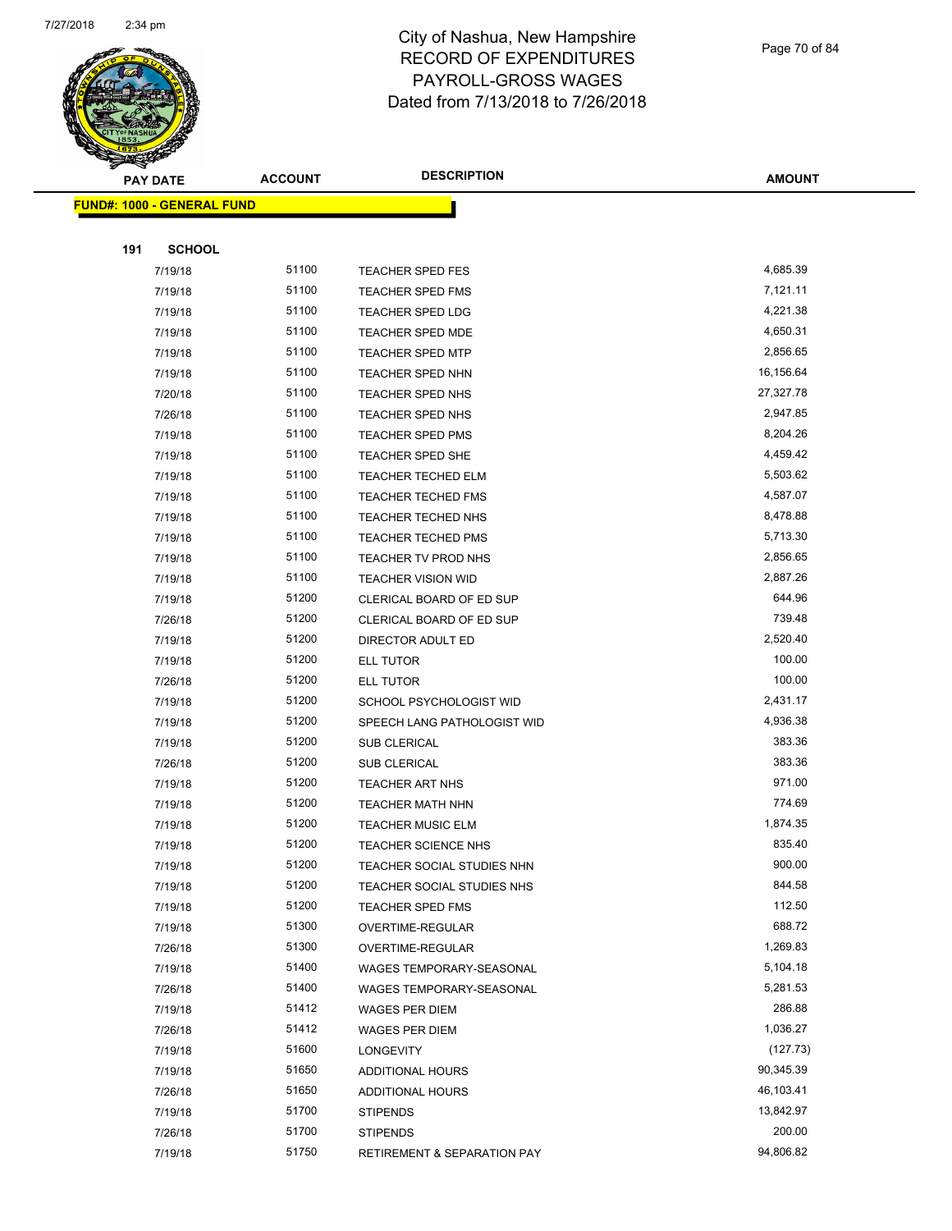

Page 70 of 84

| <b>PAY DATE</b>                   | <b>ACCOUNT</b> | <b>DESCRIPTION</b>                  | <b>AMOUNT</b>         |
|-----------------------------------|----------------|-------------------------------------|-----------------------|
| <b>FUND#: 1000 - GENERAL FUND</b> |                |                                     |                       |
|                                   |                |                                     |                       |
| 191<br><b>SCHOOL</b>              |                |                                     |                       |
| 7/19/18                           | 51100          | <b>TEACHER SPED FES</b>             | 4,685.39              |
| 7/19/18                           | 51100          | <b>TEACHER SPED FMS</b>             | 7,121.11              |
| 7/19/18                           | 51100          | TEACHER SPED LDG                    | 4,221.38              |
| 7/19/18                           | 51100          | <b>TEACHER SPED MDE</b>             | 4,650.31              |
| 7/19/18                           | 51100          | <b>TEACHER SPED MTP</b>             | 2,856.65              |
| 7/19/18                           | 51100          | <b>TEACHER SPED NHN</b>             | 16,156.64             |
| 7/20/18                           | 51100          | TEACHER SPED NHS                    | 27,327.78             |
| 7/26/18                           | 51100          | TEACHER SPED NHS                    | 2,947.85              |
| 7/19/18                           | 51100          | <b>TEACHER SPED PMS</b>             | 8,204.26              |
| 7/19/18                           | 51100          | TEACHER SPED SHE                    | 4,459.42              |
| 7/19/18                           | 51100          | TEACHER TECHED ELM                  | 5,503.62              |
| 7/19/18                           | 51100          | <b>TEACHER TECHED FMS</b>           | 4,587.07              |
| 7/19/18                           | 51100          | <b>TEACHER TECHED NHS</b>           | 8,478.88              |
| 7/19/18                           | 51100          | <b>TEACHER TECHED PMS</b>           | 5,713.30              |
| 7/19/18                           | 51100          | TEACHER TV PROD NHS                 | 2,856.65              |
| 7/19/18                           | 51100          | <b>TEACHER VISION WID</b>           | 2,887.26              |
| 7/19/18                           | 51200          | CLERICAL BOARD OF ED SUP            | 644.96                |
| 7/26/18                           | 51200          | CLERICAL BOARD OF ED SUP            | 739.48                |
| 7/19/18                           | 51200          | DIRECTOR ADULT ED                   | 2,520.40              |
| 7/19/18                           | 51200          | ELL TUTOR                           | 100.00                |
| 7/26/18                           | 51200          | ELL TUTOR                           | 100.00                |
| 7/19/18                           | 51200          | SCHOOL PSYCHOLOGIST WID             | 2,431.17              |
| 7/19/18                           | 51200          | SPEECH LANG PATHOLOGIST WID         | 4,936.38              |
| 7/19/18                           | 51200          | <b>SUB CLERICAL</b>                 | 383.36                |
| 7/26/18                           | 51200          | <b>SUB CLERICAL</b>                 | 383.36                |
| 7/19/18                           | 51200          | <b>TEACHER ART NHS</b>              | 971.00                |
| 7/19/18                           | 51200          | <b>TEACHER MATH NHN</b>             | 774.69                |
| 7/19/18                           | 51200          | <b>TEACHER MUSIC ELM</b>            | 1,874.35              |
| 7/19/18                           | 51200          | <b>TEACHER SCIENCE NHS</b>          | 835.40                |
| 7/19/18                           | 51200          | TEACHER SOCIAL STUDIES NHN          | 900.00                |
| 7/19/18                           | 51200          | TEACHER SOCIAL STUDIES NHS          | 844.58                |
| 7/19/18                           | 51200          | <b>TEACHER SPED FMS</b>             | 112.50                |
| 7/19/18                           | 51300          | OVERTIME-REGULAR                    | 688.72                |
| 7/26/18                           | 51300          | OVERTIME-REGULAR                    | 1,269.83              |
| 7/19/18                           | 51400          | WAGES TEMPORARY-SEASONAL            | 5,104.18              |
| 7/26/18                           | 51400          | WAGES TEMPORARY-SEASONAL            | 5,281.53              |
| 7/19/18                           | 51412          | WAGES PER DIEM                      | 286.88                |
| 7/26/18                           | 51412          | WAGES PER DIEM                      | 1,036.27              |
| 7/19/18                           | 51600<br>51650 | <b>LONGEVITY</b>                    | (127.73)<br>90,345.39 |
| 7/19/18                           | 51650          | <b>ADDITIONAL HOURS</b>             | 46,103.41             |
| 7/26/18<br>7/19/18                | 51700          | ADDITIONAL HOURS<br><b>STIPENDS</b> | 13,842.97             |
| 7/26/18                           | 51700          | <b>STIPENDS</b>                     | 200.00                |
| 7/19/18                           | 51750          | RETIREMENT & SEPARATION PAY         | 94,806.82             |
|                                   |                |                                     |                       |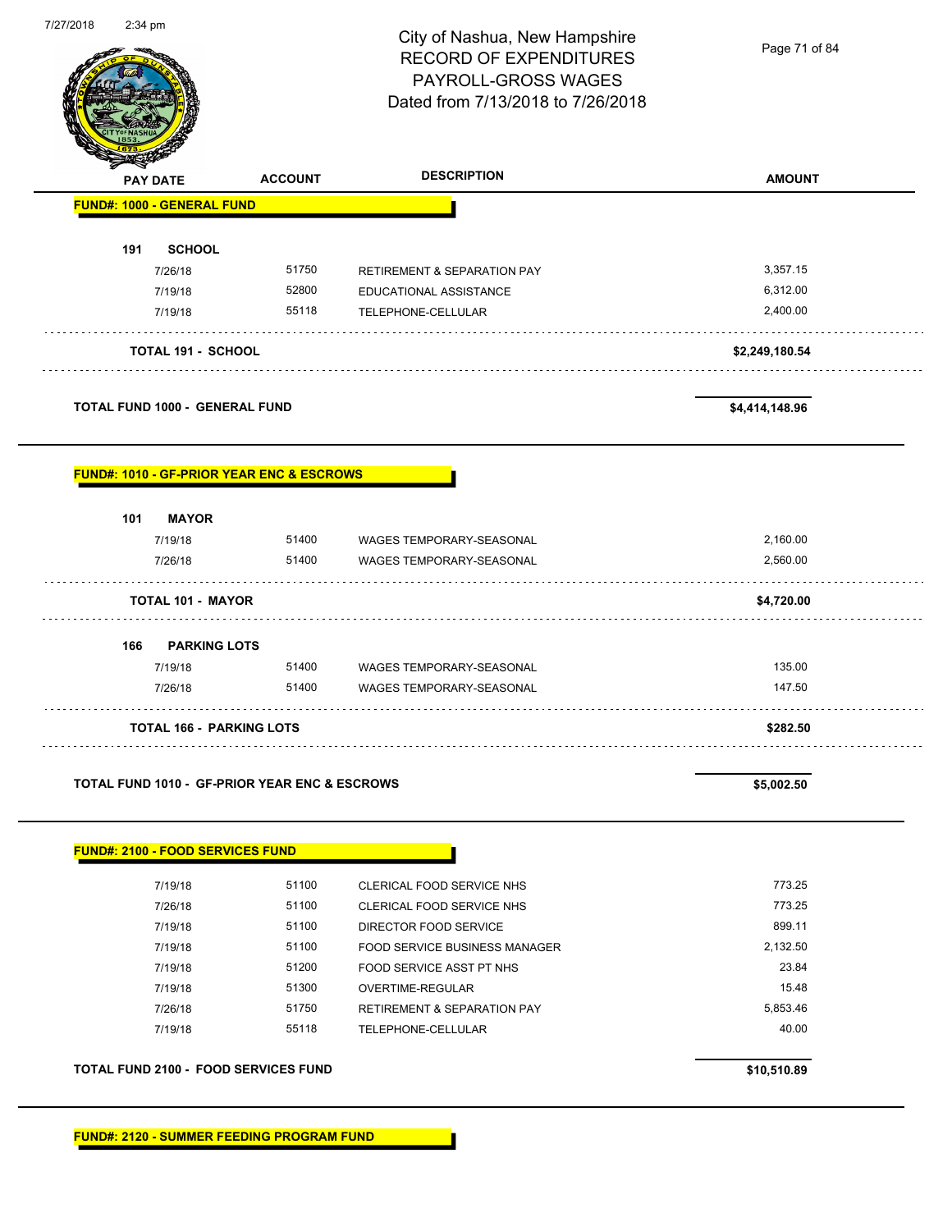|                                                          |                | City of Nashua, New Hampshire<br><b>RECORD OF EXPENDITURES</b><br>PAYROLL-GROSS WAGES<br>Dated from 7/13/2018 to 7/26/2018 | Page 71 of 84        |
|----------------------------------------------------------|----------------|----------------------------------------------------------------------------------------------------------------------------|----------------------|
| <b>PAY DATE</b>                                          | <b>ACCOUNT</b> | <b>DESCRIPTION</b>                                                                                                         | <b>AMOUNT</b>        |
| <b>FUND#: 1000 - GENERAL FUND</b>                        |                |                                                                                                                            |                      |
| 191<br><b>SCHOOL</b>                                     |                |                                                                                                                            |                      |
| 7/26/18                                                  | 51750          | <b>RETIREMENT &amp; SEPARATION PAY</b>                                                                                     | 3,357.15             |
| 7/19/18<br>7/19/18                                       | 52800<br>55118 | EDUCATIONAL ASSISTANCE<br>TELEPHONE-CELLULAR                                                                               | 6,312.00<br>2,400.00 |
|                                                          |                |                                                                                                                            |                      |
| <b>TOTAL 191 - SCHOOL</b>                                |                |                                                                                                                            | \$2,249,180.54       |
| <b>TOTAL FUND 1000 - GENERAL FUND</b>                    |                |                                                                                                                            | \$4,414,148.96       |
| <b>FUND#: 1010 - GF-PRIOR YEAR ENC &amp; ESCROWS</b>     |                |                                                                                                                            |                      |
| <b>MAYOR</b><br>101                                      |                |                                                                                                                            |                      |
| 7/19/18                                                  | 51400          | WAGES TEMPORARY-SEASONAL                                                                                                   | 2,160.00             |
| 7/26/18                                                  | 51400          | WAGES TEMPORARY-SEASONAL                                                                                                   | 2,560.00             |
| <b>TOTAL 101 - MAYOR</b>                                 |                |                                                                                                                            | \$4,720.00           |
| 166<br><b>PARKING LOTS</b>                               |                |                                                                                                                            |                      |
| 7/19/18                                                  | 51400          | WAGES TEMPORARY-SEASONAL                                                                                                   | 135.00               |
| 7/26/18                                                  | 51400          | <b>WAGES TEMPORARY-SEASONAL</b>                                                                                            | 147.50               |
| <b>TOTAL 166 - PARKING LOTS</b>                          |                |                                                                                                                            | \$282.50             |
| <b>TOTAL FUND 1010 - GF-PRIOR YEAR ENC &amp; ESCROWS</b> |                |                                                                                                                            | \$5,002.50           |
| <b>FUND#: 2100 - FOOD SERVICES FUND</b>                  |                |                                                                                                                            |                      |
| 7/19/18                                                  | 51100          | CLERICAL FOOD SERVICE NHS                                                                                                  | 773.25               |
| 7/26/18                                                  | 51100          | CLERICAL FOOD SERVICE NHS                                                                                                  | 773.25               |
| 7/19/18                                                  | 51100          | DIRECTOR FOOD SERVICE                                                                                                      | 899.11               |
| 7/19/18                                                  | 51100          | <b>FOOD SERVICE BUSINESS MANAGER</b>                                                                                       | 2,132.50             |
| 7/19/18                                                  | 51200          | FOOD SERVICE ASST PT NHS                                                                                                   | 23.84                |
| 7/19/18                                                  | 51300          | OVERTIME-REGULAR                                                                                                           | 15.48                |
| 7/26/18                                                  | 51750          | RETIREMENT & SEPARATION PAY                                                                                                | 5,853.46             |
| 7/19/18                                                  | 55118          | TELEPHONE-CELLULAR                                                                                                         | 40.00                |
| <b>TOTAL FUND 2100 - FOOD SERVICES FUND</b>              |                |                                                                                                                            | \$10,510.89          |
|                                                          |                |                                                                                                                            |                      |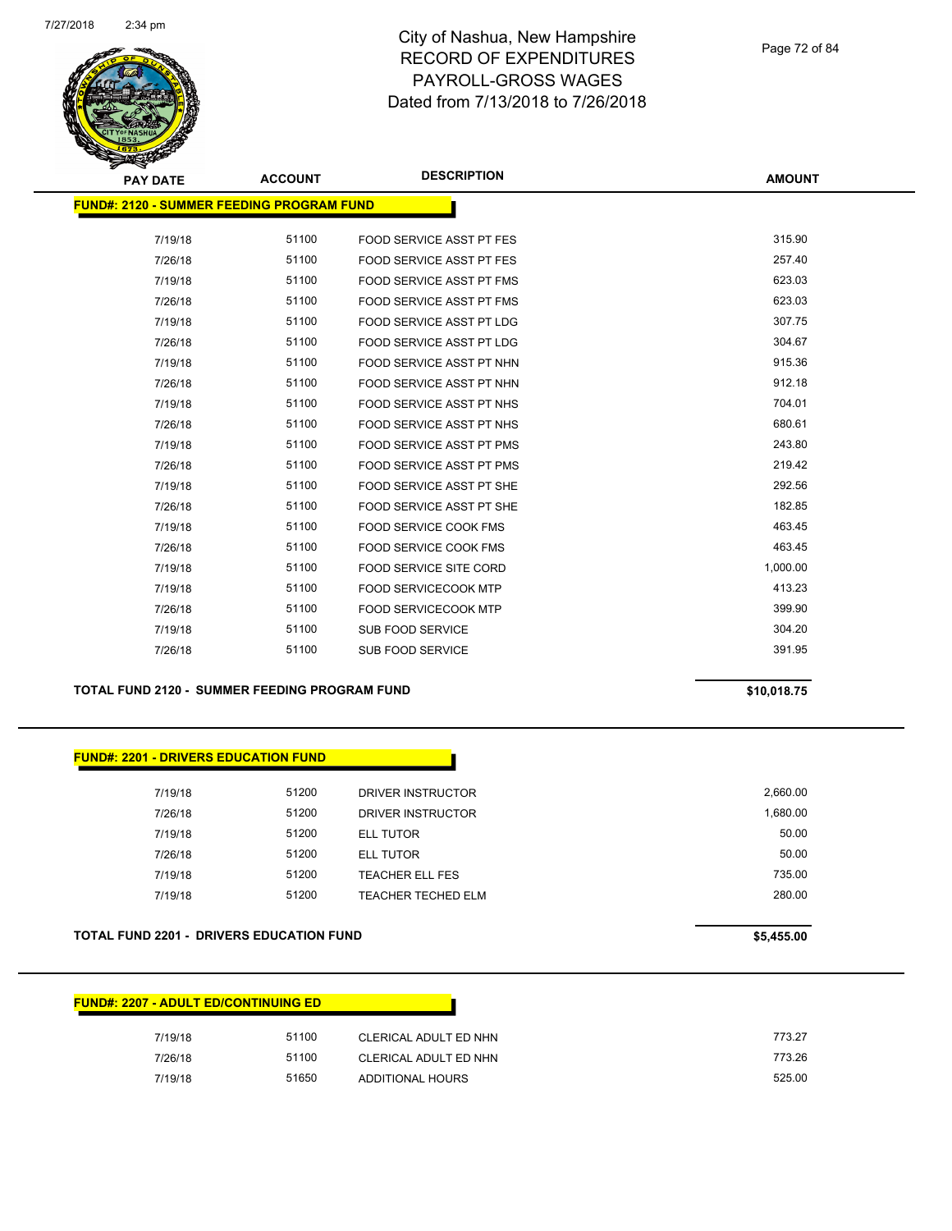

#### Page 72 of 84

| <b>PAY DATE</b> | <b>ACCOUNT</b>                                   | <b>DESCRIPTION</b>              | <b>AMOUNT</b> |  |  |  |  |  |
|-----------------|--------------------------------------------------|---------------------------------|---------------|--|--|--|--|--|
|                 | <b>FUND#: 2120 - SUMMER FEEDING PROGRAM FUND</b> |                                 |               |  |  |  |  |  |
| 7/19/18         | 51100                                            | FOOD SERVICE ASST PT FES        | 315.90        |  |  |  |  |  |
| 7/26/18         | 51100                                            | FOOD SERVICE ASST PT FES        | 257.40        |  |  |  |  |  |
| 7/19/18         | 51100                                            | FOOD SERVICE ASST PT FMS        | 623.03        |  |  |  |  |  |
| 7/26/18         | 51100                                            | FOOD SERVICE ASST PT FMS        | 623.03        |  |  |  |  |  |
| 7/19/18         | 51100                                            | <b>FOOD SERVICE ASST PT LDG</b> | 307.75        |  |  |  |  |  |
| 7/26/18         | 51100                                            | <b>FOOD SERVICE ASST PT LDG</b> | 304.67        |  |  |  |  |  |
| 7/19/18         | 51100                                            | FOOD SERVICE ASST PT NHN        | 915.36        |  |  |  |  |  |
| 7/26/18         | 51100                                            | FOOD SERVICE ASST PT NHN        | 912.18        |  |  |  |  |  |
| 7/19/18         | 51100                                            | FOOD SERVICE ASST PT NHS        | 704.01        |  |  |  |  |  |
| 7/26/18         | 51100                                            | FOOD SERVICE ASST PT NHS        | 680.61        |  |  |  |  |  |
| 7/19/18         | 51100                                            | FOOD SERVICE ASST PT PMS        | 243.80        |  |  |  |  |  |
| 7/26/18         | 51100                                            | <b>FOOD SERVICE ASST PT PMS</b> | 219.42        |  |  |  |  |  |
| 7/19/18         | 51100                                            | FOOD SERVICE ASST PT SHE        | 292.56        |  |  |  |  |  |
| 7/26/18         | 51100                                            | <b>FOOD SERVICE ASST PT SHE</b> | 182.85        |  |  |  |  |  |
| 7/19/18         | 51100                                            | <b>FOOD SERVICE COOK FMS</b>    | 463.45        |  |  |  |  |  |
| 7/26/18         | 51100                                            | FOOD SERVICE COOK FMS           | 463.45        |  |  |  |  |  |
| 7/19/18         | 51100                                            | <b>FOOD SERVICE SITE CORD</b>   | 1,000.00      |  |  |  |  |  |
| 7/19/18         | 51100                                            | <b>FOOD SERVICECOOK MTP</b>     | 413.23        |  |  |  |  |  |
| 7/26/18         | 51100                                            | <b>FOOD SERVICECOOK MTP</b>     | 399.90        |  |  |  |  |  |
| 7/19/18         | 51100                                            | SUB FOOD SERVICE                | 304.20        |  |  |  |  |  |
| 7/26/18         | 51100                                            | <b>SUB FOOD SERVICE</b>         | 391.95        |  |  |  |  |  |
|                 |                                                  |                                 |               |  |  |  |  |  |

**TOTAL FUND 2120 - SUMMER FEEDING PROGRAM FUND \$10,018.75** 

#### **FUND#: 2201 - DRIVERS EDUCATION FUND**

| 2.660.00 | DRIVER INSTRUCTOR         | 51200 | 7/19/18 |
|----------|---------------------------|-------|---------|
| 1.680.00 | DRIVER INSTRUCTOR         | 51200 | 7/26/18 |
| 50.00    | ELL TUTOR                 | 51200 | 7/19/18 |
| 50.00    | ELL TUTOR                 | 51200 | 7/26/18 |
| 735.00   | <b>TEACHER ELL FES</b>    | 51200 | 7/19/18 |
| 280.00   | <b>TEACHER TECHED ELM</b> | 51200 | 7/19/18 |
|          |                           |       |         |

#### **TOTAL FUND 2201 - DRIVERS EDUCATION FUND \$5,455.00**

| <b>FUND#: 2207 - ADULT ED/CONTINUING ED</b> |       |                       |
|---------------------------------------------|-------|-----------------------|
| 7/19/18                                     | 51100 | CLERICAL ADULT ED NHN |
| 7/26/18                                     | 51100 | CLERICAL ADULT ED NHN |
| 7/19/18                                     | 51650 | ADDITIONAL HOURS      |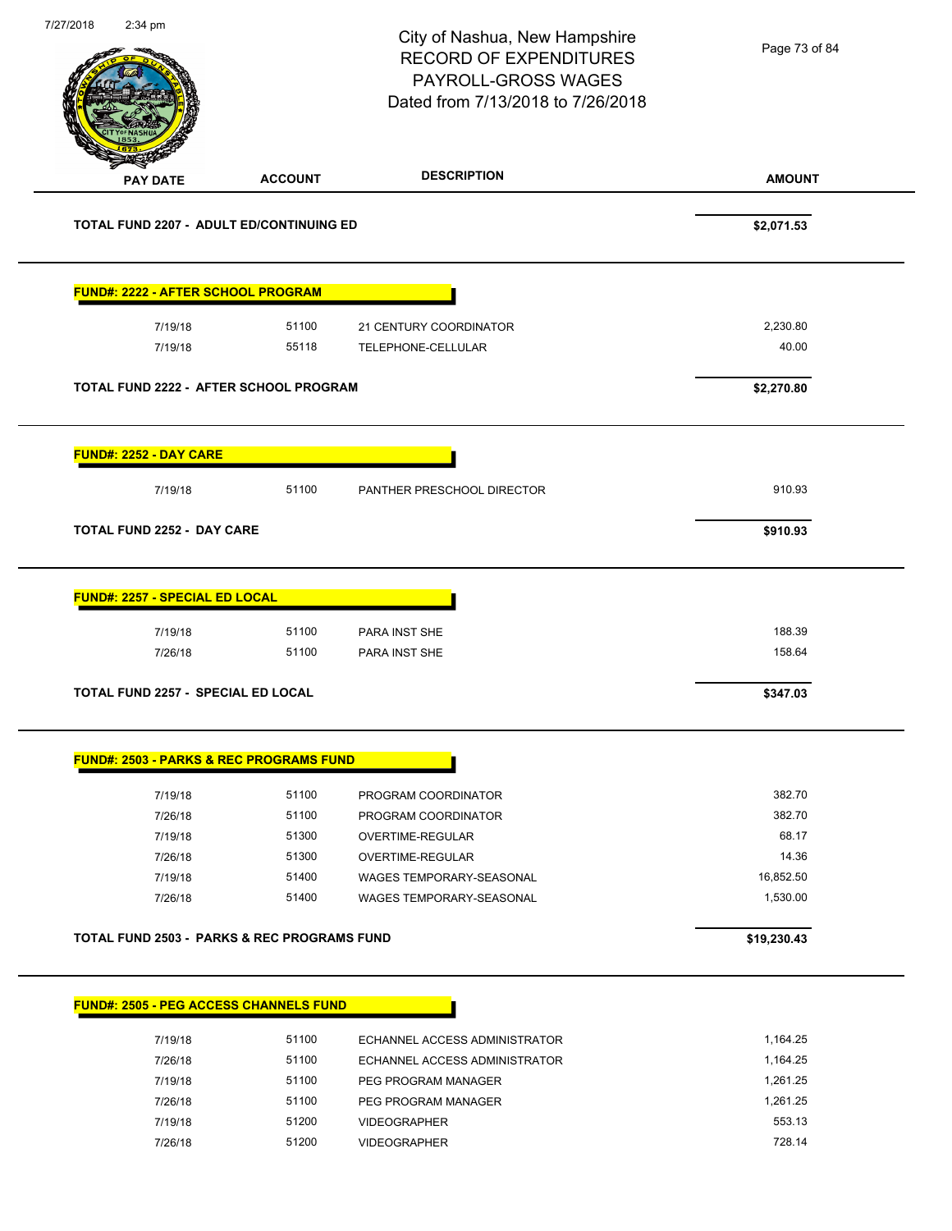| 7/27/2018 | $2:34$ pm                                 |                | City of Nashua, New Hampshire<br><b>RECORD OF EXPENDITURES</b><br>PAYROLL-GROSS WAGES<br>Dated from 7/13/2018 to 7/26/2018 | Page 73 of 84 |
|-----------|-------------------------------------------|----------------|----------------------------------------------------------------------------------------------------------------------------|---------------|
|           | <b>PAY DATE</b>                           | <b>ACCOUNT</b> | <b>DESCRIPTION</b>                                                                                                         | <b>AMOUNT</b> |
|           | TOTAL FUND 2207 - ADULT ED/CONTINUING ED  |                |                                                                                                                            | \$2,071.53    |
|           | <b>FUND#: 2222 - AFTER SCHOOL PROGRAM</b> |                |                                                                                                                            |               |
|           | 7/19/18                                   | 51100          | 21 CENTURY COORDINATOR                                                                                                     | 2,230.80      |
|           | 7/19/18                                   | 55118          | TELEPHONE-CELLULAR                                                                                                         | 40.00         |
|           | TOTAL FUND 2222 - AFTER SCHOOL PROGRAM    |                |                                                                                                                            | \$2,270.80    |
|           | FUND#: 2252 - DAY CARE                    |                |                                                                                                                            |               |
|           | 7/19/18                                   | 51100          | PANTHER PRESCHOOL DIRECTOR                                                                                                 | 910.93        |
|           | <b>TOTAL FUND 2252 - DAY CARE</b>         |                |                                                                                                                            | \$910.93      |
|           | <b>FUND#: 2257 - SPECIAL ED LOCAL</b>     |                |                                                                                                                            |               |
|           | 7/19/18                                   | 51100          | PARA INST SHE                                                                                                              | 188.39        |
|           | 7/26/18                                   | 51100          | PARA INST SHE                                                                                                              | 158.64        |
|           | TOTAL FUND 2257 - SPECIAL ED LOCAL        |                |                                                                                                                            | \$347.03      |

#### **FUND#: 2503 - PARKS & REC PROGRAMS FUND**

| 7/19/18 | 51100 | PROGRAM COORDINATOR      | 382.70    |
|---------|-------|--------------------------|-----------|
| 7/26/18 | 51100 | PROGRAM COORDINATOR      | 382.70    |
| 7/19/18 | 51300 | OVERTIME-REGULAR         | 68.17     |
| 7/26/18 | 51300 | OVERTIME-REGULAR         | 14.36     |
| 7/19/18 | 51400 | WAGES TEMPORARY-SEASONAL | 16.852.50 |
| 7/26/18 | 51400 | WAGES TEMPORARY-SEASONAL | 1.530.00  |
|         |       |                          |           |

### TOTAL FUND 2503 - PARKS & REC PROGRAMS FUND<br>
\$19,230.43

# **FUND#: 2505 - PEG ACCESS CHANNELS FUND**

| 7/19/18 | 51100 | ECHANNEL ACCESS ADMINISTRATOR | 1.164.25 |
|---------|-------|-------------------------------|----------|
| 7/26/18 | 51100 | ECHANNEL ACCESS ADMINISTRATOR | 1.164.25 |
| 7/19/18 | 51100 | PEG PROGRAM MANAGER           | 1.261.25 |
| 7/26/18 | 51100 | PEG PROGRAM MANAGER           | 1.261.25 |
| 7/19/18 | 51200 | <b>VIDEOGRAPHER</b>           | 553.13   |
| 7/26/18 | 51200 | <b>VIDEOGRAPHER</b>           | 728.14   |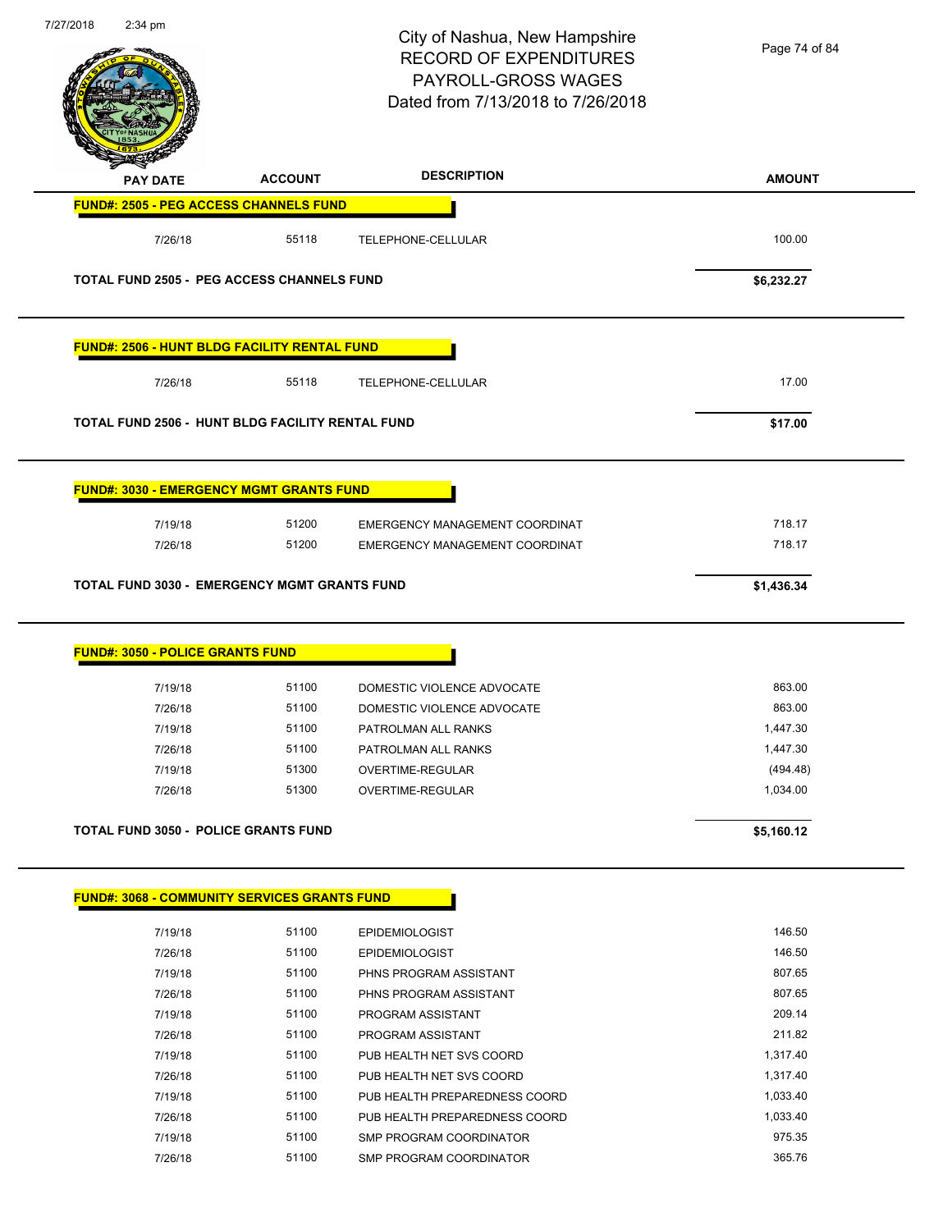| 7/27/2018 | $2:34$ pm                                                                                      |                | City of Nashua, New Hampshire<br><b>RECORD OF EXPENDITURES</b><br>PAYROLL-GROSS WAGES<br>Dated from 7/13/2018 to 7/26/2018 | Page 74 of 84 |
|-----------|------------------------------------------------------------------------------------------------|----------------|----------------------------------------------------------------------------------------------------------------------------|---------------|
|           | <b>PAY DATE</b>                                                                                | <b>ACCOUNT</b> | <b>DESCRIPTION</b>                                                                                                         | <b>AMOUNT</b> |
|           | <b>FUND#: 2505 - PEG ACCESS CHANNELS FUND</b>                                                  |                |                                                                                                                            |               |
|           | 7/26/18                                                                                        | 55118          | TELEPHONE-CELLULAR                                                                                                         | 100.00        |
|           | <b>TOTAL FUND 2505 - PEG ACCESS CHANNELS FUND</b>                                              |                |                                                                                                                            | \$6,232.27    |
|           | FUND#: 2506 - HUNT BLDG FACILITY RENTAL FUND                                                   |                |                                                                                                                            |               |
|           | 7/26/18                                                                                        | 55118          | TELEPHONE-CELLULAR                                                                                                         | 17.00         |
|           | TOTAL FUND 2506 - HUNT BLDG FACILITY RENTAL FUND                                               |                |                                                                                                                            | \$17.00       |
|           | <b>FUND#: 3030 - EMERGENCY MGMT GRANTS FUND</b>                                                |                |                                                                                                                            |               |
|           | 7/19/18                                                                                        | 51200          | EMERGENCY MANAGEMENT COORDINAT                                                                                             | 718.17        |
|           | 7/26/18                                                                                        | 51200          | EMERGENCY MANAGEMENT COORDINAT                                                                                             | 718.17        |
|           | <b>TOTAL FUND 3030 - EMERGENCY MGMT GRANTS FUND</b><br><b>FUND#: 3050 - POLICE GRANTS FUND</b> |                |                                                                                                                            | \$1,436.34    |
|           | 7/19/18                                                                                        | 51100          | DOMESTIC VIOLENCE ADVOCATE                                                                                                 | 863.00        |
|           | 7/26/18                                                                                        | 51100          | DOMESTIC VIOLENCE ADVOCATE                                                                                                 | 863.00        |
|           | 7/19/18                                                                                        | 51100          | PATROLMAN ALL RANKS                                                                                                        | 1,447.30      |
|           | 7/26/18                                                                                        | 51100          | PATROLMAN ALL RANKS                                                                                                        | 1,447.30      |
|           | 7/19/18                                                                                        | 51300          | OVERTIME-REGULAR                                                                                                           | (494.48)      |
|           | 7/26/18                                                                                        | 51300          | OVERTIME-REGULAR                                                                                                           | 1,034.00      |
|           | <b>TOTAL FUND 3050 - POLICE GRANTS FUND</b>                                                    |                |                                                                                                                            |               |
|           |                                                                                                |                |                                                                                                                            | \$5,160.12    |
|           | <b>FUND#: 3068 - COMMUNITY SERVICES GRANTS FUND</b>                                            |                |                                                                                                                            |               |
|           | 7/19/18                                                                                        | 51100          | <b>EPIDEMIOLOGIST</b>                                                                                                      | 146.50        |
|           | 7/26/18                                                                                        | 51100          | <b>EPIDEMIOLOGIST</b>                                                                                                      | 146.50        |
|           | 7/19/18                                                                                        | 51100          | PHNS PROGRAM ASSISTANT                                                                                                     | 807.65        |
|           | 7/26/18                                                                                        | 51100          | PHNS PROGRAM ASSISTANT                                                                                                     | 807.65        |
|           | 7/19/18                                                                                        | 51100          | PROGRAM ASSISTANT                                                                                                          | 209.14        |
|           | 7/26/18                                                                                        | 51100          | PROGRAM ASSISTANT                                                                                                          | 211.82        |
|           | 7/19/18                                                                                        | 51100          | PUB HEALTH NET SVS COORD                                                                                                   | 1,317.40      |
|           |                                                                                                | 51100          |                                                                                                                            | 1,317.40      |
|           | 7/26/18                                                                                        |                | PUB HEALTH NET SVS COORD                                                                                                   |               |
|           | 7/19/18                                                                                        | 51100          | PUB HEALTH PREPAREDNESS COORD                                                                                              | 1,033.40      |
|           | 7/26/18                                                                                        | 51100          | PUB HEALTH PREPAREDNESS COORD                                                                                              | 1,033.40      |
|           | 7/19/18                                                                                        | 51100          | SMP PROGRAM COORDINATOR                                                                                                    | 975.35        |
|           | 7/26/18                                                                                        | 51100          | SMP PROGRAM COORDINATOR                                                                                                    | 365.76        |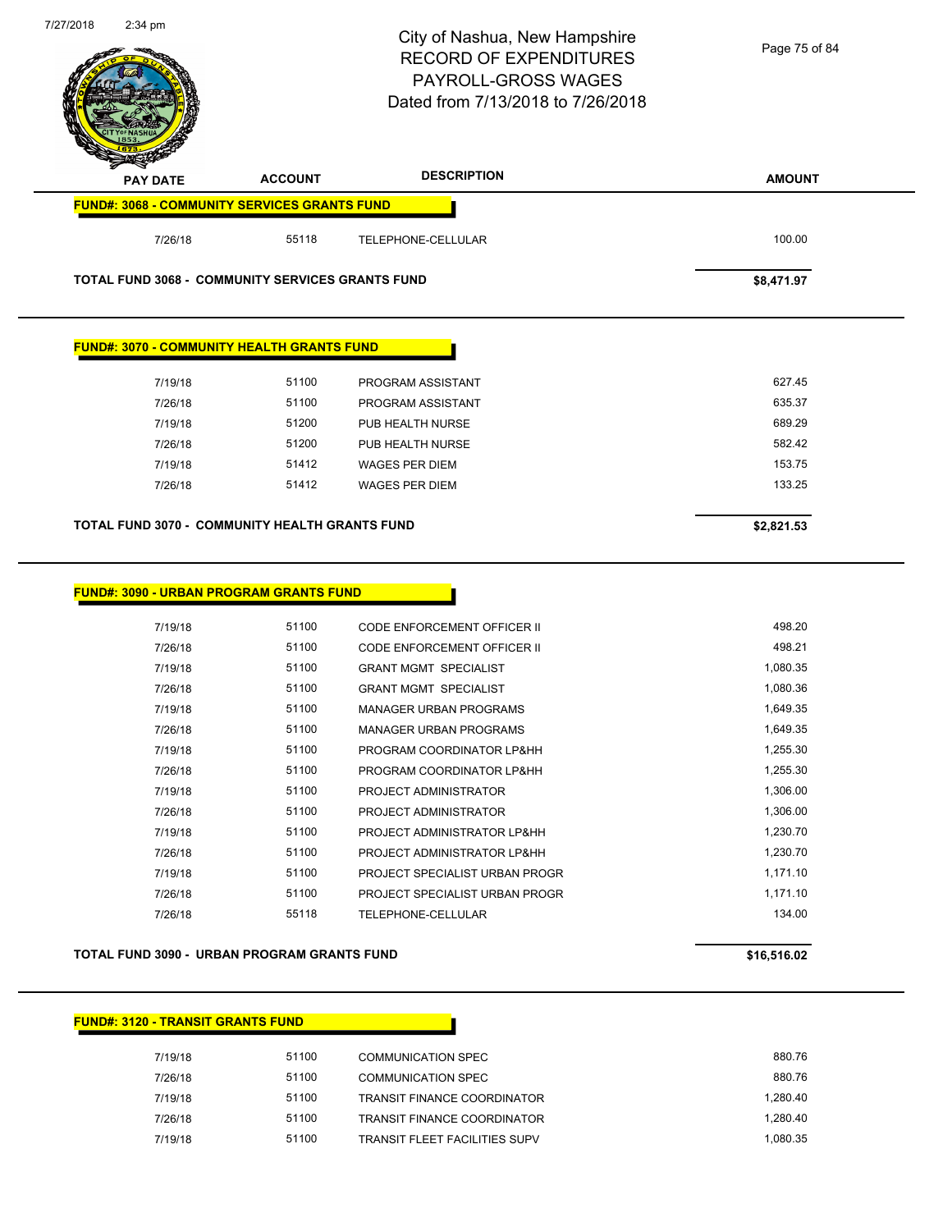| 7/27/2018 | $2:34$ pm                                           |                | City of Nashua, New Hampshire<br><b>RECORD OF EXPENDITURES</b><br>PAYROLL-GROSS WAGES<br>Dated from 7/13/2018 to 7/26/2018 | Page 75 of 84 |
|-----------|-----------------------------------------------------|----------------|----------------------------------------------------------------------------------------------------------------------------|---------------|
|           | <b>PAY DATE</b>                                     | <b>ACCOUNT</b> | <b>DESCRIPTION</b>                                                                                                         | <b>AMOUNT</b> |
|           | <b>FUND#: 3068 - COMMUNITY SERVICES GRANTS FUND</b> |                |                                                                                                                            |               |
|           | 7/26/18                                             | 55118          | TELEPHONE-CELLULAR                                                                                                         | 100.00        |
|           | TOTAL FUND 3068 - COMMUNITY SERVICES GRANTS FUND    |                |                                                                                                                            | \$8,471.97    |
|           | <b>FUND#: 3070 - COMMUNITY HEALTH GRANTS FUND</b>   |                |                                                                                                                            |               |
|           | 7/19/18                                             | 51100          | PROGRAM ASSISTANT                                                                                                          | 627.45        |
|           | 7/26/18                                             | 51100          | PROGRAM ASSISTANT                                                                                                          | 635.37        |
|           | 7/19/18                                             | 51200          | PUB HEALTH NURSE                                                                                                           | 689.29        |
|           | 7/26/18                                             | 51200          | PUB HEALTH NURSE                                                                                                           | 582.42        |
|           | 7/19/18                                             | 51412          | <b>WAGES PER DIEM</b>                                                                                                      | 153.75        |
|           | 7/26/18                                             | 51412          | <b>WAGES PER DIEM</b>                                                                                                      | 133.25        |
|           | TOTAL FUND 3070 - COMMUNITY HEALTH GRANTS FUND      |                |                                                                                                                            | \$2,821.53    |
|           | <b>FUND#: 3090 - URBAN PROGRAM GRANTS FUND</b>      |                |                                                                                                                            |               |
|           | 7/19/18                                             | 51100          | CODE ENFORCEMENT OFFICER II                                                                                                | 498.20        |
|           | 7/26/18                                             | 51100          | CODE ENFORCEMENT OFFICER II                                                                                                | 498.21        |
|           | 7/19/18                                             | 51100          | <b>GRANT MGMT SPECIALIST</b>                                                                                               | 1,080.35      |
|           | 7/26/18                                             | 51100          | <b>GRANT MGMT SPECIALIST</b>                                                                                               | 1,080.36      |
|           | 7/19/18                                             | 51100          | <b>MANAGER URBAN PROGRAMS</b>                                                                                              | 1,649.35      |
|           | 7/26/18                                             | 51100          | <b>MANAGER URBAN PROGRAMS</b>                                                                                              | 1,649.35      |
|           | 7/19/18                                             | 51100          | PROGRAM COORDINATOR LP&HH                                                                                                  | 1,255.30      |
|           | 7/26/18                                             | 51100          | PROGRAM COORDINATOR LP&HH                                                                                                  | 1,255.30      |
|           | 7/19/18                                             | 51100          | PROJECT ADMINISTRATOR                                                                                                      | 1,306.00      |
|           | 7/26/18                                             | 51100          | PROJECT ADMINISTRATOR                                                                                                      | 1,306.00      |
|           | 7/19/18                                             | 51100          | PROJECT ADMINISTRATOR LP&HH                                                                                                | 1,230.70      |
|           | 7/26/18                                             | 51100          | PROJECT ADMINISTRATOR LP&HH                                                                                                | 1,230.70      |
|           | 7/19/18                                             | 51100          | PROJECT SPECIALIST URBAN PROGR                                                                                             | 1,171.10      |
|           | 7/26/18                                             | 51100          | PROJECT SPECIALIST URBAN PROGR                                                                                             | 1,171.10      |
|           | 7/26/18                                             | 55118          | TELEPHONE-CELLULAR                                                                                                         | 134.00        |

**TOTAL FUND 3090 - URBAN PROGRAM GRANTS FUND \$16,516.02** 

### **FUND#: 3120 - TRANSIT GRANTS FUND**

 $\overline{\phantom{0}}$ 

| 7/19/18 | 51100 | COMMUNICATION SPEC                   | 880.76   |
|---------|-------|--------------------------------------|----------|
| 7/26/18 | 51100 | COMMUNICATION SPEC                   | 880.76   |
| 7/19/18 | 51100 | <b>TRANSIT FINANCE COORDINATOR</b>   | 1.280.40 |
| 7/26/18 | 51100 | <b>TRANSIT FINANCE COORDINATOR</b>   | 1.280.40 |
| 7/19/18 | 51100 | <b>TRANSIT FLEET FACILITIES SUPV</b> | 1.080.35 |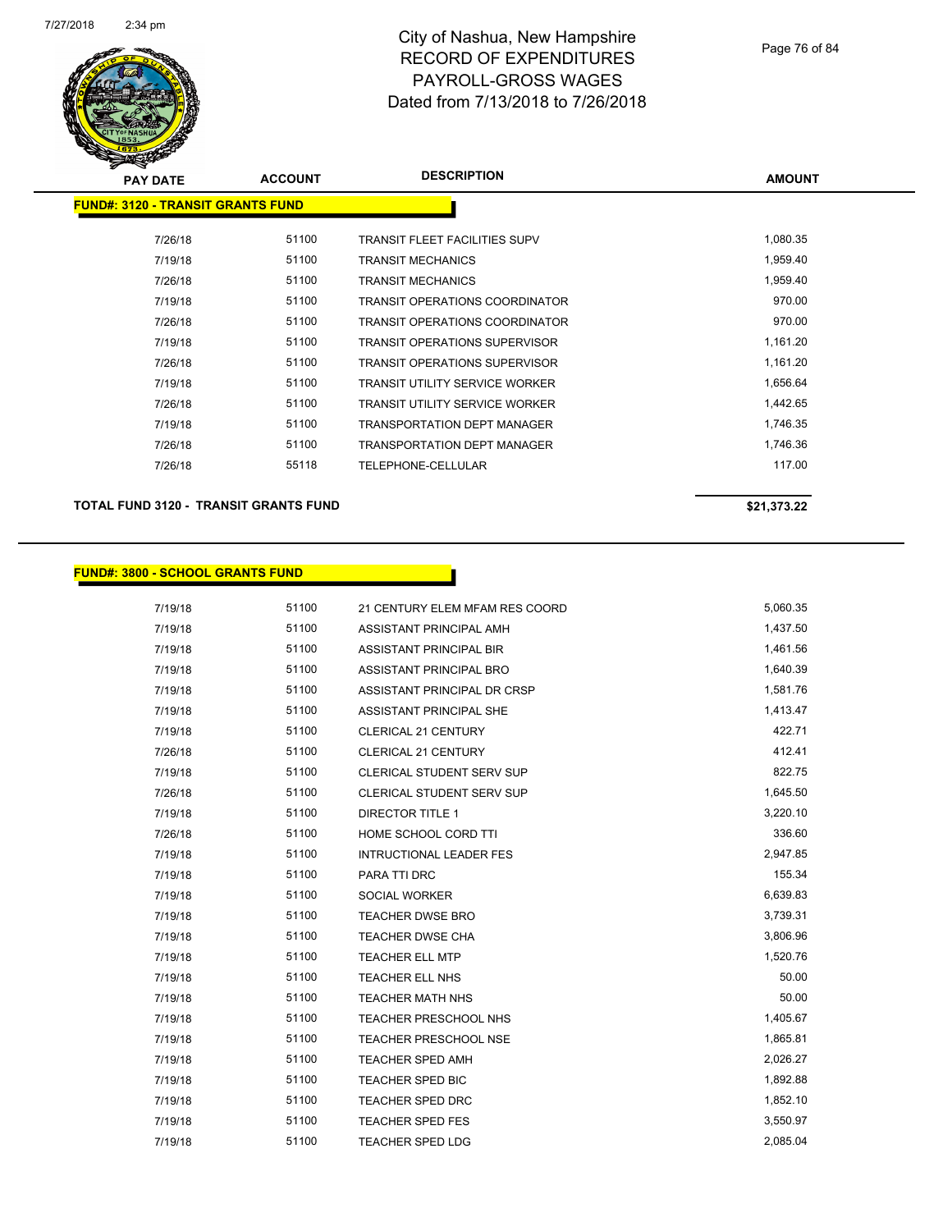

#### Page 76 of 84

| s<br>$\tilde{\phantom{a}}$               |                |                                       |               |
|------------------------------------------|----------------|---------------------------------------|---------------|
| <b>PAY DATE</b>                          | <b>ACCOUNT</b> | <b>DESCRIPTION</b>                    | <b>AMOUNT</b> |
| <b>FUND#: 3120 - TRANSIT GRANTS FUND</b> |                |                                       |               |
| 7/26/18                                  | 51100          | <b>TRANSIT FLEET FACILITIES SUPV</b>  | 1,080.35      |
| 7/19/18                                  | 51100          | <b>TRANSIT MECHANICS</b>              | 1,959.40      |
| 7/26/18                                  | 51100          | <b>TRANSIT MECHANICS</b>              | 1,959.40      |
| 7/19/18                                  | 51100          | <b>TRANSIT OPERATIONS COORDINATOR</b> | 970.00        |
| 7/26/18                                  | 51100          | <b>TRANSIT OPERATIONS COORDINATOR</b> | 970.00        |
| 7/19/18                                  | 51100          | <b>TRANSIT OPERATIONS SUPERVISOR</b>  | 1,161.20      |
| 7/26/18                                  | 51100          | <b>TRANSIT OPERATIONS SUPERVISOR</b>  | 1,161.20      |
| 7/19/18                                  | 51100          | <b>TRANSIT UTILITY SERVICE WORKER</b> | 1,656.64      |
| 7/26/18                                  | 51100          | <b>TRANSIT UTILITY SERVICE WORKER</b> | 1,442.65      |
| 7/19/18                                  | 51100          | <b>TRANSPORTATION DEPT MANAGER</b>    | 1,746.35      |
| 7/26/18                                  | 51100          | <b>TRANSPORTATION DEPT MANAGER</b>    | 1,746.36      |
| 7/26/18                                  | 55118          | TELEPHONE-CELLULAR                    | 117.00        |
|                                          |                |                                       |               |

**TOTAL FUND 3120 - TRANSIT GRANTS FUND \$21,373.22** 

### **FUND#: 3800 - SCHOOL GRANTS FUND**

| 7/19/18 | 51100 | 21 CENTURY ELEM MFAM RES COORD   | 5,060.35 |
|---------|-------|----------------------------------|----------|
| 7/19/18 | 51100 | ASSISTANT PRINCIPAL AMH          | 1,437.50 |
| 7/19/18 | 51100 | ASSISTANT PRINCIPAL BIR          | 1,461.56 |
| 7/19/18 | 51100 | ASSISTANT PRINCIPAL BRO          | 1,640.39 |
| 7/19/18 | 51100 | ASSISTANT PRINCIPAL DR CRSP      | 1,581.76 |
| 7/19/18 | 51100 | ASSISTANT PRINCIPAL SHE          | 1,413.47 |
| 7/19/18 | 51100 | <b>CLERICAL 21 CENTURY</b>       | 422.71   |
| 7/26/18 | 51100 | CLERICAL 21 CENTURY              | 412.41   |
| 7/19/18 | 51100 | <b>CLERICAL STUDENT SERV SUP</b> | 822.75   |
| 7/26/18 | 51100 | <b>CLERICAL STUDENT SERV SUP</b> | 1,645.50 |
| 7/19/18 | 51100 | <b>DIRECTOR TITLE 1</b>          | 3,220.10 |
| 7/26/18 | 51100 | HOME SCHOOL CORD TTI             | 336.60   |
| 7/19/18 | 51100 | INTRUCTIONAL LEADER FES          | 2,947.85 |
| 7/19/18 | 51100 | PARA TTI DRC                     | 155.34   |
| 7/19/18 | 51100 | SOCIAL WORKER                    | 6,639.83 |
| 7/19/18 | 51100 | <b>TEACHER DWSE BRO</b>          | 3,739.31 |
| 7/19/18 | 51100 | <b>TEACHER DWSE CHA</b>          | 3,806.96 |
| 7/19/18 | 51100 | <b>TEACHER ELL MTP</b>           | 1,520.76 |
| 7/19/18 | 51100 | TEACHER ELL NHS                  | 50.00    |
| 7/19/18 | 51100 | <b>TEACHER MATH NHS</b>          | 50.00    |
| 7/19/18 | 51100 | <b>TEACHER PRESCHOOL NHS</b>     | 1,405.67 |
| 7/19/18 | 51100 | <b>TEACHER PRESCHOOL NSE</b>     | 1,865.81 |
| 7/19/18 | 51100 | <b>TEACHER SPED AMH</b>          | 2,026.27 |
| 7/19/18 | 51100 | <b>TEACHER SPED BIC</b>          | 1,892.88 |
| 7/19/18 | 51100 | <b>TEACHER SPED DRC</b>          | 1,852.10 |
| 7/19/18 | 51100 | <b>TEACHER SPED FES</b>          | 3,550.97 |
| 7/19/18 | 51100 | <b>TEACHER SPED LDG</b>          | 2,085.04 |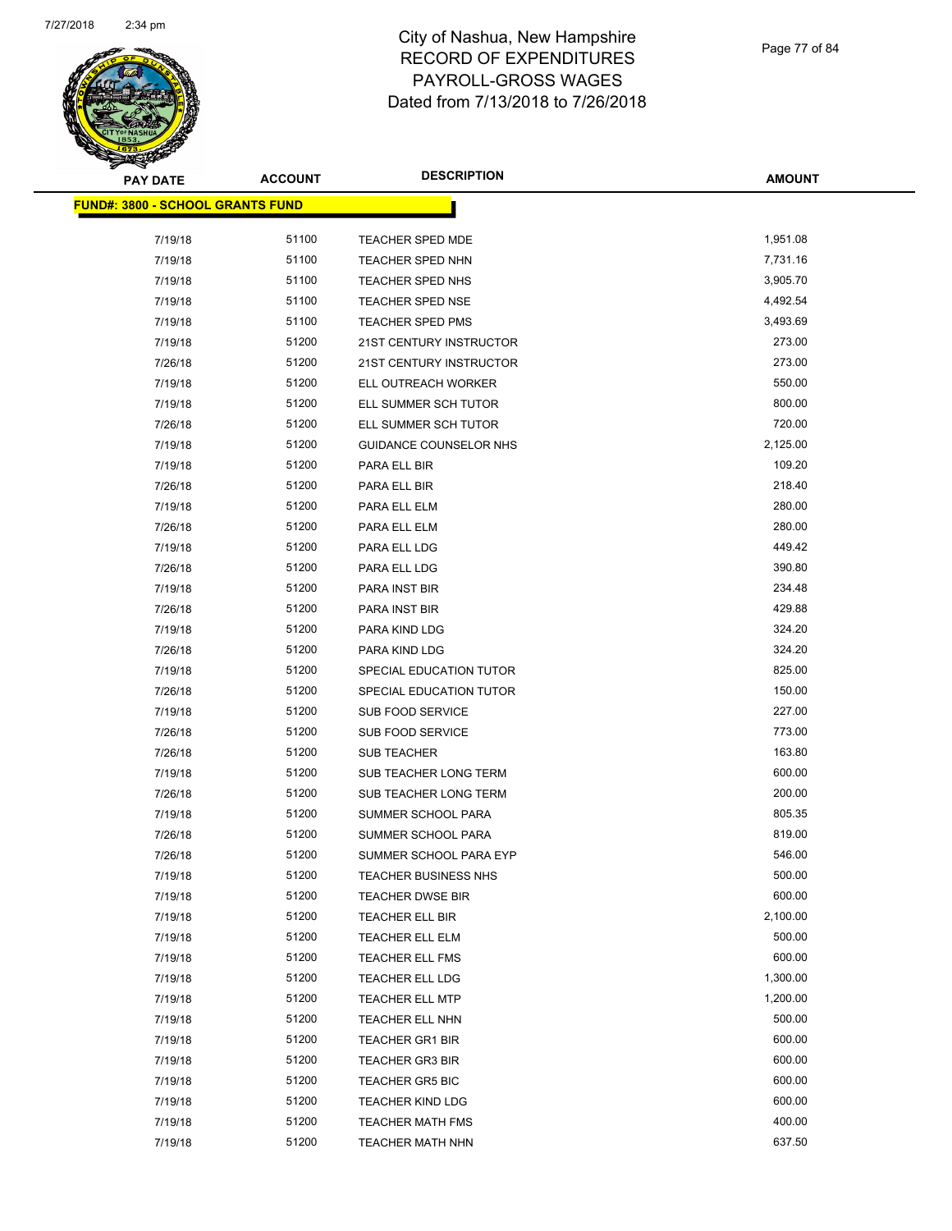

Page 77 of 84

| <b>PAY DATE</b>                         | <b>ACCOUNT</b> | <b>DESCRIPTION</b>             | <b>AMOUNT</b> |
|-----------------------------------------|----------------|--------------------------------|---------------|
| <b>FUND#: 3800 - SCHOOL GRANTS FUND</b> |                |                                |               |
| 7/19/18                                 | 51100          | TEACHER SPED MDE               | 1,951.08      |
| 7/19/18                                 | 51100          | <b>TEACHER SPED NHN</b>        | 7,731.16      |
| 7/19/18                                 | 51100          | TEACHER SPED NHS               | 3,905.70      |
| 7/19/18                                 | 51100          | TEACHER SPED NSE               | 4,492.54      |
| 7/19/18                                 | 51100          | <b>TEACHER SPED PMS</b>        | 3,493.69      |
| 7/19/18                                 | 51200          | 21ST CENTURY INSTRUCTOR        | 273.00        |
| 7/26/18                                 | 51200          | <b>21ST CENTURY INSTRUCTOR</b> | 273.00        |
| 7/19/18                                 | 51200          | ELL OUTREACH WORKER            | 550.00        |
| 7/19/18                                 | 51200          | ELL SUMMER SCH TUTOR           | 800.00        |
| 7/26/18                                 | 51200          | ELL SUMMER SCH TUTOR           | 720.00        |
| 7/19/18                                 | 51200          | GUIDANCE COUNSELOR NHS         | 2,125.00      |
| 7/19/18                                 | 51200          | PARA ELL BIR                   | 109.20        |
| 7/26/18                                 | 51200          | PARA ELL BIR                   | 218.40        |
| 7/19/18                                 | 51200          | PARA ELL ELM                   | 280.00        |
| 7/26/18                                 | 51200          | PARA ELL ELM                   | 280.00        |
| 7/19/18                                 | 51200          | PARA ELL LDG                   | 449.42        |
| 7/26/18                                 | 51200          | PARA ELL LDG                   | 390.80        |
| 7/19/18                                 | 51200          | PARA INST BIR                  | 234.48        |
| 7/26/18                                 | 51200          | PARA INST BIR                  | 429.88        |
| 7/19/18                                 | 51200          | PARA KIND LDG                  | 324.20        |
| 7/26/18                                 | 51200          | PARA KIND LDG                  | 324.20        |
| 7/19/18                                 | 51200          | SPECIAL EDUCATION TUTOR        | 825.00        |
| 7/26/18                                 | 51200          | SPECIAL EDUCATION TUTOR        | 150.00        |
| 7/19/18                                 | 51200          | SUB FOOD SERVICE               | 227.00        |
| 7/26/18                                 | 51200          | <b>SUB FOOD SERVICE</b>        | 773.00        |
| 7/26/18                                 | 51200          | SUB TEACHER                    | 163.80        |
| 7/19/18                                 | 51200          | SUB TEACHER LONG TERM          | 600.00        |
| 7/26/18                                 | 51200          | SUB TEACHER LONG TERM          | 200.00        |
| 7/19/18                                 | 51200          | SUMMER SCHOOL PARA             | 805.35        |
| 7/26/18                                 | 51200          | SUMMER SCHOOL PARA             | 819.00        |
| 7/26/18                                 | 51200          | SUMMER SCHOOL PARA EYP         | 546.00        |
| 7/19/18                                 | 51200          | <b>TEACHER BUSINESS NHS</b>    | 500.00        |
| 7/19/18                                 | 51200          | TEACHER DWSE BIR               | 600.00        |
| 7/19/18                                 | 51200          | <b>TEACHER ELL BIR</b>         | 2,100.00      |
| 7/19/18                                 | 51200          | TEACHER ELL ELM                | 500.00        |
| 7/19/18                                 | 51200          | TEACHER ELL FMS                | 600.00        |
| 7/19/18                                 | 51200          | <b>TEACHER ELL LDG</b>         | 1,300.00      |
| 7/19/18                                 | 51200          | <b>TEACHER ELL MTP</b>         | 1,200.00      |
| 7/19/18                                 | 51200          | TEACHER ELL NHN                | 500.00        |
| 7/19/18                                 | 51200          | <b>TEACHER GR1 BIR</b>         | 600.00        |
| 7/19/18                                 | 51200          | TEACHER GR3 BIR                | 600.00        |
| 7/19/18                                 | 51200          | <b>TEACHER GR5 BIC</b>         | 600.00        |
| 7/19/18                                 | 51200          | <b>TEACHER KIND LDG</b>        | 600.00        |
| 7/19/18                                 | 51200          | <b>TEACHER MATH FMS</b>        | 400.00        |
| 7/19/18                                 | 51200          | TEACHER MATH NHN               | 637.50        |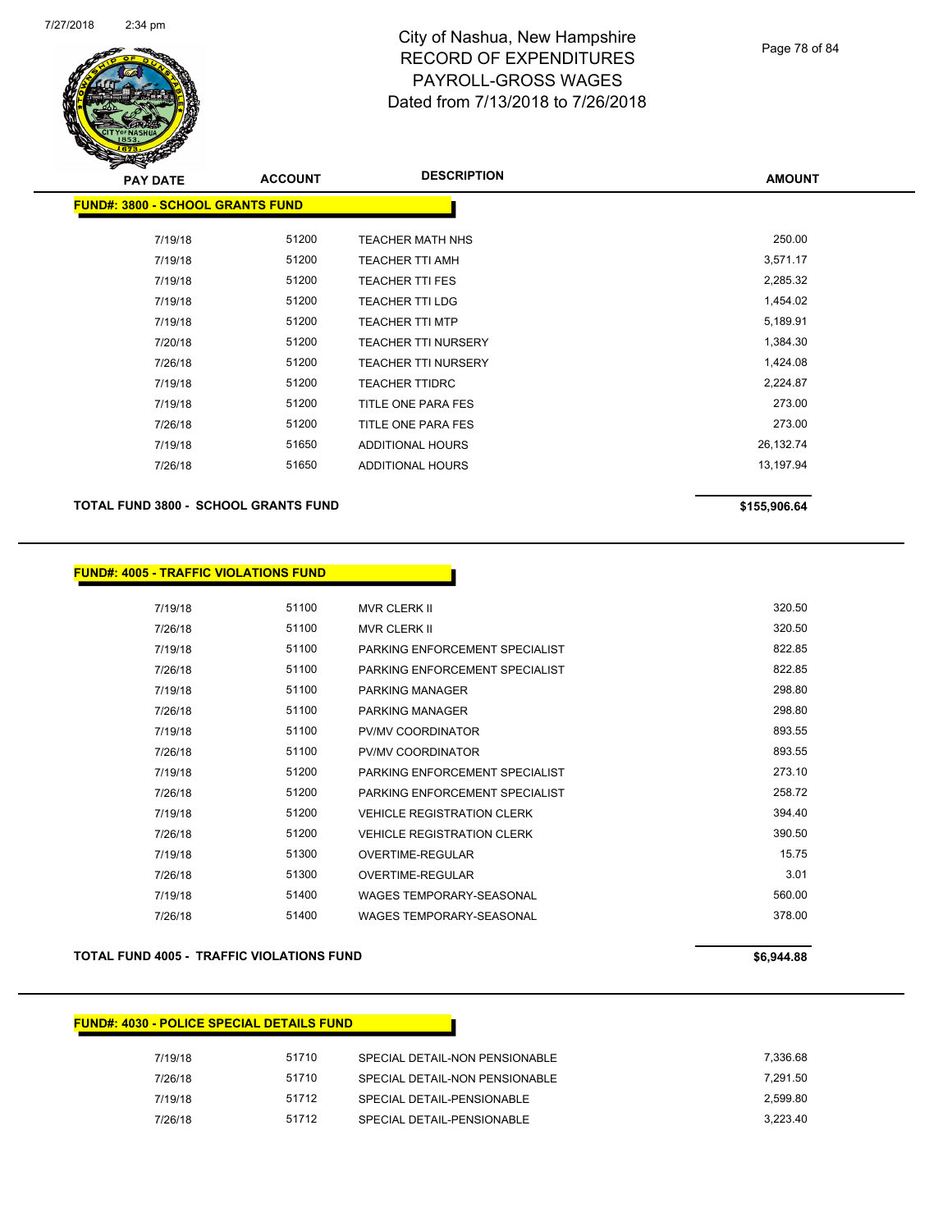

#### Page 78 of 84

| <b>PAY DATE</b>                         | <b>ACCOUNT</b> | <b>DESCRIPTION</b>         | <b>AMOUNT</b> |
|-----------------------------------------|----------------|----------------------------|---------------|
| <b>FUND#: 3800 - SCHOOL GRANTS FUND</b> |                |                            |               |
|                                         |                |                            |               |
| 7/19/18                                 | 51200          | <b>TEACHER MATH NHS</b>    | 250.00        |
| 7/19/18                                 | 51200          | <b>TEACHER TTI AMH</b>     | 3,571.17      |
| 7/19/18                                 | 51200          | <b>TEACHER TTI FES</b>     | 2,285.32      |
| 7/19/18                                 | 51200          | <b>TEACHER TTI LDG</b>     | 1,454.02      |
| 7/19/18                                 | 51200          | <b>TEACHER TTI MTP</b>     | 5,189.91      |
| 7/20/18                                 | 51200          | <b>TEACHER TTI NURSERY</b> | 1,384.30      |
| 7/26/18                                 | 51200          | <b>TEACHER TTI NURSERY</b> | 1,424.08      |
| 7/19/18                                 | 51200          | <b>TEACHER TTIDRC</b>      | 2,224.87      |
| 7/19/18                                 | 51200          | TITLE ONE PARA FES         | 273.00        |
| 7/26/18                                 | 51200          | TITLE ONE PARA FES         | 273.00        |
| 7/19/18                                 | 51650          | ADDITIONAL HOURS           | 26,132.74     |
| 7/26/18                                 | 51650          | ADDITIONAL HOURS           | 13,197.94     |
|                                         |                |                            |               |

#### **TOTAL FUND 3800 - SCHOOL GRANTS FUND \$155,906.64**

| 7/19/18 | 51100 | MVR CLERK II                      | 320.50 |
|---------|-------|-----------------------------------|--------|
| 7/26/18 | 51100 | <b>MVR CLERK II</b>               | 320.50 |
| 7/19/18 | 51100 | PARKING ENFORCEMENT SPECIAL IST   | 822.85 |
| 7/26/18 | 51100 | PARKING ENFORCEMENT SPECIALIST    | 822.85 |
| 7/19/18 | 51100 | <b>PARKING MANAGER</b>            | 298.80 |
| 7/26/18 | 51100 | <b>PARKING MANAGER</b>            | 298.80 |
| 7/19/18 | 51100 | PV/MV COORDINATOR                 | 893.55 |
| 7/26/18 | 51100 | PV/MV COORDINATOR                 | 893.55 |
| 7/19/18 | 51200 | PARKING ENFORCEMENT SPECIALIST    | 273.10 |
| 7/26/18 | 51200 | PARKING ENFORCEMENT SPECIAL IST   | 258.72 |
| 7/19/18 | 51200 | <b>VEHICLE REGISTRATION CLERK</b> | 394.40 |
| 7/26/18 | 51200 | <b>VEHICLE REGISTRATION CLERK</b> | 390.50 |
| 7/19/18 | 51300 | OVERTIME-REGULAR                  | 15.75  |
| 7/26/18 | 51300 | OVERTIME-REGULAR                  | 3.01   |
| 7/19/18 | 51400 | <b>WAGES TEMPORARY-SEASONAL</b>   | 560.00 |
| 7/26/18 | 51400 | WAGES TEMPORARY-SEASONAL          | 378.00 |

#### **TOTAL FUND 4005 - TRAFFIC VIOLATIONS FUND \$6,944.88**

#### **FUND#: 4030 - POLICE SPECIAL DETAILS FUND**

| 7/19/18 | 51710 | SPECIAL DETAIL-NON PENSIONABLE | 7.336.68 |
|---------|-------|--------------------------------|----------|
| 7/26/18 | 51710 | SPECIAL DETAIL-NON PENSIONABLE | 7.291.50 |
| 7/19/18 | 51712 | SPECIAL DETAIL-PENSIONABLE     | 2.599.80 |
| 7/26/18 | 51712 | SPECIAL DETAIL-PENSIONABLE     | 3.223.40 |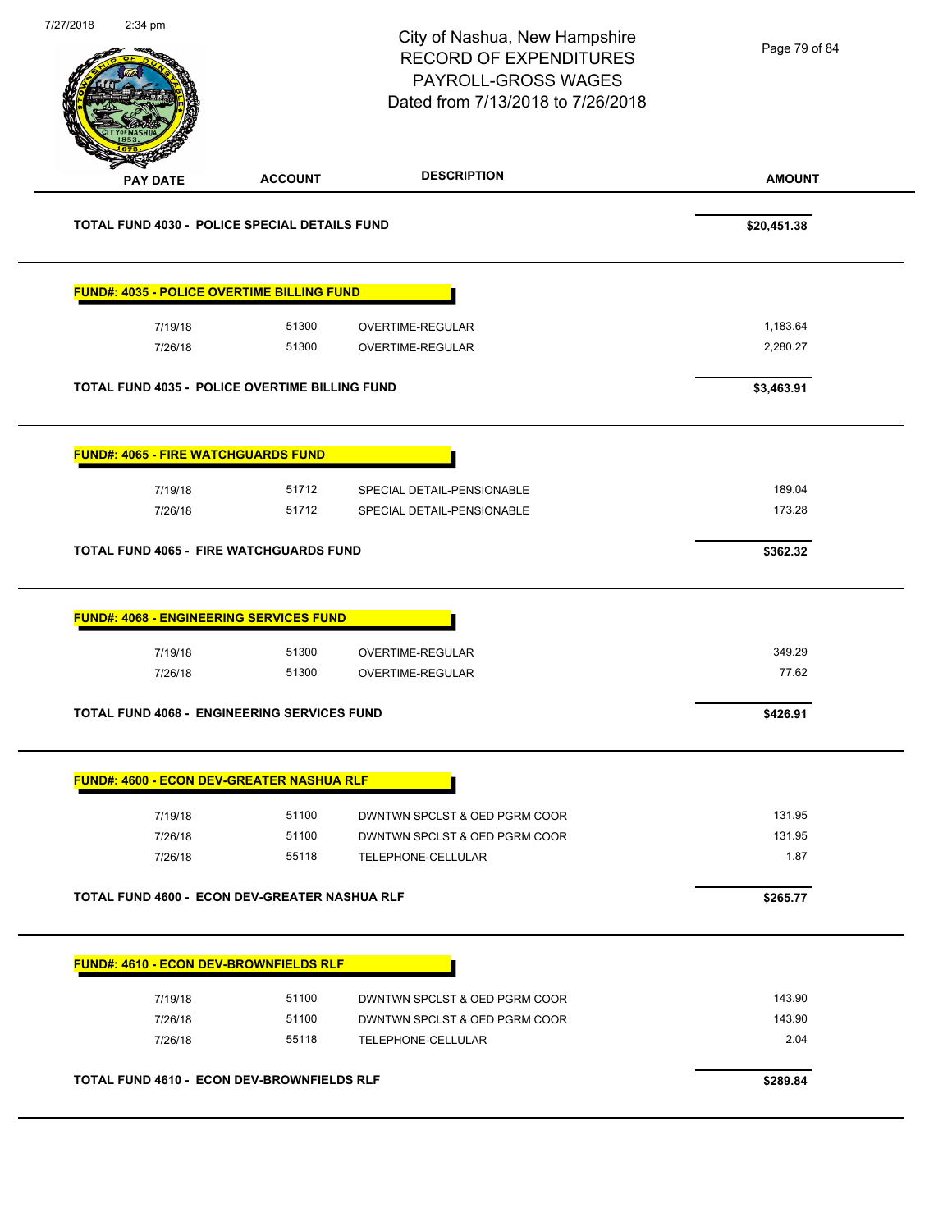| 7/27/2018 | $2:34$ pm                                             |                | City of Nashua, New Hampshire<br><b>RECORD OF EXPENDITURES</b><br>PAYROLL-GROSS WAGES<br>Dated from 7/13/2018 to 7/26/2018 | Page 79 of 84    |
|-----------|-------------------------------------------------------|----------------|----------------------------------------------------------------------------------------------------------------------------|------------------|
|           | <b>PAY DATE</b>                                       | <b>ACCOUNT</b> | <b>DESCRIPTION</b>                                                                                                         | <b>AMOUNT</b>    |
|           | <b>TOTAL FUND 4030 - POLICE SPECIAL DETAILS FUND</b>  |                |                                                                                                                            | \$20,451.38      |
|           | <b>FUND#: 4035 - POLICE OVERTIME BILLING FUND</b>     |                |                                                                                                                            |                  |
|           | 7/19/18                                               | 51300          | OVERTIME-REGULAR                                                                                                           | 1,183.64         |
|           | 7/26/18                                               | 51300          | OVERTIME-REGULAR                                                                                                           | 2,280.27         |
|           | <b>TOTAL FUND 4035 - POLICE OVERTIME BILLING FUND</b> |                |                                                                                                                            | \$3,463.91       |
|           | <b>FUND#: 4065 - FIRE WATCHGUARDS FUND</b>            |                |                                                                                                                            |                  |
|           | 7/19/18                                               | 51712          | SPECIAL DETAIL-PENSIONABLE                                                                                                 | 189.04           |
|           | 7/26/18                                               | 51712          | SPECIAL DETAIL-PENSIONABLE                                                                                                 | 173.28           |
|           | TOTAL FUND 4065 - FIRE WATCHGUARDS FUND               |                |                                                                                                                            | \$362.32         |
|           | <b>FUND#: 4068 - ENGINEERING SERVICES FUND</b>        |                |                                                                                                                            |                  |
|           | 7/19/18                                               | 51300          | OVERTIME-REGULAR                                                                                                           | 349.29           |
|           | 7/26/18                                               | 51300          | OVERTIME-REGULAR                                                                                                           | 77.62            |
|           | TOTAL FUND 4068 - ENGINEERING SERVICES FUND           |                |                                                                                                                            | \$426.91         |
|           | <b>FUND#: 4600 - ECON DEV-GREATER NASHUA RLF</b>      |                |                                                                                                                            |                  |
|           |                                                       | 51100          |                                                                                                                            | 131.95           |
|           | 7/19/18<br>7/26/18                                    | 51100          | DWNTWN SPCLST & OED PGRM COOR<br>DWNTWN SPCLST & OED PGRM COOR                                                             | 131.95           |
|           | 7/26/18                                               | 55118          | TELEPHONE-CELLULAR                                                                                                         | 1.87             |
|           | TOTAL FUND 4600 - ECON DEV-GREATER NASHUA RLF         |                |                                                                                                                            | \$265.77         |
|           | <b>FUND#: 4610 - ECON DEV-BROWNFIELDS RLF</b>         |                |                                                                                                                            |                  |
|           |                                                       |                |                                                                                                                            |                  |
|           | 7/19/18<br>7/26/18                                    | 51100<br>51100 | DWNTWN SPCLST & OED PGRM COOR<br>DWNTWN SPCLST & OED PGRM COOR                                                             | 143.90<br>143.90 |
|           | 7/26/18                                               | 55118          | TELEPHONE-CELLULAR                                                                                                         | 2.04             |
|           | TOTAL FUND 4610 - ECON DEV-BROWNFIELDS RLF            |                |                                                                                                                            |                  |
|           |                                                       |                |                                                                                                                            | \$289.84         |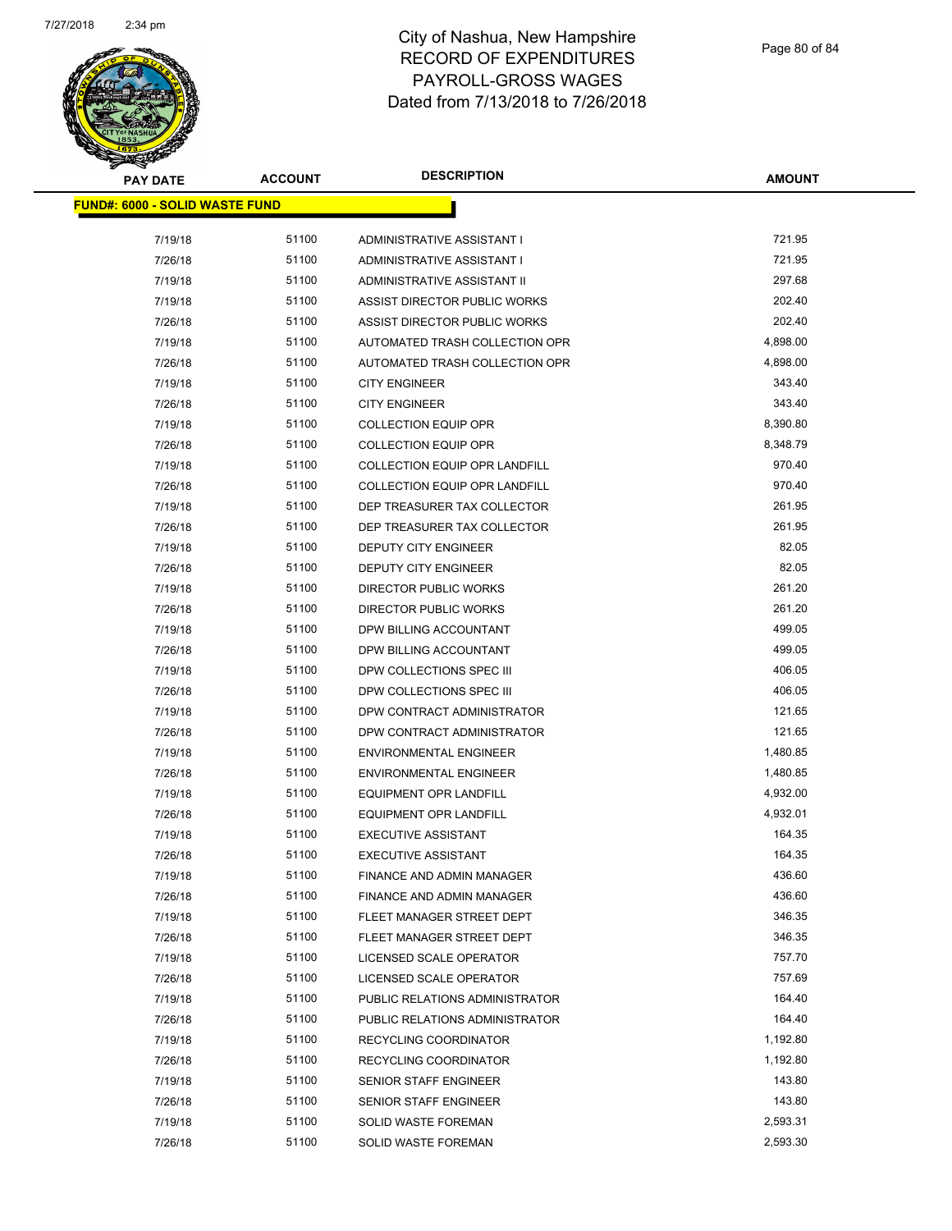

Page 80 of 84

| <b>PAY DATE</b>                       | <b>ACCOUNT</b> | <b>DESCRIPTION</b>                   | <b>AMOUNT</b> |
|---------------------------------------|----------------|--------------------------------------|---------------|
| <b>FUND#: 6000 - SOLID WASTE FUND</b> |                |                                      |               |
|                                       |                |                                      |               |
| 7/19/18                               | 51100          | ADMINISTRATIVE ASSISTANT I           | 721.95        |
| 7/26/18                               | 51100          | ADMINISTRATIVE ASSISTANT I           | 721.95        |
| 7/19/18                               | 51100          | ADMINISTRATIVE ASSISTANT II          | 297.68        |
| 7/19/18                               | 51100          | ASSIST DIRECTOR PUBLIC WORKS         | 202.40        |
| 7/26/18                               | 51100          | ASSIST DIRECTOR PUBLIC WORKS         | 202.40        |
| 7/19/18                               | 51100          | AUTOMATED TRASH COLLECTION OPR       | 4,898.00      |
| 7/26/18                               | 51100          | AUTOMATED TRASH COLLECTION OPR       | 4,898.00      |
| 7/19/18                               | 51100          | <b>CITY ENGINEER</b>                 | 343.40        |
| 7/26/18                               | 51100          | <b>CITY ENGINEER</b>                 | 343.40        |
| 7/19/18                               | 51100          | <b>COLLECTION EQUIP OPR</b>          | 8,390.80      |
| 7/26/18                               | 51100          | <b>COLLECTION EQUIP OPR</b>          | 8,348.79      |
| 7/19/18                               | 51100          | <b>COLLECTION EQUIP OPR LANDFILL</b> | 970.40        |
| 7/26/18                               | 51100          | <b>COLLECTION EQUIP OPR LANDFILL</b> | 970.40        |
| 7/19/18                               | 51100          | DEP TREASURER TAX COLLECTOR          | 261.95        |
| 7/26/18                               | 51100          | DEP TREASURER TAX COLLECTOR          | 261.95        |
| 7/19/18                               | 51100          | DEPUTY CITY ENGINEER                 | 82.05         |
| 7/26/18                               | 51100          | DEPUTY CITY ENGINEER                 | 82.05         |
| 7/19/18                               | 51100          | <b>DIRECTOR PUBLIC WORKS</b>         | 261.20        |
| 7/26/18                               | 51100          | <b>DIRECTOR PUBLIC WORKS</b>         | 261.20        |
| 7/19/18                               | 51100          | DPW BILLING ACCOUNTANT               | 499.05        |
| 7/26/18                               | 51100          | DPW BILLING ACCOUNTANT               | 499.05        |
| 7/19/18                               | 51100          | DPW COLLECTIONS SPEC III             | 406.05        |
| 7/26/18                               | 51100          | DPW COLLECTIONS SPEC III             | 406.05        |
| 7/19/18                               | 51100          | DPW CONTRACT ADMINISTRATOR           | 121.65        |
| 7/26/18                               | 51100          | DPW CONTRACT ADMINISTRATOR           | 121.65        |
| 7/19/18                               | 51100          | <b>ENVIRONMENTAL ENGINEER</b>        | 1,480.85      |
| 7/26/18                               | 51100          | <b>ENVIRONMENTAL ENGINEER</b>        | 1,480.85      |
| 7/19/18                               | 51100          | <b>EQUIPMENT OPR LANDFILL</b>        | 4,932.00      |
| 7/26/18                               | 51100          | <b>EQUIPMENT OPR LANDFILL</b>        | 4,932.01      |
| 7/19/18                               | 51100          | <b>EXECUTIVE ASSISTANT</b>           | 164.35        |
| 7/26/18                               | 51100          | <b>EXECUTIVE ASSISTANT</b>           | 164.35        |
| 7/19/18                               | 51100          | FINANCE AND ADMIN MANAGER            | 436.60        |
| 7/26/18                               | 51100          | FINANCE AND ADMIN MANAGER            | 436.60        |
| 7/19/18                               | 51100          | FLEET MANAGER STREET DEPT            | 346.35        |
| 7/26/18                               | 51100          | FLEET MANAGER STREET DEPT            | 346.35        |
| 7/19/18                               | 51100          | LICENSED SCALE OPERATOR              | 757.70        |
| 7/26/18                               | 51100          | LICENSED SCALE OPERATOR              | 757.69        |
| 7/19/18                               | 51100          | PUBLIC RELATIONS ADMINISTRATOR       | 164.40        |
| 7/26/18                               | 51100          | PUBLIC RELATIONS ADMINISTRATOR       | 164.40        |
| 7/19/18                               | 51100          | RECYCLING COORDINATOR                | 1,192.80      |
| 7/26/18                               | 51100          | RECYCLING COORDINATOR                | 1,192.80      |
| 7/19/18                               | 51100          | <b>SENIOR STAFF ENGINEER</b>         | 143.80        |
| 7/26/18                               | 51100          | <b>SENIOR STAFF ENGINEER</b>         | 143.80        |
| 7/19/18                               | 51100          | SOLID WASTE FOREMAN                  | 2,593.31      |
| 7/26/18                               | 51100          | SOLID WASTE FOREMAN                  | 2,593.30      |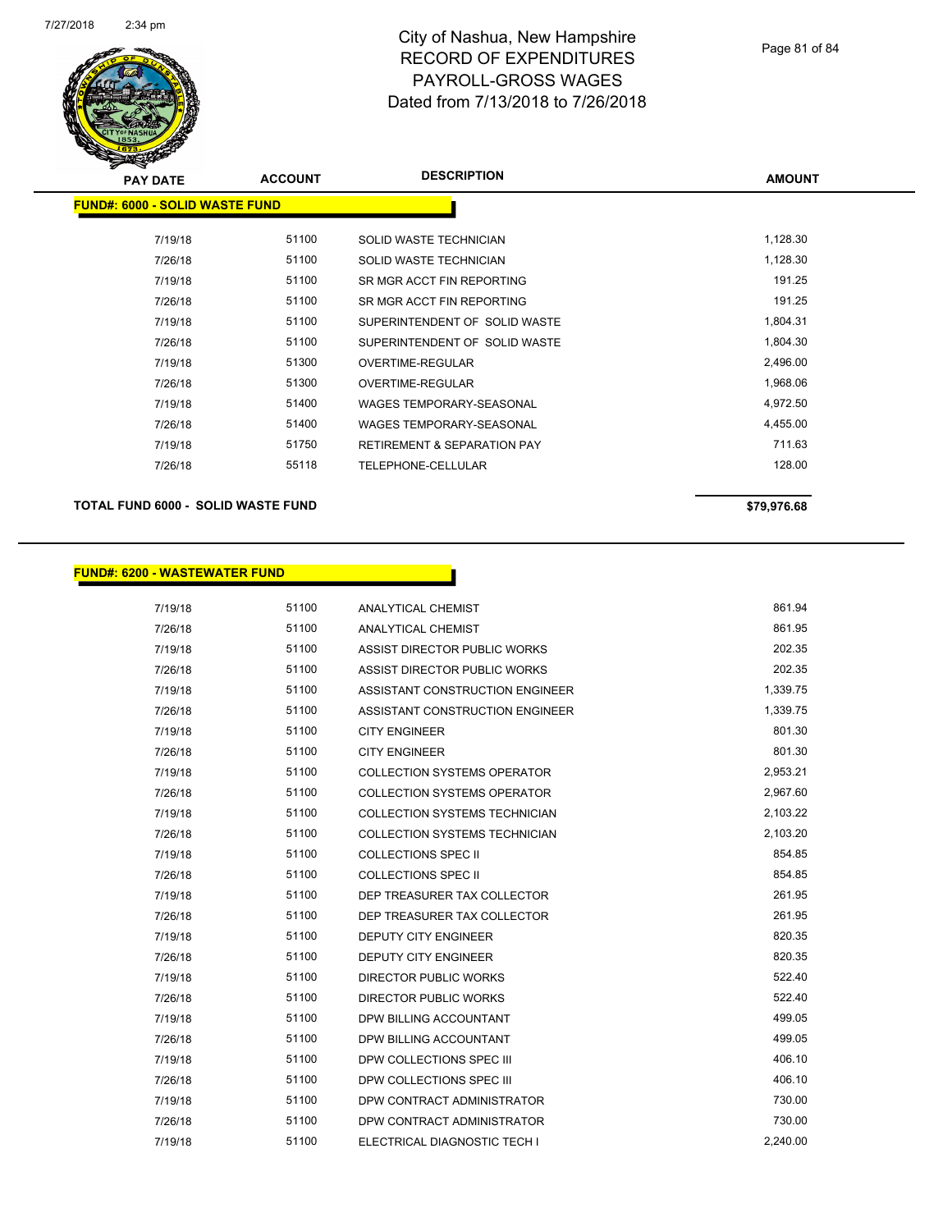

| s<br>$\tilde{\phantom{a}}$            |                |                                        |               |
|---------------------------------------|----------------|----------------------------------------|---------------|
| <b>PAY DATE</b>                       | <b>ACCOUNT</b> | <b>DESCRIPTION</b>                     | <b>AMOUNT</b> |
| <b>FUND#: 6000 - SOLID WASTE FUND</b> |                |                                        |               |
|                                       |                |                                        |               |
| 7/19/18                               | 51100          | SOLID WASTE TECHNICIAN                 | 1,128.30      |
| 7/26/18                               | 51100          | SOLID WASTE TECHNICIAN                 | 1,128.30      |
| 7/19/18                               | 51100          | SR MGR ACCT FIN REPORTING              | 191.25        |
| 7/26/18                               | 51100          | SR MGR ACCT FIN REPORTING              | 191.25        |
| 7/19/18                               | 51100          | SUPERINTENDENT OF SOLID WASTE          | 1,804.31      |
| 7/26/18                               | 51100          | SUPERINTENDENT OF SOLID WASTE          | 1,804.30      |
| 7/19/18                               | 51300          | OVERTIME-REGULAR                       | 2,496.00      |
| 7/26/18                               | 51300          | OVERTIME-REGULAR                       | 1,968.06      |
| 7/19/18                               | 51400          | <b>WAGES TEMPORARY-SEASONAL</b>        | 4,972.50      |
| 7/26/18                               | 51400          | <b>WAGES TEMPORARY-SEASONAL</b>        | 4,455.00      |
| 7/19/18                               | 51750          | <b>RETIREMENT &amp; SEPARATION PAY</b> | 711.63        |
| 7/26/18                               | 55118          | TELEPHONE-CELLULAR                     | 128.00        |
|                                       |                |                                        |               |

#### **TOTAL FUND 6000 - SOLID WASTE FUND \$79,976.68**

### **FUND#: 6200 - WASTEWATER FUND**

| 7/19/18 | 51100 | ANALYTICAL CHEMIST                   | 861.94   |
|---------|-------|--------------------------------------|----------|
| 7/26/18 | 51100 | ANALYTICAL CHEMIST                   | 861.95   |
| 7/19/18 | 51100 | ASSIST DIRECTOR PUBLIC WORKS         | 202.35   |
| 7/26/18 | 51100 | ASSIST DIRECTOR PUBLIC WORKS         | 202.35   |
| 7/19/18 | 51100 | ASSISTANT CONSTRUCTION ENGINEER      | 1,339.75 |
| 7/26/18 | 51100 | ASSISTANT CONSTRUCTION ENGINEER      | 1,339.75 |
| 7/19/18 | 51100 | <b>CITY ENGINEER</b>                 | 801.30   |
| 7/26/18 | 51100 | <b>CITY ENGINEER</b>                 | 801.30   |
| 7/19/18 | 51100 | <b>COLLECTION SYSTEMS OPERATOR</b>   | 2,953.21 |
| 7/26/18 | 51100 | <b>COLLECTION SYSTEMS OPERATOR</b>   | 2,967.60 |
| 7/19/18 | 51100 | COLLECTION SYSTEMS TECHNICIAN        | 2,103.22 |
| 7/26/18 | 51100 | <b>COLLECTION SYSTEMS TECHNICIAN</b> | 2,103.20 |
| 7/19/18 | 51100 | <b>COLLECTIONS SPEC II</b>           | 854.85   |
| 7/26/18 | 51100 | <b>COLLECTIONS SPEC II</b>           | 854.85   |
| 7/19/18 | 51100 | DEP TREASURER TAX COLLECTOR          | 261.95   |
| 7/26/18 | 51100 | DEP TREASURER TAX COLLECTOR          | 261.95   |
| 7/19/18 | 51100 | <b>DEPUTY CITY ENGINEER</b>          | 820.35   |
| 7/26/18 | 51100 | <b>DEPUTY CITY ENGINEER</b>          | 820.35   |
| 7/19/18 | 51100 | DIRECTOR PUBLIC WORKS                | 522.40   |
| 7/26/18 | 51100 | <b>DIRECTOR PUBLIC WORKS</b>         | 522.40   |
| 7/19/18 | 51100 | DPW BILLING ACCOUNTANT               | 499.05   |
| 7/26/18 | 51100 | DPW BILLING ACCOUNTANT               | 499.05   |
| 7/19/18 | 51100 | DPW COLLECTIONS SPEC III             | 406.10   |
| 7/26/18 | 51100 | DPW COLLECTIONS SPEC III             | 406.10   |
| 7/19/18 | 51100 | DPW CONTRACT ADMINISTRATOR           | 730.00   |
| 7/26/18 | 51100 | DPW CONTRACT ADMINISTRATOR           | 730.00   |
| 7/19/18 | 51100 | ELECTRICAL DIAGNOSTIC TECH I         | 2,240.00 |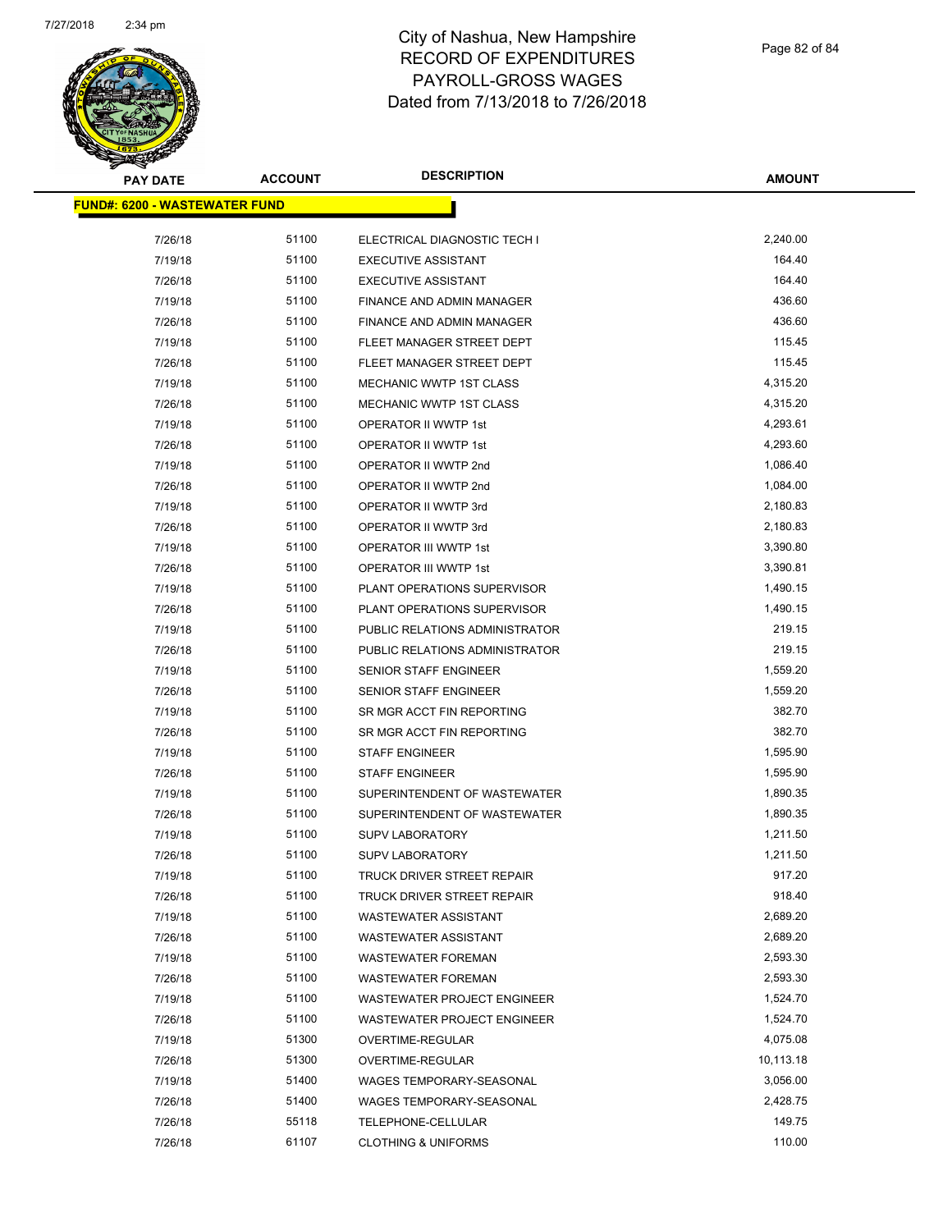

Page 82 of 84

| <b>PAY DATE</b>                      | <b>ACCOUNT</b> | <b>DESCRIPTION</b>                                       | <b>AMOUNT</b> |
|--------------------------------------|----------------|----------------------------------------------------------|---------------|
| <b>FUND#: 6200 - WASTEWATER FUND</b> |                |                                                          |               |
| 7/26/18                              | 51100          | ELECTRICAL DIAGNOSTIC TECH I                             | 2,240.00      |
| 7/19/18                              | 51100          |                                                          | 164.40        |
|                                      | 51100          | <b>EXECUTIVE ASSISTANT</b><br><b>EXECUTIVE ASSISTANT</b> | 164.40        |
| 7/26/18                              | 51100          |                                                          | 436.60        |
| 7/19/18                              |                | FINANCE AND ADMIN MANAGER                                | 436.60        |
| 7/26/18                              | 51100          | FINANCE AND ADMIN MANAGER                                |               |
| 7/19/18                              | 51100          | FLEET MANAGER STREET DEPT                                | 115.45        |
| 7/26/18                              | 51100<br>51100 | FLEET MANAGER STREET DEPT                                | 115.45        |
| 7/19/18                              |                | MECHANIC WWTP 1ST CLASS                                  | 4,315.20      |
| 7/26/18                              | 51100          | MECHANIC WWTP 1ST CLASS                                  | 4,315.20      |
| 7/19/18                              | 51100          | OPERATOR II WWTP 1st                                     | 4,293.61      |
| 7/26/18                              | 51100          | OPERATOR II WWTP 1st                                     | 4,293.60      |
| 7/19/18                              | 51100          | OPERATOR II WWTP 2nd                                     | 1,086.40      |
| 7/26/18                              | 51100          | OPERATOR II WWTP 2nd                                     | 1,084.00      |
| 7/19/18                              | 51100          | OPERATOR II WWTP 3rd                                     | 2,180.83      |
| 7/26/18                              | 51100          | OPERATOR II WWTP 3rd                                     | 2,180.83      |
| 7/19/18                              | 51100          | OPERATOR III WWTP 1st                                    | 3,390.80      |
| 7/26/18                              | 51100          | OPERATOR III WWTP 1st                                    | 3,390.81      |
| 7/19/18                              | 51100          | PLANT OPERATIONS SUPERVISOR                              | 1,490.15      |
| 7/26/18                              | 51100          | PLANT OPERATIONS SUPERVISOR                              | 1,490.15      |
| 7/19/18                              | 51100          | PUBLIC RELATIONS ADMINISTRATOR                           | 219.15        |
| 7/26/18                              | 51100          | PUBLIC RELATIONS ADMINISTRATOR                           | 219.15        |
| 7/19/18                              | 51100          | SENIOR STAFF ENGINEER                                    | 1,559.20      |
| 7/26/18                              | 51100          | <b>SENIOR STAFF ENGINEER</b>                             | 1,559.20      |
| 7/19/18                              | 51100          | SR MGR ACCT FIN REPORTING                                | 382.70        |
| 7/26/18                              | 51100          | SR MGR ACCT FIN REPORTING                                | 382.70        |
| 7/19/18                              | 51100          | <b>STAFF ENGINEER</b>                                    | 1,595.90      |
| 7/26/18                              | 51100          | <b>STAFF ENGINEER</b>                                    | 1,595.90      |
| 7/19/18                              | 51100          | SUPERINTENDENT OF WASTEWATER                             | 1,890.35      |
| 7/26/18                              | 51100          | SUPERINTENDENT OF WASTEWATER                             | 1,890.35      |
| 7/19/18                              | 51100          | <b>SUPV LABORATORY</b>                                   | 1,211.50      |
| 7/26/18                              | 51100          | <b>SUPV LABORATORY</b>                                   | 1,211.50      |
| 7/19/18                              | 51100          | TRUCK DRIVER STREET REPAIR                               | 917.20        |
| 7/26/18                              | 51100          | TRUCK DRIVER STREET REPAIR                               | 918.40        |
| 7/19/18                              | 51100          | <b>WASTEWATER ASSISTANT</b>                              | 2,689.20      |
| 7/26/18                              | 51100          | <b>WASTEWATER ASSISTANT</b>                              | 2,689.20      |
| 7/19/18                              | 51100          | <b>WASTEWATER FOREMAN</b>                                | 2,593.30      |
| 7/26/18                              | 51100          | <b>WASTEWATER FOREMAN</b>                                | 2,593.30      |
| 7/19/18                              | 51100          | <b>WASTEWATER PROJECT ENGINEER</b>                       | 1,524.70      |
| 7/26/18                              | 51100          | WASTEWATER PROJECT ENGINEER                              | 1,524.70      |
| 7/19/18                              | 51300          | OVERTIME-REGULAR                                         | 4,075.08      |
| 7/26/18                              | 51300          | OVERTIME-REGULAR                                         | 10,113.18     |
| 7/19/18                              | 51400          | WAGES TEMPORARY-SEASONAL                                 | 3,056.00      |
| 7/26/18                              | 51400          | WAGES TEMPORARY-SEASONAL                                 | 2,428.75      |
| 7/26/18                              | 55118          | TELEPHONE-CELLULAR                                       | 149.75        |
| 7/26/18                              | 61107          | <b>CLOTHING &amp; UNIFORMS</b>                           | 110.00        |
|                                      |                |                                                          |               |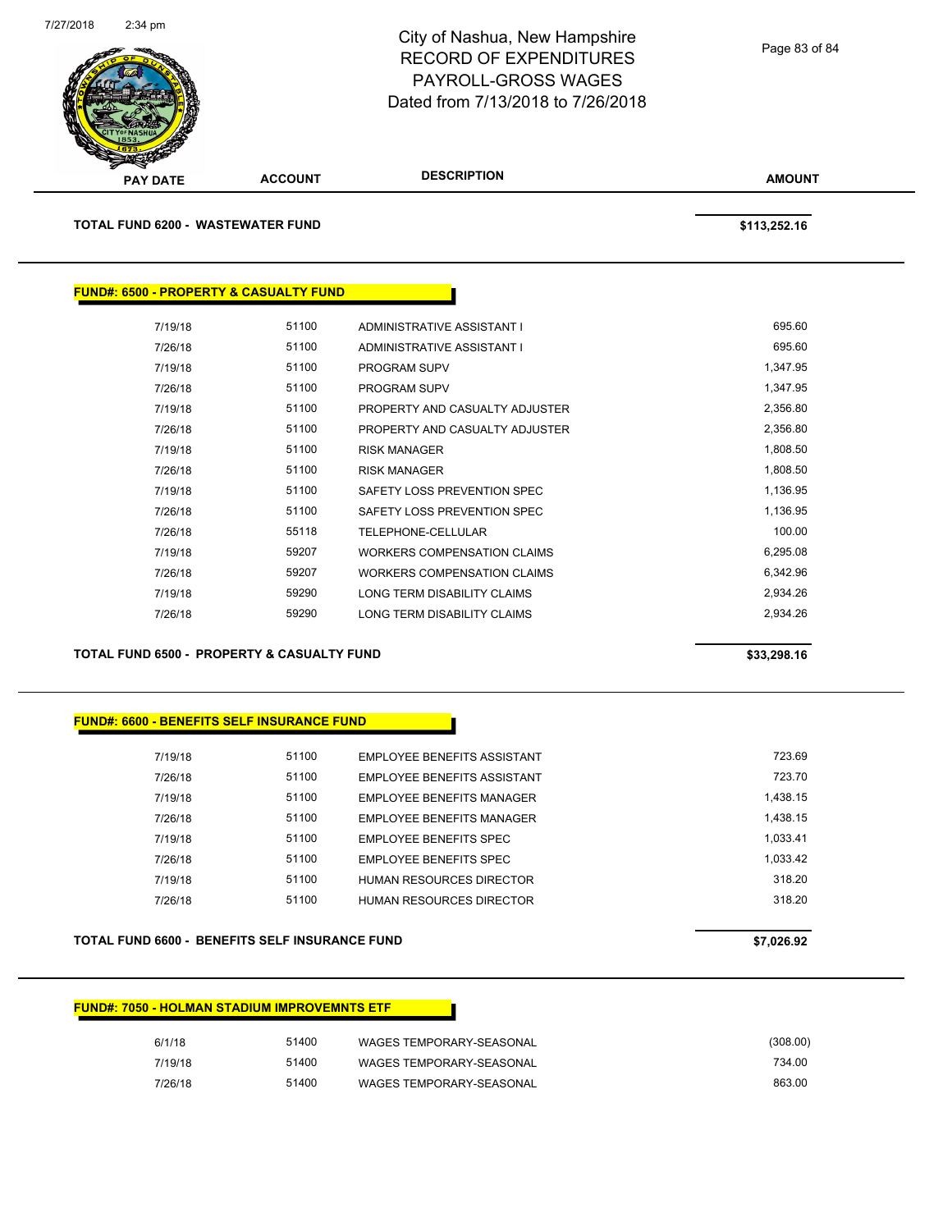

| <b>PAY DATE</b> |                                    | <b>ACCOUNT</b>                                    | <b>DESCRIPTION</b>             | <b>AMOUNT</b> |
|-----------------|------------------------------------|---------------------------------------------------|--------------------------------|---------------|
|                 | TOTAL FUND 6200 -  WASTEWATER FUND |                                                   |                                | \$113,252.16  |
|                 |                                    | <b>FUND#: 6500 - PROPERTY &amp; CASUALTY FUND</b> |                                |               |
|                 | 7/19/18                            | 51100                                             | ADMINISTRATIVE ASSISTANT I     | 695.60        |
|                 | 7/26/18                            | 51100                                             | ADMINISTRATIVE ASSISTANT I     | 695.60        |
|                 | 7/19/18                            | 51100                                             | <b>PROGRAM SUPV</b>            | 1,347.95      |
|                 | 7/26/18                            | 51100                                             | <b>PROGRAM SUPV</b>            | 1,347.95      |
|                 | 7/19/18                            | 51100                                             | PROPERTY AND CASUALTY ADJUSTER | 2,356.80      |
|                 | 7/26/18                            | 51100                                             | PROPERTY AND CASUALTY ADJUSTER | 2,356.80      |
|                 | 7/19/18                            | 51100                                             | <b>RISK MANAGER</b>            | 1,808.50      |
|                 | 7/26/18                            | 51100                                             | <b>RISK MANAGER</b>            | 1,808.50      |
|                 | 7/19/18                            | 51100                                             | SAFETY LOSS PREVENTION SPEC    | 1,136.95      |
|                 | 7/26/18                            | 51100                                             | SAFETY LOSS PREVENTION SPEC    | 1,136.95      |
|                 | 7/26/18                            | 55118                                             | TELEPHONE-CELLULAR             | 100.00        |

7/19/18 59207 WORKERS COMPENSATION CLAIMS 6,295.08 7/26/18 59207 WORKERS COMPENSATION CLAIMS 6,342.96 7/19/18 59290 LONG TERM DISABILITY CLAIMS 2,934.26 7/26/18 59290 LONG TERM DISABILITY CLAIMS 2,934.26

**TOTAL FUND 6500 - PROPERTY & CASUALTY FUND \$33,298.16** 

#### **FUND#: 6600 - BENEFITS SELF INSURANCE FUND**

| 7/19/18 | 51100 | EMPLOYEE BENEFITS ASSISTANT        | 723.69   |
|---------|-------|------------------------------------|----------|
| 7/26/18 | 51100 | <b>EMPLOYEE BENEFITS ASSISTANT</b> | 723 70   |
| 7/19/18 | 51100 | EMPLOYEE BENEFITS MANAGER          | 1.438.15 |
| 7/26/18 | 51100 | <b>EMPLOYEE BENEFITS MANAGER</b>   | 1.438.15 |
| 7/19/18 | 51100 | EMPLOYEE BENEFITS SPEC             | 1.033.41 |
| 7/26/18 | 51100 | EMPLOYEE BENEFITS SPEC             | 1.033.42 |
| 7/19/18 | 51100 | HUMAN RESOURCES DIRECTOR           | 318.20   |
| 7/26/18 | 51100 | HUMAN RESOURCES DIRECTOR           | 318.20   |
|         |       |                                    |          |

#### **TOTAL FUND 6600 - BENEFITS SELF INSURANCE FUND \$7,026.92**

| <b>FUND#: 7050 - HOLMAN STADIUM IMPROVEMNTS ETF</b> |
|-----------------------------------------------------|
|-----------------------------------------------------|

| (308.00) | WAGES TEMPORARY-SEASONAL | 51400 | 6/1/18  |
|----------|--------------------------|-------|---------|
| 734.00   | WAGES TEMPORARY-SEASONAL | 51400 | 7/19/18 |
| 863.00   | WAGES TEMPORARY-SEASONAL | 51400 | 7/26/18 |

Page 83 of 84